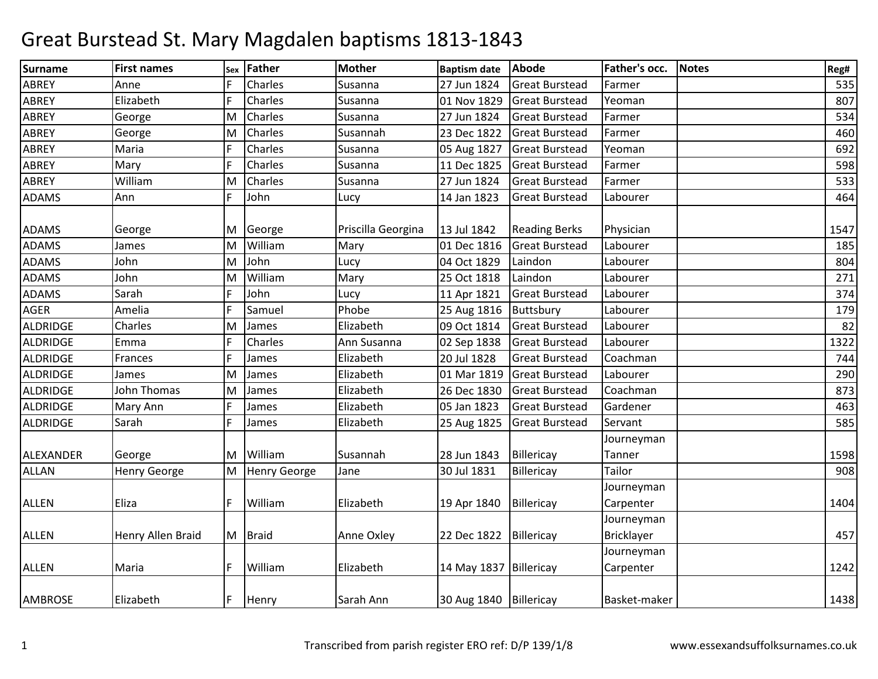| <b>Surname</b> | <b>First names</b>  | Sex | Father              | <b>Mother</b>      | <b>Baptism date</b>    | Abode                 | Father's occ. | <b>Notes</b> | Reg# |
|----------------|---------------------|-----|---------------------|--------------------|------------------------|-----------------------|---------------|--------------|------|
| <b>ABREY</b>   | Anne                |     | Charles             | Susanna            | 27 Jun 1824            | <b>Great Burstead</b> | Farmer        |              | 535  |
| <b>ABREY</b>   | Elizabeth           | F   | Charles             | Susanna            | 01 Nov 1829            | <b>Great Burstead</b> | Yeoman        |              | 807  |
| <b>ABREY</b>   | George              | M   | Charles             | Susanna            | 27 Jun 1824            | <b>Great Burstead</b> | Farmer        |              | 534  |
| <b>ABREY</b>   | George              | M   | Charles             | Susannah           | 23 Dec 1822            | <b>Great Burstead</b> | Farmer        |              | 460  |
| <b>ABREY</b>   | Maria               |     | Charles             | Susanna            | 05 Aug 1827            | <b>Great Burstead</b> | Yeoman        |              | 692  |
| ABREY          | Mary                |     | Charles             | Susanna            | 11 Dec 1825            | <b>Great Burstead</b> | Farmer        |              | 598  |
| <b>ABREY</b>   | William             | M   | Charles             | Susanna            | 27 Jun 1824            | <b>Great Burstead</b> | Farmer        |              | 533  |
| <b>ADAMS</b>   | Ann                 | F   | John                | Lucy               | 14 Jan 1823            | <b>Great Burstead</b> | Labourer      |              | 464  |
| <b>ADAMS</b>   | George              | ΙM  | George              | Priscilla Georgina | 13 Jul 1842            | <b>Reading Berks</b>  | Physician     |              | 1547 |
| <b>ADAMS</b>   | James               | M   | William             | Mary               | 01 Dec 1816            | <b>Great Burstead</b> | Labourer      |              | 185  |
| <b>ADAMS</b>   | John                | M   | John                | Lucy               | 04 Oct 1829            | Laindon               | Labourer      |              | 804  |
| <b>ADAMS</b>   | John                | M   | William             | Mary               | 25 Oct 1818            | Laindon               | Labourer      |              | 271  |
| <b>ADAMS</b>   | Sarah               | F   | John                | Lucy               | 11 Apr 1821            | <b>Great Burstead</b> | Labourer      |              | 374  |
| AGER           | Amelia              | E   | Samuel              | Phobe              | 25 Aug 1816            | Buttsbury             | Labourer      |              | 179  |
| ALDRIDGE       | Charles             | ΙM  | James               | Elizabeth          | 09 Oct 1814            | <b>Great Burstead</b> | Labourer      |              | 82   |
| ALDRIDGE       | Emma                | F   | Charles             | Ann Susanna        | 02 Sep 1838            | <b>Great Burstead</b> | Labourer      |              | 1322 |
| ALDRIDGE       | Frances             | E   | James               | Elizabeth          | 20 Jul 1828            | <b>Great Burstead</b> | Coachman      |              | 744  |
| ALDRIDGE       | James               | M   | James               | Elizabeth          | 01 Mar 1819            | <b>Great Burstead</b> | Labourer      |              | 290  |
| ALDRIDGE       | John Thomas         | M   | James               | Elizabeth          | 26 Dec 1830            | <b>Great Burstead</b> | Coachman      |              | 873  |
| ALDRIDGE       | Mary Ann            |     | James               | Elizabeth          | 05 Jan 1823            | <b>Great Burstead</b> | Gardener      |              | 463  |
| ALDRIDGE       | Sarah               | E   | James               | Elizabeth          | 25 Aug 1825            | <b>Great Burstead</b> | Servant       |              | 585  |
|                |                     |     |                     |                    |                        |                       | Journeyman    |              |      |
| ALEXANDER      | George              | M   | William             | Susannah           | 28 Jun 1843            | Billericay            | Tanner        |              | 1598 |
| <b>ALLAN</b>   | <b>Henry George</b> | M   | <b>Henry George</b> | Jane               | 30 Jul 1831            | Billericay            | Tailor        |              | 908  |
|                |                     |     |                     |                    |                        |                       | Journeyman    |              |      |
| <b>ALLEN</b>   | Eliza               |     | William             | Elizabeth          | 19 Apr 1840            | Billericay            | Carpenter     |              | 1404 |
|                |                     |     |                     |                    |                        |                       | Journeyman    |              |      |
| <b>ALLEN</b>   | Henry Allen Braid   |     | M Braid             | Anne Oxley         | 22 Dec 1822 Billericay |                       | Bricklayer    |              | 457  |
|                |                     |     |                     |                    |                        |                       | Journeyman    |              |      |
| <b>ALLEN</b>   | Maria               |     | William             | Elizabeth          | 14 May 1837 Billericay |                       | Carpenter     |              | 1242 |
| <b>AMBROSE</b> | Elizabeth           | lF. | Henry               | Sarah Ann          | 30 Aug 1840 Billericay |                       | Basket-maker  |              | 1438 |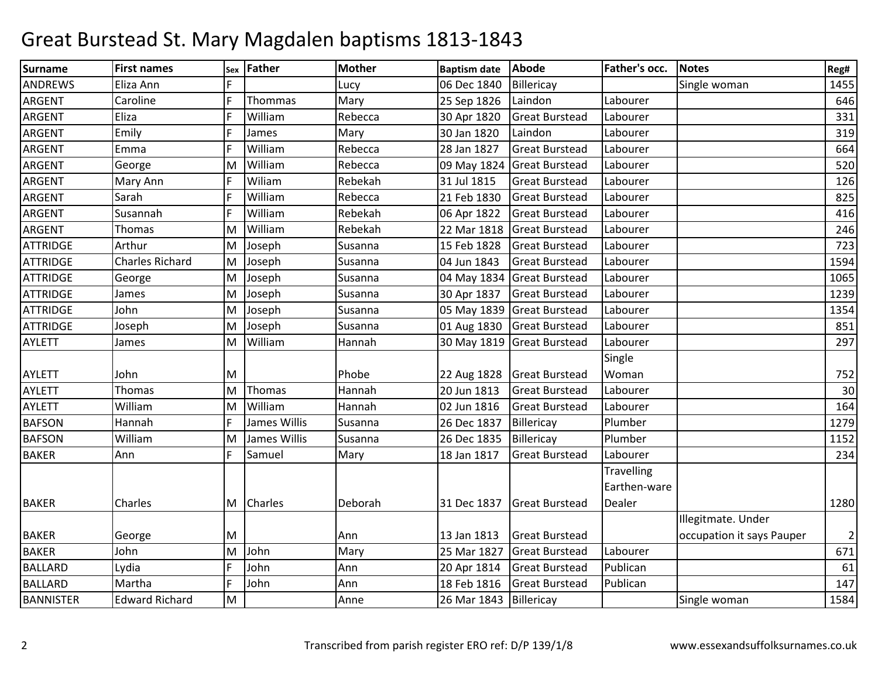| Surname          | <b>First names</b>    |    | sex Father     | <b>Mother</b> | <b>Baptism date</b> | Abode                 | Father's occ.     | <b>Notes</b>              | Reg#           |
|------------------|-----------------------|----|----------------|---------------|---------------------|-----------------------|-------------------|---------------------------|----------------|
| <b>ANDREWS</b>   | Eliza Ann             |    |                | Lucy          | 06 Dec 1840         | Billericay            |                   | Single woman              | 1455           |
| <b>ARGENT</b>    | Caroline              | F  | Thommas        | Mary          | 25 Sep 1826         | Laindon               | Labourer          |                           | 646            |
| <b>ARGENT</b>    | Eliza                 | E  | William        | Rebecca       | 30 Apr 1820         | <b>Great Burstead</b> | Labourer          |                           | 331            |
| <b>ARGENT</b>    | Emily                 |    | James          | Mary          | 30 Jan 1820         | Laindon               | Labourer          |                           | 319            |
| <b>ARGENT</b>    | Emma                  | IF | William        | Rebecca       | 28 Jan 1827         | <b>Great Burstead</b> | Labourer          |                           | 664            |
| <b>ARGENT</b>    | George                | M  | William        | Rebecca       | 09 May 1824         | <b>Great Burstead</b> | Labourer          |                           | 520            |
| ARGENT           | Mary Ann              |    | Wiliam         | Rebekah       | 31 Jul 1815         | <b>Great Burstead</b> | Labourer          |                           | 126            |
| <b>ARGENT</b>    | Sarah                 | IF | William        | Rebecca       | 21 Feb 1830         | <b>Great Burstead</b> | Labourer          |                           | 825            |
| <b>ARGENT</b>    | Susannah              | E  | William        | Rebekah       | 06 Apr 1822         | <b>Great Burstead</b> | Labourer          |                           | 416            |
| ARGENT           | <b>Thomas</b>         | M  | William        | Rebekah       | 22 Mar 1818         | <b>Great Burstead</b> | Labourer          |                           | 246            |
| <b>ATTRIDGE</b>  | Arthur                | M  | Joseph         | Susanna       | 15 Feb 1828         | <b>Great Burstead</b> | Labourer          |                           | 723            |
| <b>ATTRIDGE</b>  | Charles Richard       | M  | Joseph         | Susanna       | 04 Jun 1843         | <b>Great Burstead</b> | Labourer          |                           | 1594           |
| <b>ATTRIDGE</b>  | George                | M  | Joseph         | Susanna       | 04 May 1834         | <b>Great Burstead</b> | Labourer          |                           | 1065           |
| <b>ATTRIDGE</b>  | James                 | M  | Joseph         | Susanna       | 30 Apr 1837         | <b>Great Burstead</b> | Labourer          |                           | 1239           |
| <b>ATTRIDGE</b>  | John                  | M  | Joseph         | Susanna       | 05 May 1839         | <b>Great Burstead</b> | Labourer          |                           | 1354           |
| <b>ATTRIDGE</b>  | Joseph                | M  | Joseph         | Susanna       | 01 Aug 1830         | <b>Great Burstead</b> | Labourer          |                           | 851            |
| <b>AYLETT</b>    | James                 | M  | William        | Hannah        | 30 May 1819         | Great Burstead        | Labourer          |                           | 297            |
|                  |                       |    |                |               |                     |                       | Single            |                           |                |
| <b>AYLETT</b>    | John                  | M  |                | Phobe         | 22 Aug 1828         | <b>Great Burstead</b> | Woman             |                           | 752            |
| <b>AYLETT</b>    | Thomas                | M  | Thomas         | Hannah        | 20 Jun 1813         | <b>Great Burstead</b> | Labourer          |                           | 30             |
| <b>AYLETT</b>    | William               | M  | William        | Hannah        | 02 Jun 1816         | <b>Great Burstead</b> | Labourer          |                           | 164            |
| <b>BAFSON</b>    | Hannah                | F  | James Willis   | Susanna       | 26 Dec 1837         | Billericay            | Plumber           |                           | 1279           |
| <b>BAFSON</b>    | William               | M  | James Willis   | Susanna       | 26 Dec 1835         | Billericay            | Plumber           |                           | 1152           |
| <b>BAKER</b>     | Ann                   |    | Samuel         | Mary          | 18 Jan 1817         | <b>Great Burstead</b> | Labourer          |                           | 234            |
|                  |                       |    |                |               |                     |                       | <b>Travelling</b> |                           |                |
|                  |                       |    |                |               |                     |                       | Earthen-ware      |                           |                |
| <b>BAKER</b>     | Charles               | M  | <b>Charles</b> | Deborah       | 31 Dec 1837         | <b>Great Burstead</b> | Dealer            |                           | 1280           |
|                  |                       |    |                |               |                     |                       |                   | Illegitmate. Under        |                |
| <b>BAKER</b>     | George                | M  |                | Ann           | 13 Jan 1813         | <b>Great Burstead</b> |                   | occupation it says Pauper | $\overline{2}$ |
| <b>BAKER</b>     | John                  | M  | John           | Mary          | 25 Mar 1827         | <b>Great Burstead</b> | Labourer          |                           | 671            |
| <b>BALLARD</b>   | Lydia                 | F  | John           | Ann           | 20 Apr 1814         | <b>Great Burstead</b> | Publican          |                           | 61             |
| <b>BALLARD</b>   | Martha                | F  | John           | Ann           | 18 Feb 1816         | <b>Great Burstead</b> | Publican          |                           | 147            |
| <b>BANNISTER</b> | <b>Edward Richard</b> | M  |                | Anne          | 26 Mar 1843         | Billericay            |                   | Single woman              | 1584           |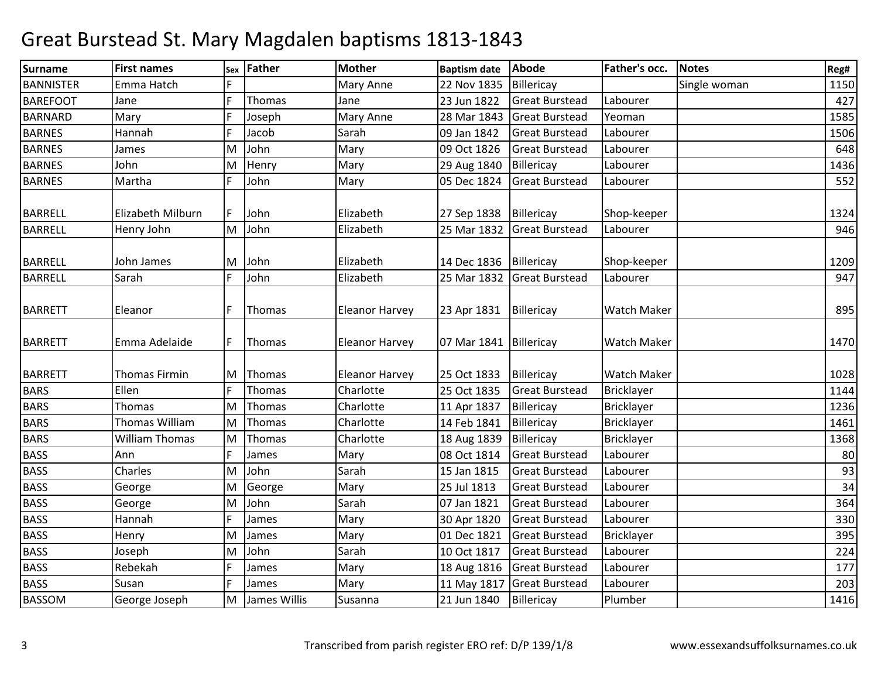| <b>Surname</b>   | <b>First names</b>    | Sex | Father       | <b>Mother</b>         | <b>Baptism date</b> | Abode                 | Father's occ.      | <b>Notes</b> | Reg# |
|------------------|-----------------------|-----|--------------|-----------------------|---------------------|-----------------------|--------------------|--------------|------|
| <b>BANNISTER</b> | Emma Hatch            |     |              | Mary Anne             | 22 Nov 1835         | Billericay            |                    | Single woman | 1150 |
| <b>BAREFOOT</b>  | Jane                  | F   | Thomas       | Jane                  | 23 Jun 1822         | <b>Great Burstead</b> | Labourer           |              | 427  |
| <b>BARNARD</b>   | Mary                  | F   | Joseph       | Mary Anne             | 28 Mar 1843         | <b>Great Burstead</b> | Yeoman             |              | 1585 |
| <b>BARNES</b>    | Hannah                | F   | Jacob        | Sarah                 | 09 Jan 1842         | <b>Great Burstead</b> | Labourer           |              | 1506 |
| <b>BARNES</b>    | James                 | M   | John         | Mary                  | 09 Oct 1826         | <b>Great Burstead</b> | Labourer           |              | 648  |
| <b>BARNES</b>    | John                  | M   | Henry        | Mary                  | 29 Aug 1840         | Billericay            | Labourer           |              | 1436 |
| <b>BARNES</b>    | Martha                | F   | John         | Mary                  | 05 Dec 1824         | <b>Great Burstead</b> | Labourer           |              | 552  |
| <b>BARRELL</b>   | Elizabeth Milburn     | F   | John         | Elizabeth             | 27 Sep 1838         | Billericay            | Shop-keeper        |              | 1324 |
| <b>BARRELL</b>   | Henry John            | M   | John         | Elizabeth             | 25 Mar 1832         | <b>Great Burstead</b> | Labourer           |              | 946  |
| <b>BARRELL</b>   | John James            | M   | John         | Elizabeth             | 14 Dec 1836         | Billericay            | Shop-keeper        |              | 1209 |
| <b>BARRELL</b>   | Sarah                 | F   | John         | Elizabeth             | 25 Mar 1832         | <b>Great Burstead</b> | Labourer           |              | 947  |
| <b>BARRETT</b>   | Eleanor               | F   | Thomas       | <b>Eleanor Harvey</b> | 23 Apr 1831         | Billericay            | <b>Watch Maker</b> |              | 895  |
| <b>BARRETT</b>   | Emma Adelaide         | F   | Thomas       | <b>Eleanor Harvey</b> | 07 Mar 1841         | Billericay            | <b>Watch Maker</b> |              | 1470 |
| <b>BARRETT</b>   | Thomas Firmin         | M   | Thomas       | <b>Eleanor Harvey</b> | 25 Oct 1833         | Billericay            | <b>Watch Maker</b> |              | 1028 |
| <b>BARS</b>      | Ellen                 | F   | Thomas       | Charlotte             | 25 Oct 1835         | <b>Great Burstead</b> | Bricklayer         |              | 1144 |
| <b>BARS</b>      | Thomas                | M   | Thomas       | Charlotte             | 11 Apr 1837         | Billericay            | <b>Bricklayer</b>  |              | 1236 |
| <b>BARS</b>      | Thomas William        | M   | Thomas       | Charlotte             | 14 Feb 1841         | Billericay            | <b>Bricklayer</b>  |              | 1461 |
| <b>BARS</b>      | <b>William Thomas</b> | M   | Thomas       | Charlotte             | 18 Aug 1839         | Billericay            | <b>Bricklayer</b>  |              | 1368 |
| <b>BASS</b>      | Ann                   | F   | James        | Mary                  | 08 Oct 1814         | <b>Great Burstead</b> | Labourer           |              | 80   |
| <b>BASS</b>      | Charles               | M   | John         | Sarah                 | 15 Jan 1815         | <b>Great Burstead</b> | Labourer           |              | 93   |
| <b>BASS</b>      | George                | M   | George       | Mary                  | 25 Jul 1813         | <b>Great Burstead</b> | Labourer           |              | 34   |
| <b>BASS</b>      | George                | M   | John         | Sarah                 | 07 Jan 1821         | <b>Great Burstead</b> | Labourer           |              | 364  |
| <b>BASS</b>      | Hannah                | F   | James        | Mary                  | 30 Apr 1820         | <b>Great Burstead</b> | Labourer           |              | 330  |
| <b>BASS</b>      | Henry                 | M   | James        | Mary                  | 01 Dec 1821         | <b>Great Burstead</b> | Bricklayer         |              | 395  |
| <b>BASS</b>      | Joseph                | M   | John         | Sarah                 | 10 Oct 1817         | <b>Great Burstead</b> | Labourer           |              | 224  |
| <b>BASS</b>      | Rebekah               | F   | James        | Mary                  | 18 Aug 1816         | <b>Great Burstead</b> | Labourer           |              | 177  |
| <b>BASS</b>      | Susan                 | F   | James        | Mary                  | 11 May 1817         | <b>Great Burstead</b> | Labourer           |              | 203  |
| <b>BASSOM</b>    | George Joseph         | M   | James Willis | Susanna               | 21 Jun 1840         | Billericay            | Plumber            |              | 1416 |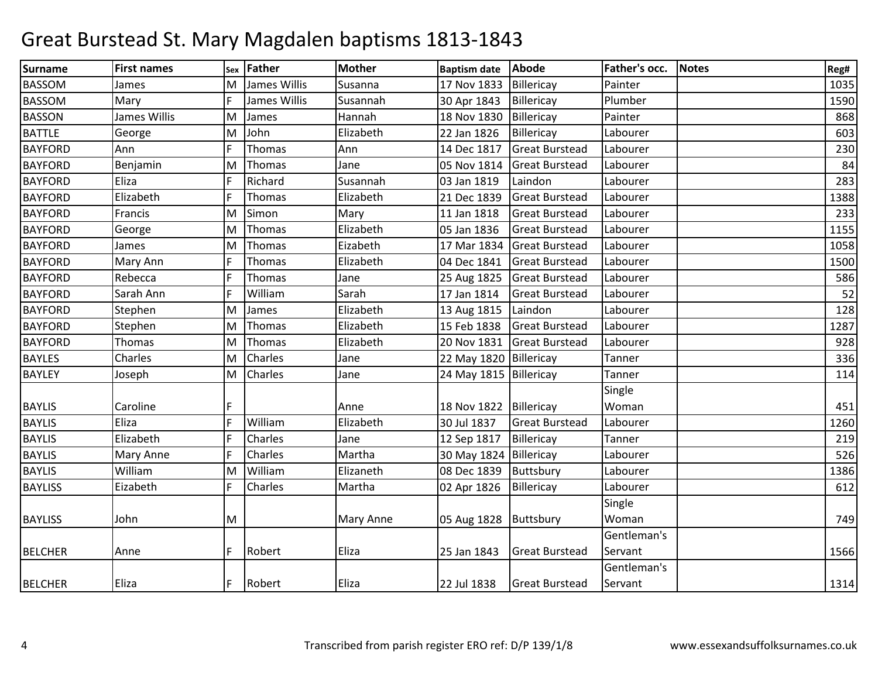| <b>Surname</b> | <b>First names</b> |   | sex Father     | <b>Mother</b> | <b>Baptism date</b>     | <b>Abode</b>          | Father's occ. | Notes | Reg# |
|----------------|--------------------|---|----------------|---------------|-------------------------|-----------------------|---------------|-------|------|
| <b>BASSOM</b>  | James              | M | James Willis   | Susanna       | 17 Nov 1833             | Billericay            | Painter       |       | 1035 |
| <b>BASSOM</b>  | Mary               | F | James Willis   | Susannah      | 30 Apr 1843             | Billericay            | Plumber       |       | 1590 |
| <b>BASSON</b>  | James Willis       | M | James          | Hannah        | 18 Nov 1830             | Billericay            | Painter       |       | 868  |
| <b>BATTLE</b>  | George             | M | John           | Elizabeth     | 22 Jan 1826             | Billericay            | Labourer      |       | 603  |
| <b>BAYFORD</b> | Ann                | F | Thomas         | Ann           | 14 Dec 1817             | <b>Great Burstead</b> | Labourer      |       | 230  |
| <b>BAYFORD</b> | Benjamin           | M | Thomas         | Jane          | 05 Nov 1814             | <b>Great Burstead</b> | Labourer      |       | 84   |
| <b>BAYFORD</b> | Eliza              | F | Richard        | Susannah      | 03 Jan 1819             | Laindon               | Labourer      |       | 283  |
| <b>BAYFORD</b> | Elizabeth          | F | Thomas         | Elizabeth     | 21 Dec 1839             | <b>Great Burstead</b> | Labourer      |       | 1388 |
| <b>BAYFORD</b> | Francis            | M | Simon          | Mary          | 11 Jan 1818             | <b>Great Burstead</b> | Labourer      |       | 233  |
| <b>BAYFORD</b> | George             | M | Thomas         | Elizabeth     | 05 Jan 1836             | <b>Great Burstead</b> | Labourer      |       | 1155 |
| <b>BAYFORD</b> | James              | M | Thomas         | Eizabeth      | 17 Mar 1834             | <b>Great Burstead</b> | Labourer      |       | 1058 |
| <b>BAYFORD</b> | Mary Ann           | F | Thomas         | Elizabeth     | 04 Dec 1841             | <b>Great Burstead</b> | Labourer      |       | 1500 |
| <b>BAYFORD</b> | Rebecca            | F | Thomas         | Jane          | 25 Aug 1825             | <b>Great Burstead</b> | Labourer      |       | 586  |
| <b>BAYFORD</b> | Sarah Ann          | F | William        | Sarah         | 17 Jan 1814             | <b>Great Burstead</b> | Labourer      |       | 52   |
| <b>BAYFORD</b> | Stephen            | M | James          | Elizabeth     | 13 Aug 1815             | Laindon               | Labourer      |       | 128  |
| <b>BAYFORD</b> | Stephen            | M | Thomas         | Elizabeth     | 15 Feb 1838             | <b>Great Burstead</b> | Labourer      |       | 1287 |
| <b>BAYFORD</b> | Thomas             | M | Thomas         | Elizabeth     | 20 Nov 1831             | <b>Great Burstead</b> | Labourer      |       | 928  |
| <b>BAYLES</b>  | Charles            | M | Charles        | Jane          | 22 May 1820             | Billericay            | Tanner        |       | 336  |
| <b>BAYLEY</b>  | Joseph             | M | <b>Charles</b> | Jane          | 24 May 1815 Billericay  |                       | Tanner        |       | 114  |
|                |                    |   |                |               |                         |                       | Single        |       |      |
| <b>BAYLIS</b>  | Caroline           | F |                | Anne          | 18 Nov 1822             | Billericay            | Woman         |       | 451  |
| <b>BAYLIS</b>  | Eliza              | F | William        | Elizabeth     | 30 Jul 1837             | <b>Great Burstead</b> | Labourer      |       | 1260 |
| <b>BAYLIS</b>  | Elizabeth          | F | Charles        | Jane          | 12 Sep 1817             | Billericay            | Tanner        |       | 219  |
| <b>BAYLIS</b>  | Mary Anne          | F | Charles        | Martha        | 30 May 1824             | Billericay            | Labourer      |       | 526  |
| <b>BAYLIS</b>  | William            | M | William        | Elizaneth     | 08 Dec 1839             | Buttsbury             | Labourer      |       | 1386 |
| <b>BAYLISS</b> | Eizabeth           | F | <b>Charles</b> | Martha        | 02 Apr 1826             | Billericay            | Labourer      |       | 612  |
|                |                    |   |                |               |                         |                       | Single        |       |      |
| <b>BAYLISS</b> | John               | M |                | Mary Anne     | 05 Aug 1828   Buttsbury |                       | Woman         |       | 749  |
|                |                    |   |                |               |                         |                       | Gentleman's   |       |      |
| <b>BELCHER</b> | Anne               | F | Robert         | Eliza         | 25 Jan 1843             | <b>Great Burstead</b> | Servant       |       | 1566 |
|                |                    |   |                |               |                         |                       | Gentleman's   |       |      |
| <b>BELCHER</b> | Eliza              | F | Robert         | Eliza         | 22 Jul 1838             | <b>Great Burstead</b> | Servant       |       | 1314 |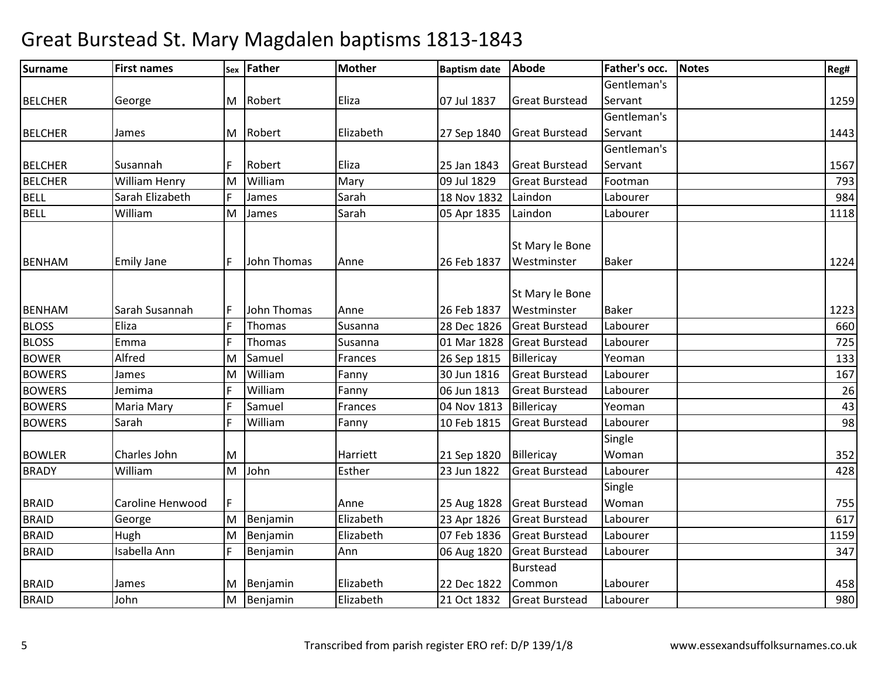| <b>Surname</b> | <b>First names</b> | Sex | Father      | Mother    | <b>Baptism date</b> | <b>Abode</b>          | Father's occ. | <b>Notes</b> | Reg# |
|----------------|--------------------|-----|-------------|-----------|---------------------|-----------------------|---------------|--------------|------|
|                |                    |     |             |           |                     |                       | Gentleman's   |              |      |
| <b>BELCHER</b> | George             |     | M Robert    | Eliza     | 07 Jul 1837         | <b>Great Burstead</b> | Servant       |              | 1259 |
|                |                    |     |             |           |                     |                       | Gentleman's   |              |      |
| <b>BELCHER</b> | James              |     | M Robert    | Elizabeth | 27 Sep 1840         | <b>Great Burstead</b> | Servant       |              | 1443 |
|                |                    |     |             |           |                     |                       | Gentleman's   |              |      |
| <b>BELCHER</b> | Susannah           |     | Robert      | Eliza     | 25 Jan 1843         | <b>Great Burstead</b> | Servant       |              | 1567 |
| <b>BELCHER</b> | William Henry      | ΙM  | William     | Mary      | 09 Jul 1829         | <b>Great Burstead</b> | Footman       |              | 793  |
| <b>BELL</b>    | Sarah Elizabeth    | IF  | James       | Sarah     | 18 Nov 1832         | Laindon               | Labourer      |              | 984  |
| <b>BELL</b>    | William            | M   | James       | Sarah     | 05 Apr 1835         | Laindon               | Labourer      |              | 1118 |
|                |                    |     |             |           |                     |                       |               |              |      |
|                |                    |     |             |           |                     | St Mary le Bone       |               |              |      |
| <b>BENHAM</b>  | <b>Emily Jane</b>  | IF  | John Thomas | Anne      | 26 Feb 1837         | Westminster           | <b>Baker</b>  |              | 1224 |
|                |                    |     |             |           |                     |                       |               |              |      |
|                |                    |     |             |           |                     | St Mary le Bone       |               |              |      |
| <b>BENHAM</b>  | Sarah Susannah     |     | John Thomas | Anne      | 26 Feb 1837         | Westminster           | <b>Baker</b>  |              | 1223 |
| <b>BLOSS</b>   | Eliza              |     | Thomas      | Susanna   | 28 Dec 1826         | <b>Great Burstead</b> | Labourer      |              | 660  |
| <b>BLOSS</b>   | Emma               |     | Thomas      | Susanna   | 01 Mar 1828         | <b>Great Burstead</b> | Labourer      |              | 725  |
| <b>BOWER</b>   | Alfred             | M   | Samuel      | Frances   | 26 Sep 1815         | Billericay            | Yeoman        |              | 133  |
| <b>BOWERS</b>  | James              | M   | William     | Fanny     | 30 Jun 1816         | <b>Great Burstead</b> | Labourer      |              | 167  |
| <b>BOWERS</b>  | Jemima             |     | William     | Fanny     | 06 Jun 1813         | <b>Great Burstead</b> | Labourer      |              | 26   |
| <b>BOWERS</b>  | Maria Mary         |     | Samuel      | Frances   | 04 Nov 1813         | Billericay            | Yeoman        |              | 43   |
| <b>BOWERS</b>  | Sarah              |     | William     | Fanny     | 10 Feb 1815         | <b>Great Burstead</b> | Labourer      |              | 98   |
|                |                    |     |             |           |                     |                       | Single        |              |      |
| <b>BOWLER</b>  | Charles John       | M   |             | Harriett  | 21 Sep 1820         | Billericay            | Woman         |              | 352  |
| <b>BRADY</b>   | William            | M   | John        | Esther    | 23 Jun 1822         | <b>Great Burstead</b> | Labourer      |              | 428  |
|                |                    |     |             |           |                     |                       | Single        |              |      |
| <b>BRAID</b>   | Caroline Henwood   | F   |             | Anne      | 25 Aug 1828         | <b>Great Burstead</b> | Woman         |              | 755  |
| <b>BRAID</b>   | George             | M   | Benjamin    | Elizabeth | 23 Apr 1826         | <b>Great Burstead</b> | Labourer      |              | 617  |
| <b>BRAID</b>   | Hugh               | M   | Benjamin    | Elizabeth | 07 Feb 1836         | <b>Great Burstead</b> | Labourer      |              | 1159 |
| <b>BRAID</b>   | Isabella Ann       |     | Benjamin    | Ann       | 06 Aug 1820         | <b>Great Burstead</b> | Labourer      |              | 347  |
|                |                    |     |             |           |                     | Burstead              |               |              |      |
| <b>BRAID</b>   | James              | M   | Benjamin    | Elizabeth | 22 Dec 1822         | Common                | Labourer      |              | 458  |
| <b>BRAID</b>   | John               | M   | Benjamin    | Elizabeth | 21 Oct 1832         | <b>Great Burstead</b> | Labourer      |              | 980  |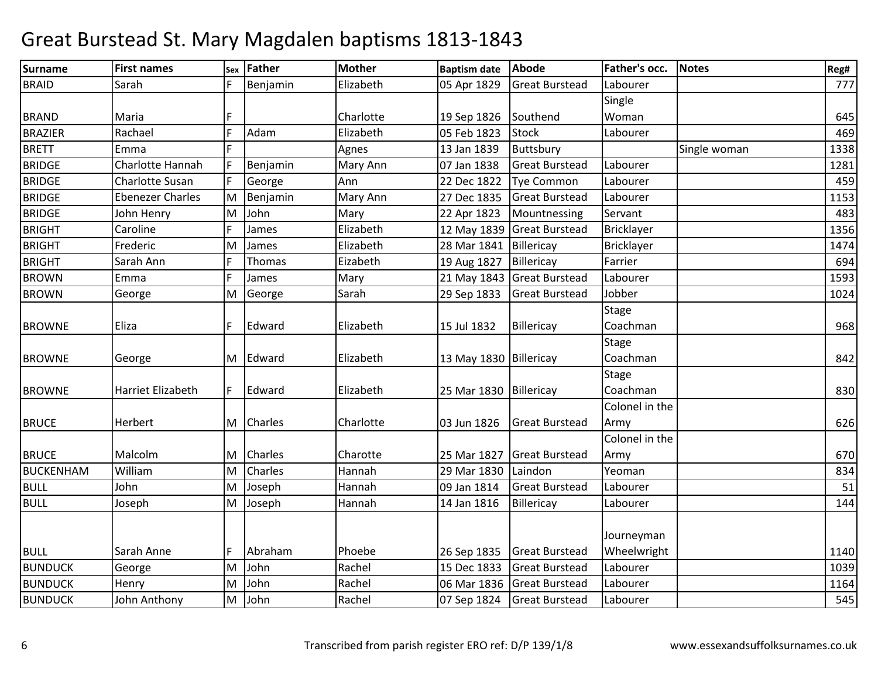| <b>Surname</b>   | <b>First names</b>      |   | sex Father     | <b>Mother</b> | <b>Baptism date</b>    | <b>Abode</b>          | Father's occ.  | <b>Notes</b> | Reg# |
|------------------|-------------------------|---|----------------|---------------|------------------------|-----------------------|----------------|--------------|------|
| <b>BRAID</b>     | Sarah                   | F | Benjamin       | Elizabeth     | 05 Apr 1829            | <b>Great Burstead</b> | Labourer       |              | 777  |
|                  |                         |   |                |               |                        |                       | Single         |              |      |
| <b>BRAND</b>     | Maria                   | F |                | Charlotte     | 19 Sep 1826            | Southend              | Woman          |              | 645  |
| <b>BRAZIER</b>   | Rachael                 | F | Adam           | Elizabeth     | 05 Feb 1823            | <b>Stock</b>          | Labourer       |              | 469  |
| <b>BRETT</b>     | Emma                    | F |                | Agnes         | 13 Jan 1839            | Buttsbury             |                | Single woman | 1338 |
| <b>BRIDGE</b>    | Charlotte Hannah        | F | Benjamin       | Mary Ann      | 07 Jan 1838            | <b>Great Burstead</b> | Labourer       |              | 1281 |
| <b>BRIDGE</b>    | <b>Charlotte Susan</b>  | F | George         | Ann           | 22 Dec 1822            | <b>Tye Common</b>     | Labourer       |              | 459  |
| <b>BRIDGE</b>    | <b>Ebenezer Charles</b> | M | Benjamin       | Mary Ann      | 27 Dec 1835            | <b>Great Burstead</b> | Labourer       |              | 1153 |
| <b>BRIDGE</b>    | John Henry              | M | John           | Mary          | 22 Apr 1823            | Mountnessing          | Servant        |              | 483  |
| <b>BRIGHT</b>    | Caroline                | F | James          | Elizabeth     | 12 May 1839            | <b>Great Burstead</b> | Bricklayer     |              | 1356 |
| <b>BRIGHT</b>    | Frederic                | M | James          | Elizabeth     | 28 Mar 1841            | Billericay            | Bricklayer     |              | 1474 |
| <b>BRIGHT</b>    | Sarah Ann               | F | Thomas         | Eizabeth      | 19 Aug 1827            | Billericay            | Farrier        |              | 694  |
| <b>BROWN</b>     | Emma                    | F | James          | Mary          | 21 May 1843            | <b>Great Burstead</b> | Labourer       |              | 1593 |
| <b>BROWN</b>     | George                  | M | George         | Sarah         | 29 Sep 1833            | <b>Great Burstead</b> | Jobber         |              | 1024 |
|                  |                         |   |                |               |                        |                       | <b>Stage</b>   |              |      |
| <b>BROWNE</b>    | Eliza                   | F | Edward         | Elizabeth     | 15 Jul 1832            | Billericay            | Coachman       |              | 968  |
|                  |                         |   |                |               |                        |                       | <b>Stage</b>   |              |      |
| <b>BROWNE</b>    | George                  |   | M Edward       | Elizabeth     | 13 May 1830 Billericay |                       | Coachman       |              | 842  |
|                  |                         |   |                |               |                        |                       | <b>Stage</b>   |              |      |
| <b>BROWNE</b>    | Harriet Elizabeth       | F | Edward         | Elizabeth     | 25 Mar 1830            | Billericay            | Coachman       |              | 830  |
|                  |                         |   |                |               |                        |                       | Colonel in the |              |      |
| <b>BRUCE</b>     | <b>Herbert</b>          |   | M Charles      | Charlotte     | 03 Jun 1826            | <b>Great Burstead</b> | Army           |              | 626  |
|                  |                         |   |                |               |                        |                       | Colonel in the |              |      |
| <b>BRUCE</b>     | Malcolm                 | M | <b>Charles</b> | Charotte      | 25 Mar 1827            | <b>Great Burstead</b> | Army           |              | 670  |
| <b>BUCKENHAM</b> | William                 | M | Charles        | Hannah        | 29 Mar 1830            | Laindon               | Yeoman         |              | 834  |
| <b>BULL</b>      | John                    | M | Joseph         | Hannah        | 09 Jan 1814            | <b>Great Burstead</b> | Labourer       |              | 51   |
| <b>BULL</b>      | Joseph                  | M | Joseph         | Hannah        | 14 Jan 1816            | Billericay            | Labourer       |              | 144  |
|                  |                         |   |                |               |                        |                       |                |              |      |
|                  |                         |   |                |               |                        |                       | Journeyman     |              |      |
| <b>BULL</b>      | Sarah Anne              | F | Abraham        | Phoebe        | 26 Sep 1835            | <b>Great Burstead</b> | Wheelwright    |              | 1140 |
| <b>BUNDUCK</b>   | George                  | M | John           | Rachel        | 15 Dec 1833            | <b>Great Burstead</b> | Labourer       |              | 1039 |
| <b>BUNDUCK</b>   | Henry                   | M | John           | Rachel        | 06 Mar 1836            | <b>Great Burstead</b> | Labourer       |              | 1164 |
| <b>BUNDUCK</b>   | John Anthony            | M | John           | Rachel        | 07 Sep 1824            | <b>Great Burstead</b> | Labourer       |              | 545  |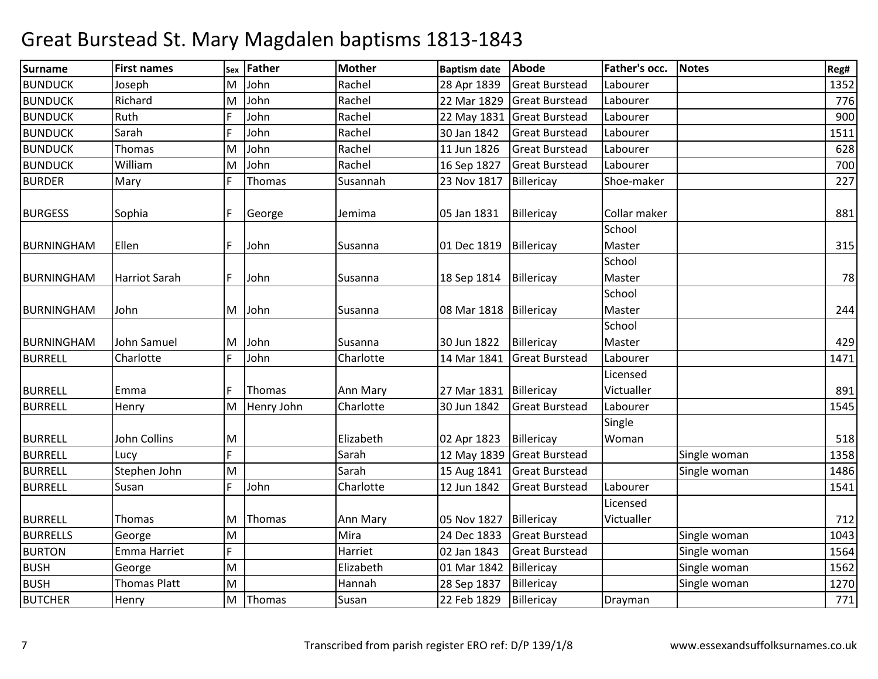| <b>Surname</b>    | <b>First names</b>   | Sex | <b>Father</b> | <b>Mother</b> | <b>Baptism date</b>      | Abode                      | Father's occ. | <b>Notes</b> | Reg# |
|-------------------|----------------------|-----|---------------|---------------|--------------------------|----------------------------|---------------|--------------|------|
| <b>BUNDUCK</b>    | Joseph               | м   | John          | Rachel        | 28 Apr 1839              | <b>Great Burstead</b>      | Labourer      |              | 1352 |
| <b>BUNDUCK</b>    | Richard              | M   | John          | Rachel        | 22 Mar 1829              | <b>Great Burstead</b>      | Labourer      |              | 776  |
| <b>BUNDUCK</b>    | Ruth                 |     | John          | Rachel        | 22 May 1831              | <b>Great Burstead</b>      | Labourer      |              | 900  |
| <b>BUNDUCK</b>    | Sarah                |     | John          | Rachel        | 30 Jan 1842              | <b>Great Burstead</b>      | Labourer      |              | 1511 |
| <b>BUNDUCK</b>    | Thomas               | M   | John          | Rachel        | 11 Jun 1826              | <b>Great Burstead</b>      | Labourer      |              | 628  |
| <b>BUNDUCK</b>    | William              | ΙM  | John          | Rachel        | 16 Sep 1827              | <b>Great Burstead</b>      | Labourer      |              | 700  |
| <b>BURDER</b>     | Mary                 |     | Thomas        | Susannah      | 23 Nov 1817              | Billericay                 | Shoe-maker    |              | 227  |
| <b>BURGESS</b>    | Sophia               |     | George        | Jemima        | 05 Jan 1831              | Billericay                 | Collar maker  |              | 881  |
|                   |                      |     |               |               |                          |                            | School        |              |      |
| <b>BURNINGHAM</b> | Ellen                |     | John          | Susanna       | 01 Dec 1819              | Billericay                 | Master        |              | 315  |
|                   |                      |     |               |               |                          |                            | School        |              |      |
| <b>BURNINGHAM</b> | <b>Harriot Sarah</b> |     | John          | Susanna       | 18 Sep 1814              | Billericay                 | Master        |              | 78   |
|                   |                      |     |               |               |                          |                            | School        |              |      |
| <b>BURNINGHAM</b> | John                 | M   | John          | Susanna       | 08 Mar 1818   Billericay |                            | Master        |              | 244  |
|                   |                      |     |               |               |                          |                            | School        |              |      |
| <b>BURNINGHAM</b> | John Samuel          | M   | John          | Susanna       | 30 Jun 1822              | Billericay                 | Master        |              | 429  |
| <b>BURRELL</b>    | Charlotte            |     | John          | Charlotte     | 14 Mar 1841              | <b>Great Burstead</b>      | Labourer      |              | 1471 |
|                   |                      |     |               |               |                          |                            | Licensed      |              |      |
| <b>BURRELL</b>    | Emma                 |     | Thomas        | Ann Mary      | 27 Mar 1831              | Billericay                 | Victualler    |              | 891  |
| <b>BURRELL</b>    | Henry                | M   | Henry John    | Charlotte     | 30 Jun 1842              | <b>Great Burstead</b>      | Labourer      |              | 1545 |
|                   |                      |     |               |               |                          |                            | Single        |              |      |
| <b>BURRELL</b>    | John Collins         | M   |               | Elizabeth     | 02 Apr 1823              | Billericay                 | Woman         |              | 518  |
| <b>BURRELL</b>    | Lucv                 | F.  |               | Sarah         |                          | 12 May 1839 Great Burstead |               | Single woman | 1358 |
| <b>BURRELL</b>    | Stephen John         | M   |               | Sarah         | 15 Aug 1841              | <b>Great Burstead</b>      |               | Single woman | 1486 |
| <b>BURRELL</b>    | Susan                |     | John          | Charlotte     | 12 Jun 1842              | <b>Great Burstead</b>      | Labourer      |              | 1541 |
|                   |                      |     |               |               |                          |                            | Licensed      |              |      |
| <b>BURRELL</b>    | Thomas               | M   | Thomas        | Ann Mary      | 05 Nov 1827              | Billericay                 | Victualler    |              | 712  |
| <b>BURRELLS</b>   | George               | M   |               | Mira          | 24 Dec 1833              | <b>Great Burstead</b>      |               | Single woman | 1043 |
| <b>BURTON</b>     | Emma Harriet         | F   |               | Harriet       | 02 Jan 1843              | <b>Great Burstead</b>      |               | Single woman | 1564 |
| <b>BUSH</b>       | George               | M   |               | Elizabeth     | 01 Mar 1842              | Billericay                 |               | Single woman | 1562 |
| <b>BUSH</b>       | <b>Thomas Platt</b>  | M   |               | Hannah        | 28 Sep 1837              | Billericay                 |               | Single woman | 1270 |
| <b>BUTCHER</b>    | Henry                | M   | Thomas        | Susan         | 22 Feb 1829              | Billericay                 | Drayman       |              | 771  |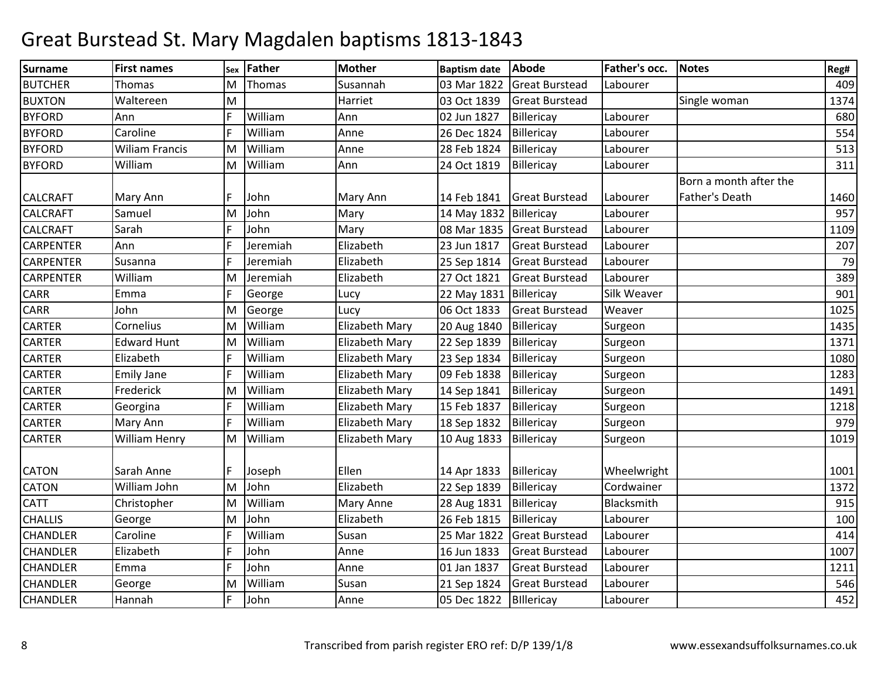| Surname          | <b>First names</b>    | Sex | Father   | <b>Mother</b>         | <b>Baptism date</b> | Abode                 | Father's occ. | <b>Notes</b>           | Reg# |
|------------------|-----------------------|-----|----------|-----------------------|---------------------|-----------------------|---------------|------------------------|------|
| <b>BUTCHER</b>   | Thomas                | M   | Thomas   | Susannah              | 03 Mar 1822         | <b>Great Burstead</b> | Labourer      |                        | 409  |
| <b>BUXTON</b>    | Waltereen             | M   |          | Harriet               | 03 Oct 1839         | <b>Great Burstead</b> |               | Single woman           | 1374 |
| <b>BYFORD</b>    | Ann                   |     | William  | Ann                   | 02 Jun 1827         | Billericay            | Labourer      |                        | 680  |
| <b>BYFORD</b>    | Caroline              | E   | William  | Anne                  | 26 Dec 1824         | Billericay            | Labourer      |                        | 554  |
| <b>BYFORD</b>    | <b>Wiliam Francis</b> | M   | William  | Anne                  | 28 Feb 1824         | Billericay            | Labourer      |                        | 513  |
| <b>BYFORD</b>    | William               | M   | William  | Ann                   | 24 Oct 1819         | Billericay            | Labourer      |                        | 311  |
|                  |                       |     |          |                       |                     |                       |               | Born a month after the |      |
| <b>CALCRAFT</b>  | Mary Ann              |     | John     | Mary Ann              | 14 Feb 1841         | <b>Great Burstead</b> | Labourer      | <b>Father's Death</b>  | 1460 |
| <b>CALCRAFT</b>  | Samuel                | M   | John     | Mary                  | 14 May 1832         | Billericay            | Labourer      |                        | 957  |
| <b>CALCRAFT</b>  | Sarah                 |     | John     | Mary                  | 08 Mar 1835         | <b>Great Burstead</b> | Labourer      |                        | 1109 |
| <b>CARPENTER</b> | Ann                   |     | Jeremiah | Elizabeth             | 23 Jun 1817         | <b>Great Burstead</b> | Labourer      |                        | 207  |
| <b>CARPENTER</b> | Susanna               | E   | Jeremiah | Elizabeth             | 25 Sep 1814         | <b>Great Burstead</b> | Labourer      |                        | 79   |
| <b>CARPENTER</b> | William               | M   | Jeremiah | Elizabeth             | 27 Oct 1821         | <b>Great Burstead</b> | Labourer      |                        | 389  |
| <b>CARR</b>      | Emma                  | IF  | George   | Lucy                  | 22 May 1831         | Billericay            | Silk Weaver   |                        | 901  |
| <b>CARR</b>      | John                  | M   | George   | Lucy                  | 06 Oct 1833         | <b>Great Burstead</b> | Weaver        |                        | 1025 |
| <b>CARTER</b>    | Cornelius             | M   | William  | Elizabeth Mary        | 20 Aug 1840         | Billericay            | Surgeon       |                        | 1435 |
| <b>CARTER</b>    | <b>Edward Hunt</b>    | M   | William  | <b>Elizabeth Mary</b> | 22 Sep 1839         | Billericay            | Surgeon       |                        | 1371 |
| <b>CARTER</b>    | Elizabeth             | E   | William  | Elizabeth Mary        | 23 Sep 1834         | Billericay            | Surgeon       |                        | 1080 |
| <b>CARTER</b>    | <b>Emily Jane</b>     | E   | William  | Elizabeth Mary        | 09 Feb 1838         | Billericay            | Surgeon       |                        | 1283 |
| <b>CARTER</b>    | Frederick             | M   | William  | Elizabeth Mary        | 14 Sep 1841         | Billericay            | Surgeon       |                        | 1491 |
| <b>CARTER</b>    | Georgina              |     | William  | Elizabeth Mary        | 15 Feb 1837         | Billericay            | Surgeon       |                        | 1218 |
| <b>CARTER</b>    | Mary Ann              | F   | William  | Elizabeth Mary        | 18 Sep 1832         | Billericay            | Surgeon       |                        | 979  |
| <b>CARTER</b>    | William Henry         | M   | William  | Elizabeth Mary        | 10 Aug 1833         | Billericay            | Surgeon       |                        | 1019 |
|                  |                       |     |          |                       |                     |                       |               |                        |      |
| <b>CATON</b>     | Sarah Anne            | F   | Joseph   | Ellen                 | 14 Apr 1833         | Billericay            | Wheelwright   |                        | 1001 |
| <b>CATON</b>     | William John          | İМ  | John     | Elizabeth             | 22 Sep 1839         | Billericay            | Cordwainer    |                        | 1372 |
| <b>CATT</b>      | Christopher           | M   | William  | Mary Anne             | 28 Aug 1831         | Billericay            | Blacksmith    |                        | 915  |
| <b>CHALLIS</b>   | George                | M   | John     | Elizabeth             | 26 Feb 1815         | Billericay            | Labourer      |                        | 100  |
| <b>CHANDLER</b>  | Caroline              | E   | William  | Susan                 | 25 Mar 1822         | <b>Great Burstead</b> | Labourer      |                        | 414  |
| <b>CHANDLER</b>  | Elizabeth             | E   | John     | Anne                  | 16 Jun 1833         | <b>Great Burstead</b> | Labourer      |                        | 1007 |
| <b>CHANDLER</b>  | Emma                  | F   | John     | Anne                  | 01 Jan 1837         | <b>Great Burstead</b> | Labourer      |                        | 1211 |
| CHANDLER         | George                | M   | William  | Susan                 | 21 Sep 1824         | <b>Great Burstead</b> | Labourer      |                        | 546  |
| <b>CHANDLER</b>  | Hannah                | E   | John     | Anne                  | 05 Dec 1822         | Billericay            | Labourer      |                        | 452  |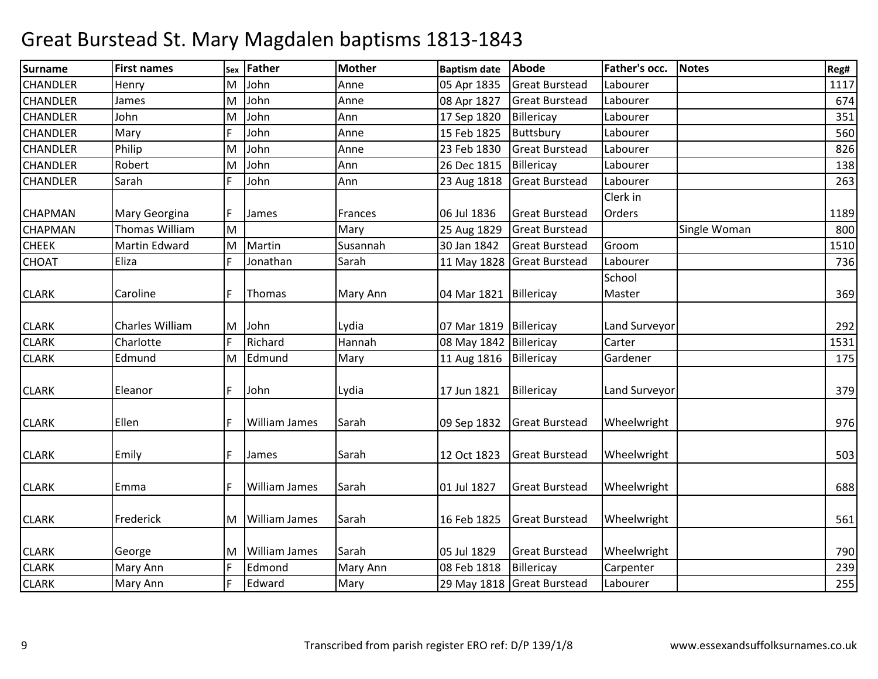| <b>Surname</b>  | <b>First names</b>    | Sex | <b>Father</b>        | <b>Mother</b> | <b>Baptism date</b>      | Abode                      | Father's occ. | <b>Notes</b> | Reg# |
|-----------------|-----------------------|-----|----------------------|---------------|--------------------------|----------------------------|---------------|--------------|------|
| CHANDLER        | Henry                 | M   | John                 | Anne          | 05 Apr 1835              | <b>Great Burstead</b>      | Labourer      |              | 1117 |
| <b>CHANDLER</b> | James                 | M   | John                 | Anne          | 08 Apr 1827              | <b>Great Burstead</b>      | Labourer      |              | 674  |
| <b>CHANDLER</b> | John                  | M   | John                 | Ann           | 17 Sep 1820              | Billericay                 | Labourer      |              | 351  |
| <b>CHANDLER</b> | Mary                  |     | John                 | Anne          | 15 Feb 1825              | Buttsbury                  | Labourer      |              | 560  |
| CHANDLER        | Philip                | M   | John                 | Anne          | 23 Feb 1830              | <b>Great Burstead</b>      | Labourer      |              | 826  |
| <b>CHANDLER</b> | Robert                | M   | John                 | Ann           | 26 Dec 1815              | Billericay                 | Labourer      |              | 138  |
| <b>CHANDLER</b> | Sarah                 |     | John                 | Ann           | 23 Aug 1818              | <b>Great Burstead</b>      | Labourer      |              | 263  |
|                 |                       |     |                      |               |                          |                            | Clerk in      |              |      |
| <b>CHAPMAN</b>  | Mary Georgina         |     | James                | Frances       | 06 Jul 1836              | <b>Great Burstead</b>      | Orders        |              | 1189 |
| <b>CHAPMAN</b>  | <b>Thomas William</b> | M   |                      | Mary          | 25 Aug 1829              | <b>Great Burstead</b>      |               | Single Woman | 800  |
| <b>CHEEK</b>    | <b>Martin Edward</b>  | M   | Martin               | Susannah      | 30 Jan 1842              | <b>Great Burstead</b>      | Groom         |              | 1510 |
| CHOAT           | Eliza                 |     | Jonathan             | Sarah         |                          | 11 May 1828 Great Burstead | Labourer      |              | 736  |
|                 |                       |     |                      |               |                          |                            | School        |              |      |
| <b>CLARK</b>    | Caroline              |     | Thomas               | Mary Ann      | 04 Mar 1821              | Billericay                 | Master        |              | 369  |
| <b>CLARK</b>    | Charles William       | M   | John                 | Lydia         | 07 Mar 1819   Billericay |                            | Land Surveyor |              | 292  |
| <b>CLARK</b>    | Charlotte             |     | Richard              | Hannah        | 08 May 1842 Billericay   |                            | Carter        |              | 1531 |
| <b>CLARK</b>    | Edmund                | M   | Edmund               | Mary          | 11 Aug 1816              | Billericay                 | Gardener      |              | 175  |
| <b>CLARK</b>    | Eleanor               |     | John                 | Lydia         | 17 Jun 1821              | Billericay                 | Land Surveyor |              | 379  |
| <b>CLARK</b>    | Ellen                 |     | <b>William James</b> | Sarah         | 09 Sep 1832              | <b>Great Burstead</b>      | Wheelwright   |              | 976  |
| <b>CLARK</b>    | Emily                 |     | James                | Sarah         | 12 Oct 1823              | <b>Great Burstead</b>      | Wheelwright   |              | 503  |
| <b>CLARK</b>    | Emma                  |     | William James        | Sarah         | 01 Jul 1827              | <b>Great Burstead</b>      | Wheelwright   |              | 688  |
| <b>CLARK</b>    | Frederick             | M   | <b>William James</b> | Sarah         | 16 Feb 1825              | <b>Great Burstead</b>      | Wheelwright   |              | 561  |
| <b>CLARK</b>    | George                | ΙM  | <b>William James</b> | Sarah         | 05 Jul 1829              | <b>Great Burstead</b>      | Wheelwright   |              | 790  |
| <b>CLARK</b>    | Mary Ann              |     | Edmond               | Mary Ann      | 08 Feb 1818              | Billericay                 | Carpenter     |              | 239  |
| <b>CLARK</b>    | Mary Ann              |     | Edward               | Mary          |                          | 29 May 1818 Great Burstead | Labourer      |              | 255  |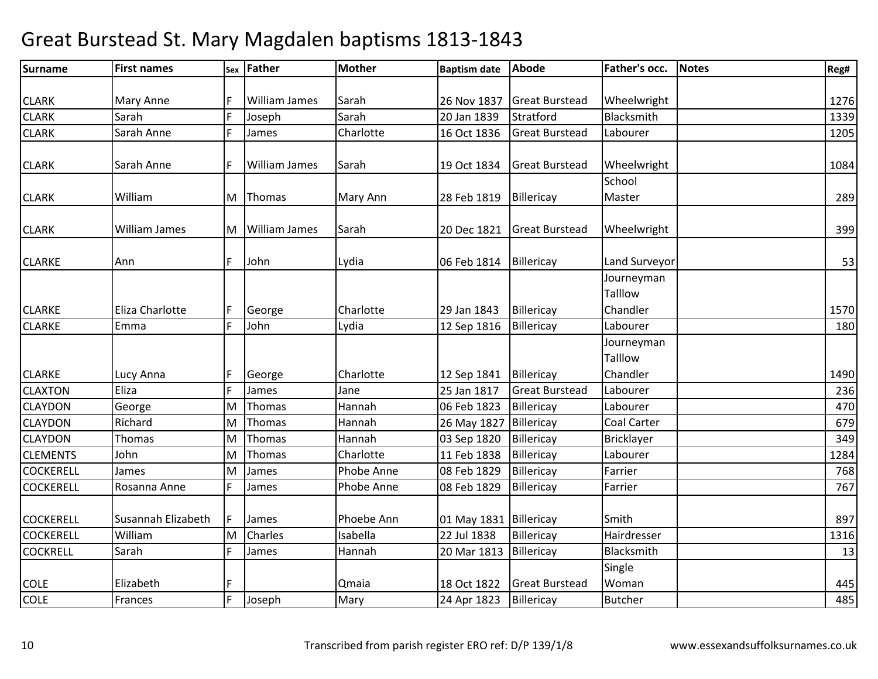| <b>Surname</b>   | <b>First names</b>   |   | sex Father           | <b>Mother</b> | <b>Baptism date</b>    | Abode                 | Father's occ.         | Notes | Reg# |
|------------------|----------------------|---|----------------------|---------------|------------------------|-----------------------|-----------------------|-------|------|
|                  |                      |   |                      |               |                        |                       |                       |       |      |
| <b>CLARK</b>     | <b>Mary Anne</b>     |   | <b>William James</b> | Sarah         | 26 Nov 1837            | <b>Great Burstead</b> | Wheelwright           |       | 1276 |
| <b>CLARK</b>     | Sarah                | F | Joseph               | Sarah         | 20 Jan 1839            | Stratford             | Blacksmith            |       | 1339 |
| <b>CLARK</b>     | Sarah Anne           | F | James                | Charlotte     | 16 Oct 1836            | <b>Great Burstead</b> | Labourer              |       | 1205 |
| <b>CLARK</b>     | Sarah Anne           | F | <b>William James</b> | Sarah         | 19 Oct 1834            | <b>Great Burstead</b> | Wheelwright           |       | 1084 |
|                  |                      |   |                      |               |                        |                       | School                |       |      |
| <b>CLARK</b>     | William              |   | M Thomas             | Mary Ann      | 28 Feb 1819            | Billericay            | Master                |       | 289  |
| <b>CLARK</b>     | <b>William James</b> | M | <b>William James</b> | Sarah         | 20 Dec 1821            | <b>Great Burstead</b> | Wheelwright           |       | 399  |
| <b>CLARKE</b>    | Ann                  | F | John                 | Lydia         | 06 Feb 1814            | Billericay            | Land Surveyor         |       | 53   |
|                  |                      |   |                      |               |                        |                       | Journeyman<br>Talllow |       |      |
| <b>CLARKE</b>    | Eliza Charlotte      | F | George               | Charlotte     | 29 Jan 1843            | Billericay            | Chandler              |       | 1570 |
| <b>CLARKE</b>    | Emma                 | F | John                 | Lydia         | 12 Sep 1816            | Billericay            | Labourer              |       | 180  |
|                  |                      |   |                      |               |                        |                       | Journeyman<br>Talllow |       |      |
| <b>CLARKE</b>    | Lucy Anna            | F | George               | Charlotte     | 12 Sep 1841            | Billericay            | Chandler              |       | 1490 |
| <b>CLAXTON</b>   | Eliza                | F | James                | Jane          | 25 Jan 1817            | <b>Great Burstead</b> | Labourer              |       | 236  |
| <b>CLAYDON</b>   | George               | M | Thomas               | Hannah        | 06 Feb 1823            | Billericay            | Labourer              |       | 470  |
| <b>CLAYDON</b>   | Richard              | M | Thomas               | Hannah        | 26 May 1827            | Billericay            | Coal Carter           |       | 679  |
| <b>CLAYDON</b>   | <b>Thomas</b>        | M | Thomas               | Hannah        | 03 Sep 1820            | Billericay            | <b>Bricklayer</b>     |       | 349  |
| <b>CLEMENTS</b>  | John                 | M | Thomas               | Charlotte     | 11 Feb 1838            | Billericay            | Labourer              |       | 1284 |
| <b>COCKERELL</b> | James                | M | James                | Phobe Anne    | 08 Feb 1829            | Billericay            | Farrier               |       | 768  |
| <b>COCKERELL</b> | Rosanna Anne         | F | James                | Phobe Anne    | 08 Feb 1829            | Billericay            | Farrier               |       | 767  |
| <b>COCKERELL</b> | Susannah Elizabeth   | F | James                | Phoebe Ann    | 01 May 1831 Billericay |                       | Smith                 |       | 897  |
| <b>COCKERELL</b> | William              | M | Charles              | Isabella      | 22 Jul 1838            | Billericay            | Hairdresser           |       | 1316 |
| <b>COCKRELL</b>  | Sarah                | F | James                | Hannah        | 20 Mar 1813            | Billericay            | Blacksmith            |       | 13   |
|                  |                      |   |                      |               |                        |                       | Single                |       |      |
| <b>COLE</b>      | Elizabeth            | F |                      | Qmaia         | 18 Oct 1822            | <b>Great Burstead</b> | Woman                 |       | 445  |
| <b>COLE</b>      | Frances              | F | Joseph               | Mary          | 24 Apr 1823            | Billericay            | <b>Butcher</b>        |       | 485  |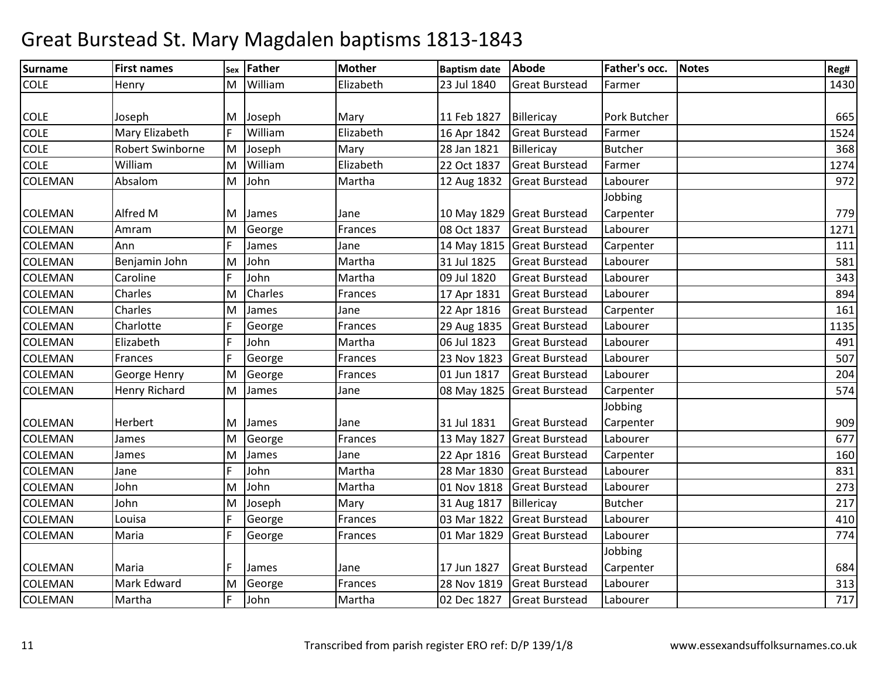| Surname        | <b>First names</b>      | Sex | Father  | <b>Mother</b> | <b>Baptism date</b> | Abode                      | Father's occ.  | <b>Notes</b> | Reg# |
|----------------|-------------------------|-----|---------|---------------|---------------------|----------------------------|----------------|--------------|------|
| <b>COLE</b>    | Henry                   | M   | William | Elizabeth     | 23 Jul 1840         | <b>Great Burstead</b>      | Farmer         |              | 1430 |
|                |                         |     |         |               |                     |                            |                |              |      |
| <b>COLE</b>    | Joseph                  | M   | Joseph  | Mary          | 11 Feb 1827         | Billericay                 | Pork Butcher   |              | 665  |
| <b>COLE</b>    | Mary Elizabeth          | F   | William | Elizabeth     | 16 Apr 1842         | <b>Great Burstead</b>      | Farmer         |              | 1524 |
| <b>COLE</b>    | <b>Robert Swinborne</b> | M   | Joseph  | Mary          | 28 Jan 1821         | Billericay                 | <b>Butcher</b> |              | 368  |
| COLE           | William                 | M   | William | Elizabeth     | 22 Oct 1837         | <b>Great Burstead</b>      | Farmer         |              | 1274 |
| <b>COLEMAN</b> | Absalom                 | M   | John    | Martha        | 12 Aug 1832         | <b>Great Burstead</b>      | Labourer       |              | 972  |
|                |                         |     |         |               |                     |                            | Jobbing        |              |      |
| <b>COLEMAN</b> | Alfred M                | M   | James   | Jane          |                     | 10 May 1829 Great Burstead | Carpenter      |              | 779  |
| COLEMAN        | Amram                   | M   | George  | Frances       | 08 Oct 1837         | <b>Great Burstead</b>      | Labourer       |              | 1271 |
| COLEMAN        | Ann                     |     | James   | Jane          |                     | 14 May 1815 Great Burstead | Carpenter      |              | 111  |
| COLEMAN        | Benjamin John           | M   | John    | Martha        | 31 Jul 1825         | <b>Great Burstead</b>      | Labourer       |              | 581  |
| <b>COLEMAN</b> | Caroline                | E   | John    | Martha        | 09 Jul 1820         | <b>Great Burstead</b>      | Labourer       |              | 343  |
| <b>COLEMAN</b> | Charles                 | M   | Charles | Frances       | 17 Apr 1831         | <b>Great Burstead</b>      | Labourer       |              | 894  |
| COLEMAN        | Charles                 | M   | James   | Jane          | 22 Apr 1816         | <b>Great Burstead</b>      | Carpenter      |              | 161  |
| COLEMAN        | Charlotte               |     | George  | Frances       | 29 Aug 1835         | <b>Great Burstead</b>      | Labourer       |              | 1135 |
| <b>COLEMAN</b> | Elizabeth               |     | John    | Martha        | 06 Jul 1823         | <b>Great Burstead</b>      | Labourer       |              | 491  |
| <b>COLEMAN</b> | Frances                 | F   | George  | Frances       | 23 Nov 1823         | <b>Great Burstead</b>      | Labourer       |              | 507  |
| <b>COLEMAN</b> | George Henry            | M   | George  | Frances       | 01 Jun 1817         | <b>Great Burstead</b>      | Labourer       |              | 204  |
| <b>COLEMAN</b> | <b>Henry Richard</b>    | M   | James   | Jane          | 08 May 1825         | <b>Great Burstead</b>      | Carpenter      |              | 574  |
|                |                         |     |         |               |                     |                            | Jobbing        |              |      |
| <b>COLEMAN</b> | Herbert                 | M   | James   | Jane          | 31 Jul 1831         | <b>Great Burstead</b>      | Carpenter      |              | 909  |
| <b>COLEMAN</b> | James                   | M   | George  | Frances       | 13 May 1827         | <b>Great Burstead</b>      | Labourer       |              | 677  |
| <b>COLEMAN</b> | James                   | M   | James   | Jane          | 22 Apr 1816         | <b>Great Burstead</b>      | Carpenter      |              | 160  |
| <b>COLEMAN</b> | Jane                    | E   | John    | Martha        | 28 Mar 1830         | <b>Great Burstead</b>      | Labourer       |              | 831  |
| <b>COLEMAN</b> | John                    | M   | John    | Martha        | 01 Nov 1818         | <b>Great Burstead</b>      | Labourer       |              | 273  |
| COLEMAN        | John                    | M   | Joseph  | Mary          | 31 Aug 1817         | Billericay                 | <b>Butcher</b> |              | 217  |
| COLEMAN        | Louisa                  | F   | George  | Frances       | 03 Mar 1822         | <b>Great Burstead</b>      | Labourer       |              | 410  |
| <b>COLEMAN</b> | Maria                   | F   | George  | Frances       | 01 Mar 1829         | <b>Great Burstead</b>      | Labourer       |              | 774  |
|                |                         |     |         |               |                     |                            | Jobbing        |              |      |
| <b>COLEMAN</b> | Maria                   | F   | James   | Jane          | 17 Jun 1827         | <b>Great Burstead</b>      | Carpenter      |              | 684  |
| <b>COLEMAN</b> | Mark Edward             | M   | George  | Frances       | 28 Nov 1819         | <b>Great Burstead</b>      | Labourer       |              | 313  |
| <b>COLEMAN</b> | Martha                  |     | John    | Martha        | 02 Dec 1827         | <b>Great Burstead</b>      | Labourer       |              | 717  |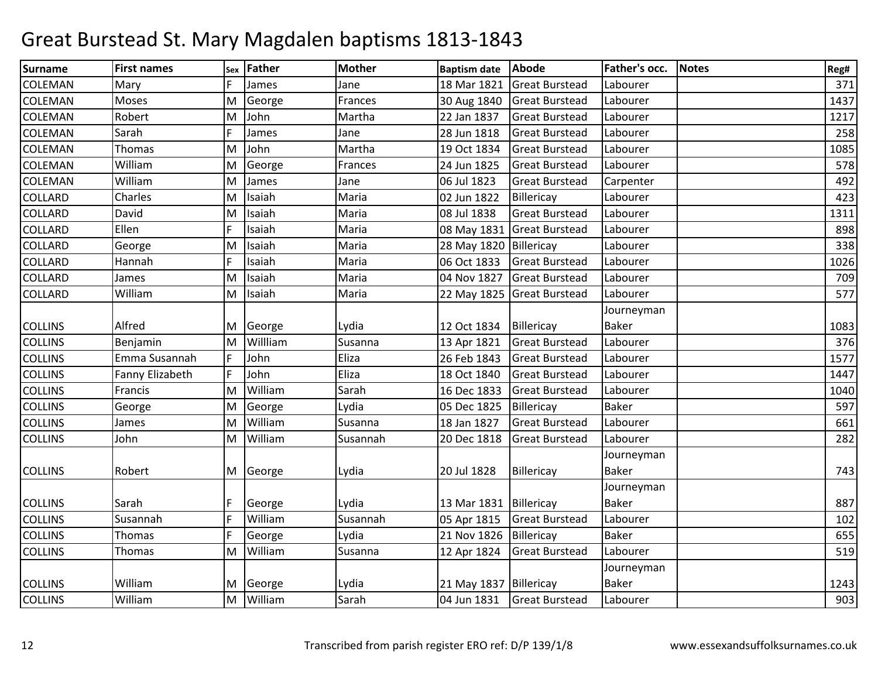| Surname        | <b>First names</b> | Sex | <b>Father</b> | <b>Mother</b> | <b>Baptism date</b>      | Abode                      | Father's occ. | <b>Notes</b> | Reg# |
|----------------|--------------------|-----|---------------|---------------|--------------------------|----------------------------|---------------|--------------|------|
| COLEMAN        | Mary               |     | James         | Jane          | 18 Mar 1821              | <b>Great Burstead</b>      | Labourer      |              | 371  |
| <b>COLEMAN</b> | Moses              | lM. | George        | Frances       | 30 Aug 1840              | <b>Great Burstead</b>      | Labourer      |              | 1437 |
| <b>COLEMAN</b> | Robert             | M   | John          | Martha        | 22 Jan 1837              | <b>Great Burstead</b>      | Labourer      |              | 1217 |
| <b>COLEMAN</b> | Sarah              |     | James         | Jane          | 28 Jun 1818              | <b>Great Burstead</b>      | Labourer      |              | 258  |
| <b>COLEMAN</b> | Thomas             | M   | John          | Martha        | 19 Oct 1834              | <b>Great Burstead</b>      | Labourer      |              | 1085 |
| COLEMAN        | William            | M   | George        | Frances       | 24 Jun 1825              | <b>Great Burstead</b>      | Labourer      |              | 578  |
| COLEMAN        | William            | M   | James         | Jane          | 06 Jul 1823              | <b>Great Burstead</b>      | Carpenter     |              | 492  |
| <b>COLLARD</b> | Charles            | M   | Isaiah        | Maria         | 02 Jun 1822              | Billericay                 | Labourer      |              | 423  |
| <b>COLLARD</b> | David              | M   | Isaiah        | Maria         | 08 Jul 1838              | <b>Great Burstead</b>      | Labourer      |              | 1311 |
| <b>COLLARD</b> | Ellen              | IF  | Isaiah        | Maria         | 08 May 1831              | <b>Great Burstead</b>      | Labourer      |              | 898  |
| <b>COLLARD</b> | George             | M   | Isaiah        | Maria         | 28 May 1820 Billericay   |                            | Labourer      |              | 338  |
| COLLARD        | Hannah             |     | Isaiah        | Maria         | 06 Oct 1833              | <b>Great Burstead</b>      | Labourer      |              | 1026 |
| COLLARD        | James              | lм  | Isaiah        | Maria         | 04 Nov 1827              | <b>Great Burstead</b>      | Labourer      |              | 709  |
| <b>COLLARD</b> | William            | M   | Isaiah        | Maria         |                          | 22 May 1825 Great Burstead | Labourer      |              | 577  |
|                |                    |     |               |               |                          |                            | Journeyman    |              |      |
| <b>COLLINS</b> | Alfred             | M   | George        | Lydia         | 12 Oct 1834              | Billericay                 | <b>Baker</b>  |              | 1083 |
| <b>COLLINS</b> | Benjamin           | M   | Willliam      | Susanna       | 13 Apr 1821              | <b>Great Burstead</b>      | Labourer      |              | 376  |
| <b>COLLINS</b> | Emma Susannah      |     | John          | Eliza         | 26 Feb 1843              | <b>Great Burstead</b>      | Labourer      |              | 1577 |
| <b>COLLINS</b> | Fanny Elizabeth    | IF  | John          | Eliza         | 18 Oct 1840              | <b>Great Burstead</b>      | Labourer      |              | 1447 |
| <b>COLLINS</b> | Francis            | M   | William       | Sarah         | 16 Dec 1833              | <b>Great Burstead</b>      | Labourer      |              | 1040 |
| <b>COLLINS</b> | George             | M   | George        | Lydia         | 05 Dec 1825              | Billericay                 | <b>Baker</b>  |              | 597  |
| <b>COLLINS</b> | James              | M   | William       | Susanna       | 18 Jan 1827              | <b>Great Burstead</b>      | Labourer      |              | 661  |
| <b>COLLINS</b> | John               | M   | William       | Susannah      | 20 Dec 1818              | <b>Great Burstead</b>      | Labourer      |              | 282  |
|                |                    |     |               |               |                          |                            | Journeyman    |              |      |
| <b>COLLINS</b> | Robert             |     | M George      | Lydia         | 20 Jul 1828              | Billericay                 | <b>Baker</b>  |              | 743  |
|                |                    |     |               |               |                          |                            | Journeyman    |              |      |
| <b>COLLINS</b> | Sarah              |     | George        | Lydia         | 13 Mar 1831   Billericay |                            | <b>Baker</b>  |              | 887  |
| <b>COLLINS</b> | Susannah           |     | William       | Susannah      | 05 Apr 1815              | <b>Great Burstead</b>      | Labourer      |              | 102  |
| <b>COLLINS</b> | <b>Thomas</b>      |     | George        | Lydia         | 21 Nov 1826              | Billericay                 | <b>Baker</b>  |              | 655  |
| <b>COLLINS</b> | Thomas             | M   | William       | Susanna       | 12 Apr 1824              | <b>Great Burstead</b>      | Labourer      |              | 519  |
|                |                    |     |               |               |                          |                            | Journeyman    |              |      |
| <b>COLLINS</b> | William            |     | M George      | Lydia         | 21 May 1837   Billericay |                            | <b>Baker</b>  |              | 1243 |
| <b>COLLINS</b> | William            | M   | William       | Sarah         | 04 Jun 1831              | <b>Great Burstead</b>      | Labourer      |              | 903  |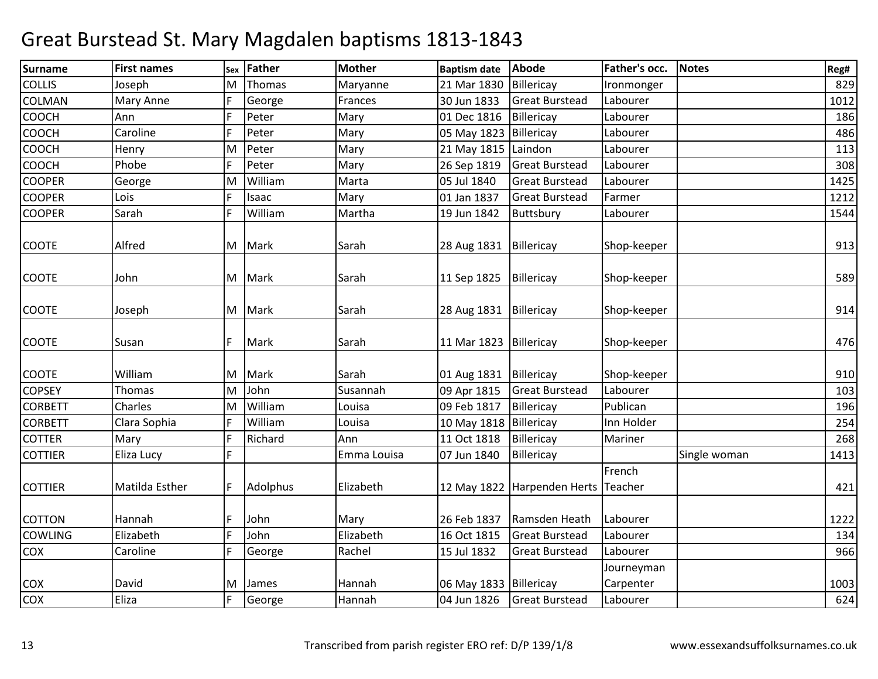| <b>Surname</b> | <b>First names</b> | Sex | Father   | <b>Mother</b> | <b>Baptism date</b>      | Abode                       | Father's occ. | <b>Notes</b> | Reg# |
|----------------|--------------------|-----|----------|---------------|--------------------------|-----------------------------|---------------|--------------|------|
| <b>COLLIS</b>  | Joseph             | M   | Thomas   | Maryanne      | 21 Mar 1830              | Billericay                  | Ironmonger    |              | 829  |
| <b>COLMAN</b>  | <b>Mary Anne</b>   | F   | George   | Frances       | 30 Jun 1833              | <b>Great Burstead</b>       | Labourer      |              | 1012 |
| COOCH          | Ann                | F   | Peter    | Mary          | 01 Dec 1816              | Billericay                  | Labourer      |              | 186  |
| <b>COOCH</b>   | Caroline           | F   | Peter    | Mary          | 05 May 1823              | Billericay                  | Labourer      |              | 486  |
| <b>COOCH</b>   | Henry              | M   | Peter    | Mary          | 21 May 1815 Laindon      |                             | Labourer      |              | 113  |
| COOCH          | Phobe              | E   | Peter    | Mary          | 26 Sep 1819              | <b>Great Burstead</b>       | Labourer      |              | 308  |
| <b>COOPER</b>  | George             | M   | William  | Marta         | 05 Jul 1840              | <b>Great Burstead</b>       | Labourer      |              | 1425 |
| <b>COOPER</b>  | Lois               | F   | Isaac    | Mary          | 01 Jan 1837              | <b>Great Burstead</b>       | Farmer        |              | 1212 |
| <b>COOPER</b>  | Sarah              | F   | William  | Martha        | 19 Jun 1842              | Buttsbury                   | Labourer      |              | 1544 |
|                |                    |     |          |               |                          |                             |               |              |      |
| <b>COOTE</b>   | Alfred             |     | M Mark   | Sarah         | 28 Aug 1831              | Billericay                  | Shop-keeper   |              | 913  |
| <b>COOTE</b>   | John               |     | M Mark   | Sarah         | 11 Sep 1825              | Billericay                  | Shop-keeper   |              | 589  |
|                |                    |     |          |               |                          |                             |               |              |      |
| <b>COOTE</b>   | Joseph             |     | M Mark   | Sarah         | 28 Aug 1831              | Billericay                  | Shop-keeper   |              | 914  |
| <b>COOTE</b>   | Susan              | F   | Mark     | Sarah         | 11 Mar 1823 Billericay   |                             | Shop-keeper   |              | 476  |
| <b>COOTE</b>   | William            |     | M Mark   | Sarah         | 01 Aug 1831   Billericay |                             | Shop-keeper   |              | 910  |
| <b>COPSEY</b>  | Thomas             | M   | John     | Susannah      | 09 Apr 1815              | <b>Great Burstead</b>       | Labourer      |              | 103  |
| <b>CORBETT</b> | Charles            | M   | William  | Louisa        | 09 Feb 1817              | Billericay                  | Publican      |              | 196  |
| <b>CORBETT</b> | Clara Sophia       | F   | William  | Louisa        | 10 May 1818 Billericay   |                             | Inn Holder    |              | 254  |
| <b>COTTER</b>  | Mary               | F   | Richard  | Ann           | 11 Oct 1818              | Billericay                  | Mariner       |              | 268  |
| <b>COTTIER</b> | Eliza Lucy         | F   |          | Emma Louisa   | 07 Jun 1840              | Billericay                  |               | Single woman | 1413 |
|                |                    |     |          |               |                          |                             | French        |              |      |
| <b>COTTIER</b> | Matilda Esther     | F   | Adolphus | Elizabeth     |                          | 12 May 1822 Harpenden Herts | Teacher       |              | 421  |
| <b>COTTON</b>  | Hannah             | F   | John     | Mary          | 26 Feb 1837              | Ramsden Heath               | Labourer      |              | 1222 |
| <b>COWLING</b> | Elizabeth          | F   | John     | Elizabeth     | 16 Oct 1815              | <b>Great Burstead</b>       | Labourer      |              | 134  |
| COX            | Caroline           | F   | George   | Rachel        | 15 Jul 1832              | <b>Great Burstead</b>       | Labourer      |              | 966  |
|                |                    |     |          |               |                          |                             | Journeyman    |              |      |
| COX            | David              | м   | James    | Hannah        | 06 May 1833   Billericay |                             | Carpenter     |              | 1003 |
| COX            | Eliza              | F   | George   | Hannah        |                          | 04 Jun 1826 Great Burstead  | Labourer      |              | 624  |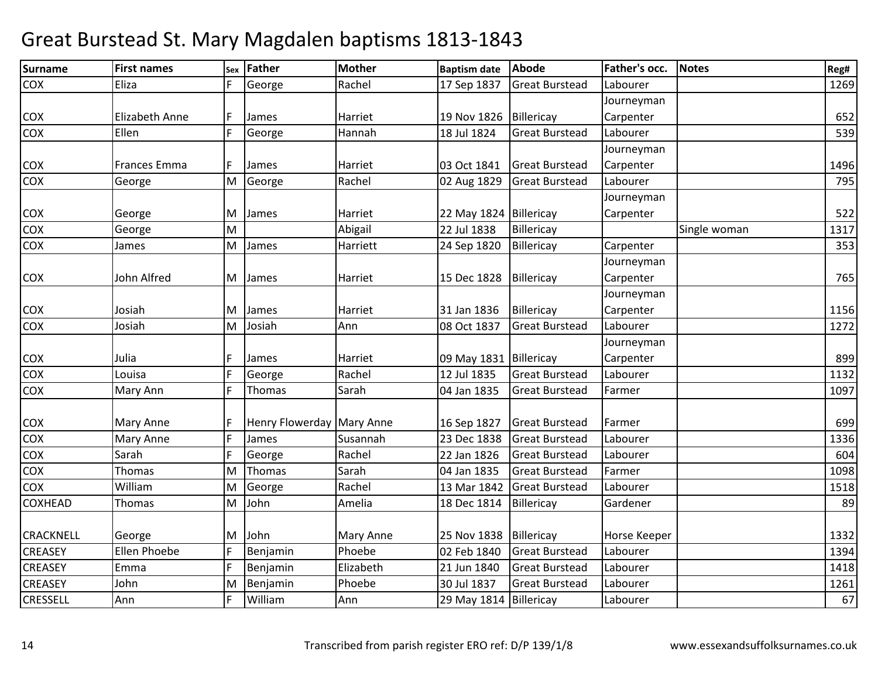| <b>Surname</b>   | <b>First names</b>    | Sex | Father                    | <b>Mother</b> | <b>Baptism date</b>      | Abode                 | Father's occ. | <b>Notes</b> | Reg# |
|------------------|-----------------------|-----|---------------------------|---------------|--------------------------|-----------------------|---------------|--------------|------|
| COX              | Eliza                 |     | George                    | Rachel        | 17 Sep 1837              | <b>Great Burstead</b> | Labourer      |              | 1269 |
|                  |                       |     |                           |               |                          |                       | Journeyman    |              |      |
| COX              | <b>Elizabeth Anne</b> | F   | James                     | Harriet       | 19 Nov 1826              | Billericay            | Carpenter     |              | 652  |
| <b>COX</b>       | Ellen                 | F   | George                    | Hannah        | 18 Jul 1824              | <b>Great Burstead</b> | Labourer      |              | 539  |
|                  |                       |     |                           |               |                          |                       | Journeyman    |              |      |
| <b>COX</b>       | Frances Emma          |     | James                     | Harriet       | 03 Oct 1841              | <b>Great Burstead</b> | Carpenter     |              | 1496 |
| <b>COX</b>       | George                |     | M George                  | Rachel        | 02 Aug 1829              | <b>Great Burstead</b> | Labourer      |              | 795  |
|                  |                       |     |                           |               |                          |                       | Journeyman    |              |      |
| COX              | George                |     | M James                   | Harriet       | 22 May 1824 Billericay   |                       | Carpenter     |              | 522  |
| COX              | George                | M   |                           | Abigail       | 22 Jul 1838              | Billericay            |               | Single woman | 1317 |
| COX              | James                 | M   | James                     | Harriett      | 24 Sep 1820              | Billericay            | Carpenter     |              | 353  |
|                  |                       |     |                           |               |                          |                       | Journeyman    |              |      |
| <b>COX</b>       | John Alfred           |     | M James                   | Harriet       | 15 Dec 1828              | Billericay            | Carpenter     |              | 765  |
|                  |                       |     |                           |               |                          |                       | Journeyman    |              |      |
| <b>COX</b>       | Josiah                |     | M James                   | Harriet       | 31 Jan 1836              | Billericay            | Carpenter     |              | 1156 |
| COX              | Josiah                |     | M Josiah                  | Ann           | 08 Oct 1837              | <b>Great Burstead</b> | Labourer      |              | 1272 |
|                  |                       |     |                           |               |                          |                       | Journeyman    |              |      |
| <b>COX</b>       | Julia                 |     | James                     | Harriet       | 09 May 1831   Billericay |                       | Carpenter     |              | 899  |
| COX              | Louisa                | F   | George                    | Rachel        | 12 Jul 1835              | <b>Great Burstead</b> | Labourer      |              | 1132 |
| COX              | Mary Ann              | F   | Thomas                    | Sarah         | 04 Jan 1835              | <b>Great Burstead</b> | Farmer        |              | 1097 |
|                  |                       |     |                           |               |                          |                       |               |              |      |
| <b>COX</b>       | <b>Mary Anne</b>      |     | Henry Flowerday Mary Anne |               | 16 Sep 1827              | <b>Great Burstead</b> | Farmer        |              | 699  |
| COX              | Mary Anne             | E   | James                     | Susannah      | 23 Dec 1838              | <b>Great Burstead</b> | Labourer      |              | 1336 |
| COX              | Sarah                 | F   | George                    | Rachel        | 22 Jan 1826              | <b>Great Burstead</b> | Labourer      |              | 604  |
| COX              | <b>Thomas</b>         | M   | Thomas                    | Sarah         | 04 Jan 1835              | <b>Great Burstead</b> | Farmer        |              | 1098 |
| <b>COX</b>       | William               | M   | George                    | Rachel        | 13 Mar 1842              | <b>Great Burstead</b> | Labourer      |              | 1518 |
| <b>COXHEAD</b>   | <b>Thomas</b>         | M   | John                      | Amelia        | 18 Dec 1814              | Billericay            | Gardener      |              | 89   |
|                  |                       |     |                           |               |                          |                       |               |              |      |
| <b>CRACKNELL</b> | George                |     | M John                    | Mary Anne     | 25 Nov 1838              | Billericay            | Horse Keeper  |              | 1332 |
| <b>CREASEY</b>   | Ellen Phoebe          | F   | Benjamin                  | Phoebe        | 02 Feb 1840              | <b>Great Burstead</b> | Labourer      |              | 1394 |
| <b>CREASEY</b>   | Emma                  | F   | Benjamin                  | Elizabeth     | 21 Jun 1840              | <b>Great Burstead</b> | Labourer      |              | 1418 |
| <b>CREASEY</b>   | John                  |     | M Benjamin                | Phoebe        | 30 Jul 1837              | <b>Great Burstead</b> | Labourer      |              | 1261 |
| <b>CRESSELL</b>  | Ann                   | F   | William                   | Ann           | 29 May 1814 Billericay   |                       | Labourer      |              | 67   |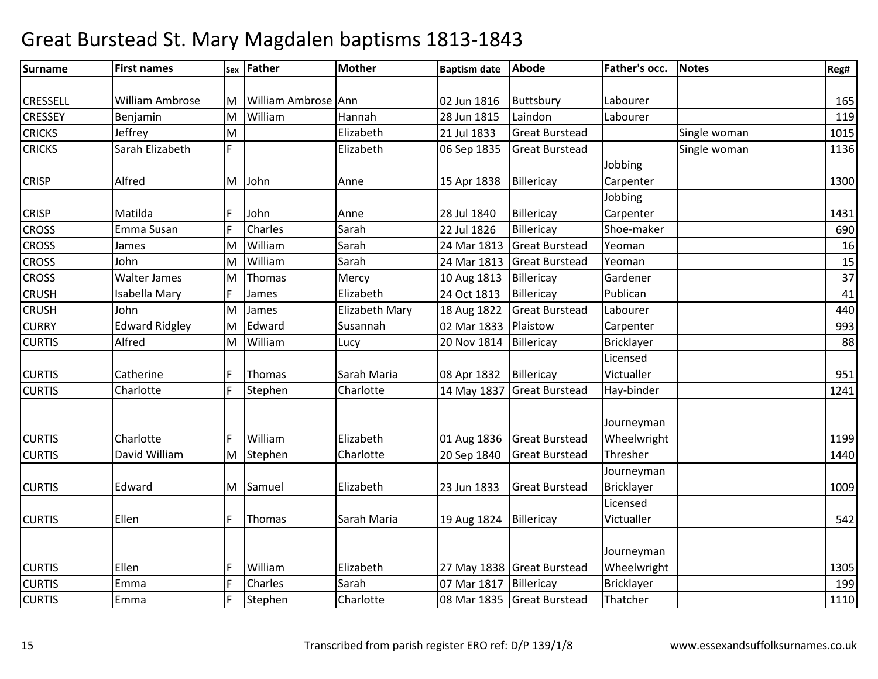| <b>Surname</b> | <b>First names</b>    |     | sex Father          | <b>Mother</b>  | <b>Baptism date</b> | <b>Abode</b>               | Father's occ. | <b>Notes</b> | Reg# |
|----------------|-----------------------|-----|---------------------|----------------|---------------------|----------------------------|---------------|--------------|------|
|                |                       |     |                     |                |                     |                            |               |              |      |
| CRESSELL       | William Ambrose       | M   | William Ambrose Ann |                | 02 Jun 1816         | Buttsbury                  | Labourer      |              | 165  |
| <b>CRESSEY</b> | Benjamin              | M   | William             | Hannah         | 28 Jun 1815         | Laindon                    | Labourer      |              | 119  |
| <b>CRICKS</b>  | Jeffrey               | M   |                     | Elizabeth      | 21 Jul 1833         | <b>Great Burstead</b>      |               | Single woman | 1015 |
| <b>CRICKS</b>  | Sarah Elizabeth       | F   |                     | Elizabeth      | 06 Sep 1835         | <b>Great Burstead</b>      |               | Single woman | 1136 |
|                |                       |     |                     |                |                     |                            | Jobbing       |              |      |
| <b>CRISP</b>   | Alfred                | M   | John                | Anne           | 15 Apr 1838         | Billericay                 | Carpenter     |              | 1300 |
|                |                       |     |                     |                |                     |                            | Jobbing       |              |      |
| <b>CRISP</b>   | Matilda               |     | John                | Anne           | 28 Jul 1840         | Billericay                 | Carpenter     |              | 1431 |
| <b>CROSS</b>   | Emma Susan            | E   | Charles             | Sarah          | 22 Jul 1826         | Billericay                 | Shoe-maker    |              | 690  |
| <b>CROSS</b>   | James                 | M   | William             | Sarah          | 24 Mar 1813         | <b>Great Burstead</b>      | Yeoman        |              | 16   |
| <b>CROSS</b>   | John                  | M   | William             | Sarah          | 24 Mar 1813         | <b>Great Burstead</b>      | Yeoman        |              | 15   |
| <b>CROSS</b>   | <b>Walter James</b>   | M   | Thomas              | Mercy          | 10 Aug 1813         | Billericay                 | Gardener      |              | 37   |
| <b>CRUSH</b>   | Isabella Mary         | E   | James               | Elizabeth      | 24 Oct 1813         | Billericay                 | Publican      |              | 41   |
| <b>CRUSH</b>   | John                  | M   | James               | Elizabeth Mary | 18 Aug 1822         | <b>Great Burstead</b>      | Labourer      |              | 440  |
| <b>CURRY</b>   | <b>Edward Ridgley</b> | M   | Edward              | Susannah       | 02 Mar 1833         | Plaistow                   | Carpenter     |              | 993  |
| <b>CURTIS</b>  | Alfred                | M   | William             | Lucy           | 20 Nov 1814         | Billericay                 | Bricklayer    |              | 88   |
|                |                       |     |                     |                |                     |                            | Licensed      |              |      |
| <b>CURTIS</b>  | Catherine             |     | Thomas              | Sarah Maria    | 08 Apr 1832         | Billericay                 | Victualler    |              | 951  |
| <b>CURTIS</b>  | Charlotte             | F   | Stephen             | Charlotte      | 14 May 1837         | <b>Great Burstead</b>      | Hay-binder    |              | 1241 |
|                |                       |     |                     |                |                     |                            |               |              |      |
|                |                       |     |                     |                |                     |                            | Journeyman    |              |      |
| <b>CURTIS</b>  | Charlotte             |     | William             | Elizabeth      |                     | 01 Aug 1836 Great Burstead | Wheelwright   |              | 1199 |
| <b>CURTIS</b>  | David William         | M   | Stephen             | Charlotte      | 20 Sep 1840         | <b>Great Burstead</b>      | Thresher      |              | 1440 |
|                |                       |     |                     |                |                     |                            | Journeyman    |              |      |
| <b>CURTIS</b>  | Edward                | M   | Samuel              | Elizabeth      | 23 Jun 1833         | <b>Great Burstead</b>      | Bricklayer    |              | 1009 |
|                |                       |     |                     |                |                     |                            | Licensed      |              |      |
| <b>CURTIS</b>  | Ellen                 | F   | Thomas              | Sarah Maria    | 19 Aug 1824         | Billericay                 | Victualler    |              | 542  |
|                |                       |     |                     |                |                     |                            |               |              |      |
|                |                       |     |                     |                |                     |                            | Journeyman    |              |      |
| <b>CURTIS</b>  | Ellen                 |     | William             | Elizabeth      |                     | 27 May 1838 Great Burstead | Wheelwright   |              | 1305 |
| <b>CURTIS</b>  | Emma                  | l F | Charles             | Sarah          | 07 Mar 1817         | Billericay                 | Bricklayer    |              | 199  |
| <b>CURTIS</b>  | Emma                  | F   | Stephen             | Charlotte      | 08 Mar 1835         | <b>Great Burstead</b>      | Thatcher      |              | 1110 |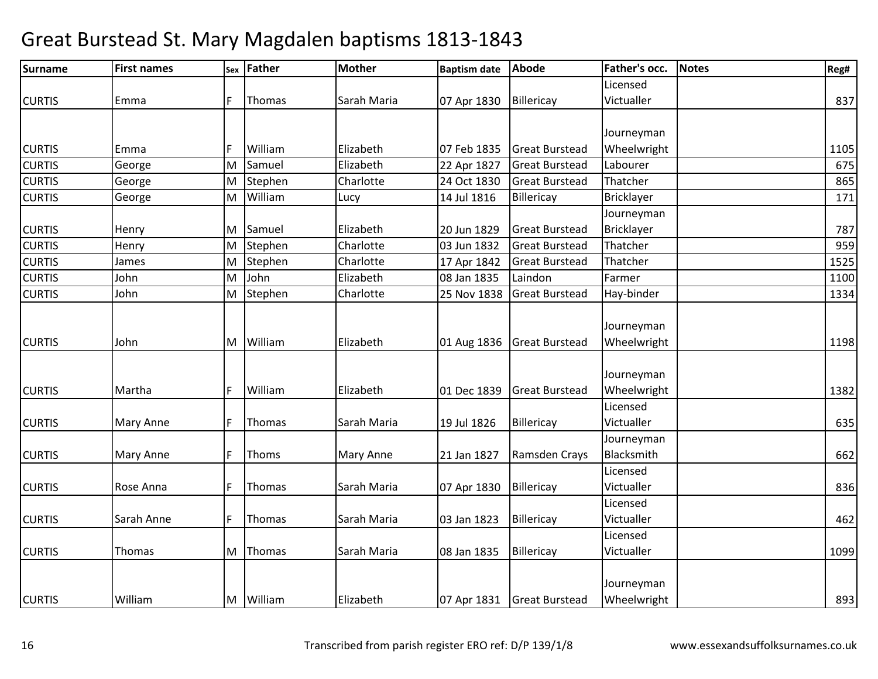| <b>Surname</b> | <b>First names</b> |    | sex Father | <b>Mother</b> | <b>Baptism date</b> | <b>Abode</b>          | Father's occ.     | <b>Notes</b> | Reg# |
|----------------|--------------------|----|------------|---------------|---------------------|-----------------------|-------------------|--------------|------|
|                |                    |    |            |               |                     |                       | Licensed          |              |      |
| <b>CURTIS</b>  | Emma               | F  | Thomas     | Sarah Maria   | 07 Apr 1830         | Billericay            | Victualler        |              | 837  |
|                |                    |    |            |               |                     |                       |                   |              |      |
|                |                    |    |            |               |                     |                       | Journeyman        |              |      |
| <b>CURTIS</b>  | Emma               |    | William    | Elizabeth     | 07 Feb 1835         | <b>Great Burstead</b> | Wheelwright       |              | 1105 |
| <b>CURTIS</b>  | George             | lм | Samuel     | Elizabeth     | 22 Apr 1827         | <b>Great Burstead</b> | Labourer          |              | 675  |
| <b>CURTIS</b>  | George             | Iм | Stephen    | Charlotte     | 24 Oct 1830         | <b>Great Burstead</b> | Thatcher          |              | 865  |
| <b>CURTIS</b>  | George             | M  | William    | Lucy          | 14 Jul 1816         | Billericay            | <b>Bricklayer</b> |              | 171  |
|                |                    |    |            |               |                     |                       | Journeyman        |              |      |
| <b>CURTIS</b>  | Henry              | M  | Samuel     | Elizabeth     | 20 Jun 1829         | <b>Great Burstead</b> | <b>Bricklayer</b> |              | 787  |
| <b>CURTIS</b>  | Henry              | lм | Stephen    | Charlotte     | 03 Jun 1832         | <b>Great Burstead</b> | Thatcher          |              | 959  |
| <b>CURTIS</b>  | James              | M  | Stephen    | Charlotte     | 17 Apr 1842         | <b>Great Burstead</b> | Thatcher          |              | 1525 |
| <b>CURTIS</b>  | John               | M  | John       | Elizabeth     | 08 Jan 1835         | Laindon               | Farmer            |              | 1100 |
| <b>CURTIS</b>  | John               | M  | Stephen    | Charlotte     | 25 Nov 1838         | <b>Great Burstead</b> | Hay-binder        |              | 1334 |
|                |                    |    |            |               |                     |                       |                   |              |      |
|                |                    |    |            |               |                     |                       | Journeyman        |              |      |
| <b>CURTIS</b>  | John               | M  | William    | Elizabeth     | 01 Aug 1836         | <b>Great Burstead</b> | Wheelwright       |              | 1198 |
|                |                    |    |            |               |                     |                       |                   |              |      |
|                |                    |    |            |               |                     |                       | Journeyman        |              |      |
| <b>CURTIS</b>  | Martha             | F  | William    | Elizabeth     | 01 Dec 1839         | <b>Great Burstead</b> | Wheelwright       |              | 1382 |
|                |                    |    |            |               |                     |                       | Licensed          |              |      |
| <b>CURTIS</b>  | Mary Anne          | F  | Thomas     | Sarah Maria   | 19 Jul 1826         | Billericay            | Victualler        |              | 635  |
|                |                    |    |            |               |                     |                       | Journeyman        |              |      |
| <b>CURTIS</b>  | <b>Mary Anne</b>   | F  | Thoms      | Mary Anne     | 21 Jan 1827         | Ramsden Crays         | Blacksmith        |              | 662  |
|                |                    |    |            |               |                     |                       | Licensed          |              |      |
| <b>CURTIS</b>  | Rose Anna          | E  | Thomas     | Sarah Maria   | 07 Apr 1830         | Billericay            | Victualler        |              | 836  |
|                |                    |    |            |               |                     |                       | Licensed          |              |      |
| <b>CURTIS</b>  | Sarah Anne         | E  | Thomas     | Sarah Maria   | 03 Jan 1823         | Billericay            | Victualler        |              | 462  |
|                |                    |    |            |               |                     |                       | Licensed          |              |      |
| <b>CURTIS</b>  | Thomas             | M  | Thomas     | Sarah Maria   | 08 Jan 1835         | Billericay            | Victualler        |              | 1099 |
|                |                    |    |            |               |                     |                       |                   |              |      |
|                |                    |    |            |               |                     |                       | Journeyman        |              |      |
| <b>CURTIS</b>  | William            | M  | William    | Elizabeth     | 07 Apr 1831         | <b>Great Burstead</b> | Wheelwright       |              | 893  |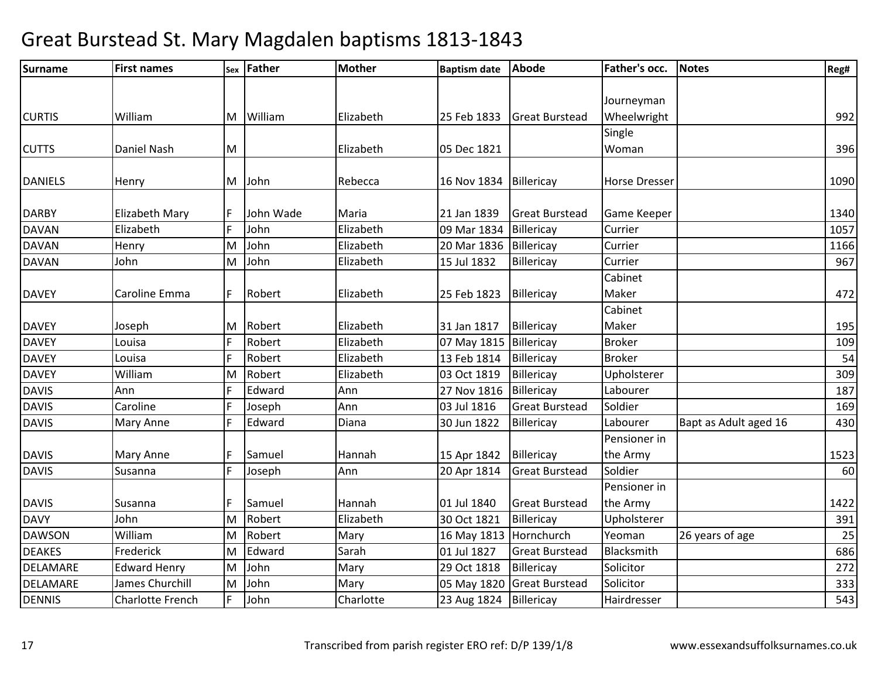| <b>Surname</b> | <b>First names</b>      |     | sex Father | <b>Mother</b> | <b>Baptism date</b> | Abode                 | Father's occ.        | <b>Notes</b>          | Reg# |
|----------------|-------------------------|-----|------------|---------------|---------------------|-----------------------|----------------------|-----------------------|------|
|                |                         |     |            |               |                     |                       |                      |                       |      |
|                |                         |     |            |               |                     |                       | Journeyman           |                       |      |
| <b>CURTIS</b>  | William                 | M   | William    | Elizabeth     | 25 Feb 1833         | <b>Great Burstead</b> | Wheelwright          |                       | 992  |
|                |                         |     |            |               |                     |                       | Single               |                       |      |
| <b>CUTTS</b>   | Daniel Nash             | M   |            | Elizabeth     | 05 Dec 1821         |                       | Woman                |                       | 396  |
|                |                         |     |            |               |                     |                       |                      |                       |      |
| <b>DANIELS</b> | Henry                   | M   | John       | Rebecca       | 16 Nov 1834         | Billericay            | <b>Horse Dresser</b> |                       | 1090 |
|                |                         |     |            |               |                     |                       |                      |                       |      |
| <b>DARBY</b>   | Elizabeth Mary          | F   | John Wade  | Maria         | 21 Jan 1839         | <b>Great Burstead</b> | <b>Game Keeper</b>   |                       | 1340 |
| <b>DAVAN</b>   | Elizabeth               | F   | John       | Elizabeth     | 09 Mar 1834         | Billericay            | Currier              |                       | 1057 |
| <b>DAVAN</b>   | Henry                   | M   | John       | Elizabeth     | 20 Mar 1836         | Billericay            | Currier              |                       | 1166 |
| <b>DAVAN</b>   | John                    | M   | John       | Elizabeth     | 15 Jul 1832         | Billericay            | Currier              |                       | 967  |
|                |                         |     |            |               |                     |                       | Cabinet              |                       |      |
| <b>DAVEY</b>   | Caroline Emma           | lF. | Robert     | Elizabeth     | 25 Feb 1823         | Billericay            | Maker                |                       | 472  |
|                |                         |     |            |               |                     |                       | Cabinet              |                       |      |
| <b>DAVEY</b>   | Joseph                  | M   | Robert     | Elizabeth     | 31 Jan 1817         | Billericay            | Maker                |                       | 195  |
| <b>DAVEY</b>   | Louisa                  | F   | Robert     | Elizabeth     | 07 May 1815         | Billericay            | <b>Broker</b>        |                       | 109  |
| <b>DAVEY</b>   | Louisa                  | F   | Robert     | Elizabeth     | 13 Feb 1814         | Billericay            | <b>Broker</b>        |                       | 54   |
| <b>DAVEY</b>   | William                 | M   | Robert     | Elizabeth     | 03 Oct 1819         | Billericay            | Upholsterer          |                       | 309  |
| <b>DAVIS</b>   | Ann                     | F   | Edward     | Ann           | 27 Nov 1816         | Billericay            | Labourer             |                       | 187  |
| <b>DAVIS</b>   | Caroline                | F   | Joseph     | Ann           | 03 Jul 1816         | <b>Great Burstead</b> | Soldier              |                       | 169  |
| <b>DAVIS</b>   | Mary Anne               | F   | Edward     | Diana         | 30 Jun 1822         | Billericay            | Labourer             | Bapt as Adult aged 16 | 430  |
|                |                         |     |            |               |                     |                       | Pensioner in         |                       |      |
| <b>DAVIS</b>   | Mary Anne               |     | Samuel     | Hannah        | 15 Apr 1842         | Billericay            | the Army             |                       | 1523 |
| <b>DAVIS</b>   | Susanna                 | F   | Joseph     | Ann           | 20 Apr 1814         | <b>Great Burstead</b> | Soldier              |                       | 60   |
|                |                         |     |            |               |                     |                       | Pensioner in         |                       |      |
| <b>DAVIS</b>   | Susanna                 | E   | Samuel     | Hannah        | 01 Jul 1840         | <b>Great Burstead</b> | the Army             |                       | 1422 |
| <b>DAVY</b>    | John                    | M   | Robert     | Elizabeth     | 30 Oct 1821         | Billericay            | Upholsterer          |                       | 391  |
| <b>DAWSON</b>  | William                 | M   | Robert     | Mary          | 16 May 1813         | Hornchurch            | Yeoman               | 26 years of age       | 25   |
| <b>DEAKES</b>  | Frederick               | M   | Edward     | Sarah         | 01 Jul 1827         | <b>Great Burstead</b> | Blacksmith           |                       | 686  |
| DELAMARE       | <b>Edward Henry</b>     | M   | John       | Mary          | 29 Oct 1818         | Billericay            | Solicitor            |                       | 272  |
| DELAMARE       | James Churchill         | M   | John       | Mary          | 05 May 1820         | <b>Great Burstead</b> | Solicitor            |                       | 333  |
| <b>DENNIS</b>  | <b>Charlotte French</b> | E   | John       | Charlotte     | 23 Aug 1824         | Billericay            | Hairdresser          |                       | 543  |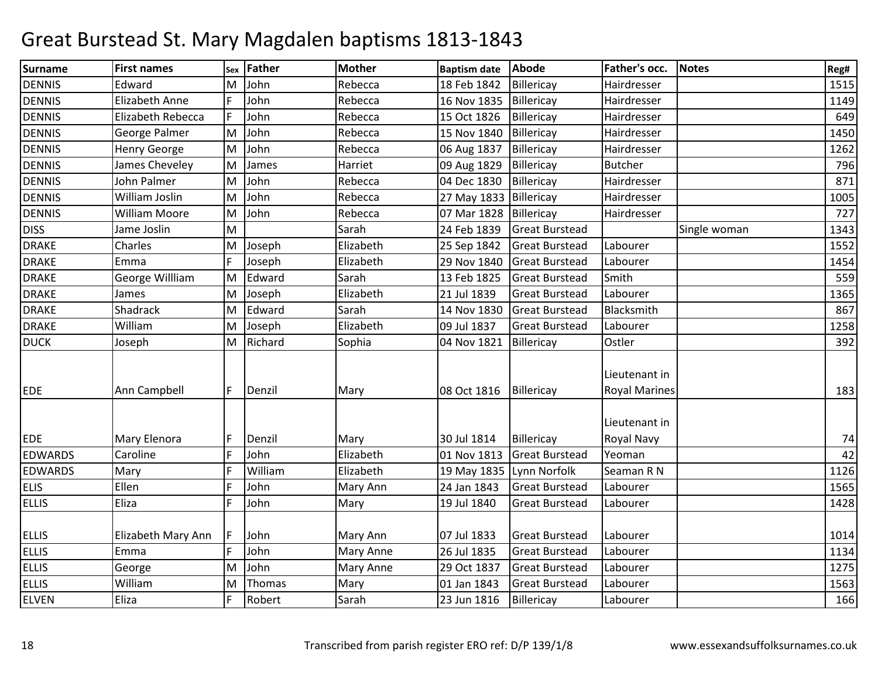| Surname                      | <b>First names</b>         |        | sex Father   | <b>Mother</b>         | <b>Baptism date</b>        | <b>Abode</b>                                   | Father's occ.                         | <b>Notes</b> | Reg#         |
|------------------------------|----------------------------|--------|--------------|-----------------------|----------------------------|------------------------------------------------|---------------------------------------|--------------|--------------|
| <b>DENNIS</b>                | Edward                     |        | M John       | Rebecca               | 18 Feb 1842                | Billericay                                     | Hairdresser                           |              | 1515         |
| <b>DENNIS</b>                | <b>Elizabeth Anne</b>      | F      | John         | Rebecca               | 16 Nov 1835                | Billericay                                     | Hairdresser                           |              | 1149         |
| <b>DENNIS</b>                | Elizabeth Rebecca          | F      | John         | Rebecca               | 15 Oct 1826                | Billericay                                     | Hairdresser                           |              | 649          |
| <b>DENNIS</b>                | George Palmer              |        | M John       | Rebecca               | 15 Nov 1840                | Billericay                                     | Hairdresser                           |              | 1450         |
| <b>DENNIS</b>                | <b>Henry George</b>        | M      | John         | Rebecca               | 06 Aug 1837                | Billericay                                     | Hairdresser                           |              | 1262         |
| <b>DENNIS</b>                | James Cheveley             | M      | James        | Harriet               | 09 Aug 1829                | Billericay                                     | <b>Butcher</b>                        |              | 796          |
| <b>DENNIS</b>                | John Palmer                | M      | John         | Rebecca               | 04 Dec 1830                | Billericay                                     | Hairdresser                           |              | 871          |
| <b>DENNIS</b>                | William Joslin             |        | M John       | Rebecca               | 27 May 1833                | Billericay                                     | Hairdresser                           |              | 1005         |
| <b>DENNIS</b>                | <b>William Moore</b>       |        | M John       | Rebecca               | 07 Mar 1828                | Billericay                                     | Hairdresser                           |              | 727          |
| <b>DISS</b>                  | Jame Joslin                | M      |              | Sarah                 | 24 Feb 1839                | <b>Great Burstead</b>                          |                                       | Single woman | 1343         |
| <b>DRAKE</b>                 | Charles                    |        | M Joseph     | Elizabeth             | 25 Sep 1842                | <b>Great Burstead</b>                          | Labourer                              |              | 1552         |
| <b>DRAKE</b>                 | Emma                       |        | Joseph       | Elizabeth             | 29 Nov 1840                | <b>Great Burstead</b>                          | Labourer                              |              | 1454         |
| <b>DRAKE</b>                 | George Willliam            |        | M Edward     | Sarah                 | 13 Feb 1825                | <b>Great Burstead</b>                          | Smith                                 |              | 559          |
| <b>DRAKE</b>                 | James                      |        | M Joseph     | Elizabeth             | 21 Jul 1839                | <b>Great Burstead</b>                          | Labourer                              |              | 1365         |
| <b>DRAKE</b>                 | Shadrack                   |        | M Edward     | Sarah                 | 14 Nov 1830                | <b>Great Burstead</b>                          | Blacksmith                            |              | 867          |
| <b>DRAKE</b>                 | William                    | M      | Joseph       | Elizabeth             | 09 Jul 1837                | <b>Great Burstead</b>                          | Labourer                              |              | 1258         |
| <b>DUCK</b>                  | Joseph                     |        | M Richard    | Sophia                | 04 Nov 1821                | Billericay                                     | Ostler                                |              | 392          |
| <b>EDE</b>                   | Ann Campbell               | F      | Denzil       | Mary                  | 08 Oct 1816                | Billericay                                     | Lieutenant in<br><b>Royal Marines</b> |              | 183          |
| <b>EDE</b>                   | Mary Elenora               | F      | Denzil       | Mary                  | 30 Jul 1814                | Billericay                                     | Lieutenant in<br>Royal Navy           |              | 74           |
| <b>EDWARDS</b>               | Caroline                   | E      | John         | Elizabeth             | 01 Nov 1813                | <b>Great Burstead</b>                          | Yeoman                                |              | 42           |
| <b>EDWARDS</b>               | Mary                       | E      | William      | Elizabeth             | 19 May 1835                | Lynn Norfolk                                   | Seaman R N                            |              | 1126         |
| <b>ELIS</b>                  | Ellen                      | F      | John         | Mary Ann              | 24 Jan 1843                | <b>Great Burstead</b>                          | Labourer                              |              | 1565         |
| <b>ELLIS</b>                 | Eliza                      | F      | John         | Mary                  | 19 Jul 1840                | <b>Great Burstead</b>                          | Labourer                              |              | 1428         |
| <b>ELLIS</b><br><b>ELLIS</b> | Elizabeth Mary Ann<br>Emma | F<br>F | John<br>John | Mary Ann<br>Mary Anne | 07 Jul 1833<br>26 Jul 1835 | <b>Great Burstead</b><br><b>Great Burstead</b> | Labourer<br>Labourer                  |              | 1014<br>1134 |
| <b>ELLIS</b>                 | George                     | M      | John         | Mary Anne             | 29 Oct 1837                | <b>Great Burstead</b>                          | Labourer                              |              | 1275         |
| <b>ELLIS</b>                 | William                    | M      | Thomas       | Mary                  | 01 Jan 1843                | <b>Great Burstead</b>                          | Labourer                              |              | 1563         |
| <b>ELVEN</b>                 | Eliza                      |        | Robert       | Sarah                 | 23 Jun 1816                | Billericay                                     | Labourer                              |              | 166          |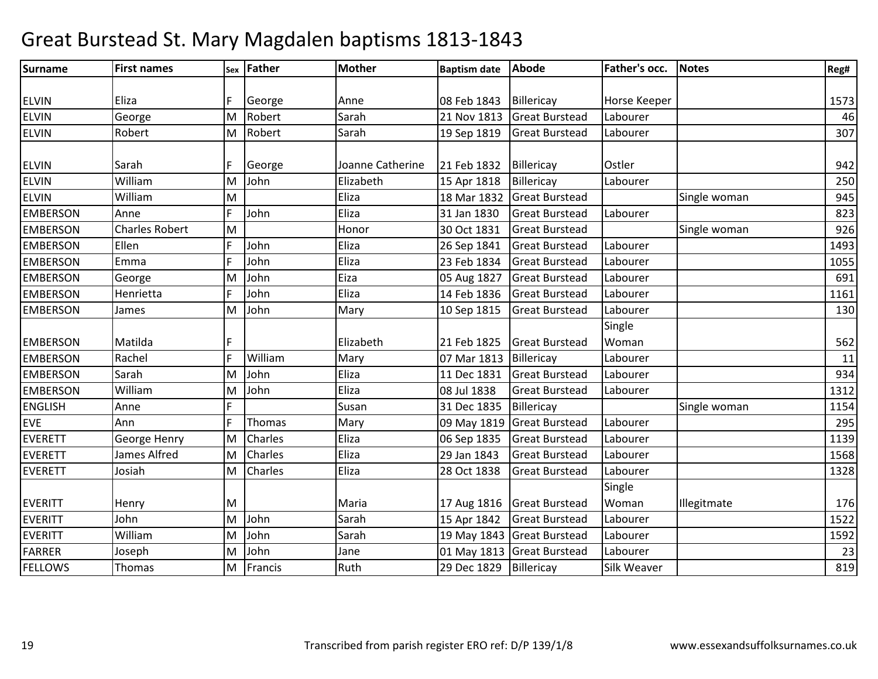| <b>Surname</b>  | <b>First names</b>    |   | sex Father | <b>Mother</b>    | <b>Baptism date</b> | <b>Abode</b>               | Father's occ. | <b>Notes</b> | Reg# |
|-----------------|-----------------------|---|------------|------------------|---------------------|----------------------------|---------------|--------------|------|
|                 |                       |   |            |                  |                     |                            |               |              |      |
| <b>ELVIN</b>    | Eliza                 |   | George     | Anne             | 08 Feb 1843         | Billericay                 | Horse Keeper  |              | 1573 |
| <b>ELVIN</b>    | George                | M | Robert     | Sarah            | 21 Nov 1813         | <b>Great Burstead</b>      | Labourer      |              | 46   |
| <b>ELVIN</b>    | Robert                | M | Robert     | Sarah            | 19 Sep 1819         | <b>Great Burstead</b>      | Labourer      |              | 307  |
|                 |                       |   |            |                  |                     |                            |               |              |      |
| <b>ELVIN</b>    | Sarah                 | F | George     | Joanne Catherine | 21 Feb 1832         | Billericay                 | Ostler        |              | 942  |
| <b>ELVIN</b>    | William               | M | John       | Elizabeth        | 15 Apr 1818         | Billericay                 | Labourer      |              | 250  |
| <b>ELVIN</b>    | William               | M |            | Eliza            | 18 Mar 1832         | <b>Great Burstead</b>      |               | Single woman | 945  |
| <b>EMBERSON</b> | Anne                  | F | John       | Eliza            | 31 Jan 1830         | <b>Great Burstead</b>      | Labourer      |              | 823  |
| <b>EMBERSON</b> | <b>Charles Robert</b> | M |            | Honor            | 30 Oct 1831         | <b>Great Burstead</b>      |               | Single woman | 926  |
| <b>EMBERSON</b> | Ellen                 | E | John       | Eliza            | 26 Sep 1841         | <b>Great Burstead</b>      | Labourer      |              | 1493 |
| <b>EMBERSON</b> | Emma                  | F | John       | Eliza            | 23 Feb 1834         | <b>Great Burstead</b>      | Labourer      |              | 1055 |
| <b>EMBERSON</b> | George                | M | John       | Eiza             | 05 Aug 1827         | <b>Great Burstead</b>      | Labourer      |              | 691  |
| <b>EMBERSON</b> | Henrietta             | F | John       | Eliza            | 14 Feb 1836         | <b>Great Burstead</b>      | Labourer      |              | 1161 |
| <b>EMBERSON</b> | James                 | M | John       | Mary             | 10 Sep 1815         | <b>Great Burstead</b>      | Labourer      |              | 130  |
|                 |                       |   |            |                  |                     |                            | Single        |              |      |
| <b>EMBERSON</b> | Matilda               | F |            | Elizabeth        | 21 Feb 1825         | <b>Great Burstead</b>      | Woman         |              | 562  |
| <b>EMBERSON</b> | Rachel                | F | William    | Mary             | 07 Mar 1813         | Billericay                 | Labourer      |              | 11   |
| <b>EMBERSON</b> | Sarah                 | M | John       | Eliza            | 11 Dec 1831         | <b>Great Burstead</b>      | Labourer      |              | 934  |
| <b>EMBERSON</b> | William               | M | John       | Eliza            | 08 Jul 1838         | <b>Great Burstead</b>      | Labourer      |              | 1312 |
| <b>ENGLISH</b>  | Anne                  | F |            | Susan            | 31 Dec 1835         | Billericay                 |               | Single woman | 1154 |
| <b>EVE</b>      | Ann                   | F | Thomas     | Mary             | 09 May 1819         | <b>Great Burstead</b>      | Labourer      |              | 295  |
| <b>EVERETT</b>  | George Henry          | M | Charles    | Eliza            | 06 Sep 1835         | <b>Great Burstead</b>      | Labourer      |              | 1139 |
| <b>EVERETT</b>  | James Alfred          | M | Charles    | Eliza            | 29 Jan 1843         | <b>Great Burstead</b>      | Labourer      |              | 1568 |
| <b>EVERETT</b>  | Josiah                | M | Charles    | Eliza            | 28 Oct 1838         | <b>Great Burstead</b>      | Labourer      |              | 1328 |
|                 |                       |   |            |                  |                     |                            | Single        |              |      |
| <b>EVERITT</b>  | Henry                 | M |            | Maria            |                     | 17 Aug 1816 Great Burstead | Woman         | Illegitmate  | 176  |
| <b>EVERITT</b>  | John                  | M | John       | Sarah            | 15 Apr 1842         | <b>Great Burstead</b>      | Labourer      |              | 1522 |
| <b>EVERITT</b>  | William               | M | John       | Sarah            |                     | 19 May 1843 Great Burstead | Labourer      |              | 1592 |
| <b>FARRER</b>   | Joseph                | M | John       | Jane             |                     | 01 May 1813 Great Burstead | Labourer      |              | 23   |
| <b>FELLOWS</b>  | <b>Thomas</b>         | M | Francis    | Ruth             | 29 Dec 1829         | Billericay                 | Silk Weaver   |              | 819  |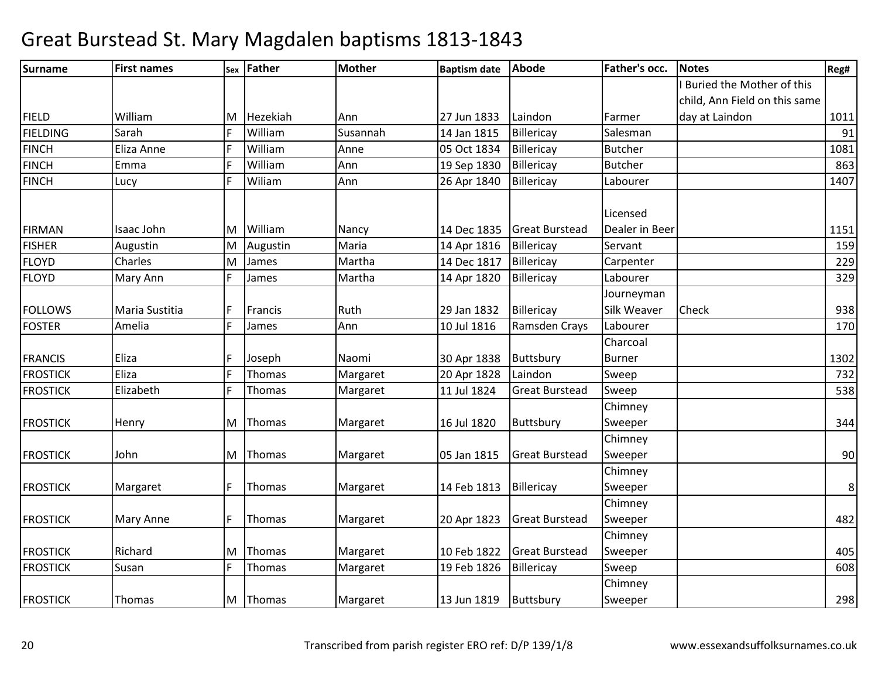| <b>Surname</b>  | <b>First names</b> |   | sex Father | <b>Mother</b> | <b>Baptism date</b> | <b>Abode</b>          | Father's occ.  | <b>Notes</b>                  | Reg# |
|-----------------|--------------------|---|------------|---------------|---------------------|-----------------------|----------------|-------------------------------|------|
|                 |                    |   |            |               |                     |                       |                | Buried the Mother of this     |      |
|                 |                    |   |            |               |                     |                       |                | child, Ann Field on this same |      |
| <b>FIELD</b>    | William            | M | Hezekiah   | Ann           | 27 Jun 1833         | Laindon               | Farmer         | day at Laindon                | 1011 |
| <b>FIELDING</b> | Sarah              | F | William    | Susannah      | 14 Jan 1815         | Billericay            | Salesman       |                               | 91   |
| <b>FINCH</b>    | Eliza Anne         | F | William    | Anne          | 05 Oct 1834         | Billericay            | <b>Butcher</b> |                               | 1081 |
| <b>FINCH</b>    | Emma               | E | William    | Ann           | 19 Sep 1830         | Billericay            | <b>Butcher</b> |                               | 863  |
| <b>FINCH</b>    | Lucy               | F | Wiliam     | Ann           | 26 Apr 1840         | Billericay            | Labourer       |                               | 1407 |
|                 |                    |   |            |               |                     |                       | Licensed       |                               |      |
| <b>FIRMAN</b>   | Isaac John         | M | William    | Nancy         | 14 Dec 1835         | <b>Great Burstead</b> | Dealer in Beer |                               | 1151 |
| <b>FISHER</b>   | Augustin           | M | Augustin   | Maria         | 14 Apr 1816         | Billericay            | Servant        |                               | 159  |
| <b>FLOYD</b>    | Charles            | M | James      | Martha        | 14 Dec 1817         | Billericay            | Carpenter      |                               | 229  |
| <b>FLOYD</b>    | Mary Ann           | F | James      | Martha        | 14 Apr 1820         | Billericay            | Labourer       |                               | 329  |
|                 |                    |   |            |               |                     |                       | Journeyman     |                               |      |
| <b>FOLLOWS</b>  | Maria Sustitia     | E | Francis    | Ruth          | 29 Jan 1832         | Billericay            | Silk Weaver    | Check                         | 938  |
| <b>FOSTER</b>   | Amelia             | F | James      | Ann           | 10 Jul 1816         | Ramsden Crays         | Labourer       |                               | 170  |
|                 |                    |   |            |               |                     |                       | Charcoal       |                               |      |
| <b>FRANCIS</b>  | Eliza              | E | Joseph     | Naomi         | 30 Apr 1838         | Buttsbury             | <b>Burner</b>  |                               | 1302 |
| <b>FROSTICK</b> | Eliza              | F | Thomas     | Margaret      | 20 Apr 1828         | Laindon               | Sweep          |                               | 732  |
| <b>FROSTICK</b> | Elizabeth          | F | Thomas     | Margaret      | 11 Jul 1824         | <b>Great Burstead</b> | Sweep          |                               | 538  |
|                 |                    |   |            |               |                     |                       | Chimney        |                               |      |
| <b>FROSTICK</b> | Henry              | M | Thomas     | Margaret      | 16 Jul 1820         | Buttsbury             | Sweeper        |                               | 344  |
|                 |                    |   |            |               |                     |                       | Chimney        |                               |      |
| <b>FROSTICK</b> | John               |   | M Thomas   | Margaret      | 05 Jan 1815         | <b>Great Burstead</b> | Sweeper        |                               | 90   |
|                 |                    |   |            |               |                     |                       | Chimney        |                               |      |
| <b>FROSTICK</b> | Margaret           | F | Thomas     | Margaret      | 14 Feb 1813         | Billericay            | Sweeper        |                               | 8    |
|                 |                    |   |            |               |                     |                       | Chimney        |                               |      |
| <b>FROSTICK</b> | Mary Anne          | F | Thomas     | Margaret      | 20 Apr 1823         | <b>Great Burstead</b> | Sweeper        |                               | 482  |
|                 |                    |   |            |               |                     |                       | Chimney        |                               |      |
| <b>FROSTICK</b> | Richard            | M | Thomas     | Margaret      | 10 Feb 1822         | <b>Great Burstead</b> | Sweeper        |                               | 405  |
| <b>FROSTICK</b> | Susan              | F | Thomas     | Margaret      | 19 Feb 1826         | Billericay            | Sweep          |                               | 608  |
|                 |                    |   |            |               |                     |                       | Chimney        |                               |      |
| <b>FROSTICK</b> | Thomas             | M | Thomas     | Margaret      | 13 Jun 1819         | Buttsbury             | Sweeper        |                               | 298  |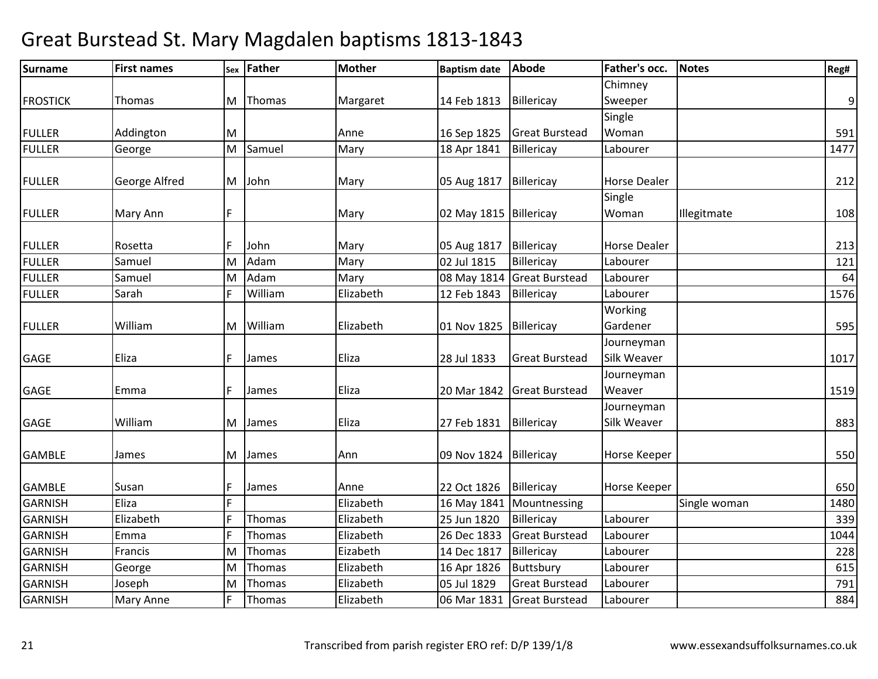| <b>Surname</b>  | <b>First names</b> |    | sex Father | <b>Mother</b> | <b>Baptism date</b>    | <b>Abode</b>          | Father's occ.       | <b>Notes</b> | Reg# |
|-----------------|--------------------|----|------------|---------------|------------------------|-----------------------|---------------------|--------------|------|
|                 |                    |    |            |               |                        |                       | Chimney             |              |      |
| <b>FROSTICK</b> | Thomas             | M  | Thomas     | Margaret      | 14 Feb 1813            | Billericay            | Sweeper             |              | 9    |
|                 |                    |    |            |               |                        |                       | Single              |              |      |
| <b>FULLER</b>   | Addington          | M  |            | Anne          | 16 Sep 1825            | <b>Great Burstead</b> | Woman               |              | 591  |
| <b>FULLER</b>   | George             | M  | Samuel     | Mary          | 18 Apr 1841            | Billericay            | Labourer            |              | 1477 |
|                 |                    |    |            |               |                        |                       |                     |              |      |
| <b>FULLER</b>   | George Alfred      | M  | John       | Mary          | 05 Aug 1817            | Billericay            | <b>Horse Dealer</b> |              | 212  |
|                 |                    |    |            |               |                        |                       | Single              |              |      |
| <b>FULLER</b>   | Mary Ann           | F  |            | Mary          | 02 May 1815 Billericay |                       | Woman               | Illegitmate  | 108  |
|                 |                    |    |            |               |                        |                       |                     |              |      |
| <b>FULLER</b>   | Rosetta            |    | John       | Mary          | 05 Aug 1817            | Billericay            | <b>Horse Dealer</b> |              | 213  |
| <b>FULLER</b>   | Samuel             | M  | Adam       | Mary          | 02 Jul 1815            | Billericay            | Labourer            |              | 121  |
| <b>FULLER</b>   | Samuel             | M  | Adam       | Mary          | 08 May 1814            | <b>Great Burstead</b> | Labourer            |              | 64   |
| <b>FULLER</b>   | Sarah              | F  | William    | Elizabeth     | 12 Feb 1843            | Billericay            | Labourer            |              | 1576 |
|                 |                    |    |            |               |                        |                       | Working             |              |      |
| <b>FULLER</b>   | William            | M  | William    | Elizabeth     | 01 Nov 1825            | Billericay            | Gardener            |              | 595  |
|                 |                    |    |            |               |                        |                       | Journeyman          |              |      |
| <b>GAGE</b>     | Eliza              | IF | James      | Eliza         | 28 Jul 1833            | <b>Great Burstead</b> | Silk Weaver         |              | 1017 |
|                 |                    |    |            |               |                        |                       | Journeyman          |              |      |
| <b>GAGE</b>     | Emma               |    | James      | Eliza         | 20 Mar 1842            | <b>Great Burstead</b> | Weaver              |              | 1519 |
|                 |                    |    |            |               |                        |                       | Journeyman          |              |      |
| <b>GAGE</b>     | William            | M  | James      | Eliza         | 27 Feb 1831            | Billericay            | Silk Weaver         |              | 883  |
|                 |                    |    |            |               |                        |                       |                     |              |      |
| <b>GAMBLE</b>   | James              | M  | James      | Ann           | 09 Nov 1824            | Billericay            | Horse Keeper        |              | 550  |
| <b>GAMBLE</b>   | Susan              | F  | James      | Anne          | 22 Oct 1826            | Billericay            | Horse Keeper        |              | 650  |
| <b>GARNISH</b>  | Eliza              | F  |            | Elizabeth     | 16 May 1841            | Mountnessing          |                     | Single woman | 1480 |
| <b>GARNISH</b>  | Elizabeth          | ١F | Thomas     | Elizabeth     | 25 Jun 1820            | Billericay            | Labourer            |              | 339  |
| <b>GARNISH</b>  | Emma               | E  | Thomas     | Elizabeth     | 26 Dec 1833            | <b>Great Burstead</b> | Labourer            |              | 1044 |
| <b>GARNISH</b>  | Francis            | M  | Thomas     | Eizabeth      | 14 Dec 1817            | Billericay            | Labourer            |              | 228  |
| <b>GARNISH</b>  | George             | M  | Thomas     | Elizabeth     | 16 Apr 1826            | Buttsbury             | Labourer            |              | 615  |
| <b>GARNISH</b>  | Joseph             | M  | Thomas     | Elizabeth     | 05 Jul 1829            | <b>Great Burstead</b> | Labourer            |              | 791  |
| <b>GARNISH</b>  | Mary Anne          | IF | Thomas     | Elizabeth     | 06 Mar 1831            | <b>Great Burstead</b> | Labourer            |              | 884  |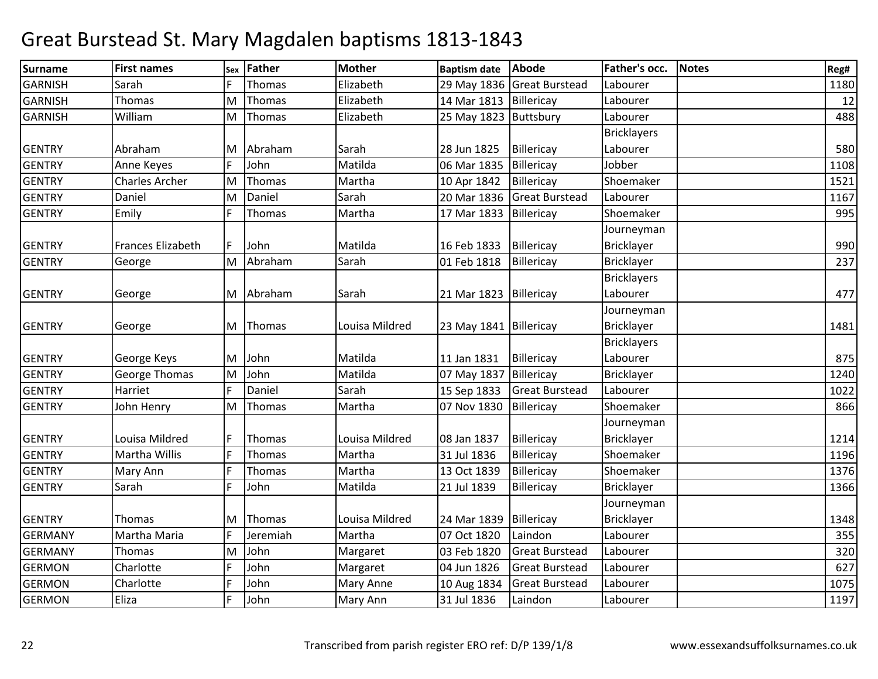| Surname        | <b>First names</b>    | <b>Sex</b> | <b>Father</b> | <b>Mother</b>  | <b>Baptism date</b>    | Abode                      | Father's occ.      | <b>Notes</b> | Reg# |
|----------------|-----------------------|------------|---------------|----------------|------------------------|----------------------------|--------------------|--------------|------|
| <b>GARNISH</b> | Sarah                 |            | Thomas        | Elizabeth      |                        | 29 May 1836 Great Burstead | Labourer           |              | 1180 |
| <b>GARNISH</b> | Thomas                | M          | Thomas        | Elizabeth      | 14 Mar 1813 Billericay |                            | Labourer           |              | 12   |
| <b>GARNISH</b> | William               | M          | Thomas        | Elizabeth      | 25 May 1823 Buttsbury  |                            | Labourer           |              | 488  |
|                |                       |            |               |                |                        |                            | <b>Bricklayers</b> |              |      |
| <b>GENTRY</b>  | Abraham               | M          | Abraham       | Sarah          | 28 Jun 1825            | Billericay                 | Labourer           |              | 580  |
| <b>GENTRY</b>  | Anne Keyes            |            | John          | Matilda        | 06 Mar 1835            | Billericay                 | Jobber             |              | 1108 |
| <b>GENTRY</b>  | <b>Charles Archer</b> | lм         | Thomas        | Martha         | 10 Apr 1842            | Billericay                 | Shoemaker          |              | 1521 |
| <b>GENTRY</b>  | Daniel                | M          | Daniel        | Sarah          | 20 Mar 1836            | <b>Great Burstead</b>      | Labourer           |              | 1167 |
| <b>GENTRY</b>  | Emily                 | F          | Thomas        | Martha         | 17 Mar 1833            | Billericay                 | Shoemaker          |              | 995  |
|                |                       |            |               |                |                        |                            | Journeyman         |              |      |
| <b>GENTRY</b>  | Frances Elizabeth     | F          | John          | Matilda        | 16 Feb 1833            | Billericay                 | Bricklayer         |              | 990  |
| <b>GENTRY</b>  | George                | M          | Abraham       | Sarah          | 01 Feb 1818            | Billericay                 | <b>Bricklayer</b>  |              | 237  |
|                |                       |            |               |                |                        |                            | <b>Bricklayers</b> |              |      |
| <b>GENTRY</b>  | George                |            | M Abraham     | Sarah          | 21 Mar 1823 Billericay |                            | Labourer           |              | 477  |
|                |                       |            |               |                |                        |                            | Journeyman         |              |      |
| <b>GENTRY</b>  | George                | M          | Thomas        | Louisa Mildred | 23 May 1841 Billericay |                            | Bricklayer         |              | 1481 |
|                |                       |            |               |                |                        |                            | <b>Bricklayers</b> |              |      |
| <b>GENTRY</b>  | George Keys           | M          | John          | Matilda        | 11 Jan 1831            | Billericay                 | Labourer           |              | 875  |
| <b>GENTRY</b>  | <b>George Thomas</b>  | M          | John          | Matilda        | 07 May 1837            | Billericay                 | <b>Bricklayer</b>  |              | 1240 |
| <b>GENTRY</b>  | Harriet               | F          | Daniel        | Sarah          | 15 Sep 1833            | <b>Great Burstead</b>      | Labourer           |              | 1022 |
| <b>GENTRY</b>  | John Henry            | M          | Thomas        | Martha         | 07 Nov 1830            | Billericay                 | Shoemaker          |              | 866  |
|                |                       |            |               |                |                        |                            | Journeyman         |              |      |
| <b>GENTRY</b>  | Louisa Mildred        |            | Thomas        | Louisa Mildred | 08 Jan 1837            | Billericay                 | <b>Bricklayer</b>  |              | 1214 |
| <b>GENTRY</b>  | Martha Willis         |            | Thomas        | Martha         | 31 Jul 1836            | Billericay                 | Shoemaker          |              | 1196 |
| <b>GENTRY</b>  | Mary Ann              | F          | Thomas        | Martha         | 13 Oct 1839            | Billericay                 | Shoemaker          |              | 1376 |
| <b>GENTRY</b>  | Sarah                 | F          | John          | Matilda        | 21 Jul 1839            | Billericay                 | <b>Bricklayer</b>  |              | 1366 |
|                |                       |            |               |                |                        |                            | Journeyman         |              |      |
| <b>GENTRY</b>  | Thomas                | M          | Thomas        | Louisa Mildred | 24 Mar 1839            | Billericay                 | Bricklayer         |              | 1348 |
| <b>GERMANY</b> | Martha Maria          | F          | Jeremiah      | Martha         | 07 Oct 1820            | Laindon                    | Labourer           |              | 355  |
| <b>GERMANY</b> | Thomas                | M          | John          | Margaret       | 03 Feb 1820            | <b>Great Burstead</b>      | Labourer           |              | 320  |
| <b>GERMON</b>  | Charlotte             | F          | John          | Margaret       | 04 Jun 1826            | <b>Great Burstead</b>      | Labourer           |              | 627  |
| <b>GERMON</b>  | Charlotte             |            | John          | Mary Anne      | 10 Aug 1834            | <b>Great Burstead</b>      | Labourer           |              | 1075 |
| <b>GERMON</b>  | Eliza                 | IF         | John          | Mary Ann       | 31 Jul 1836            | Laindon                    | Labourer           |              | 1197 |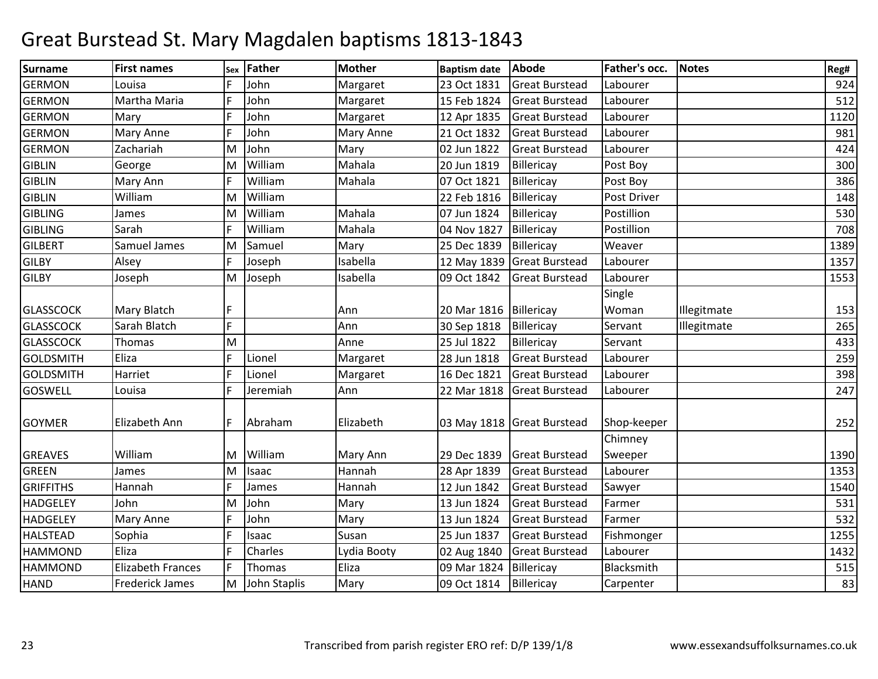| <b>Surname</b>   | <b>First names</b>       | Sex | <b>Father</b> | <b>Mother</b> | <b>Baptism date</b> | Abode                      | Father's occ. | <b>Notes</b> | Reg# |
|------------------|--------------------------|-----|---------------|---------------|---------------------|----------------------------|---------------|--------------|------|
| <b>GERMON</b>    | Louisa                   |     | John          | Margaret      | 23 Oct 1831         | <b>Great Burstead</b>      | Labourer      |              | 924  |
| <b>GERMON</b>    | Martha Maria             | E   | John          | Margaret      | 15 Feb 1824         | <b>Great Burstead</b>      | Labourer      |              | 512  |
| <b>GERMON</b>    | Mary                     | E   | John          | Margaret      | 12 Apr 1835         | <b>Great Burstead</b>      | Labourer      |              | 1120 |
| <b>GERMON</b>    | Mary Anne                |     | John          | Mary Anne     | 21 Oct 1832         | <b>Great Burstead</b>      | Labourer      |              | 981  |
| <b>GERMON</b>    | Zachariah                | M   | John          | Mary          | 02 Jun 1822         | <b>Great Burstead</b>      | Labourer      |              | 424  |
| <b>GIBLIN</b>    | George                   | M   | William       | Mahala        | 20 Jun 1819         | Billericay                 | Post Boy      |              | 300  |
| <b>GIBLIN</b>    | Mary Ann                 | E   | William       | Mahala        | 07 Oct 1821         | Billericay                 | Post Boy      |              | 386  |
| <b>GIBLIN</b>    | William                  | M   | William       |               | 22 Feb 1816         | Billericay                 | Post Driver   |              | 148  |
| <b>GIBLING</b>   | James                    | M   | William       | Mahala        | 07 Jun 1824         | Billericay                 | Postillion    |              | 530  |
| <b>GIBLING</b>   | Sarah                    | I۵  | William       | Mahala        | 04 Nov 1827         | Billericay                 | Postillion    |              | 708  |
| <b>GILBERT</b>   | Samuel James             | lΜ  | Samuel        | Mary          | 25 Dec 1839         | Billericay                 | Weaver        |              | 1389 |
| <b>GILBY</b>     | Alsey                    | E   | Joseph        | Isabella      | 12 May 1839         | <b>Great Burstead</b>      | Labourer      |              | 1357 |
| <b>GILBY</b>     | Joseph                   | M   | Joseph        | Isabella      | 09 Oct 1842         | <b>Great Burstead</b>      | Labourer      |              | 1553 |
|                  |                          |     |               |               |                     |                            | Single        |              |      |
| <b>GLASSCOCK</b> | <b>Mary Blatch</b>       | F   |               | Ann           | 20 Mar 1816         | Billericay                 | Woman         | Illegitmate  | 153  |
| <b>GLASSCOCK</b> | Sarah Blatch             | F   |               | Ann           | 30 Sep 1818         | Billericay                 | Servant       | Illegitmate  | 265  |
| <b>GLASSCOCK</b> | <b>Thomas</b>            | M   |               | Anne          | 25 Jul 1822         | Billericay                 | Servant       |              | 433  |
| <b>GOLDSMITH</b> | Eliza                    | E   | Lionel        | Margaret      | 28 Jun 1818         | <b>Great Burstead</b>      | Labourer      |              | 259  |
| <b>GOLDSMITH</b> | Harriet                  |     | Lionel        | Margaret      | 16 Dec 1821         | <b>Great Burstead</b>      | Labourer      |              | 398  |
| <b>GOSWELL</b>   | Louisa                   | IF  | Jeremiah      | Ann           | 22 Mar 1818         | <b>Great Burstead</b>      | Labourer      |              | 247  |
|                  |                          |     |               |               |                     |                            |               |              |      |
| <b>GOYMER</b>    | Elizabeth Ann            | F   | Abraham       | Elizabeth     |                     | 03 May 1818 Great Burstead | Shop-keeper   |              | 252  |
|                  |                          |     |               |               |                     |                            | Chimney       |              |      |
| <b>GREAVES</b>   | William                  | M   | William       | Mary Ann      | 29 Dec 1839         | <b>Great Burstead</b>      | Sweeper       |              | 1390 |
| <b>GREEN</b>     | James                    | M   | Isaac         | Hannah        | 28 Apr 1839         | <b>Great Burstead</b>      | Labourer      |              | 1353 |
| <b>GRIFFITHS</b> | Hannah                   | F   | James         | Hannah        | 12 Jun 1842         | <b>Great Burstead</b>      | Sawyer        |              | 1540 |
| <b>HADGELEY</b>  | John                     | M   | John          | Mary          | 13 Jun 1824         | <b>Great Burstead</b>      | Farmer        |              | 531  |
| <b>HADGELEY</b>  | <b>Mary Anne</b>         | ١F  | John          | Mary          | 13 Jun 1824         | <b>Great Burstead</b>      | Farmer        |              | 532  |
| <b>HALSTEAD</b>  | Sophia                   |     | Isaac         | Susan         | 25 Jun 1837         | <b>Great Burstead</b>      | Fishmonger    |              | 1255 |
| <b>HAMMOND</b>   | Eliza                    |     | Charles       | Lydia Booty   | 02 Aug 1840         | <b>Great Burstead</b>      | Labourer      |              | 1432 |
| <b>HAMMOND</b>   | <b>Elizabeth Frances</b> | F   | Thomas        | Eliza         | 09 Mar 1824         | Billericay                 | Blacksmith    |              | 515  |
| <b>HAND</b>      | <b>Frederick James</b>   | M   | John Staplis  | Mary          | 09 Oct 1814         | Billericay                 | Carpenter     |              | 83   |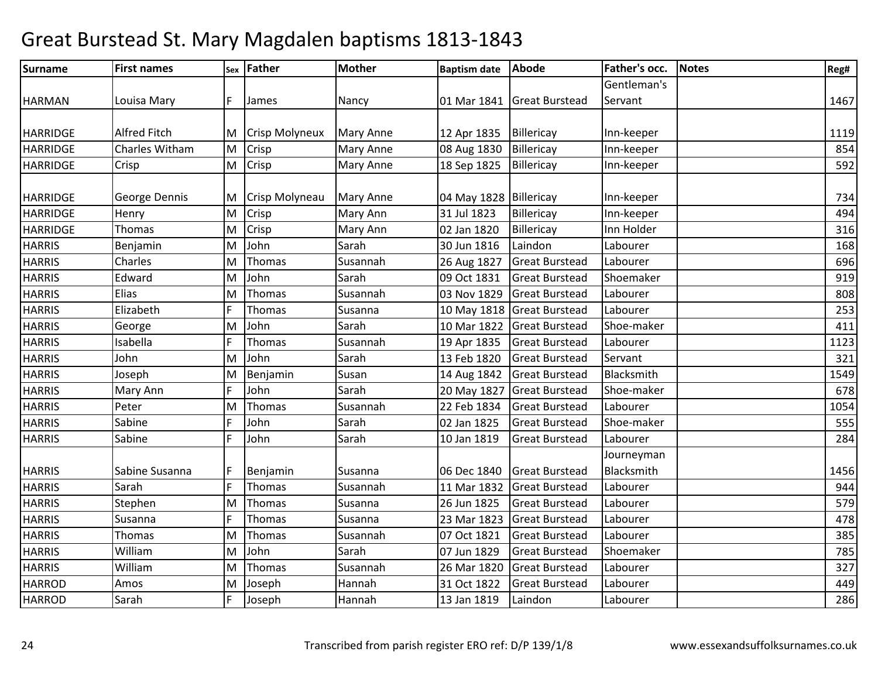| <b>Surname</b>  | <b>First names</b>   |    | sex Father            | <b>Mother</b>    | <b>Baptism date</b>    | <b>Abode</b>               | Father's occ.            | <b>Notes</b> | Reg# |
|-----------------|----------------------|----|-----------------------|------------------|------------------------|----------------------------|--------------------------|--------------|------|
|                 |                      |    |                       |                  |                        |                            | Gentleman's              |              |      |
| <b>HARMAN</b>   | Louisa Mary          | F  | James                 | Nancy            |                        | 01 Mar 1841 Great Burstead | Servant                  |              | 1467 |
|                 |                      |    |                       |                  |                        |                            |                          |              |      |
| <b>HARRIDGE</b> | <b>Alfred Fitch</b>  | M  | <b>Crisp Molyneux</b> | <b>Mary Anne</b> | 12 Apr 1835            | Billericay                 | Inn-keeper               |              | 1119 |
| <b>HARRIDGE</b> | Charles Witham       | M  | Crisp                 | Mary Anne        | 08 Aug 1830            | Billericay                 | Inn-keeper               |              | 854  |
| <b>HARRIDGE</b> | Crisp                | M  | Crisp                 | Mary Anne        | 18 Sep 1825            | Billericay                 | Inn-keeper               |              | 592  |
| <b>HARRIDGE</b> | <b>George Dennis</b> |    | <b>Crisp Molyneau</b> | Mary Anne        | 04 May 1828 Billericay |                            | Inn-keeper               |              | 734  |
| <b>HARRIDGE</b> | Henry                | M  | Crisp                 | Mary Ann         | 31 Jul 1823            | Billericay                 | Inn-keeper               |              | 494  |
| <b>HARRIDGE</b> | Thomas               | M  | Crisp                 | Mary Ann         | 02 Jan 1820            | Billericay                 | Inn Holder               |              | 316  |
| <b>HARRIS</b>   | Benjamin             | M  | John                  | Sarah            | 30 Jun 1816            | Laindon                    | Labourer                 |              | 168  |
| <b>HARRIS</b>   | Charles              | M  | Thomas                | Susannah         | 26 Aug 1827            | <b>Great Burstead</b>      | Labourer                 |              | 696  |
| <b>HARRIS</b>   | Edward               | M  | John                  | Sarah            | 09 Oct 1831            | <b>Great Burstead</b>      | Shoemaker                |              | 919  |
| <b>HARRIS</b>   | Elias                | M  | Thomas                | Susannah         | 03 Nov 1829            | <b>Great Burstead</b>      | Labourer                 |              | 808  |
| <b>HARRIS</b>   | Elizabeth            | F  | Thomas                | Susanna          | 10 May 1818            | <b>Great Burstead</b>      | Labourer                 |              | 253  |
| <b>HARRIS</b>   | George               | M  | John                  | Sarah            | 10 Mar 1822            | <b>Great Burstead</b>      | Shoe-maker               |              | 411  |
| <b>HARRIS</b>   | Isabella             |    | Thomas                | Susannah         | 19 Apr 1835            | <b>Great Burstead</b>      | Labourer                 |              | 1123 |
| <b>HARRIS</b>   | John                 | M  | John                  | Sarah            | 13 Feb 1820            | <b>Great Burstead</b>      | Servant                  |              | 321  |
| <b>HARRIS</b>   | Joseph               | M  | Benjamin              | Susan            | 14 Aug 1842            | <b>Great Burstead</b>      | Blacksmith               |              | 1549 |
| <b>HARRIS</b>   | Mary Ann             | F  | John                  | Sarah            | 20 May 1827            | <b>Great Burstead</b>      | Shoe-maker               |              | 678  |
| <b>HARRIS</b>   | Peter                | M  | Thomas                | Susannah         | 22 Feb 1834            | <b>Great Burstead</b>      | Labourer                 |              | 1054 |
| <b>HARRIS</b>   | Sabine               |    | John                  | Sarah            | 02 Jan 1825            | <b>Great Burstead</b>      | Shoe-maker               |              | 555  |
| <b>HARRIS</b>   | Sabine               | E  | John                  | Sarah            | 10 Jan 1819            | <b>Great Burstead</b>      | Labourer                 |              | 284  |
| <b>HARRIS</b>   | Sabine Susanna       |    | Benjamin              | Susanna          | 06 Dec 1840            | <b>Great Burstead</b>      | Journeyman<br>Blacksmith |              | 1456 |
| <b>HARRIS</b>   | Sarah                | F  | Thomas                | Susannah         | 11 Mar 1832            | <b>Great Burstead</b>      | Labourer                 |              | 944  |
| <b>HARRIS</b>   | Stephen              | M  | Thomas                | Susanna          | 26 Jun 1825            | <b>Great Burstead</b>      | Labourer                 |              | 579  |
| <b>HARRIS</b>   | Susanna              | ١F | Thomas                | Susanna          | 23 Mar 1823            | <b>Great Burstead</b>      | Labourer                 |              | 478  |
| <b>HARRIS</b>   | Thomas               | M  | Thomas                | Susannah         | 07 Oct 1821            | <b>Great Burstead</b>      | Labourer                 |              | 385  |
| <b>HARRIS</b>   | William              | M  | John                  | Sarah            | 07 Jun 1829            | <b>Great Burstead</b>      | Shoemaker                |              | 785  |
| <b>HARRIS</b>   | William              | M  | Thomas                | Susannah         | 26 Mar 1820            | <b>Great Burstead</b>      | Labourer                 |              | 327  |
| <b>HARROD</b>   | Amos                 | M  | Joseph                | Hannah           | 31 Oct 1822            | <b>Great Burstead</b>      | Labourer                 |              | 449  |
| <b>HARROD</b>   | Sarah                | F  | Joseph                | Hannah           | 13 Jan 1819            | Laindon                    | Labourer                 |              | 286  |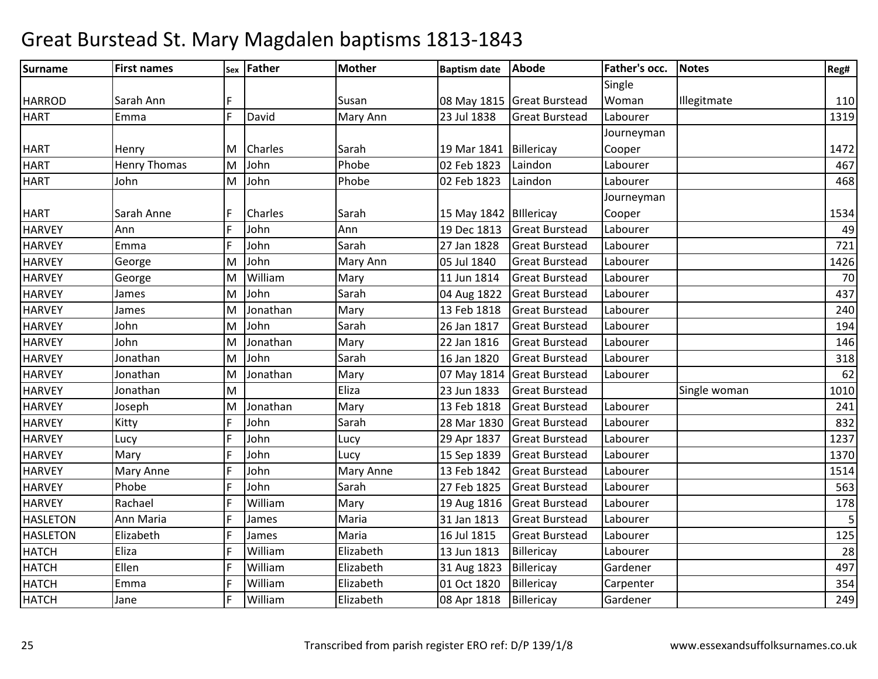| <b>Surname</b>  | <b>First names</b>  |   | sex Father | <b>Mother</b> | <b>Baptism date</b>      | Abode                      | Father's occ. | <b>Notes</b> | Reg# |
|-----------------|---------------------|---|------------|---------------|--------------------------|----------------------------|---------------|--------------|------|
|                 |                     |   |            |               |                          |                            | Single        |              |      |
| <b>HARROD</b>   | Sarah Ann           | F |            | Susan         |                          | 08 May 1815 Great Burstead | Woman         | Illegitmate  | 110  |
| <b>HART</b>     | Emma                | F | David      | Mary Ann      | 23 Jul 1838              | <b>Great Burstead</b>      | Labourer      |              | 1319 |
|                 |                     |   |            |               |                          |                            | Journeyman    |              |      |
| <b>HART</b>     | Henry               | M | Charles    | Sarah         | 19 Mar 1841 Billericay   |                            | Cooper        |              | 1472 |
| <b>HART</b>     | <b>Henry Thomas</b> | M | John       | Phobe         | 02 Feb 1823              | Laindon                    | Labourer      |              | 467  |
| <b>HART</b>     | John                | M | John       | Phobe         | 02 Feb 1823              | Laindon                    | Labourer      |              | 468  |
|                 |                     |   |            |               |                          |                            | Journeyman    |              |      |
| <b>HART</b>     | Sarah Anne          |   | Charles    | Sarah         | 15 May 1842   Billericay |                            | Cooper        |              | 1534 |
| <b>HARVEY</b>   | Ann                 | F | John       | Ann           | 19 Dec 1813              | <b>Great Burstead</b>      | Labourer      |              | 49   |
| <b>HARVEY</b>   | Emma                | F | John       | Sarah         | 27 Jan 1828              | <b>Great Burstead</b>      | Labourer      |              | 721  |
| <b>HARVEY</b>   | George              | M | John       | Mary Ann      | 05 Jul 1840              | <b>Great Burstead</b>      | Labourer      |              | 1426 |
| <b>HARVEY</b>   | George              | M | William    | Mary          | 11 Jun 1814              | <b>Great Burstead</b>      | Labourer      |              | 70   |
| <b>HARVEY</b>   | James               | M | John       | Sarah         | 04 Aug 1822              | <b>Great Burstead</b>      | Labourer      |              | 437  |
| <b>HARVEY</b>   | James               | M | Jonathan   | Mary          | 13 Feb 1818              | <b>Great Burstead</b>      | Labourer      |              | 240  |
| <b>HARVEY</b>   | John                | M | John       | Sarah         | 26 Jan 1817              | <b>Great Burstead</b>      | Labourer      |              | 194  |
| <b>HARVEY</b>   | John                | M | Jonathan   | Mary          | 22 Jan 1816              | <b>Great Burstead</b>      | Labourer      |              | 146  |
| <b>HARVEY</b>   | Jonathan            | M | John       | Sarah         | 16 Jan 1820              | <b>Great Burstead</b>      | Labourer      |              | 318  |
| <b>HARVEY</b>   | Jonathan            | M | Jonathan   | Mary          | 07 May 1814              | <b>Great Burstead</b>      | Labourer      |              | 62   |
| <b>HARVEY</b>   | Jonathan            | M |            | Eliza         | 23 Jun 1833              | <b>Great Burstead</b>      |               | Single woman | 1010 |
| <b>HARVEY</b>   | Joseph              | M | Jonathan   | Mary          | 13 Feb 1818              | <b>Great Burstead</b>      | Labourer      |              | 241  |
| <b>HARVEY</b>   | Kitty               | F | John       | Sarah         | 28 Mar 1830              | <b>Great Burstead</b>      | Labourer      |              | 832  |
| <b>HARVEY</b>   | Lucy                | F | John       | Lucy          | 29 Apr 1837              | <b>Great Burstead</b>      | Labourer      |              | 1237 |
| <b>HARVEY</b>   | Mary                | F | John       | Lucy          | 15 Sep 1839              | <b>Great Burstead</b>      | Labourer      |              | 1370 |
| <b>HARVEY</b>   | Mary Anne           |   | John       | Mary Anne     | 13 Feb 1842              | <b>Great Burstead</b>      | Labourer      |              | 1514 |
| <b>HARVEY</b>   | Phobe               | F | John       | Sarah         | 27 Feb 1825              | <b>Great Burstead</b>      | Labourer      |              | 563  |
| <b>HARVEY</b>   | Rachael             | F | William    | Mary          | 19 Aug 1816              | <b>Great Burstead</b>      | Labourer      |              | 178  |
| <b>HASLETON</b> | Ann Maria           |   | James      | Maria         | 31 Jan 1813              | <b>Great Burstead</b>      | Labourer      |              | 5    |
| <b>HASLETON</b> | Elizabeth           | F | James      | Maria         | 16 Jul 1815              | <b>Great Burstead</b>      | Labourer      |              | 125  |
| <b>HATCH</b>    | Eliza               | F | William    | Elizabeth     | 13 Jun 1813              | Billericay                 | Labourer      |              | 28   |
| <b>HATCH</b>    | Ellen               | F | William    | Elizabeth     | 31 Aug 1823              | Billericay                 | Gardener      |              | 497  |
| <b>HATCH</b>    | Emma                | F | William    | Elizabeth     | 01 Oct 1820              | Billericay                 | Carpenter     |              | 354  |
| <b>HATCH</b>    | Jane                | F | William    | Elizabeth     | 08 Apr 1818              | Billericay                 | Gardener      |              | 249  |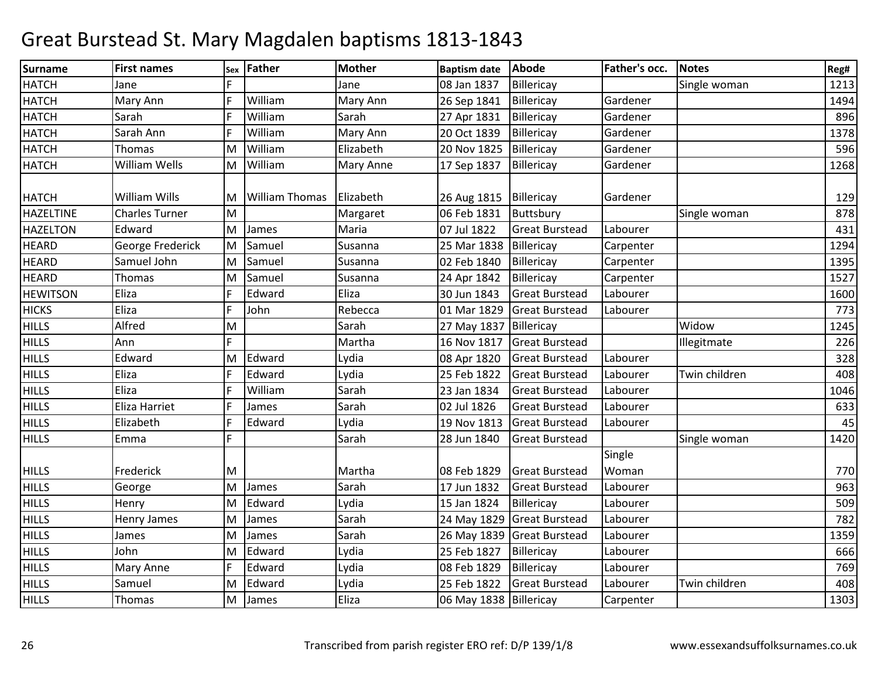| <b>Surname</b>   | <b>First names</b>    | Sex | Father                | <b>Mother</b> | <b>Baptism date</b>    | Abode                      | Father's occ.   | <b>Notes</b>  | Reg# |
|------------------|-----------------------|-----|-----------------------|---------------|------------------------|----------------------------|-----------------|---------------|------|
| <b>HATCH</b>     | Jane                  |     |                       | Jane          | 08 Jan 1837            | Billericay                 |                 | Single woman  | 1213 |
| <b>HATCH</b>     | Mary Ann              | F   | William               | Mary Ann      | 26 Sep 1841            | Billericay                 | Gardener        |               | 1494 |
| <b>HATCH</b>     | Sarah                 | F   | William               | Sarah         | 27 Apr 1831            | Billericay                 | Gardener        |               | 896  |
| <b>HATCH</b>     | Sarah Ann             | F   | William               | Mary Ann      | 20 Oct 1839            | Billericay                 | Gardener        |               | 1378 |
| <b>HATCH</b>     | <b>Thomas</b>         | M   | William               | Elizabeth     | 20 Nov 1825            | Billericay                 | Gardener        |               | 596  |
| <b>HATCH</b>     | <b>William Wells</b>  | M   | William               | Mary Anne     | 17 Sep 1837            | Billericay                 | Gardener        |               | 1268 |
| <b>HATCH</b>     | William Wills         | M   | <b>William Thomas</b> | Elizabeth     | 26 Aug 1815            | Billericay                 | Gardener        |               | 129  |
| <b>HAZELTINE</b> | <b>Charles Turner</b> | M   |                       | Margaret      | 06 Feb 1831            | Buttsbury                  |                 | Single woman  | 878  |
| <b>HAZELTON</b>  | Edward                | M   | James                 | Maria         | 07 Jul 1822            | <b>Great Burstead</b>      | Labourer        |               | 431  |
| <b>HEARD</b>     | George Frederick      | M   | Samuel                | Susanna       | 25 Mar 1838            | Billericay                 | Carpenter       |               | 1294 |
| <b>HEARD</b>     | Samuel John           | M   | Samuel                | Susanna       | 02 Feb 1840            | Billericay                 | Carpenter       |               | 1395 |
| <b>HEARD</b>     | <b>Thomas</b>         | M   | Samuel                | Susanna       | 24 Apr 1842            | Billericay                 | Carpenter       |               | 1527 |
| <b>HEWITSON</b>  | Eliza                 | E   | Edward                | Eliza         | 30 Jun 1843            | <b>Great Burstead</b>      | Labourer        |               | 1600 |
| <b>HICKS</b>     | Eliza                 | E   | John                  | Rebecca       | 01 Mar 1829            | <b>Great Burstead</b>      | Labourer        |               | 773  |
| <b>HILLS</b>     | Alfred                | M   |                       | Sarah         | 27 May 1837            | Billericay                 |                 | Widow         | 1245 |
| <b>HILLS</b>     | Ann                   | E   |                       | Martha        | 16 Nov 1817            | <b>Great Burstead</b>      |                 | Illegitmate   | 226  |
| <b>HILLS</b>     | Edward                | M   | Edward                | Lydia         | 08 Apr 1820            | <b>Great Burstead</b>      | Labourer        |               | 328  |
| <b>HILLS</b>     | Eliza                 | F   | Edward                | Lydia         | 25 Feb 1822            | <b>Great Burstead</b>      | Labourer        | Twin children | 408  |
| <b>HILLS</b>     | Eliza                 | E   | William               | Sarah         | 23 Jan 1834            | <b>Great Burstead</b>      | Labourer        |               | 1046 |
| <b>HILLS</b>     | Eliza Harriet         | l F | James                 | Sarah         | 02 Jul 1826            | <b>Great Burstead</b>      | Labourer        |               | 633  |
| <b>HILLS</b>     | Elizabeth             | F   | Edward                | Lydia         | 19 Nov 1813            | <b>Great Burstead</b>      | Labourer        |               | 45   |
| <b>HILLS</b>     | Emma                  | E   |                       | Sarah         | 28 Jun 1840            | <b>Great Burstead</b>      |                 | Single woman  | 1420 |
| <b>HILLS</b>     | Frederick             | M   |                       | Martha        | 08 Feb 1829            | <b>Great Burstead</b>      | Single<br>Woman |               | 770  |
| <b>HILLS</b>     | George                | M   | James                 | Sarah         | 17 Jun 1832            | <b>Great Burstead</b>      | Labourer        |               | 963  |
| <b>HILLS</b>     | Henry                 | M   | Edward                | Lydia         | 15 Jan 1824            | Billericay                 | Labourer        |               | 509  |
| <b>HILLS</b>     | Henry James           | M   | James                 | Sarah         | 24 May 1829            | <b>Great Burstead</b>      | Labourer        |               | 782  |
| <b>HILLS</b>     | James                 | M   | James                 | Sarah         |                        | 26 May 1839 Great Burstead | Labourer        |               | 1359 |
| <b>HILLS</b>     | John                  | M   | Edward                | Lydia         | 25 Feb 1827            | Billericay                 | Labourer        |               | 666  |
| <b>HILLS</b>     | Mary Anne             | F   | Edward                | Lydia         | 08 Feb 1829            | Billericay                 | Labourer        |               | 769  |
| <b>HILLS</b>     | Samuel                | M   | Edward                | Lydia         | 25 Feb 1822            | <b>Great Burstead</b>      | Labourer        | Twin children | 408  |
| <b>HILLS</b>     | Thomas                | M   | James                 | Eliza         | 06 May 1838 Billericay |                            | Carpenter       |               | 1303 |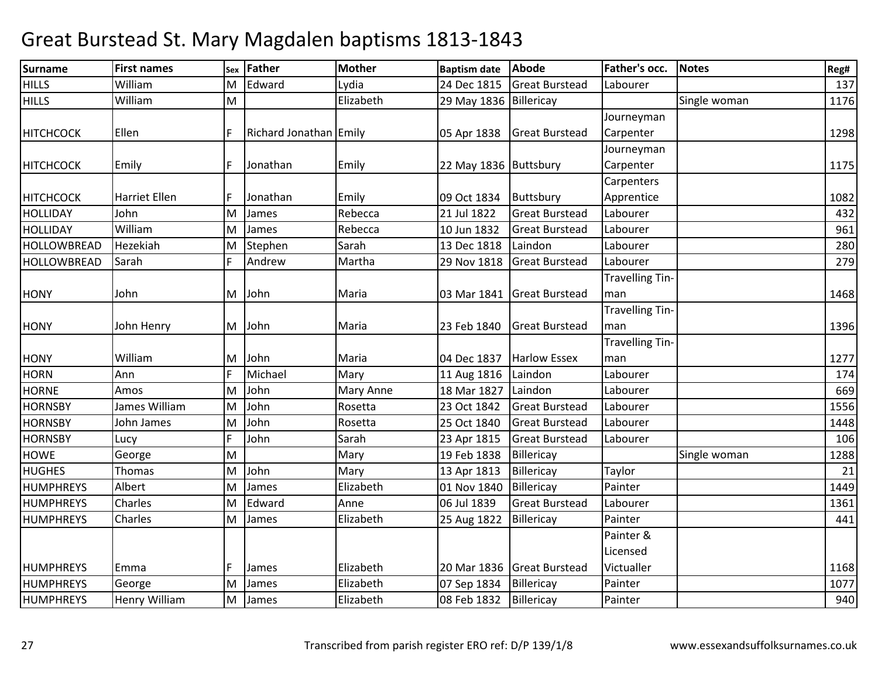| <b>Surname</b>     | <b>First names</b>   | Sex | <b>Father</b>          | <b>Mother</b> | <b>Baptism date</b>    | Abode                      | Father's occ.          | Notes        | Reg# |
|--------------------|----------------------|-----|------------------------|---------------|------------------------|----------------------------|------------------------|--------------|------|
| <b>HILLS</b>       | William              | M   | Edward                 | Lydia         | 24 Dec 1815            | <b>Great Burstead</b>      | Labourer               |              | 137  |
| <b>HILLS</b>       | William              | M   |                        | Elizabeth     | 29 May 1836 Billericay |                            |                        | Single woman | 1176 |
|                    |                      |     |                        |               |                        |                            | Journeyman             |              |      |
| <b>HITCHCOCK</b>   | Ellen                |     | Richard Jonathan Emily |               | 05 Apr 1838            | <b>Great Burstead</b>      | Carpenter              |              | 1298 |
|                    |                      |     |                        |               |                        |                            | Journeyman             |              |      |
| <b>HITCHCOCK</b>   | Emily                |     | Jonathan               | Emily         | 22 May 1836 Buttsbury  |                            | Carpenter              |              | 1175 |
|                    |                      |     |                        |               |                        |                            | Carpenters             |              |      |
| <b>HITCHCOCK</b>   | Harriet Ellen        |     | Jonathan               | Emily         | 09 Oct 1834            | Buttsbury                  | Apprentice             |              | 1082 |
| <b>HOLLIDAY</b>    | John                 | M   | James                  | Rebecca       | 21 Jul 1822            | <b>Great Burstead</b>      | Labourer               |              | 432  |
| <b>HOLLIDAY</b>    | William              | M   | James                  | Rebecca       | 10 Jun 1832            | <b>Great Burstead</b>      | Labourer               |              | 961  |
| <b>HOLLOWBREAD</b> | Hezekiah             | M   | Stephen                | Sarah         | 13 Dec 1818            | Laindon                    | Labourer               |              | 280  |
| <b>HOLLOWBREAD</b> | Sarah                |     | Andrew                 | Martha        | 29 Nov 1818            | <b>Great Burstead</b>      | Labourer               |              | 279  |
|                    |                      |     |                        |               |                        |                            | <b>Travelling Tin-</b> |              |      |
| <b>HONY</b>        | John                 |     | M John                 | Maria         |                        | 03 Mar 1841 Great Burstead | man                    |              | 1468 |
|                    |                      |     |                        |               |                        |                            | <b>Travelling Tin-</b> |              |      |
| <b>HONY</b>        | John Henry           |     | M John                 | Maria         | 23 Feb 1840            | <b>Great Burstead</b>      | man                    |              | 1396 |
|                    |                      |     |                        |               |                        |                            | <b>Travelling Tin-</b> |              |      |
| <b>HONY</b>        | William              |     | M John                 | Maria         | 04 Dec 1837            | <b>Harlow Essex</b>        | man                    |              | 1277 |
| <b>HORN</b>        | Ann                  |     | Michael                | Mary          | 11 Aug 1816            | Laindon                    | Labourer               |              | 174  |
| <b>HORNE</b>       | Amos                 | M   | John                   | Mary Anne     | 18 Mar 1827            | Laindon                    | Labourer               |              | 669  |
| <b>HORNSBY</b>     | James William        | M   | John                   | Rosetta       | 23 Oct 1842            | <b>Great Burstead</b>      | Labourer               |              | 1556 |
| <b>HORNSBY</b>     | John James           | M   | John                   | Rosetta       | 25 Oct 1840            | <b>Great Burstead</b>      | Labourer               |              | 1448 |
| <b>HORNSBY</b>     | Lucy                 |     | John                   | Sarah         | 23 Apr 1815            | <b>Great Burstead</b>      | Labourer               |              | 106  |
| <b>HOWE</b>        | George               | M   |                        | Mary          | 19 Feb 1838            | Billericay                 |                        | Single woman | 1288 |
| <b>HUGHES</b>      | Thomas               | M   | John                   | Mary          | 13 Apr 1813            | Billericay                 | Taylor                 |              | 21   |
| <b>HUMPHREYS</b>   | Albert               | M   | James                  | Elizabeth     | 01 Nov 1840            | Billericay                 | Painter                |              | 1449 |
| <b>HUMPHREYS</b>   | Charles              | M   | Edward                 | Anne          | 06 Jul 1839            | <b>Great Burstead</b>      | Labourer               |              | 1361 |
| <b>HUMPHREYS</b>   | Charles              | M   | James                  | Elizabeth     | 25 Aug 1822            | Billericay                 | Painter                |              | 441  |
|                    |                      |     |                        |               |                        |                            | Painter &              |              |      |
|                    |                      |     |                        |               |                        |                            | Licensed               |              |      |
| <b>HUMPHREYS</b>   | Emma                 |     | James                  | Elizabeth     |                        | 20 Mar 1836 Great Burstead | Victualler             |              | 1168 |
| <b>HUMPHREYS</b>   | George               | M   | James                  | Elizabeth     | 07 Sep 1834            | Billericay                 | Painter                |              | 1077 |
| <b>HUMPHREYS</b>   | <b>Henry William</b> |     | M James                | Elizabeth     | 08 Feb 1832            | Billericay                 | Painter                |              | 940  |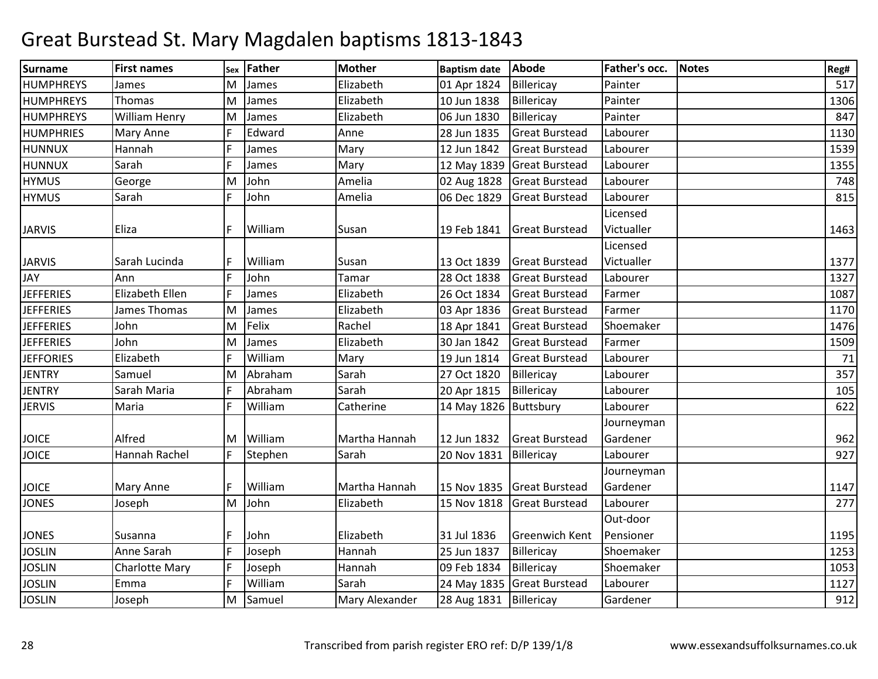| Surname          | <b>First names</b>    | Sex | <b>Father</b> | <b>Mother</b>  | <b>Baptism date</b>      | <b>Abode</b>               | Father's occ. | <b>Notes</b> | Reg# |
|------------------|-----------------------|-----|---------------|----------------|--------------------------|----------------------------|---------------|--------------|------|
| <b>HUMPHREYS</b> | James                 | M   | James         | Elizabeth      | 01 Apr 1824              | Billericay                 | Painter       |              | 517  |
| <b>HUMPHREYS</b> | Thomas                | M   | James         | Elizabeth      | 10 Jun 1838              | Billericay                 | Painter       |              | 1306 |
| <b>HUMPHREYS</b> | <b>William Henry</b>  | M   | James         | Elizabeth      | 06 Jun 1830              | Billericay                 | Painter       |              | 847  |
| <b>HUMPHRIES</b> | Mary Anne             |     | Edward        | Anne           | 28 Jun 1835              | <b>Great Burstead</b>      | Labourer      |              | 1130 |
| <b>HUNNUX</b>    | Hannah                | IF  | James         | Mary           | 12 Jun 1842              | <b>Great Burstead</b>      | Labourer      |              | 1539 |
| <b>HUNNUX</b>    | Sarah                 |     | James         | Mary           |                          | 12 May 1839 Great Burstead | Labourer      |              | 1355 |
| <b>HYMUS</b>     | George                | M   | John          | Amelia         | 02 Aug 1828              | <b>Great Burstead</b>      | Labourer      |              | 748  |
| <b>HYMUS</b>     | Sarah                 |     | John          | Amelia         | 06 Dec 1829              | <b>Great Burstead</b>      | Labourer      |              | 815  |
|                  |                       |     |               |                |                          |                            | Licensed      |              |      |
| <b>JARVIS</b>    | Eliza                 |     | William       | Susan          | 19 Feb 1841              | <b>Great Burstead</b>      | Victualler    |              | 1463 |
|                  |                       |     |               |                |                          |                            | Licensed      |              |      |
| <b>JARVIS</b>    | Sarah Lucinda         |     | William       | Susan          | 13 Oct 1839              | <b>Great Burstead</b>      | Victualler    |              | 1377 |
| <b>JAY</b>       | Ann                   | IF  | John          | Tamar          | 28 Oct 1838              | <b>Great Burstead</b>      | Labourer      |              | 1327 |
| <b>JEFFERIES</b> | Elizabeth Ellen       |     | James         | Elizabeth      | 26 Oct 1834              | <b>Great Burstead</b>      | Farmer        |              | 1087 |
| <b>JEFFERIES</b> | James Thomas          | ΙM  | James         | Elizabeth      | 03 Apr 1836              | <b>Great Burstead</b>      | Farmer        |              | 1170 |
| <b>JEFFERIES</b> | John                  | M   | Felix         | Rachel         | 18 Apr 1841              | <b>Great Burstead</b>      | Shoemaker     |              | 1476 |
| <b>JEFFERIES</b> | John                  | M   | James         | Elizabeth      | 30 Jan 1842              | <b>Great Burstead</b>      | Farmer        |              | 1509 |
| <b>JEFFORIES</b> | Elizabeth             |     | William       | Mary           | 19 Jun 1814              | <b>Great Burstead</b>      | Labourer      |              | 71   |
| <b>JENTRY</b>    | Samuel                | ΙM  | Abraham       | Sarah          | 27 Oct 1820              | Billericay                 | Labourer      |              | 357  |
| <b>JENTRY</b>    | Sarah Maria           |     | Abraham       | Sarah          | 20 Apr 1815              | Billericay                 | Labourer      |              | 105  |
| <b>JERVIS</b>    | Maria                 | IF  | William       | Catherine      | 14 May 1826 Buttsbury    |                            | Labourer      |              | 622  |
|                  |                       |     |               |                |                          |                            | Journeyman    |              |      |
| <b>JOICE</b>     | Alfred                | ΙM  | William       | Martha Hannah  | 12 Jun 1832              | <b>Great Burstead</b>      | Gardener      |              | 962  |
| <b>JOICE</b>     | Hannah Rachel         |     | Stephen       | Sarah          | 20 Nov 1831              | Billericay                 | Labourer      |              | 927  |
|                  |                       |     |               |                |                          |                            | Journeyman    |              |      |
| <b>JOICE</b>     | Mary Anne             |     | William       | Martha Hannah  |                          | 15 Nov 1835 Great Burstead | Gardener      |              | 1147 |
| <b>JONES</b>     | Joseph                | M   | John          | Elizabeth      | 15 Nov 1818              | <b>Great Burstead</b>      | Labourer      |              | 277  |
|                  |                       |     |               |                |                          |                            | Out-door      |              |      |
| <b>JONES</b>     | Susanna               |     | John          | Elizabeth      | 31 Jul 1836              | <b>Greenwich Kent</b>      | Pensioner     |              | 1195 |
| <b>JOSLIN</b>    | Anne Sarah            |     | Joseph        | Hannah         | 25 Jun 1837              | Billericay                 | Shoemaker     |              | 1253 |
| <b>JOSLIN</b>    | <b>Charlotte Mary</b> |     | Joseph        | Hannah         | 09 Feb 1834              | Billericay                 | Shoemaker     |              | 1053 |
| <b>JOSLIN</b>    | Emma                  | ΙF  | William       | Sarah          |                          | 24 May 1835 Great Burstead | Labourer      |              | 1127 |
| <b>JOSLIN</b>    | Joseph                | M   | Samuel        | Mary Alexander | 28 Aug 1831   Billericay |                            | Gardener      |              | 912  |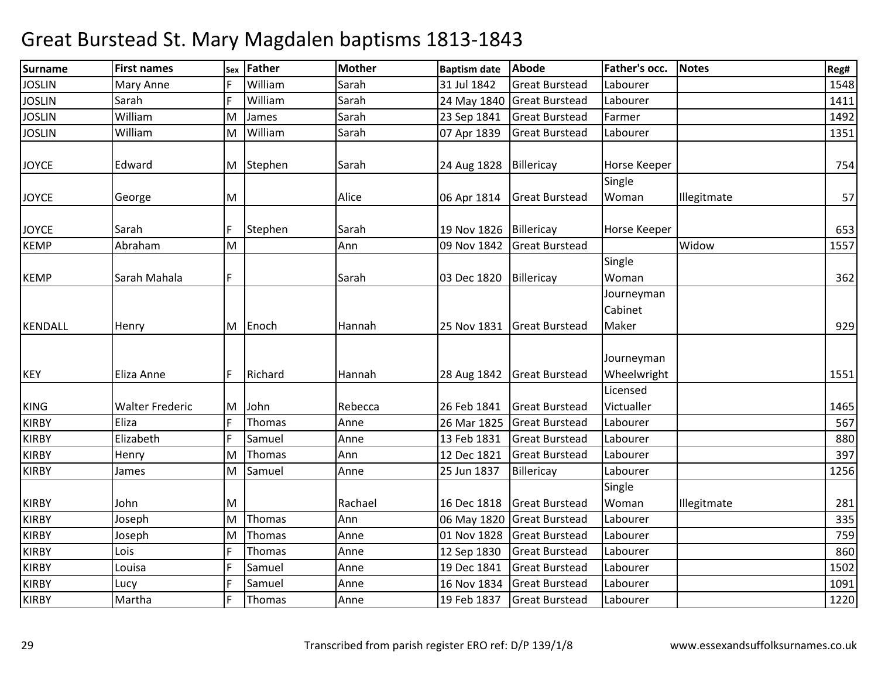| <b>Surname</b> | <b>First names</b>     |   | sex Father | <b>Mother</b> | <b>Baptism date</b> | <b>Abode</b>               | Father's occ.                  | <b>Notes</b> | Reg# |
|----------------|------------------------|---|------------|---------------|---------------------|----------------------------|--------------------------------|--------------|------|
| <b>JOSLIN</b>  | Mary Anne              |   | William    | Sarah         | 31 Jul 1842         | <b>Great Burstead</b>      | Labourer                       |              | 1548 |
| <b>JOSLIN</b>  | Sarah                  | F | William    | Sarah         | 24 May 1840         | <b>Great Burstead</b>      | Labourer                       |              | 1411 |
| <b>JOSLIN</b>  | William                | M | James      | Sarah         | 23 Sep 1841         | <b>Great Burstead</b>      | Farmer                         |              | 1492 |
| <b>JOSLIN</b>  | William                | M | William    | Sarah         | 07 Apr 1839         | <b>Great Burstead</b>      | Labourer                       |              | 1351 |
| <b>JOYCE</b>   | Edward                 |   | M Stephen  | Sarah         | 24 Aug 1828         | Billericay                 | Horse Keeper                   |              | 754  |
| <b>JOYCE</b>   | George                 | M |            | Alice         | 06 Apr 1814         | <b>Great Burstead</b>      | Single<br>Woman                | Illegitmate  | 57   |
| <b>JOYCE</b>   | Sarah                  | F | Stephen    | Sarah         | 19 Nov 1826         | Billericay                 | Horse Keeper                   |              | 653  |
| <b>KEMP</b>    | Abraham                | M |            | Ann           | 09 Nov 1842         | <b>Great Burstead</b>      |                                | Widow        | 1557 |
| <b>KEMP</b>    | Sarah Mahala           | F |            | Sarah         | 03 Dec 1820         | Billericay                 | Single<br>Woman                |              | 362  |
| <b>KENDALL</b> | Henry                  |   | M Enoch    | Hannah        | 25 Nov 1831         | <b>Great Burstead</b>      | Journeyman<br>Cabinet<br>Maker |              | 929  |
| <b>KEY</b>     | Eliza Anne             | F | Richard    | Hannah        |                     | 28 Aug 1842 Great Burstead | Journeyman<br>Wheelwright      |              | 1551 |
|                |                        |   |            |               |                     |                            | Licensed                       |              |      |
| <b>KING</b>    | <b>Walter Frederic</b> | M | John       | Rebecca       | 26 Feb 1841         | <b>Great Burstead</b>      | Victualler                     |              | 1465 |
| <b>KIRBY</b>   | Eliza                  | F | Thomas     | Anne          | 26 Mar 1825         | <b>Great Burstead</b>      | Labourer                       |              | 567  |
| <b>KIRBY</b>   | Elizabeth              | F | Samuel     | Anne          | 13 Feb 1831         | <b>Great Burstead</b>      | Labourer                       |              | 880  |
| <b>KIRBY</b>   | Henry                  | M | Thomas     | Ann           | 12 Dec 1821         | <b>Great Burstead</b>      | Labourer                       |              | 397  |
| <b>KIRBY</b>   | James                  | M | Samuel     | Anne          | 25 Jun 1837         | Billericay                 | Labourer                       |              | 1256 |
| <b>KIRBY</b>   | John                   | M |            | Rachael       | 16 Dec 1818         | <b>Great Burstead</b>      | Single<br>Woman                | Illegitmate  | 281  |
| <b>KIRBY</b>   | Joseph                 | M | Thomas     | Ann           | 06 May 1820         | <b>Great Burstead</b>      | Labourer                       |              | 335  |
| <b>KIRBY</b>   | Joseph                 | M | Thomas     | Anne          | 01 Nov 1828         | <b>Great Burstead</b>      | Labourer                       |              | 759  |
| <b>KIRBY</b>   | Lois                   | F | Thomas     | Anne          | 12 Sep 1830         | <b>Great Burstead</b>      | Labourer                       |              | 860  |
| <b>KIRBY</b>   | Louisa                 | F | Samuel     | Anne          | 19 Dec 1841         | <b>Great Burstead</b>      | Labourer                       |              | 1502 |
| <b>KIRBY</b>   | Lucy                   | F | Samuel     | Anne          | 16 Nov 1834         | <b>Great Burstead</b>      | Labourer                       |              | 1091 |
| <b>KIRBY</b>   | Martha                 | F | Thomas     | Anne          | 19 Feb 1837         | <b>Great Burstead</b>      | Labourer                       |              | 1220 |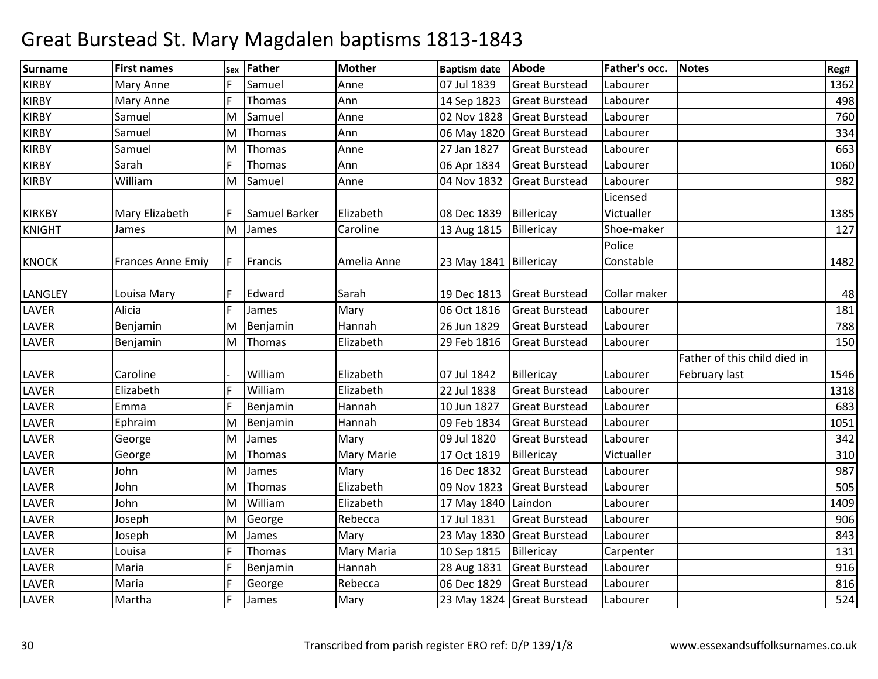| <b>Surname</b> | <b>First names</b>       | Sex | Father        | <b>Mother</b> | <b>Baptism date</b>    | <b>Abode</b>               | Father's occ. | <b>Notes</b>                 | Reg# |
|----------------|--------------------------|-----|---------------|---------------|------------------------|----------------------------|---------------|------------------------------|------|
| <b>KIRBY</b>   | Mary Anne                |     | Samuel        | Anne          | 07 Jul 1839            | <b>Great Burstead</b>      | Labourer      |                              | 1362 |
| <b>KIRBY</b>   | <b>Mary Anne</b>         | F   | Thomas        | Ann           | 14 Sep 1823            | <b>Great Burstead</b>      | Labourer      |                              | 498  |
| <b>KIRBY</b>   | Samuel                   | M   | Samuel        | Anne          | 02 Nov 1828            | <b>Great Burstead</b>      | Labourer      |                              | 760  |
| <b>KIRBY</b>   | Samuel                   | M   | Thomas        | Ann           | 06 May 1820            | <b>Great Burstead</b>      | Labourer      |                              | 334  |
| KIRBY          | Samuel                   | M   | Thomas        | Anne          | 27 Jan 1827            | <b>Great Burstead</b>      | Labourer      |                              | 663  |
| <b>KIRBY</b>   | Sarah                    | E   | Thomas        | Ann           | 06 Apr 1834            | <b>Great Burstead</b>      | Labourer      |                              | 1060 |
| <b>KIRBY</b>   | William                  | M   | Samuel        | Anne          | 04 Nov 1832            | <b>Great Burstead</b>      | Labourer      |                              | 982  |
|                |                          |     |               |               |                        |                            | Licensed      |                              |      |
| <b>KIRKBY</b>  | Mary Elizabeth           |     | Samuel Barker | Elizabeth     | 08 Dec 1839            | Billericay                 | Victualler    |                              | 1385 |
| <b>KNIGHT</b>  | James                    |     | M James       | Caroline      | 13 Aug 1815            | Billericay                 | Shoe-maker    |                              | 127  |
|                |                          |     |               |               |                        |                            | Police        |                              |      |
| <b>KNOCK</b>   | <b>Frances Anne Emiy</b> | F   | Francis       | Amelia Anne   | 23 May 1841 Billericay |                            | Constable     |                              | 1482 |
| LANGLEY        | Louisa Mary              |     | Edward        | Sarah         | 19 Dec 1813            | <b>Great Burstead</b>      | Collar maker  |                              | 48   |
| LAVER          | Alicia                   | F   | James         | Mary          | 06 Oct 1816            | <b>Great Burstead</b>      | Labourer      |                              | 181  |
| LAVER          | Benjamin                 | M   | Benjamin      | Hannah        | 26 Jun 1829            | <b>Great Burstead</b>      | Labourer      |                              | 788  |
| <b>LAVER</b>   | Benjamin                 |     | M Thomas      | Elizabeth     | 29 Feb 1816            | <b>Great Burstead</b>      | Labourer      |                              | 150  |
|                |                          |     |               |               |                        |                            |               | Father of this child died in |      |
| <b>LAVER</b>   | Caroline                 |     | William       | Elizabeth     | 07 Jul 1842            | Billericay                 | Labourer      | February last                | 1546 |
| LAVER          | Elizabeth                | F   | William       | Elizabeth     | 22 Jul 1838            | <b>Great Burstead</b>      | Labourer      |                              | 1318 |
| LAVER          | Emma                     | F   | Benjamin      | Hannah        | 10 Jun 1827            | <b>Great Burstead</b>      | Labourer      |                              | 683  |
| LAVER          | Ephraim                  | M   | Benjamin      | Hannah        | 09 Feb 1834            | <b>Great Burstead</b>      | Labourer      |                              | 1051 |
| <b>LAVER</b>   | George                   | M   | James         | Mary          | 09 Jul 1820            | <b>Great Burstead</b>      | Labourer      |                              | 342  |
| <b>LAVER</b>   | George                   | M   | Thomas        | Mary Marie    | 17 Oct 1819            | Billericay                 | Victualler    |                              | 310  |
| <b>LAVER</b>   | John                     | M   | James         | Mary          | 16 Dec 1832            | <b>Great Burstead</b>      | Labourer      |                              | 987  |
| LAVER          | John                     | M   | Thomas        | Elizabeth     | 09 Nov 1823            | <b>Great Burstead</b>      | Labourer      |                              | 505  |
| LAVER          | John                     | M   | William       | Elizabeth     | 17 May 1840            | Laindon                    | Labourer      |                              | 1409 |
| <b>LAVER</b>   | Joseph                   | M   | George        | Rebecca       | 17 Jul 1831            | <b>Great Burstead</b>      | Labourer      |                              | 906  |
| <b>LAVER</b>   | Joseph                   | M   | James         | Mary          | 23 May 1830            | <b>Great Burstead</b>      | Labourer      |                              | 843  |
| LAVER          | Louisa                   | F   | Thomas        | Mary Maria    | 10 Sep 1815            | Billericay                 | Carpenter     |                              | 131  |
| LAVER          | Maria                    | F   | Benjamin      | Hannah        | 28 Aug 1831            | <b>Great Burstead</b>      | Labourer      |                              | 916  |
| LAVER          | Maria                    | E   | George        | Rebecca       | 06 Dec 1829            | <b>Great Burstead</b>      | Labourer      |                              | 816  |
| LAVER          | Martha                   | F   | James         | Mary          |                        | 23 May 1824 Great Burstead | Labourer      |                              | 524  |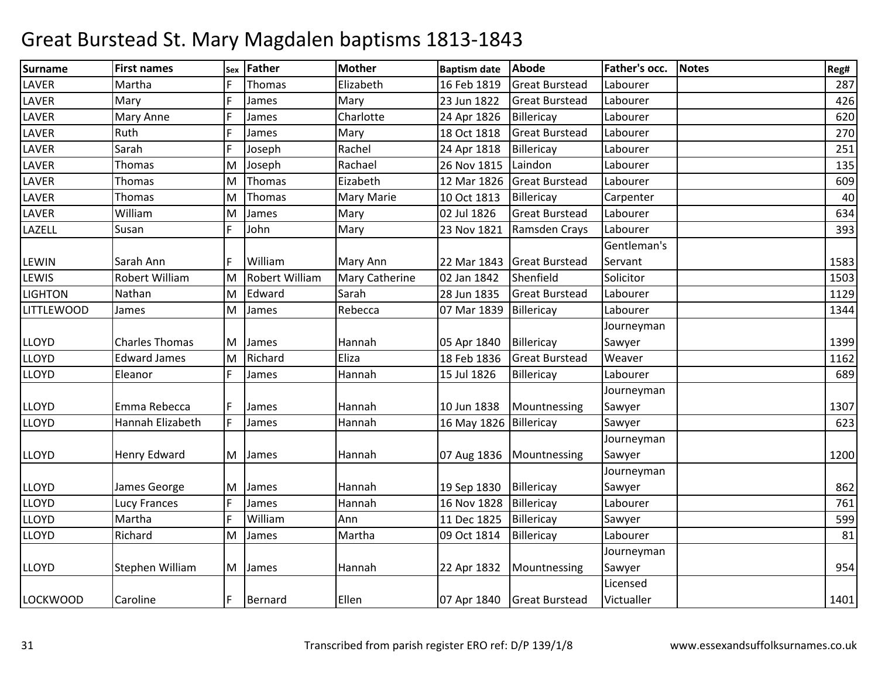| Surname           | <b>First names</b>    | Sex | <b>Father</b>         | <b>Mother</b>         | <b>Baptism date</b>    | Abode                      | Father's occ. | <b>Notes</b> | Reg# |
|-------------------|-----------------------|-----|-----------------------|-----------------------|------------------------|----------------------------|---------------|--------------|------|
| LAVER             | Martha                |     | Thomas                | Elizabeth             | 16 Feb 1819            | <b>Great Burstead</b>      | Labourer      |              | 287  |
| LAVER             | Mary                  | F   | James                 | Mary                  | 23 Jun 1822            | <b>Great Burstead</b>      | Labourer      |              | 426  |
| <b>LAVER</b>      | <b>Mary Anne</b>      |     | James                 | Charlotte             | 24 Apr 1826            | Billericay                 | Labourer      |              | 620  |
| <b>LAVER</b>      | Ruth                  |     | James                 | Mary                  | 18 Oct 1818            | <b>Great Burstead</b>      | Labourer      |              | 270  |
| LAVER             | Sarah                 | F   | Joseph                | Rachel                | 24 Apr 1818            | Billericay                 | Labourer      |              | 251  |
| LAVER             | Thomas                | M   | Joseph                | Rachael               | 26 Nov 1815            | Laindon                    | Labourer      |              | 135  |
| <b>LAVER</b>      | <b>Thomas</b>         | lм  | Thomas                | Eizabeth              | 12 Mar 1826            | <b>Great Burstead</b>      | Labourer      |              | 609  |
| <b>LAVER</b>      | Thomas                | M   | Thomas                | <b>Mary Marie</b>     | 10 Oct 1813            | Billericay                 | Carpenter     |              | 40   |
| LAVER             | William               | M   | James                 | Mary                  | 02 Jul 1826            | <b>Great Burstead</b>      | Labourer      |              | 634  |
| LAZELL            | Susan                 |     | John                  | Mary                  | 23 Nov 1821            | Ramsden Crays              | Labourer      |              | 393  |
|                   |                       |     |                       |                       |                        |                            | Gentleman's   |              |      |
| <b>LEWIN</b>      | Sarah Ann             |     | William               | Mary Ann              |                        | 22 Mar 1843 Great Burstead | Servant       |              | 1583 |
| LEWIS             | Robert William        | M   | <b>Robert William</b> | <b>Mary Catherine</b> | 02 Jan 1842            | Shenfield                  | Solicitor     |              | 1503 |
| <b>LIGHTON</b>    | Nathan                | M   | Edward                | Sarah                 | 28 Jun 1835            | <b>Great Burstead</b>      | Labourer      |              | 1129 |
| <b>LITTLEWOOD</b> | James                 | M   | James                 | Rebecca               | 07 Mar 1839            | Billericay                 | Labourer      |              | 1344 |
|                   |                       |     |                       |                       |                        |                            | Journeyman    |              |      |
| <b>LLOYD</b>      | <b>Charles Thomas</b> | M   | James                 | Hannah                | 05 Apr 1840            | Billericay                 | Sawyer        |              | 1399 |
| <b>LLOYD</b>      | <b>Edward James</b>   | M   | Richard               | Eliza                 | 18 Feb 1836            | <b>Great Burstead</b>      | Weaver        |              | 1162 |
| <b>LLOYD</b>      | Eleanor               | F   | James                 | Hannah                | 15 Jul 1826            | Billericay                 | Labourer      |              | 689  |
|                   |                       |     |                       |                       |                        |                            | Journeyman    |              |      |
| <b>LLOYD</b>      | Emma Rebecca          |     | James                 | Hannah                | 10 Jun 1838            | Mountnessing               | Sawyer        |              | 1307 |
| <b>LLOYD</b>      | Hannah Elizabeth      | F   | James                 | Hannah                | 16 May 1826 Billericay |                            | Sawyer        |              | 623  |
|                   |                       |     |                       |                       |                        |                            | Journeyman    |              |      |
| <b>LLOYD</b>      | <b>Henry Edward</b>   | M   | James                 | Hannah                |                        | 07 Aug 1836   Mountnessing | Sawyer        |              | 1200 |
|                   |                       |     |                       |                       |                        |                            | Journeyman    |              |      |
| <b>LLOYD</b>      | James George          | ΙM  | James                 | Hannah                | 19 Sep 1830            | Billericay                 | Sawyer        |              | 862  |
| <b>LLOYD</b>      | Lucy Frances          | F   | James                 | Hannah                | 16 Nov 1828            | Billericay                 | Labourer      |              | 761  |
| <b>LLOYD</b>      | Martha                | E   | William               | Ann                   | 11 Dec 1825            | Billericay                 | Sawyer        |              | 599  |
| <b>LLOYD</b>      | Richard               | M   | James                 | Martha                | 09 Oct 1814            | Billericay                 | Labourer      |              | 81   |
|                   |                       |     |                       |                       |                        |                            | Journeyman    |              |      |
| <b>LLOYD</b>      | Stephen William       | M   | James                 | Hannah                | 22 Apr 1832            | Mountnessing               | Sawyer        |              | 954  |
|                   |                       |     |                       |                       |                        |                            | Licensed      |              |      |
| <b>LOCKWOOD</b>   | Caroline              | F   | Bernard               | Ellen                 |                        | 07 Apr 1840 Great Burstead | Victualler    |              | 1401 |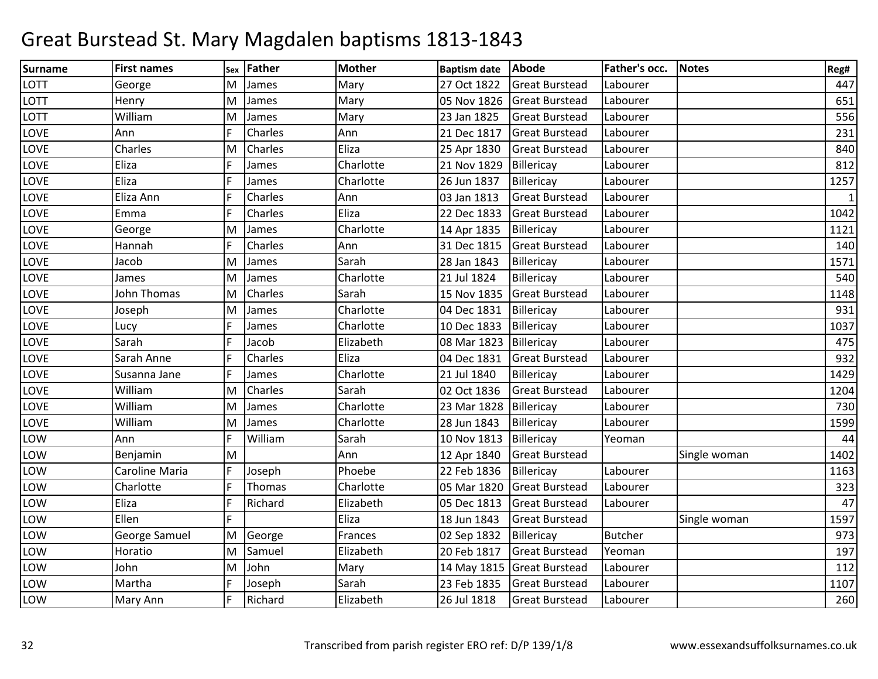| Surname     | <b>First names</b> | Sex | Father   | <b>Mother</b> | <b>Baptism date</b> | Abode                      | Father's occ.  | <b>Notes</b> | Reg#         |
|-------------|--------------------|-----|----------|---------------|---------------------|----------------------------|----------------|--------------|--------------|
| <b>LOTT</b> | George             | M   | James    | Mary          | 27 Oct 1822         | <b>Great Burstead</b>      | Labourer       |              | 447          |
| LOTT        | Henry              | M   | James    | Mary          | 05 Nov 1826         | <b>Great Burstead</b>      | Labourer       |              | 651          |
| LOTT        | William            | M   | James    | Mary          | 23 Jan 1825         | <b>Great Burstead</b>      | Labourer       |              | 556          |
| LOVE        | Ann                | F   | Charles  | Ann           | 21 Dec 1817         | <b>Great Burstead</b>      | Labourer       |              | 231          |
| LOVE        | Charles            | M   | Charles  | Eliza         | 25 Apr 1830         | <b>Great Burstead</b>      | Labourer       |              | 840          |
| LOVE        | Eliza              |     | James    | Charlotte     | 21 Nov 1829         | Billericay                 | Labourer       |              | 812          |
| LOVE        | Eliza              |     | James    | Charlotte     | 26 Jun 1837         | Billericay                 | Labourer       |              | 1257         |
| LOVE        | Eliza Ann          | F   | Charles  | Ann           | 03 Jan 1813         | <b>Great Burstead</b>      | Labourer       |              | $\mathbf{1}$ |
| LOVE        | Emma               | F   | Charles  | Eliza         | 22 Dec 1833         | <b>Great Burstead</b>      | Labourer       |              | 1042         |
| LOVE        | George             | M   | James    | Charlotte     | 14 Apr 1835         | Billericay                 | Labourer       |              | 1121         |
| LOVE        | Hannah             |     | Charles  | Ann           | 31 Dec 1815         | <b>Great Burstead</b>      | Labourer       |              | 140          |
| LOVE        | Jacob              | M   | James    | Sarah         | 28 Jan 1843         | Billericay                 | Labourer       |              | 1571         |
| LOVE        | James              | M   | James    | Charlotte     | 21 Jul 1824         | Billericay                 | Labourer       |              | 540          |
| LOVE        | John Thomas        | M   | Charles  | Sarah         | 15 Nov 1835         | <b>Great Burstead</b>      | Labourer       |              | 1148         |
| LOVE        | Joseph             | M   | James    | Charlotte     | 04 Dec 1831         | Billericay                 | Labourer       |              | 931          |
| LOVE        | Lucy               |     | James    | Charlotte     | 10 Dec 1833         | Billericay                 | Labourer       |              | 1037         |
| LOVE        | Sarah              | E   | Jacob    | Elizabeth     | 08 Mar 1823         | Billericay                 | Labourer       |              | 475          |
| LOVE        | Sarah Anne         |     | Charles  | Eliza         | 04 Dec 1831         | <b>Great Burstead</b>      | Labourer       |              | 932          |
| LOVE        | Susanna Jane       | F   | James    | Charlotte     | 21 Jul 1840         | Billericay                 | Labourer       |              | 1429         |
| LOVE        | William            | M   | Charles  | Sarah         | 02 Oct 1836         | <b>Great Burstead</b>      | Labourer       |              | 1204         |
| LOVE        | William            | M   | James    | Charlotte     | 23 Mar 1828         | Billericay                 | Labourer       |              | 730          |
| LOVE        | William            | M   | James    | Charlotte     | 28 Jun 1843         | Billericay                 | Labourer       |              | 1599         |
| LOW         | Ann                | F   | William  | Sarah         | 10 Nov 1813         | Billericay                 | Yeoman         |              | 44           |
| LOW         | Benjamin           | M   |          | Ann           | 12 Apr 1840         | <b>Great Burstead</b>      |                | Single woman | 1402         |
| LOW         | Caroline Maria     | F   | Joseph   | Phoebe        | 22 Feb 1836         | Billericay                 | Labourer       |              | 1163         |
| LOW         | Charlotte          | F   | Thomas   | Charlotte     | 05 Mar 1820         | <b>Great Burstead</b>      | Labourer       |              | 323          |
| LOW         | Eliza              | E   | Richard  | Elizabeth     | 05 Dec 1813         | <b>Great Burstead</b>      | Labourer       |              | 47           |
| LOW         | Ellen              | F   |          | Eliza         | 18 Jun 1843         | <b>Great Burstead</b>      |                | Single woman | 1597         |
| LOW         | George Samuel      |     | M George | Frances       | 02 Sep 1832         | Billericay                 | <b>Butcher</b> |              | 973          |
| LOW         | Horatio            | M   | Samuel   | Elizabeth     | 20 Feb 1817         | <b>Great Burstead</b>      | Yeoman         |              | 197          |
| LOW         | John               | M   | John     | Mary          |                     | 14 May 1815 Great Burstead | Labourer       |              | 112          |
| LOW         | Martha             | F   | Joseph   | Sarah         | 23 Feb 1835         | <b>Great Burstead</b>      | Labourer       |              | 1107         |
| LOW         | Mary Ann           | F   | Richard  | Elizabeth     | 26 Jul 1818         | <b>Great Burstead</b>      | Labourer       |              | 260          |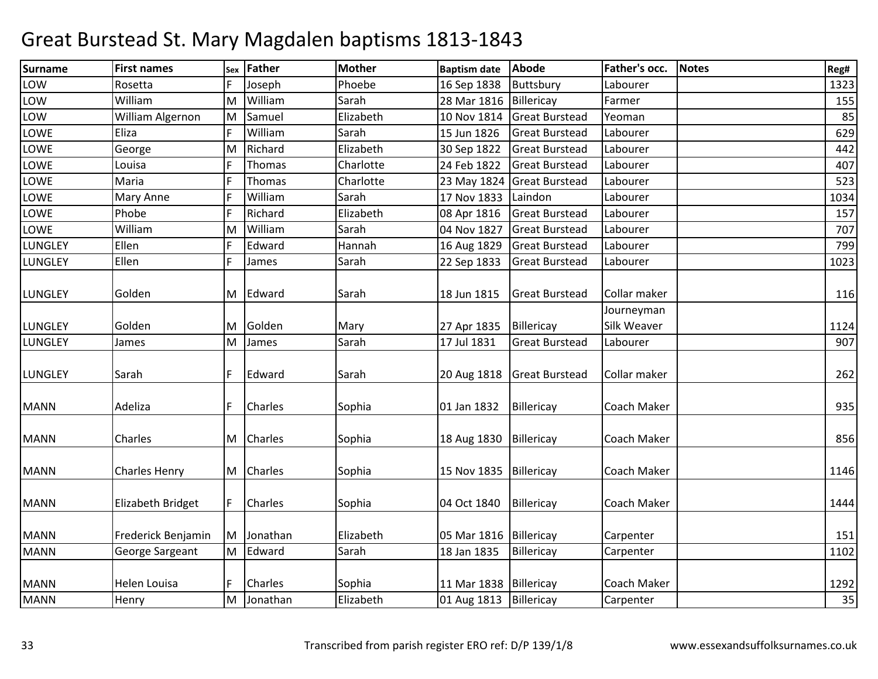| Surname        | <b>First names</b>       | Sex | Father    | <b>Mother</b> | <b>Baptism date</b>      | Abode                      | Father's occ.             | Notes | Reg# |
|----------------|--------------------------|-----|-----------|---------------|--------------------------|----------------------------|---------------------------|-------|------|
| LOW            | Rosetta                  |     | Joseph    | Phoebe        | 16 Sep 1838              | Buttsbury                  | Labourer                  |       | 1323 |
| LOW            | William                  | lM. | William   | Sarah         | 28 Mar 1816              | Billericay                 | Farmer                    |       | 155  |
| LOW            | William Algernon         | M   | Samuel    | Elizabeth     | 10 Nov 1814              | <b>Great Burstead</b>      | Yeoman                    |       | 85   |
| <b>LOWE</b>    | Eliza                    |     | William   | Sarah         | 15 Jun 1826              | <b>Great Burstead</b>      | Labourer                  |       | 629  |
| LOWE           | George                   | M   | Richard   | Elizabeth     | 30 Sep 1822              | <b>Great Burstead</b>      | Labourer                  |       | 442  |
| LOWE           | Louisa                   |     | Thomas    | Charlotte     | 24 Feb 1822              | <b>Great Burstead</b>      | Labourer                  |       | 407  |
| LOWE           | Maria                    |     | Thomas    | Charlotte     | 23 May 1824              | <b>Great Burstead</b>      | Labourer                  |       | 523  |
| LOWE           | Mary Anne                |     | William   | Sarah         | 17 Nov 1833              | Laindon                    | Labourer                  |       | 1034 |
| LOWE           | Phobe                    | E   | Richard   | Elizabeth     | 08 Apr 1816              | <b>Great Burstead</b>      | Labourer                  |       | 157  |
| LOWE           | William                  | M   | William   | Sarah         | 04 Nov 1827              | <b>Great Burstead</b>      | Labourer                  |       | 707  |
| LUNGLEY        | Ellen                    |     | Edward    | Hannah        | 16 Aug 1829              | <b>Great Burstead</b>      | Labourer                  |       | 799  |
| LUNGLEY        | Ellen                    | E   | James     | Sarah         | 22 Sep 1833              | <b>Great Burstead</b>      | Labourer                  |       | 1023 |
| <b>LUNGLEY</b> | Golden                   | M   | Edward    | Sarah         | 18 Jun 1815              | <b>Great Burstead</b>      | Collar maker              |       | 116  |
| <b>LUNGLEY</b> | Golden                   | M   | Golden    | Mary          | 27 Apr 1835              | Billericay                 | Journeyman<br>Silk Weaver |       | 1124 |
| <b>LUNGLEY</b> | James                    | M   | James     | Sarah         | 17 Jul 1831              | <b>Great Burstead</b>      | Labourer                  |       | 907  |
| <b>LUNGLEY</b> | Sarah                    | F   | Edward    | Sarah         |                          | 20 Aug 1818 Great Burstead | Collar maker              |       | 262  |
| <b>MANN</b>    | Adeliza                  |     | Charles   | Sophia        | 01 Jan 1832              | Billericay                 | Coach Maker               |       | 935  |
| <b>MANN</b>    | Charles                  | M   | Charles   | Sophia        | 18 Aug 1830              | Billericay                 | Coach Maker               |       | 856  |
| <b>MANN</b>    | <b>Charles Henry</b>     |     | M Charles | Sophia        | 15 Nov 1835   Billericay |                            | Coach Maker               |       | 1146 |
| <b>MANN</b>    | <b>Elizabeth Bridget</b> |     | Charles   | Sophia        | 04 Oct 1840              | Billericay                 | Coach Maker               |       | 1444 |
| <b>MANN</b>    | Frederick Benjamin       | м   | Jonathan  | Elizabeth     | 05 Mar 1816 Billericay   |                            | Carpenter                 |       | 151  |
| <b>MANN</b>    | George Sargeant          | M   | Edward    | Sarah         | 18 Jan 1835              | Billericay                 | Carpenter                 |       | 1102 |
| <b>MANN</b>    | Helen Louisa             |     | Charles   | Sophia        | 11 Mar 1838 Billericay   |                            | Coach Maker               |       | 1292 |
| <b>MANN</b>    | Henry                    | lм  | Jonathan  | Elizabeth     | 01 Aug 1813 Billericay   |                            | Carpenter                 |       | 35   |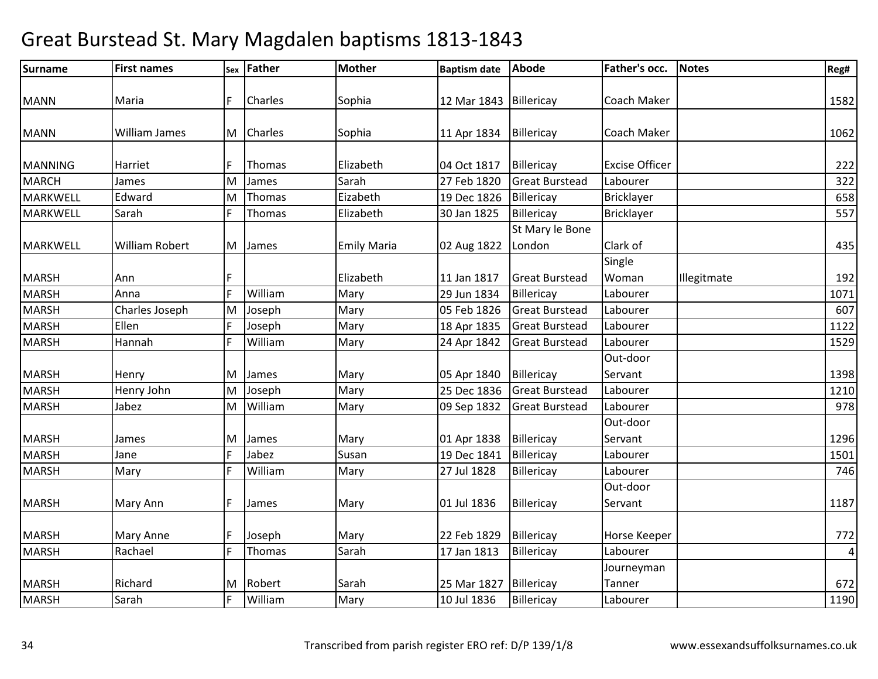| Reg#              |
|-------------------|
|                   |
| 1582              |
|                   |
| 1062              |
| 222               |
|                   |
| 322               |
| 658               |
| 557               |
|                   |
| 435               |
|                   |
| 192               |
| 1071              |
| 607               |
| 1122              |
| 1529              |
|                   |
| 1398              |
| 1210              |
| 978               |
|                   |
| 1296              |
| 1501              |
| 746               |
|                   |
| 1187              |
|                   |
| 772               |
| $\sqrt{4}$        |
|                   |
| 672               |
| $\overline{1190}$ |
|                   |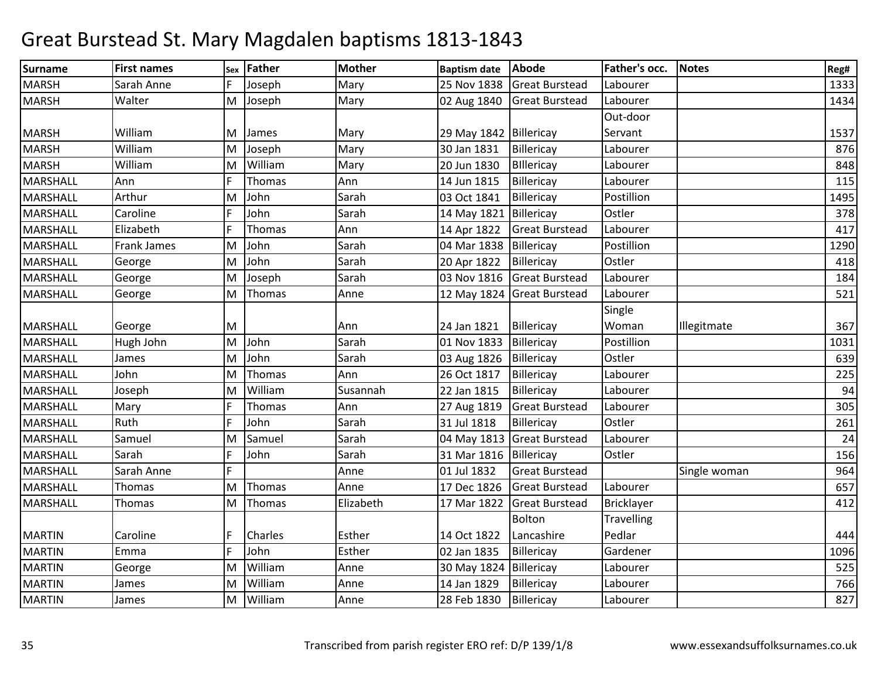| <b>Surname</b>  | <b>First names</b> | Sex | <b>Father</b> | <b>Mother</b> | <b>Baptism date</b>    | Abode                      | Father's occ.     | <b>Notes</b> | Reg# |
|-----------------|--------------------|-----|---------------|---------------|------------------------|----------------------------|-------------------|--------------|------|
| <b>MARSH</b>    | Sarah Anne         |     | Joseph        | Mary          | 25 Nov 1838            | <b>Great Burstead</b>      | Labourer          |              | 1333 |
| <b>MARSH</b>    | Walter             |     | M Joseph      | Mary          | 02 Aug 1840            | <b>Great Burstead</b>      | Labourer          |              | 1434 |
|                 |                    |     |               |               |                        |                            | Out-door          |              |      |
| <b>MARSH</b>    | William            | M   | James         | Mary          | 29 May 1842 Billericay |                            | Servant           |              | 1537 |
| <b>MARSH</b>    | William            | M   | Joseph        | Mary          | 30 Jan 1831            | Billericay                 | Labourer          |              | 876  |
| <b>MARSH</b>    | William            | M   | William       | Mary          | 20 Jun 1830            | <b>Billericay</b>          | Labourer          |              | 848  |
| MARSHALL        | Ann                |     | Thomas        | Ann           | 14 Jun 1815            | Billericay                 | Labourer          |              | 115  |
| <b>MARSHALL</b> | Arthur             | M   | John          | Sarah         | 03 Oct 1841            | Billericay                 | Postillion        |              | 1495 |
| <b>MARSHALL</b> | Caroline           |     | John          | Sarah         | 14 May 1821            | Billericay                 | Ostler            |              | 378  |
| <b>MARSHALL</b> | Elizabeth          |     | Thomas        | Ann           | 14 Apr 1822            | <b>Great Burstead</b>      | Labourer          |              | 417  |
| <b>MARSHALL</b> | <b>Frank James</b> | M   | John          | Sarah         | 04 Mar 1838            | Billericay                 | Postillion        |              | 1290 |
| MARSHALL        | George             | M   | John          | Sarah         | 20 Apr 1822            | Billericay                 | Ostler            |              | 418  |
| MARSHALL        | George             | M   | Joseph        | Sarah         | 03 Nov 1816            | <b>Great Burstead</b>      | Labourer          |              | 184  |
| <b>MARSHALL</b> | George             | M   | Thomas        | Anne          |                        | 12 May 1824 Great Burstead | Labourer          |              | 521  |
|                 |                    |     |               |               |                        |                            | Single            |              |      |
| MARSHALL        | George             | M   |               | Ann           | 24 Jan 1821            | Billericay                 | Woman             | Illegitmate  | 367  |
| <b>MARSHALL</b> | Hugh John          | M   | John          | Sarah         | 01 Nov 1833            | Billericay                 | Postillion        |              | 1031 |
| <b>MARSHALL</b> | James              | M   | John          | Sarah         | 03 Aug 1826            | Billericay                 | Ostler            |              | 639  |
| <b>MARSHALL</b> | John               | M   | Thomas        | Ann           | 26 Oct 1817            | Billericay                 | Labourer          |              | 225  |
| <b>MARSHALL</b> | Joseph             | M   | William       | Susannah      | 22 Jan 1815            | Billericay                 | Labourer          |              | 94   |
| <b>MARSHALL</b> | Mary               |     | Thomas        | Ann           | 27 Aug 1819            | <b>Great Burstead</b>      | Labourer          |              | 305  |
| <b>MARSHALL</b> | Ruth               |     | John          | Sarah         | 31 Jul 1818            | Billericay                 | Ostler            |              | 261  |
| MARSHALL        | Samuel             | ΙM  | Samuel        | Sarah         | 04 May 1813            | <b>Great Burstead</b>      | Labourer          |              | 24   |
| MARSHALL        | Sarah              |     | John          | Sarah         | 31 Mar 1816            | Billericay                 | Ostler            |              | 156  |
| <b>MARSHALL</b> | Sarah Anne         | F   |               | Anne          | 01 Jul 1832            | <b>Great Burstead</b>      |                   | Single woman | 964  |
| <b>MARSHALL</b> | <b>Thomas</b>      | M   | Thomas        | Anne          | 17 Dec 1826            | <b>Great Burstead</b>      | Labourer          |              | 657  |
| <b>MARSHALL</b> | Thomas             | M   | Thomas        | Elizabeth     | 17 Mar 1822            | <b>Great Burstead</b>      | Bricklayer        |              | 412  |
|                 |                    |     |               |               |                        | Bolton                     | <b>Travelling</b> |              |      |
| <b>MARTIN</b>   | Caroline           |     | Charles       | Esther        | 14 Oct 1822            | Lancashire                 | Pedlar            |              | 444  |
| <b>MARTIN</b>   | Emma               |     | John          | Esther        | 02 Jan 1835            | Billericay                 | Gardener          |              | 1096 |
| <b>MARTIN</b>   | George             | M   | William       | Anne          | 30 May 1824 Billericay |                            | Labourer          |              | 525  |
| <b>MARTIN</b>   | James              | M   | William       | Anne          | 14 Jan 1829            | Billericay                 | Labourer          |              | 766  |
| <b>MARTIN</b>   | James              | M   | William       | Anne          | 28 Feb 1830            | Billericay                 | Labourer          |              | 827  |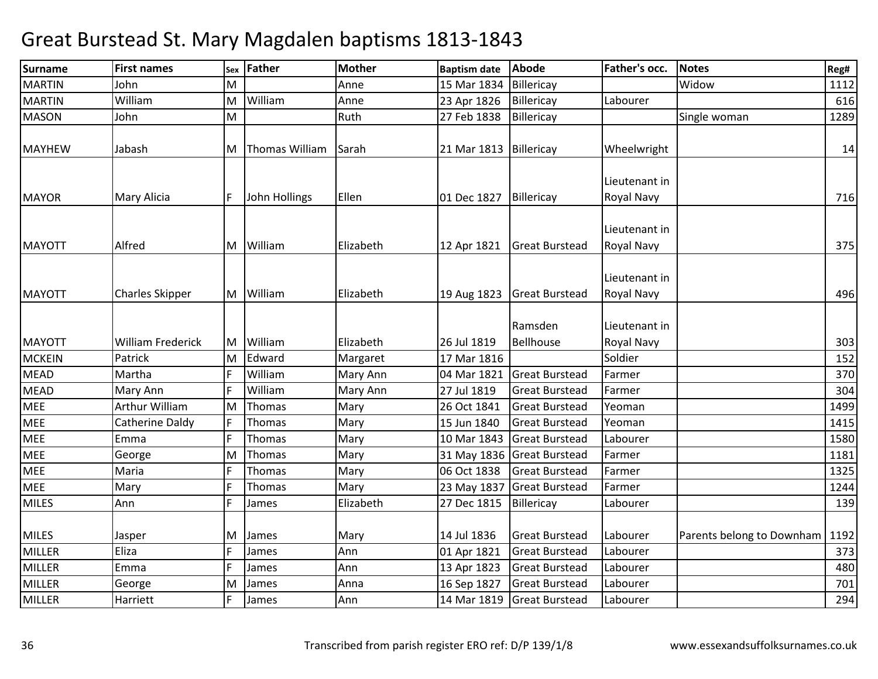| <b>First names</b>       |                         | <b>Father</b>  | <b>Mother</b>                               | <b>Baptism date</b> | Abode                                     | Father's occ.                                                                                                                                | <b>Notes</b>                     | Reg#        |
|--------------------------|-------------------------|----------------|---------------------------------------------|---------------------|-------------------------------------------|----------------------------------------------------------------------------------------------------------------------------------------------|----------------------------------|-------------|
| John                     | M                       |                | Anne                                        | 15 Mar 1834         | Billericay                                |                                                                                                                                              | Widow                            | 1112        |
| William                  | M                       | William        | Anne                                        | 23 Apr 1826         | Billericay                                | Labourer                                                                                                                                     |                                  | 616         |
| John                     | M                       |                | Ruth                                        | 27 Feb 1838         | Billericay                                |                                                                                                                                              | Single woman                     | 1289        |
| Jabash                   | M                       | Thomas William | Sarah                                       | 21 Mar 1813         |                                           | Wheelwright                                                                                                                                  |                                  | 14          |
| Mary Alicia              |                         | John Hollings  | Ellen                                       | 01 Dec 1827         | Billericay                                | Lieutenant in<br>Royal Navy                                                                                                                  |                                  | 716         |
| Alfred                   | M                       | William        | Elizabeth                                   | 12 Apr 1821         | <b>Great Burstead</b>                     | Lieutenant in<br>Royal Navy                                                                                                                  |                                  | 375         |
| <b>Charles Skipper</b>   |                         |                | Elizabeth                                   | 19 Aug 1823         |                                           | Lieutenant in<br>Royal Navy                                                                                                                  |                                  | 496         |
| <b>William Frederick</b> | M                       | William        | Elizabeth                                   | 26 Jul 1819         | Ramsden<br>Bellhouse                      | Lieutenant in<br>Royal Navy                                                                                                                  |                                  | 303         |
| Patrick                  | M                       | Edward         | Margaret                                    | 17 Mar 1816         |                                           | Soldier                                                                                                                                      |                                  | 152         |
| Martha                   |                         | William        | Mary Ann                                    | 04 Mar 1821         | <b>Great Burstead</b>                     | Farmer                                                                                                                                       |                                  | 370         |
| Mary Ann                 |                         | William        | Mary Ann                                    | 27 Jul 1819         | <b>Great Burstead</b>                     | Farmer                                                                                                                                       |                                  | 304         |
| Arthur William           | M                       | Thomas         | Mary                                        | 26 Oct 1841         | <b>Great Burstead</b>                     | Yeoman                                                                                                                                       |                                  | 1499        |
| Catherine Daldy          |                         | Thomas         | Mary                                        | 15 Jun 1840         | <b>Great Burstead</b>                     | Yeoman                                                                                                                                       |                                  | 1415        |
| Emma                     |                         | Thomas         | Mary                                        | 10 Mar 1843         | <b>Great Burstead</b>                     | Labourer                                                                                                                                     |                                  | 1580        |
| George                   | M                       | Thomas         | Mary                                        |                     |                                           | Farmer                                                                                                                                       |                                  | 1181        |
| Maria                    |                         | Thomas         | Mary                                        | 06 Oct 1838         | <b>Great Burstead</b>                     | Farmer                                                                                                                                       |                                  | 1325        |
| Mary                     |                         | Thomas         | Mary                                        | 23 May 1837         | <b>Great Burstead</b>                     | Farmer                                                                                                                                       |                                  | 1244        |
| Ann                      |                         | James          | Elizabeth                                   | 27 Dec 1815         | Billericay                                | Labourer                                                                                                                                     |                                  | 139         |
| Jasper                   | M                       | James          | Mary                                        | 14 Jul 1836         | <b>Great Burstead</b>                     | Labourer                                                                                                                                     | Parents belong to Downham        | 1192<br>373 |
|                          |                         |                |                                             |                     |                                           |                                                                                                                                              |                                  | 480         |
|                          |                         |                |                                             |                     |                                           |                                                                                                                                              |                                  | 701         |
| Harriett                 |                         | James          | Ann                                         | 14 Mar 1819         | <b>Great Burstead</b>                     | Labourer                                                                                                                                     |                                  | 294         |
|                          | Eliza<br>Emma<br>George | IF<br>ΙM       | Sex<br>M William<br>James<br>James<br>James | Ann<br>Ann<br>Anna  | 01 Apr 1821<br>13 Apr 1823<br>16 Sep 1827 | Billericay<br><b>Great Burstead</b><br>31 May 1836 Great Burstead<br><b>Great Burstead</b><br><b>Great Burstead</b><br><b>Great Burstead</b> | Labourer<br>Labourer<br>Labourer |             |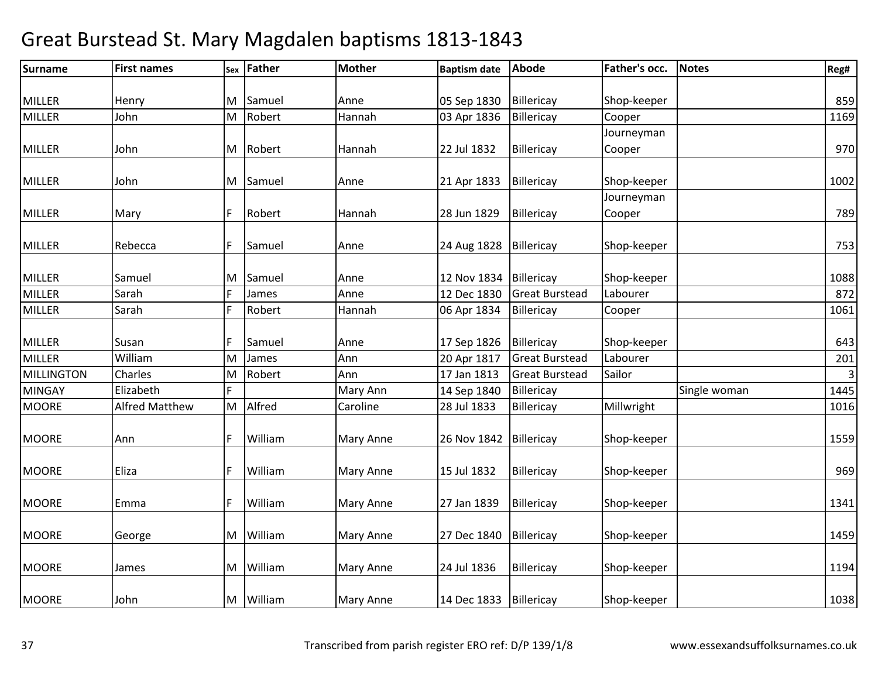| <b>Surname</b>    | <b>First names</b>    | Sex | <b>Father</b> | Mother           | <b>Baptism date</b> | Abode                 | Father's occ. | <b>Notes</b> | Reg#           |
|-------------------|-----------------------|-----|---------------|------------------|---------------------|-----------------------|---------------|--------------|----------------|
|                   |                       |     |               |                  |                     |                       |               |              |                |
| <b>MILLER</b>     | Henry                 | M   | Samuel        | Anne             | 05 Sep 1830         | Billericay            | Shop-keeper   |              | 859            |
| <b>MILLER</b>     | John                  | M   | Robert        | Hannah           | 03 Apr 1836         | Billericay            | Cooper        |              | 1169           |
|                   |                       |     |               |                  |                     |                       | Journeyman    |              |                |
| <b>MILLER</b>     | John                  | M   | Robert        | Hannah           | 22 Jul 1832         | Billericay            | Cooper        |              | 970            |
| <b>MILLER</b>     | John                  |     | M Samuel      | Anne             | 21 Apr 1833         | Billericay            | Shop-keeper   |              | 1002           |
|                   |                       |     |               |                  |                     |                       | Journeyman    |              |                |
| <b>MILLER</b>     | Mary                  |     | Robert        | Hannah           | 28 Jun 1829         | Billericay            | Cooper        |              | 789            |
| <b>MILLER</b>     | Rebecca               |     | Samuel        | Anne             |                     | Billericay            | Shop-keeper   |              |                |
|                   |                       |     |               |                  | 24 Aug 1828         |                       |               |              | 753            |
| <b>MILLER</b>     | Samuel                | M   | Samuel        | Anne             | 12 Nov 1834         | Billericay            | Shop-keeper   |              | 1088           |
| <b>MILLER</b>     | Sarah                 |     | James         | Anne             | 12 Dec 1830         | <b>Great Burstead</b> | Labourer      |              | 872            |
| <b>MILLER</b>     | Sarah                 |     | Robert        | Hannah           | 06 Apr 1834         | Billericay            | Cooper        |              | 1061           |
|                   |                       |     |               |                  |                     |                       |               |              |                |
| <b>MILLER</b>     | Susan                 |     | Samuel        | Anne             | 17 Sep 1826         | Billericay            | Shop-keeper   |              | 643            |
| <b>MILLER</b>     | William               | ΙM  | James         | Ann              | 20 Apr 1817         | <b>Great Burstead</b> | Labourer      |              | 201            |
| <b>MILLINGTON</b> | Charles               | M   | Robert        | Ann              | 17 Jan 1813         | <b>Great Burstead</b> | Sailor        |              | $\overline{3}$ |
| <b>MINGAY</b>     | Elizabeth             | F.  |               | Mary Ann         | 14 Sep 1840         | Billericay            |               | Single woman | 1445           |
| <b>MOORE</b>      | <b>Alfred Matthew</b> | M   | Alfred        | Caroline         | 28 Jul 1833         | Billericay            | Millwright    |              | 1016           |
| <b>MOORE</b>      | Ann                   |     | William       | Mary Anne        | 26 Nov 1842         | Billericay            | Shop-keeper   |              | 1559           |
| <b>MOORE</b>      | Eliza                 |     | William       | <b>Mary Anne</b> | 15 Jul 1832         | Billericay            | Shop-keeper   |              | 969            |
| <b>MOORE</b>      | Emma                  |     | William       | Mary Anne        | 27 Jan 1839         | Billericay            | Shop-keeper   |              | 1341           |
|                   |                       |     |               |                  |                     |                       |               |              |                |
| <b>MOORE</b>      | George                | M   | William       | <b>Mary Anne</b> | 27 Dec 1840         | Billericay            | Shop-keeper   |              | 1459           |
| <b>MOORE</b>      | James                 | M   | William       | <b>Mary Anne</b> | 24 Jul 1836         | Billericay            | Shop-keeper   |              | 1194           |
| <b>MOORE</b>      | John                  | M   | William       | <b>Mary Anne</b> | 14 Dec 1833         | Billericay            | Shop-keeper   |              | 1038           |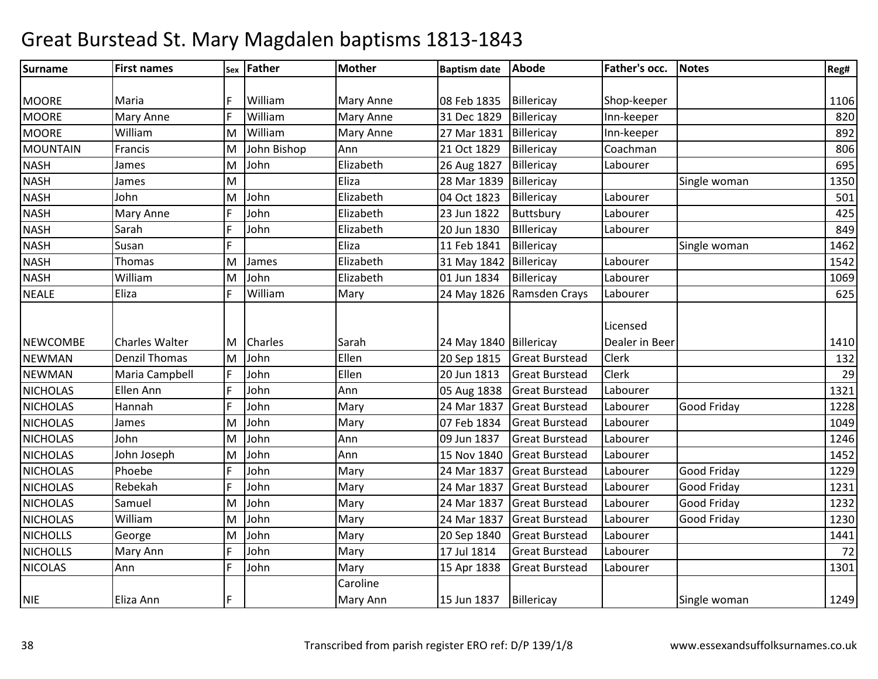| Surname         | <b>First names</b>    |   | sex Father     | <b>Mother</b> | <b>Baptism date</b>    | Abode                 | Father's occ.              | <b>Notes</b> | Reg# |
|-----------------|-----------------------|---|----------------|---------------|------------------------|-----------------------|----------------------------|--------------|------|
|                 |                       |   |                |               |                        |                       |                            |              |      |
| <b>MOORE</b>    | Maria                 |   | William        | Mary Anne     | 08 Feb 1835            | Billericay            | Shop-keeper                |              | 1106 |
| <b>MOORE</b>    | Mary Anne             | F | William        | Mary Anne     | 31 Dec 1829            | Billericay            | Inn-keeper                 |              | 820  |
| <b>MOORE</b>    | William               | M | William        | Mary Anne     | 27 Mar 1831            | Billericay            | Inn-keeper                 |              | 892  |
| MOUNTAIN        | Francis               | M | John Bishop    | Ann           | 21 Oct 1829            | Billericay            | Coachman                   |              | 806  |
| <b>NASH</b>     | James                 | M | John           | Elizabeth     | 26 Aug 1827            | Billericay            | Labourer                   |              | 695  |
| <b>NASH</b>     | James                 | M |                | Eliza         | 28 Mar 1839            | Billericay            |                            | Single woman | 1350 |
| <b>NASH</b>     | John                  | M | John           | Elizabeth     | 04 Oct 1823            | Billericay            | Labourer                   |              | 501  |
| <b>NASH</b>     | Mary Anne             | F | John           | Elizabeth     | 23 Jun 1822            | Buttsbury             | Labourer                   |              | 425  |
| <b>NASH</b>     | Sarah                 | F | John           | Elizabeth     | 20 Jun 1830            | Billericay            | Labourer                   |              | 849  |
| <b>NASH</b>     | Susan                 | F |                | Eliza         | 11 Feb 1841            | Billericay            |                            | Single woman | 1462 |
| <b>NASH</b>     | Thomas                | M | James          | Elizabeth     | 31 May 1842            | Billericay            | Labourer                   |              | 1542 |
| <b>NASH</b>     | William               | M | John           | Elizabeth     | 01 Jun 1834            | Billericay            | Labourer                   |              | 1069 |
| <b>NEALE</b>    | Eliza                 | F | William        | Mary          | 24 May 1826            | Ramsden Crays         | Labourer                   |              | 625  |
| <b>NEWCOMBE</b> | <b>Charles Walter</b> | M | <b>Charles</b> | Sarah         | 24 May 1840 Billericay |                       | Licensed<br>Dealer in Beer |              | 1410 |
| <b>NEWMAN</b>   | <b>Denzil Thomas</b>  | M | John           | Ellen         | 20 Sep 1815            | <b>Great Burstead</b> | <b>Clerk</b>               |              | 132  |
| <b>NEWMAN</b>   | Maria Campbell        | F | John           | Ellen         | 20 Jun 1813            | <b>Great Burstead</b> | <b>Clerk</b>               |              | 29   |
| <b>NICHOLAS</b> | Ellen Ann             | F | John           | Ann           | 05 Aug 1838            | <b>Great Burstead</b> | Labourer                   |              | 1321 |
| <b>NICHOLAS</b> | Hannah                | F | John           | Mary          | 24 Mar 1837            | <b>Great Burstead</b> | Labourer                   | Good Friday  | 1228 |
| <b>NICHOLAS</b> | James                 | M | John           | Mary          | 07 Feb 1834            | <b>Great Burstead</b> | Labourer                   |              | 1049 |
| <b>NICHOLAS</b> | John                  | M | John           | Ann           | 09 Jun 1837            | <b>Great Burstead</b> | Labourer                   |              | 1246 |
| <b>NICHOLAS</b> | John Joseph           | M | John           | Ann           | 15 Nov 1840            | <b>Great Burstead</b> | Labourer                   |              | 1452 |
| <b>NICHOLAS</b> | Phoebe                | F | John           | Mary          | 24 Mar 1837            | <b>Great Burstead</b> | Labourer                   | Good Friday  | 1229 |
| <b>NICHOLAS</b> | Rebekah               | F | John           | Mary          | 24 Mar 1837            | <b>Great Burstead</b> | Labourer                   | Good Friday  | 1231 |
| <b>NICHOLAS</b> | Samuel                | M | John           | Mary          | 24 Mar 1837            | <b>Great Burstead</b> | Labourer                   | Good Friday  | 1232 |
| <b>NICHOLAS</b> | William               | M | John           | Mary          | 24 Mar 1837            | <b>Great Burstead</b> | Labourer                   | Good Friday  | 1230 |
| <b>NICHOLLS</b> | George                | M | John           | Mary          | 20 Sep 1840            | <b>Great Burstead</b> | Labourer                   |              | 1441 |
| <b>NICHOLLS</b> | Mary Ann              | F | John           | Mary          | 17 Jul 1814            | <b>Great Burstead</b> | Labourer                   |              | 72   |
| <b>NICOLAS</b>  | Ann                   | F | John           | Mary          | 15 Apr 1838            | <b>Great Burstead</b> | Labourer                   |              | 1301 |
|                 |                       |   |                | Caroline      |                        |                       |                            |              |      |
| <b>NIE</b>      | Eliza Ann             | F |                | Mary Ann      | 15 Jun 1837            | Billericay            |                            | Single woman | 1249 |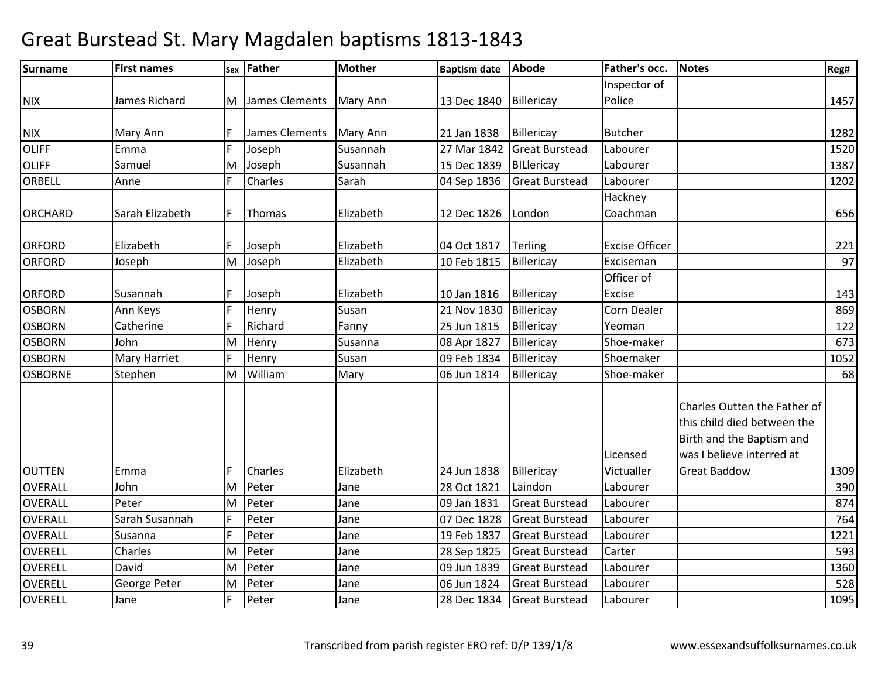| <b>Surname</b> | <b>First names</b>  |   | sex Father       | <b>Mother</b> | <b>Baptism date</b> | <b>Abode</b>          | Father's occ.         | <b>Notes</b>                                                                                                          | Reg# |
|----------------|---------------------|---|------------------|---------------|---------------------|-----------------------|-----------------------|-----------------------------------------------------------------------------------------------------------------------|------|
|                |                     |   |                  |               |                     |                       | Inspector of          |                                                                                                                       |      |
| <b>NIX</b>     | James Richard       |   | M James Clements | Mary Ann      | 13 Dec 1840         | Billericay            | Police                |                                                                                                                       | 1457 |
|                |                     |   |                  |               |                     |                       |                       |                                                                                                                       |      |
| <b>NIX</b>     | Mary Ann            | F | James Clements   | Mary Ann      | 21 Jan 1838         | Billericay            | <b>Butcher</b>        |                                                                                                                       | 1282 |
| <b>OLIFF</b>   | Emma                | F | Joseph           | Susannah      | 27 Mar 1842         | <b>Great Burstead</b> | Labourer              |                                                                                                                       | 1520 |
| <b>OLIFF</b>   | Samuel              | M | Joseph           | Susannah      | 15 Dec 1839         | BILlericay            | Labourer              |                                                                                                                       | 1387 |
| ORBELL         | Anne                | F | Charles          | Sarah         | 04 Sep 1836         | <b>Great Burstead</b> | Labourer              |                                                                                                                       | 1202 |
|                |                     |   |                  |               |                     |                       | Hackney               |                                                                                                                       |      |
| <b>ORCHARD</b> | Sarah Elizabeth     | F | Thomas           | Elizabeth     | 12 Dec 1826         | London                | Coachman              |                                                                                                                       | 656  |
|                |                     |   |                  |               |                     |                       |                       |                                                                                                                       |      |
| <b>ORFORD</b>  | Elizabeth           | F | Joseph           | Elizabeth     | 04 Oct 1817         | <b>Terling</b>        | <b>Excise Officer</b> |                                                                                                                       | 221  |
| <b>ORFORD</b>  | Joseph              | M | Joseph           | Elizabeth     | 10 Feb 1815         | Billericay            | Exciseman             |                                                                                                                       | 97   |
|                |                     |   |                  |               |                     |                       | Officer of            |                                                                                                                       |      |
| <b>ORFORD</b>  | Susannah            | F | Joseph           | Elizabeth     | 10 Jan 1816         | Billericay            | Excise                |                                                                                                                       | 143  |
| <b>OSBORN</b>  | Ann Keys            | F | Henry            | Susan         | 21 Nov 1830         | Billericay            | Corn Dealer           |                                                                                                                       | 869  |
| <b>OSBORN</b>  | Catherine           | E | Richard          | Fanny         | 25 Jun 1815         | Billericay            | Yeoman                |                                                                                                                       | 122  |
| <b>OSBORN</b>  | John                | M | Henry            | Susanna       | 08 Apr 1827         | Billericay            | Shoe-maker            |                                                                                                                       | 673  |
| <b>OSBORN</b>  | <b>Mary Harriet</b> | F | Henry            | Susan         | 09 Feb 1834         | Billericay            | Shoemaker             |                                                                                                                       | 1052 |
| <b>OSBORNE</b> | Stephen             | M | William          | Mary          | 06 Jun 1814         | Billericay            | Shoe-maker            |                                                                                                                       | 68   |
|                |                     |   |                  |               |                     |                       | Licensed              | Charles Outten the Father of<br>this child died between the<br>Birth and the Baptism and<br>was I believe interred at |      |
| <b>OUTTEN</b>  | Emma                | F | Charles          | Elizabeth     | 24 Jun 1838         | Billericay            | Victualler            | <b>Great Baddow</b>                                                                                                   | 1309 |
| <b>OVERALL</b> | John                | M | Peter            | Jane          | 28 Oct 1821         | Laindon               | Labourer              |                                                                                                                       | 390  |
| <b>OVERALL</b> | Peter               | M | Peter            | Jane          | 09 Jan 1831         | <b>Great Burstead</b> | Labourer              |                                                                                                                       | 874  |
| <b>OVERALL</b> | Sarah Susannah      | F | Peter            | Jane          | 07 Dec 1828         | <b>Great Burstead</b> | Labourer              |                                                                                                                       | 764  |
| <b>OVERALL</b> | Susanna             | F | Peter            | Jane          | 19 Feb 1837         | <b>Great Burstead</b> | Labourer              |                                                                                                                       | 1221 |
| <b>OVERELL</b> | Charles             | M | Peter            | Jane          | 28 Sep 1825         | <b>Great Burstead</b> | Carter                |                                                                                                                       | 593  |
| <b>OVERELL</b> | David               | M | Peter            | Jane          | 09 Jun 1839         | <b>Great Burstead</b> | Labourer              |                                                                                                                       | 1360 |
| <b>OVERELL</b> | George Peter        | M | Peter            | Jane          | 06 Jun 1824         | <b>Great Burstead</b> | Labourer              |                                                                                                                       | 528  |
| <b>OVERELL</b> | Jane                | F | Peter            | Jane          | 28 Dec 1834         | <b>Great Burstead</b> | Labourer              |                                                                                                                       | 1095 |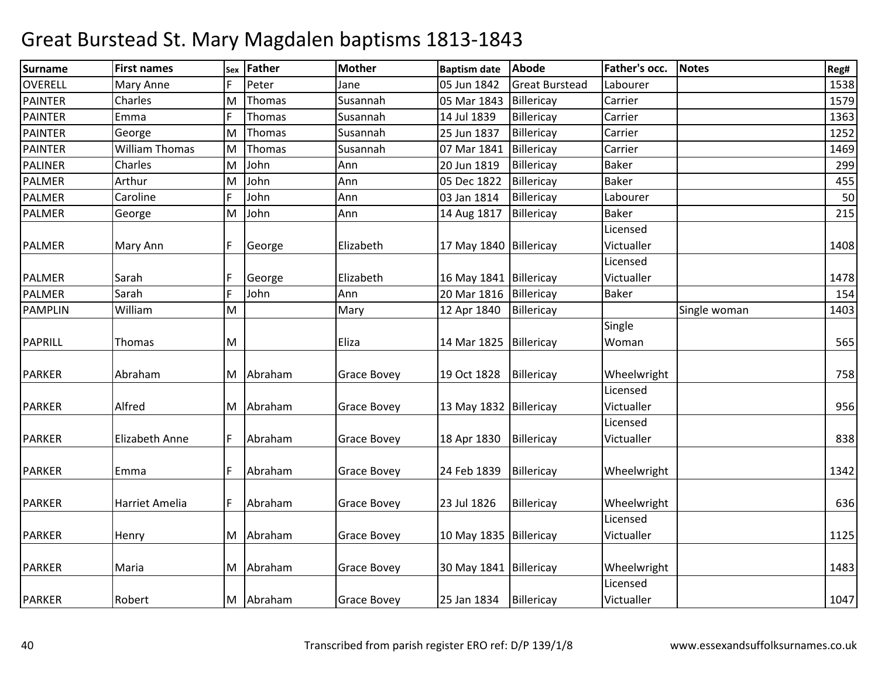| <b>Surname</b> | <b>First names</b>    | Sex | <b>Father</b> | <b>Mother</b>      | <b>Baptism date</b>      | <b>Abode</b>          | Father's occ. | <b>Notes</b> | Reg# |
|----------------|-----------------------|-----|---------------|--------------------|--------------------------|-----------------------|---------------|--------------|------|
| <b>OVERELL</b> | Mary Anne             |     | Peter         | Jane               | 05 Jun 1842              | <b>Great Burstead</b> | Labourer      |              | 1538 |
| <b>PAINTER</b> | Charles               | M   | Thomas        | Susannah           | 05 Mar 1843              | Billericay            | Carrier       |              | 1579 |
| <b>PAINTER</b> | Emma                  | F   | Thomas        | Susannah           | 14 Jul 1839              | Billericay            | Carrier       |              | 1363 |
| <b>PAINTER</b> | George                | lM. | Thomas        | Susannah           | 25 Jun 1837              | Billericay            | Carrier       |              | 1252 |
| <b>PAINTER</b> | <b>William Thomas</b> | M   | Thomas        | Susannah           | 07 Mar 1841              | Billericay            | Carrier       |              | 1469 |
| <b>PALINER</b> | Charles               | M   | John          | Ann                | 20 Jun 1819              | Billericay            | <b>Baker</b>  |              | 299  |
| <b>PALMER</b>  | Arthur                | M   | John          | Ann                | 05 Dec 1822              | Billericay            | <b>Baker</b>  |              | 455  |
| <b>PALMER</b>  | Caroline              | F   | John          | Ann                | 03 Jan 1814              | Billericay            | Labourer      |              | 50   |
| <b>PALMER</b>  | George                | M   | John          | Ann                | 14 Aug 1817              | Billericay            | <b>Baker</b>  |              | 215  |
|                |                       |     |               |                    |                          |                       | Licensed      |              |      |
| <b>PALMER</b>  | Mary Ann              |     | George        | Elizabeth          | 17 May 1840   Billericay |                       | Victualler    |              | 1408 |
|                |                       |     |               |                    |                          |                       | Licensed      |              |      |
| <b>PALMER</b>  | Sarah                 | IF  | George        | Elizabeth          | 16 May 1841 Billericay   |                       | Victualler    |              | 1478 |
| <b>PALMER</b>  | Sarah                 |     | John          | Ann                | 20 Mar 1816              | Billericay            | <b>Baker</b>  |              | 154  |
| <b>PAMPLIN</b> | William               | M   |               | Mary               | 12 Apr 1840              | Billericay            |               | Single woman | 1403 |
|                |                       |     |               |                    |                          |                       | Single        |              |      |
| <b>PAPRILL</b> | Thomas                | M   |               | Eliza              | 14 Mar 1825              | Billericay            | Woman         |              | 565  |
|                |                       |     |               |                    |                          |                       |               |              |      |
| <b>PARKER</b>  | Abraham               |     | M Abraham     | <b>Grace Bovey</b> | 19 Oct 1828              | Billericay            | Wheelwright   |              | 758  |
|                |                       |     |               |                    |                          |                       | Licensed      |              |      |
| <b>PARKER</b>  | Alfred                |     | M Abraham     | <b>Grace Bovey</b> | 13 May 1832 Billericay   |                       | Victualler    |              | 956  |
|                |                       |     |               |                    |                          |                       | Licensed      |              |      |
| <b>PARKER</b>  | <b>Elizabeth Anne</b> | F   | Abraham       | <b>Grace Bovey</b> | 18 Apr 1830              | Billericay            | Victualler    |              | 838  |
| <b>PARKER</b>  | Emma                  | F   | Abraham       | <b>Grace Bovey</b> | 24 Feb 1839              | Billericay            | Wheelwright   |              | 1342 |
|                |                       |     |               |                    |                          |                       |               |              |      |
| <b>PARKER</b>  | Harriet Amelia        |     | Abraham       | <b>Grace Bovey</b> | 23 Jul 1826              | Billericay            | Wheelwright   |              | 636  |
|                |                       |     |               |                    |                          |                       | Licensed      |              |      |
| <b>PARKER</b>  | Henry                 |     | M Abraham     | <b>Grace Bovey</b> | 10 May 1835   Billericay |                       | Victualler    |              | 1125 |
| <b>PARKER</b>  | Maria                 |     | M Abraham     | <b>Grace Bovey</b> | 30 May 1841 Billericay   |                       | Wheelwright   |              | 1483 |
|                |                       |     |               |                    |                          |                       | Licensed      |              |      |
| <b>PARKER</b>  | Robert                |     | M Abraham     | <b>Grace Bovey</b> | 25 Jan 1834              | Billericay            | Victualler    |              | 1047 |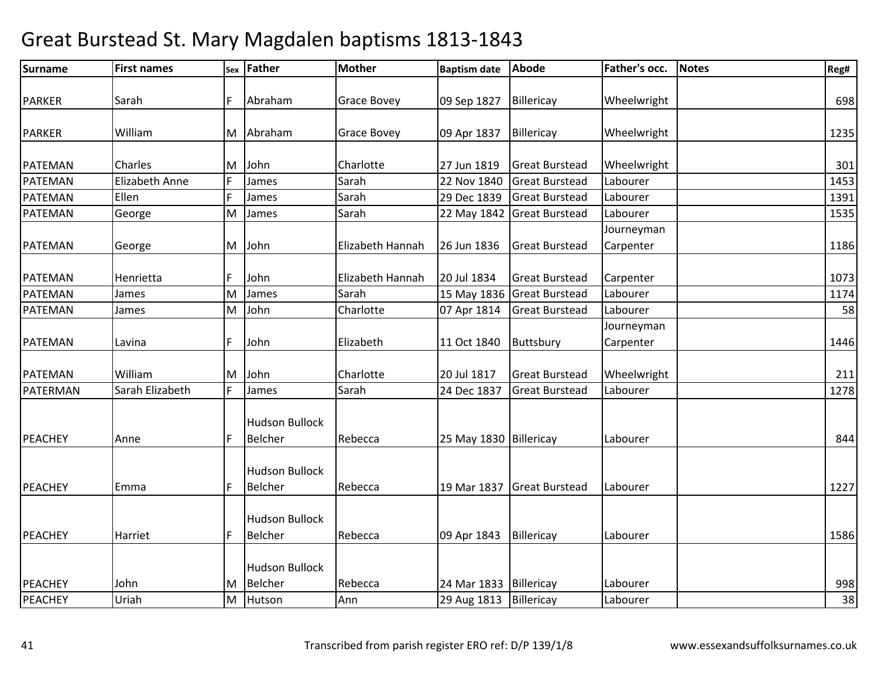| <b>Surname</b>                   | <b>First names</b>    | Sex            | Father                                         | <b>Mother</b>      | <b>Baptism date</b>        | Abode                    | Father's occ.           | <b>Notes</b> | Reg#      |
|----------------------------------|-----------------------|----------------|------------------------------------------------|--------------------|----------------------------|--------------------------|-------------------------|--------------|-----------|
| <b>PARKER</b>                    | Sarah                 | F              | Abraham                                        | <b>Grace Bovey</b> | 09 Sep 1827                | Billericay               | Wheelwright             |              | 698       |
| <b>PARKER</b>                    | William               |                | M Abraham                                      | <b>Grace Bovey</b> | 09 Apr 1837                | Billericay               | Wheelwright             |              | 1235      |
| <b>PATEMAN</b>                   | Charles               | M              | John                                           | Charlotte          | 27 Jun 1819                | <b>Great Burstead</b>    | Wheelwright             |              | 301       |
| <b>PATEMAN</b>                   | <b>Elizabeth Anne</b> |                | James                                          | Sarah              | 22 Nov 1840                | <b>Great Burstead</b>    | Labourer                |              | 1453      |
| PATEMAN                          | Ellen                 |                | James                                          | Sarah              | 29 Dec 1839                | <b>Great Burstead</b>    | Labourer                |              | 1391      |
| PATEMAN                          | George                | M              | James                                          | Sarah              | 22 May 1842                | <b>Great Burstead</b>    | Labourer                |              | 1535      |
| PATEMAN                          | George                |                | M John                                         | Elizabeth Hannah   | 26 Jun 1836                | <b>Great Burstead</b>    | Journeyman<br>Carpenter |              | 1186      |
| <b>PATEMAN</b>                   | Henrietta             |                | John                                           | Elizabeth Hannah   | 20 Jul 1834                | <b>Great Burstead</b>    | Carpenter               |              | 1073      |
| <b>PATEMAN</b>                   | James                 | M              | James                                          | Sarah              | 15 May 1836                | <b>Great Burstead</b>    | Labourer                |              | 1174      |
| PATEMAN                          | James                 | M <sub>1</sub> | John                                           | Charlotte          | 07 Apr 1814                | <b>Great Burstead</b>    | Labourer                |              | 58        |
| <b>PATEMAN</b>                   | Lavina                |                | John                                           | Elizabeth          | 11 Oct 1840                | Buttsbury                | Journeyman<br>Carpenter |              | 1446      |
| <b>PATEMAN</b>                   | William               | M              | John                                           | Charlotte          | 20 Jul 1817                | <b>Great Burstead</b>    | Wheelwright             |              | 211       |
| PATERMAN                         | Sarah Elizabeth       | F              | James                                          | Sarah              | 24 Dec 1837                | <b>Great Burstead</b>    | Labourer                |              | 1278      |
| PEACHEY                          | Anne                  |                | <b>Hudson Bullock</b><br><b>Belcher</b>        | Rebecca            | 25 May 1830 Billericay     |                          | Labourer                |              | 844       |
| PEACHEY                          | Emma                  | IF             | <b>Hudson Bullock</b><br><b>Belcher</b>        | Rebecca            | 19 Mar 1837                | <b>Great Burstead</b>    | Labourer                |              | 1227      |
| <b>PEACHEY</b>                   | Harriet               |                | <b>Hudson Bullock</b><br>Belcher               | Rebecca            | 09 Apr 1843                | Billericay               | Labourer                |              | 1586      |
| <b>PEACHEY</b><br><b>PEACHEY</b> | John<br>Uriah         |                | <b>Hudson Bullock</b><br>M Belcher<br>M Hutson | Rebecca<br>Ann     | 24 Mar 1833<br>29 Aug 1813 | Billericay<br>Billericay | Labourer<br>Labourer    |              | 998<br>38 |
|                                  |                       |                |                                                |                    |                            |                          |                         |              |           |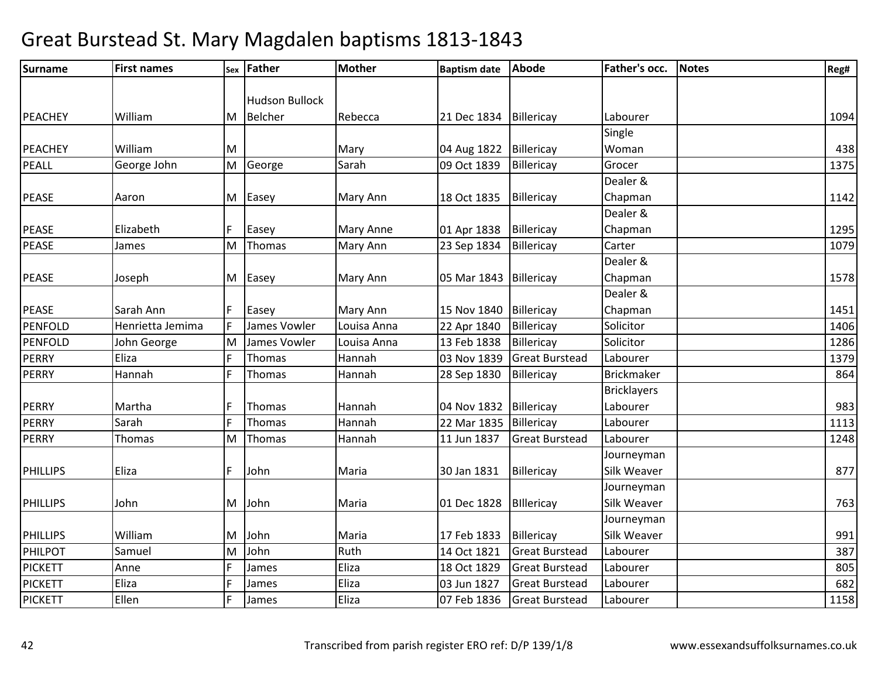| <b>Surname</b>  | <b>First names</b> | Sex | <b>Father</b>         | Mother           | <b>Baptism date</b>      | <b>Abode</b>          | <b>Father's occ.</b> | <b>Notes</b> | Reg# |
|-----------------|--------------------|-----|-----------------------|------------------|--------------------------|-----------------------|----------------------|--------------|------|
|                 |                    |     |                       |                  |                          |                       |                      |              |      |
|                 |                    |     | <b>Hudson Bullock</b> |                  |                          |                       |                      |              |      |
| PEACHEY         | William            | M   | <b>Belcher</b>        | Rebecca          | 21 Dec 1834              | Billericay            | Labourer             |              | 1094 |
|                 |                    |     |                       |                  |                          |                       | Single               |              |      |
| <b>PEACHEY</b>  | William            | M   |                       | Mary             | 04 Aug 1822              | Billericay            | Woman                |              | 438  |
| PEALL           | George John        | M   | George                | Sarah            | 09 Oct 1839              | Billericay            | Grocer               |              | 1375 |
|                 |                    |     |                       |                  |                          |                       | Dealer &             |              |      |
| <b>PEASE</b>    | Aaron              |     | M Easey               | Mary Ann         | 18 Oct 1835              | Billericay            | Chapman              |              | 1142 |
|                 |                    |     |                       |                  |                          |                       | Dealer &             |              |      |
| <b>PEASE</b>    | Elizabeth          |     | Easey                 | <b>Mary Anne</b> | 01 Apr 1838              | Billericay            | Chapman              |              | 1295 |
| PEASE           | James              | M   | Thomas                | Mary Ann         | 23 Sep 1834              | Billericay            | Carter               |              | 1079 |
|                 |                    |     |                       |                  |                          |                       | Dealer &             |              |      |
| <b>PEASE</b>    | Joseph             | M   | Easey                 | Mary Ann         | 05 Mar 1843   Billericay |                       | Chapman              |              | 1578 |
|                 |                    |     |                       |                  |                          |                       | Dealer &             |              |      |
| PEASE           | Sarah Ann          |     | Easey                 | Mary Ann         | 15 Nov 1840              | Billericay            | Chapman              |              | 1451 |
| PENFOLD         | Henrietta Jemima   |     | James Vowler          | Louisa Anna      | 22 Apr 1840              | Billericay            | Solicitor            |              | 1406 |
| <b>PENFOLD</b>  | John George        | M   | James Vowler          | Louisa Anna      | 13 Feb 1838              | Billericay            | Solicitor            |              | 1286 |
| <b>PERRY</b>    | Eliza              | IF  | Thomas                | Hannah           | 03 Nov 1839              | <b>Great Burstead</b> | Labourer             |              | 1379 |
| <b>PERRY</b>    | Hannah             |     | Thomas                | Hannah           | 28 Sep 1830              | Billericay            | <b>Brickmaker</b>    |              | 864  |
|                 |                    |     |                       |                  |                          |                       | <b>Bricklayers</b>   |              |      |
| PERRY           | Martha             |     | Thomas                | Hannah           | 04 Nov 1832              | Billericay            | Labourer             |              | 983  |
| <b>PERRY</b>    | Sarah              |     | Thomas                | Hannah           | 22 Mar 1835              | Billericay            | Labourer             |              | 1113 |
| <b>PERRY</b>    | Thomas             | M   | Thomas                | Hannah           | 11 Jun 1837              | <b>Great Burstead</b> | Labourer             |              | 1248 |
|                 |                    |     |                       |                  |                          |                       | Journeyman           |              |      |
| <b>PHILLIPS</b> | Eliza              |     | John                  | Maria            | 30 Jan 1831              | Billericay            | Silk Weaver          |              | 877  |
|                 |                    |     |                       |                  |                          |                       | Journeyman           |              |      |
| <b>PHILLIPS</b> | John               | M   | John                  | Maria            | 01 Dec 1828              | Billericay            | Silk Weaver          |              | 763  |
|                 |                    |     |                       |                  |                          |                       | Journeyman           |              |      |
| <b>PHILLIPS</b> | William            | M   | John                  | Maria            | 17 Feb 1833              | Billericay            | Silk Weaver          |              | 991  |
| PHILPOT         | Samuel             | M   | John                  | Ruth             | 14 Oct 1821              | <b>Great Burstead</b> | Labourer             |              | 387  |
| <b>PICKETT</b>  | Anne               |     | James                 | Eliza            | 18 Oct 1829              | <b>Great Burstead</b> | Labourer             |              | 805  |
| <b>PICKETT</b>  | Eliza              |     | James                 | Eliza            | 03 Jun 1827              | <b>Great Burstead</b> | Labourer             |              | 682  |
| <b>PICKETT</b>  | Ellen              |     | James                 | Eliza            | 07 Feb 1836              | <b>Great Burstead</b> | Labourer             |              | 1158 |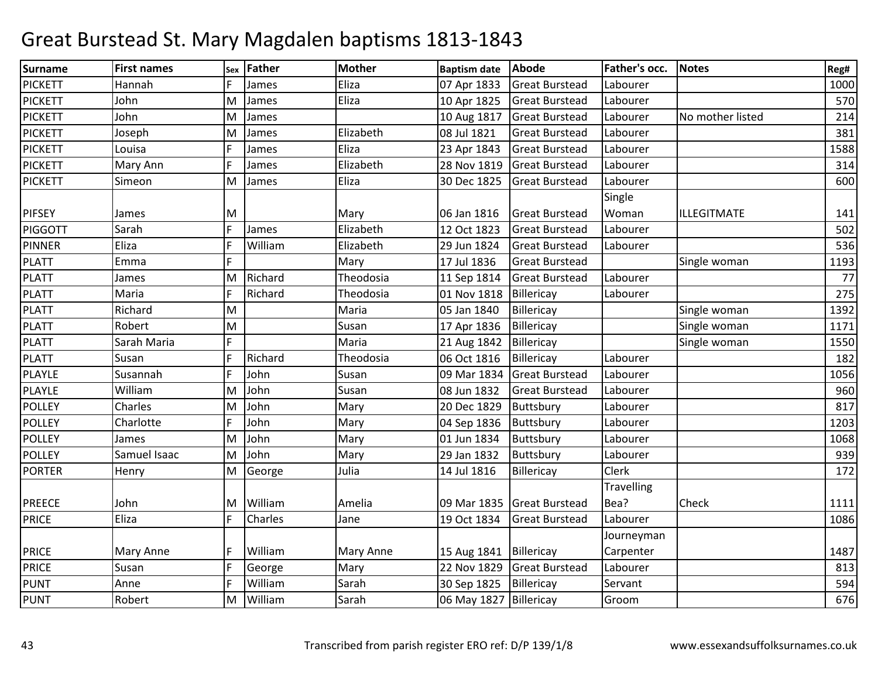| Surname        | <b>First names</b> | Sex | <b>Father</b> | <b>Mother</b> | <b>Baptism date</b>      | Abode                 | Father's occ.     | <b>Notes</b>     | Reg# |
|----------------|--------------------|-----|---------------|---------------|--------------------------|-----------------------|-------------------|------------------|------|
| <b>PICKETT</b> | Hannah             |     | James         | Eliza         | 07 Apr 1833              | <b>Great Burstead</b> | Labourer          |                  | 1000 |
| <b>PICKETT</b> | John               | lM. | James         | Eliza         | 10 Apr 1825              | <b>Great Burstead</b> | Labourer          |                  | 570  |
| <b>PICKETT</b> | John               | M   | James         |               | 10 Aug 1817              | <b>Great Burstead</b> | Labourer          | No mother listed | 214  |
| <b>PICKETT</b> | Joseph             | M   | James         | Elizabeth     | 08 Jul 1821              | <b>Great Burstead</b> | Labourer          |                  | 381  |
| <b>PICKETT</b> | Louisa             |     | James         | Eliza         | 23 Apr 1843              | <b>Great Burstead</b> | Labourer          |                  | 1588 |
| <b>PICKETT</b> | Mary Ann           |     | James         | Elizabeth     | 28 Nov 1819              | <b>Great Burstead</b> | Labourer          |                  | 314  |
| <b>PICKETT</b> | Simeon             | M   | James         | Eliza         | 30 Dec 1825              | <b>Great Burstead</b> | Labourer          |                  | 600  |
|                |                    |     |               |               |                          |                       | Single            |                  |      |
| <b>PIFSEY</b>  | James              | M   |               | Mary          | 06 Jan 1816              | <b>Great Burstead</b> | Woman             | ILLEGITMATE      | 141  |
| <b>PIGGOTT</b> | Sarah              | F   | James         | Elizabeth     | 12 Oct 1823              | <b>Great Burstead</b> | Labourer          |                  | 502  |
| <b>PINNER</b>  | Eliza              |     | William       | Elizabeth     | 29 Jun 1824              | <b>Great Burstead</b> | Labourer          |                  | 536  |
| <b>PLATT</b>   | Emma               | F   |               | Mary          | 17 Jul 1836              | <b>Great Burstead</b> |                   | Single woman     | 1193 |
| <b>PLATT</b>   | James              | M   | Richard       | Theodosia     | 11 Sep 1814              | <b>Great Burstead</b> | Labourer          |                  | 77   |
| <b>PLATT</b>   | Maria              |     | Richard       | Theodosia     | 01 Nov 1818              | Billericay            | Labourer          |                  | 275  |
| <b>PLATT</b>   | Richard            | M   |               | Maria         | 05 Jan 1840              | Billericay            |                   | Single woman     | 1392 |
| <b>PLATT</b>   | Robert             | M   |               | Susan         | 17 Apr 1836              | Billericay            |                   | Single woman     | 1171 |
| <b>PLATT</b>   | Sarah Maria        |     |               | Maria         | 21 Aug 1842              | Billericay            |                   | Single woman     | 1550 |
| <b>PLATT</b>   | Susan              |     | Richard       | Theodosia     | 06 Oct 1816              | Billericay            | Labourer          |                  | 182  |
| PLAYLE         | Susannah           | I۵  | John          | Susan         | 09 Mar 1834              | <b>Great Burstead</b> | Labourer          |                  | 1056 |
| PLAYLE         | William            | M   | John          | Susan         | 08 Jun 1832              | <b>Great Burstead</b> | Labourer          |                  | 960  |
| <b>POLLEY</b>  | Charles            | M   | John          | Mary          | 20 Dec 1829              | Buttsbury             | Labourer          |                  | 817  |
| <b>POLLEY</b>  | Charlotte          |     | John          | Mary          | 04 Sep 1836              | Buttsbury             | Labourer          |                  | 1203 |
| <b>POLLEY</b>  | James              | M   | John          | Mary          | 01 Jun 1834              | Buttsbury             | Labourer          |                  | 1068 |
| <b>POLLEY</b>  | Samuel Isaac       | M   | John          | Mary          | 29 Jan 1832              | Buttsbury             | Labourer          |                  | 939  |
| <b>PORTER</b>  | Henry              | M   | George        | Julia         | 14 Jul 1816              | Billericay            | Clerk             |                  | 172  |
|                |                    |     |               |               |                          |                       | <b>Travelling</b> |                  |      |
| <b>PREECE</b>  | John               | M   | William       | Amelia        | 09 Mar 1835              | <b>Great Burstead</b> | Bea?              | Check            | 1111 |
| <b>PRICE</b>   | Eliza              |     | Charles       | Jane          | 19 Oct 1834              | <b>Great Burstead</b> | Labourer          |                  | 1086 |
|                |                    |     |               |               |                          |                       | Journeyman        |                  |      |
| <b>PRICE</b>   | <b>Mary Anne</b>   |     | William       | Mary Anne     | 15 Aug 1841              | Billericay            | Carpenter         |                  | 1487 |
| PRICE          | Susan              |     | George        | Mary          | 22 Nov 1829              | Great Burstead        | Labourer          |                  | 813  |
| <b>PUNT</b>    | Anne               | F   | William       | Sarah         | 30 Sep 1825              | Billericay            | Servant           |                  | 594  |
| <b>PUNT</b>    | Robert             | M   | William       | Sarah         | 06 May 1827   Billericay |                       | Groom             |                  | 676  |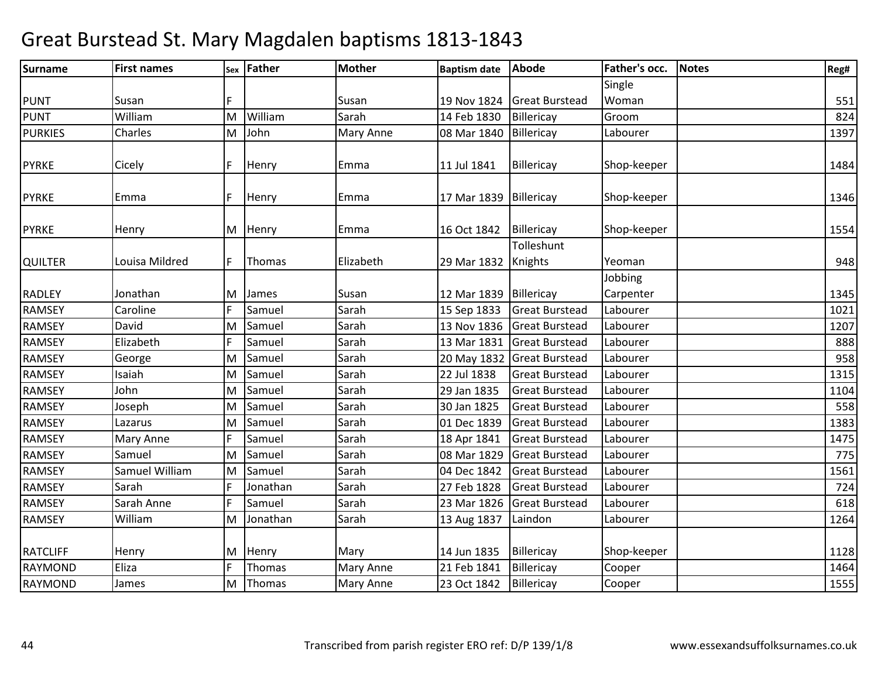| <b>Surname</b>  | <b>First names</b> |   | sex Father | <b>Mother</b> | <b>Baptism date</b>      | <b>Abode</b>          | Father's occ.        | <b>Notes</b> | Reg# |
|-----------------|--------------------|---|------------|---------------|--------------------------|-----------------------|----------------------|--------------|------|
|                 |                    |   |            |               |                          |                       | Single               |              |      |
| <b>PUNT</b>     | Susan              | F |            | Susan         | 19 Nov 1824              | <b>Great Burstead</b> | Woman                |              | 551  |
| <b>PUNT</b>     | William            | M | William    | Sarah         | 14 Feb 1830              | Billericay            | Groom                |              | 824  |
| <b>PURKIES</b>  | Charles            | M | John       | Mary Anne     | 08 Mar 1840              | Billericay            | Labourer             |              | 1397 |
| <b>PYRKE</b>    | Cicely             | F | Henry      | Emma          | 11 Jul 1841              | Billericay            | Shop-keeper          |              | 1484 |
| <b>PYRKE</b>    | Emma               | F | Henry      | Emma          | 17 Mar 1839              | Billericay            | Shop-keeper          |              | 1346 |
| <b>PYRKE</b>    | Henry              |   | M Henry    | Emma          | 16 Oct 1842              | Billericay            | Shop-keeper          |              | 1554 |
| <b>QUILTER</b>  | Louisa Mildred     | F | Thomas     | Elizabeth     | 29 Mar 1832 Knights      | Tolleshunt            | Yeoman               |              | 948  |
| <b>RADLEY</b>   | Jonathan           | M | James      | Susan         | 12 Mar 1839   Billericay |                       | Jobbing<br>Carpenter |              | 1345 |
| <b>RAMSEY</b>   | Caroline           | F | Samuel     | Sarah         | 15 Sep 1833              | <b>Great Burstead</b> | Labourer             |              | 1021 |
| <b>RAMSEY</b>   | David              | M | Samuel     | Sarah         | 13 Nov 1836              | <b>Great Burstead</b> | Labourer             |              | 1207 |
| RAMSEY          | Elizabeth          | F | Samuel     | Sarah         | 13 Mar 1831              | <b>Great Burstead</b> | Labourer             |              | 888  |
| <b>RAMSEY</b>   | George             | M | Samuel     | Sarah         | 20 May 1832              | <b>Great Burstead</b> | Labourer             |              | 958  |
| <b>RAMSEY</b>   | Isaiah             | M | Samuel     | Sarah         | 22 Jul 1838              | <b>Great Burstead</b> | Labourer             |              | 1315 |
| <b>RAMSEY</b>   | John               | M | Samuel     | Sarah         | 29 Jan 1835              | <b>Great Burstead</b> | Labourer             |              | 1104 |
| <b>RAMSEY</b>   | Joseph             | M | Samuel     | Sarah         | 30 Jan 1825              | <b>Great Burstead</b> | Labourer             |              | 558  |
| <b>RAMSEY</b>   | Lazarus            | M | Samuel     | Sarah         | 01 Dec 1839              | <b>Great Burstead</b> | Labourer             |              | 1383 |
| <b>RAMSEY</b>   | Mary Anne          | F | Samuel     | Sarah         | 18 Apr 1841              | <b>Great Burstead</b> | Labourer             |              | 1475 |
| <b>RAMSEY</b>   | Samuel             | M | Samuel     | Sarah         | 08 Mar 1829              | <b>Great Burstead</b> | Labourer             |              | 775  |
| RAMSEY          | Samuel William     | M | Samuel     | Sarah         | 04 Dec 1842              | <b>Great Burstead</b> | Labourer             |              | 1561 |
| RAMSEY          | Sarah              | F | Jonathan   | Sarah         | 27 Feb 1828              | <b>Great Burstead</b> | Labourer             |              | 724  |
| <b>RAMSEY</b>   | Sarah Anne         | F | Samuel     | Sarah         | 23 Mar 1826              | <b>Great Burstead</b> | Labourer             |              | 618  |
| <b>RAMSEY</b>   | William            | M | Jonathan   | Sarah         | 13 Aug 1837              | Laindon               | Labourer             |              | 1264 |
| <b>RATCLIFF</b> | Henry              | M | Henry      | Mary          | 14 Jun 1835              | Billericay            | Shop-keeper          |              | 1128 |
| <b>RAYMOND</b>  | Eliza              | F | Thomas     | Mary Anne     | 21 Feb 1841              | Billericay            | Cooper               |              | 1464 |
| <b>RAYMOND</b>  | James              | M | Thomas     | Mary Anne     | 23 Oct 1842              | Billericay            | Cooper               |              | 1555 |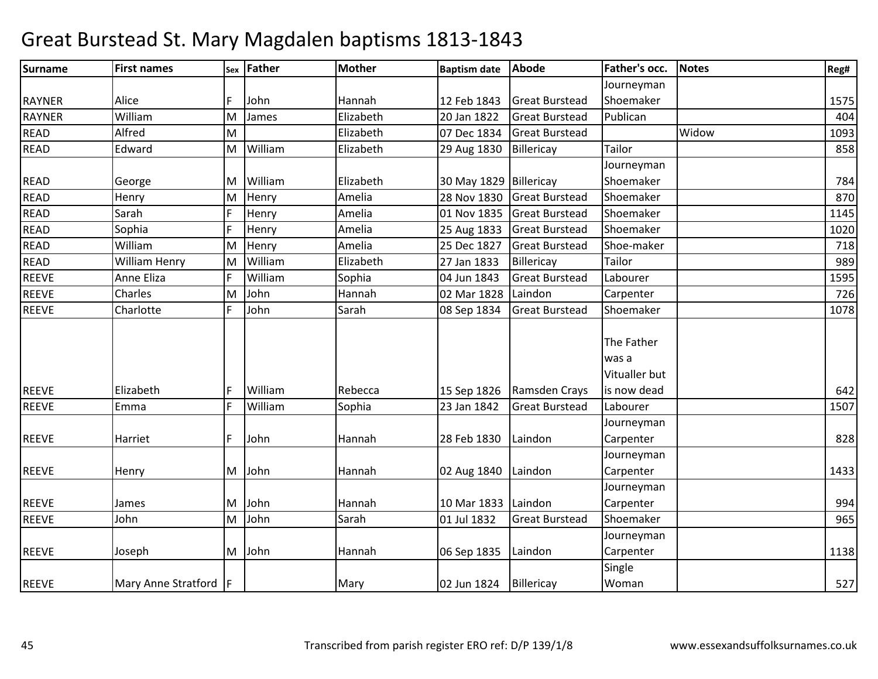| <b>Surname</b> | <b>First names</b>    | Sex | <b>Father</b> | <b>Mother</b> | <b>Baptism date</b>      | Abode                 | Father's occ. | <b>Notes</b> | Reg# |
|----------------|-----------------------|-----|---------------|---------------|--------------------------|-----------------------|---------------|--------------|------|
|                |                       |     |               |               |                          |                       | Journeyman    |              |      |
| <b>RAYNER</b>  | Alice                 |     | John          | Hannah        | 12 Feb 1843              | <b>Great Burstead</b> | Shoemaker     |              | 1575 |
| <b>RAYNER</b>  | William               | M   | James         | Elizabeth     | 20 Jan 1822              | <b>Great Burstead</b> | Publican      |              | 404  |
| <b>READ</b>    | Alfred                | M   |               | Elizabeth     | 07 Dec 1834              | <b>Great Burstead</b> |               | Widow        | 1093 |
| <b>READ</b>    | Edward                | M   | William       | Elizabeth     | 29 Aug 1830              | Billericay            | <b>Tailor</b> |              | 858  |
|                |                       |     |               |               |                          |                       | Journeyman    |              |      |
| <b>READ</b>    | George                | M   | William       | Elizabeth     | 30 May 1829 Billericay   |                       | Shoemaker     |              | 784  |
| <b>READ</b>    | Henry                 | M   | Henry         | Amelia        | 28 Nov 1830              | <b>Great Burstead</b> | Shoemaker     |              | 870  |
| <b>READ</b>    | Sarah                 | IF  | Henry         | Amelia        | 01 Nov 1835              | <b>Great Burstead</b> | Shoemaker     |              | 1145 |
| <b>READ</b>    | Sophia                | IF  | Henry         | Amelia        | 25 Aug 1833              | <b>Great Burstead</b> | Shoemaker     |              | 1020 |
| <b>READ</b>    | William               | M   | Henry         | Amelia        | 25 Dec 1827              | <b>Great Burstead</b> | Shoe-maker    |              | 718  |
| <b>READ</b>    | William Henry         | ΙM  | William       | Elizabeth     | 27 Jan 1833              | Billericay            | Tailor        |              | 989  |
| <b>REEVE</b>   | Anne Eliza            | IF  | William       | Sophia        | 04 Jun 1843              | <b>Great Burstead</b> | Labourer      |              | 1595 |
| <b>REEVE</b>   | Charles               | M   | John          | Hannah        | 02 Mar 1828              | Laindon               | Carpenter     |              | 726  |
| <b>REEVE</b>   | Charlotte             |     | John          | Sarah         | 08 Sep 1834              | <b>Great Burstead</b> | Shoemaker     |              | 1078 |
|                |                       |     |               |               |                          |                       |               |              |      |
|                |                       |     |               |               |                          |                       | The Father    |              |      |
|                |                       |     |               |               |                          |                       | was a         |              |      |
|                |                       |     |               |               |                          |                       | Vitualler but |              |      |
| <b>REEVE</b>   | Elizabeth             |     | William       | Rebecca       | 15 Sep 1826              | Ramsden Crays         | is now dead   |              | 642  |
| <b>REEVE</b>   | Emma                  |     | William       | Sophia        | 23 Jan 1842              | <b>Great Burstead</b> | Labourer      |              | 1507 |
|                |                       |     |               |               |                          |                       | Journeyman    |              |      |
| <b>REEVE</b>   | Harriet               |     | John          | Hannah        | 28 Feb 1830              | Laindon               | Carpenter     |              | 828  |
|                |                       |     |               |               |                          |                       | Journeyman    |              |      |
| <b>REEVE</b>   | Henry                 | M   | John          | Hannah        | 02 Aug 1840              | Laindon               | Carpenter     |              | 1433 |
|                |                       |     |               |               |                          |                       | Journeyman    |              |      |
| REEVE          | James                 | M   | John          | Hannah        | 10 Mar 1833              | Laindon               | Carpenter     |              | 994  |
| <b>REEVE</b>   | John                  | M   | John          | Sarah         | 01 Jul 1832              | <b>Great Burstead</b> | Shoemaker     |              | 965  |
|                |                       |     |               |               |                          |                       | Journeyman    |              |      |
| <b>REEVE</b>   | Joseph                |     | M John        | Hannah        | 06 Sep 1835              | Laindon               | Carpenter     |              | 1138 |
|                |                       |     |               |               |                          |                       | Single        |              |      |
| <b>REEVE</b>   | Mary Anne Stratford F |     |               | Mary          | 02 Jun 1824   Billericay |                       | Woman         |              | 527  |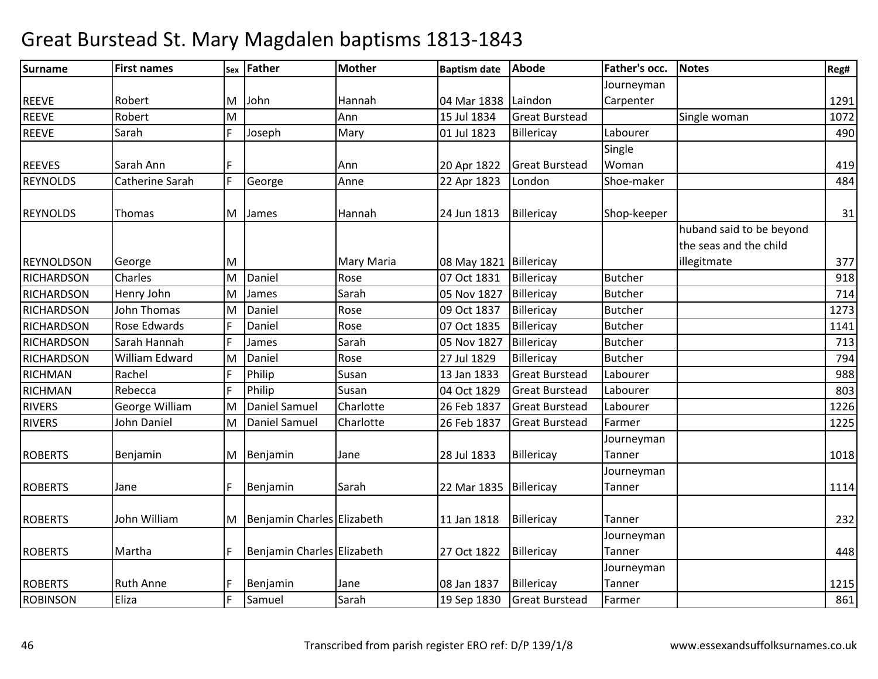| <b>Surname</b>    | <b>First names</b> | Sex | Father                           | <b>Mother</b> | <b>Baptism date</b>    | Abode                 | Father's occ.        | <b>Notes</b>             | Reg#        |
|-------------------|--------------------|-----|----------------------------------|---------------|------------------------|-----------------------|----------------------|--------------------------|-------------|
|                   |                    |     |                                  |               |                        |                       | Journeyman           |                          |             |
| <b>REEVE</b>      | Robert             | M   | John                             | Hannah        | 04 Mar 1838 Laindon    |                       | Carpenter            |                          | 1291        |
| <b>REEVE</b>      | Robert             | M   |                                  | Ann           | 15 Jul 1834            | <b>Great Burstead</b> |                      | Single woman             | 1072        |
| <b>REEVE</b>      | Sarah              | F.  | Joseph                           | Mary          | 01 Jul 1823            | Billericay            | Labourer             |                          | 490         |
|                   |                    |     |                                  |               |                        |                       | Single               |                          |             |
| <b>REEVES</b>     | Sarah Ann          |     |                                  | Ann           | 20 Apr 1822            | <b>Great Burstead</b> | Woman                |                          | 419         |
| <b>REYNOLDS</b>   | Catherine Sarah    | F   | George                           | Anne          | 22 Apr 1823            | London                | Shoe-maker           |                          | 484         |
| <b>REYNOLDS</b>   | Thomas             |     | M James                          | Hannah        | 24 Jun 1813            | Billericay            | Shop-keeper          |                          | 31          |
|                   |                    |     |                                  |               |                        |                       |                      | huband said to be beyond |             |
|                   |                    |     |                                  |               |                        |                       |                      | the seas and the child   |             |
| <b>REYNOLDSON</b> | George             | ΙM  |                                  | Mary Maria    | 08 May 1821 Billericay |                       |                      | illegitmate              | 377         |
| <b>RICHARDSON</b> | Charles            | M   | Daniel                           | Rose          | 07 Oct 1831            | Billericay            | <b>Butcher</b>       |                          | 918         |
| <b>RICHARDSON</b> | Henry John         | M   | James                            | Sarah         | 05 Nov 1827            | Billericay            | <b>Butcher</b>       |                          | 714         |
| <b>RICHARDSON</b> | John Thomas        | M   | Daniel                           | Rose          | 09 Oct 1837            | Billericay            | <b>Butcher</b>       |                          | 1273        |
| <b>RICHARDSON</b> | Rose Edwards       |     | Daniel                           | Rose          | 07 Oct 1835            | Billericay            | <b>Butcher</b>       |                          | 1141        |
| <b>RICHARDSON</b> | Sarah Hannah       |     | James                            | Sarah         | 05 Nov 1827            | Billericay            | <b>Butcher</b>       |                          | 713         |
| <b>RICHARDSON</b> | William Edward     | M   | Daniel                           | Rose          | 27 Jul 1829            | Billericay            | <b>Butcher</b>       |                          | 794         |
| <b>RICHMAN</b>    | Rachel             |     | Philip                           | Susan         | 13 Jan 1833            | <b>Great Burstead</b> | Labourer             |                          | 988         |
| <b>RICHMAN</b>    | Rebecca            | F   | Philip                           | Susan         | 04 Oct 1829            | <b>Great Burstead</b> | Labourer             |                          | 803         |
| <b>RIVERS</b>     | George William     | M   | Daniel Samuel                    | Charlotte     | 26 Feb 1837            | <b>Great Burstead</b> | Labourer             |                          | 1226        |
| <b>RIVERS</b>     | John Daniel        | lм  | <b>Daniel Samuel</b>             | Charlotte     | 26 Feb 1837            | <b>Great Burstead</b> | Farmer               |                          | 1225        |
|                   |                    |     |                                  |               |                        |                       | Journeyman           |                          |             |
| <b>ROBERTS</b>    | Benjamin           |     | M Benjamin                       | Jane          | 28 Jul 1833            | Billericay            | Tanner               |                          | 1018        |
|                   |                    |     |                                  |               |                        |                       | Journeyman           |                          |             |
| <b>ROBERTS</b>    | Jane               | F   | Benjamin                         | Sarah         | 22 Mar 1835            | Billericay            | Tanner               |                          | 1114        |
|                   | John William       |     |                                  |               |                        |                       |                      |                          |             |
| <b>ROBERTS</b>    |                    |     | M   Benjamin Charles   Elizabeth |               | 11 Jan 1818            | Billericay            | Tanner               |                          | 232         |
|                   |                    |     |                                  |               |                        |                       | Journeyman           |                          |             |
| <b>ROBERTS</b>    | Martha             |     | Benjamin Charles Elizabeth       |               | 27 Oct 1822            | Billericay            | Tanner               |                          | 448         |
| <b>ROBERTS</b>    | <b>Ruth Anne</b>   |     | Benjamin                         |               | 08 Jan 1837            | <b>Billericay</b>     | Journeyman<br>Tanner |                          |             |
| <b>ROBINSON</b>   | Eliza              |     | Samuel                           | Jane<br>Sarah | 19 Sep 1830            | <b>Great Burstead</b> | Farmer               |                          | 1215<br>861 |
|                   |                    |     |                                  |               |                        |                       |                      |                          |             |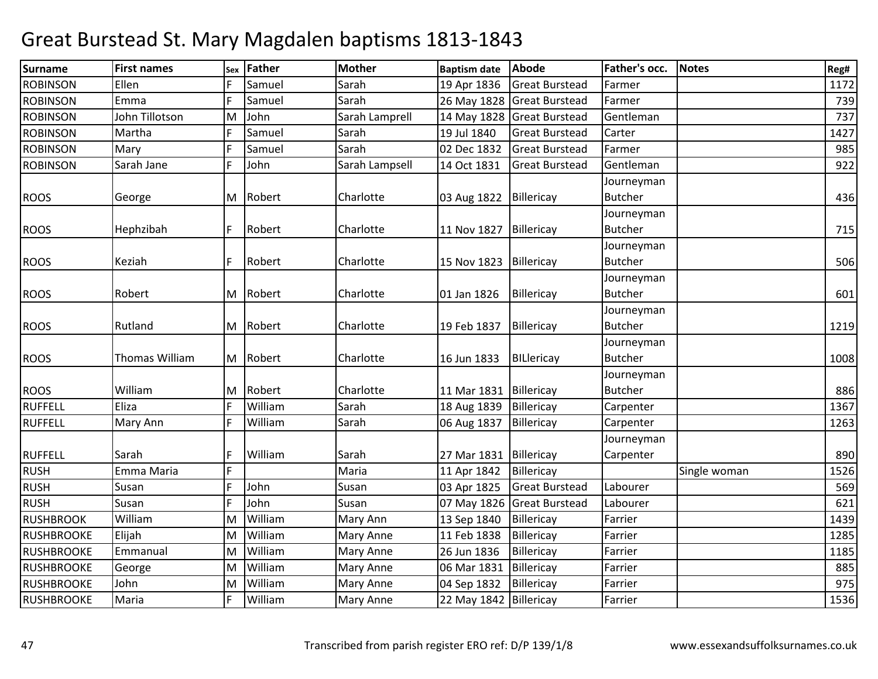| Surname           | <b>First names</b> | Sex | Father   | <b>Mother</b>  | <b>Baptism date</b>      | <b>Abode</b>               | Father's occ.  | <b>Notes</b> | Reg# |
|-------------------|--------------------|-----|----------|----------------|--------------------------|----------------------------|----------------|--------------|------|
| <b>ROBINSON</b>   | Ellen              |     | Samuel   | Sarah          | 19 Apr 1836              | <b>Great Burstead</b>      | Farmer         |              | 1172 |
| <b>ROBINSON</b>   | Emma               | F   | Samuel   | Sarah          |                          | 26 May 1828 Great Burstead | Farmer         |              | 739  |
| <b>ROBINSON</b>   | John Tillotson     | M   | John     | Sarah Lamprell |                          | 14 May 1828 Great Burstead | Gentleman      |              | 737  |
| <b>ROBINSON</b>   | Martha             | F   | Samuel   | Sarah          | 19 Jul 1840              | <b>Great Burstead</b>      | Carter         |              | 1427 |
| <b>ROBINSON</b>   | Mary               | F   | Samuel   | Sarah          | 02 Dec 1832              | <b>Great Burstead</b>      | Farmer         |              | 985  |
| <b>ROBINSON</b>   | Sarah Jane         | F   | John     | Sarah Lampsell | 14 Oct 1831              | <b>Great Burstead</b>      | Gentleman      |              | 922  |
|                   |                    |     |          |                |                          |                            | Journeyman     |              |      |
| <b>ROOS</b>       | George             |     | M Robert | Charlotte      | 03 Aug 1822   Billericay |                            | <b>Butcher</b> |              | 436  |
|                   |                    |     |          |                |                          |                            | Journeyman     |              |      |
| <b>ROOS</b>       | Hephzibah          | F   | Robert   | Charlotte      | 11 Nov 1827              | Billericay                 | <b>Butcher</b> |              | 715  |
|                   |                    |     |          |                |                          |                            | Journeyman     |              |      |
| <b>ROOS</b>       | Keziah             | F   | Robert   | Charlotte      | 15 Nov 1823              | Billericay                 | <b>Butcher</b> |              | 506  |
|                   |                    |     |          |                |                          |                            | Journeyman     |              |      |
| <b>ROOS</b>       | Robert             |     | M Robert | Charlotte      | 01 Jan 1826              | Billericay                 | <b>Butcher</b> |              | 601  |
|                   |                    |     |          |                |                          |                            | Journeyman     |              |      |
| <b>ROOS</b>       | Rutland            |     | M Robert | Charlotte      | 19 Feb 1837              | Billericay                 | <b>Butcher</b> |              | 1219 |
|                   |                    |     |          |                |                          |                            | Journeyman     |              |      |
| <b>ROOS</b>       | Thomas William     |     | M Robert | Charlotte      | 16 Jun 1833              | <b>BILlericay</b>          | <b>Butcher</b> |              | 1008 |
|                   |                    |     |          |                |                          |                            | Journeyman     |              |      |
| <b>ROOS</b>       | William            |     | M Robert | Charlotte      | 11 Mar 1831              | Billericay                 | <b>Butcher</b> |              | 886  |
| <b>RUFFELL</b>    | Eliza              | F   | William  | Sarah          | 18 Aug 1839              | Billericay                 | Carpenter      |              | 1367 |
| <b>RUFFELL</b>    | Mary Ann           | F   | William  | Sarah          | 06 Aug 1837              | Billericay                 | Carpenter      |              | 1263 |
|                   |                    |     |          |                |                          |                            | Journeyman     |              |      |
| <b>RUFFELL</b>    | Sarah              | F   | William  | Sarah          | 27 Mar 1831 Billericay   |                            | Carpenter      |              | 890  |
| <b>RUSH</b>       | Emma Maria         | F   |          | Maria          | 11 Apr 1842              | Billericay                 |                | Single woman | 1526 |
| <b>RUSH</b>       | Susan              | E   | John     | Susan          | 03 Apr 1825              | <b>Great Burstead</b>      | Labourer       |              | 569  |
| <b>RUSH</b>       | Susan              | F   | John     | Susan          | 07 May 1826              | <b>Great Burstead</b>      | Labourer       |              | 621  |
| <b>RUSHBROOK</b>  | William            | M   | William  | Mary Ann       | 13 Sep 1840              | Billericay                 | Farrier        |              | 1439 |
| <b>RUSHBROOKE</b> | Elijah             | M   | William  | Mary Anne      | 11 Feb 1838              | Billericay                 | Farrier        |              | 1285 |
| <b>RUSHBROOKE</b> | Emmanual           | M   | William  | Mary Anne      | 26 Jun 1836              | Billericay                 | Farrier        |              | 1185 |
| <b>RUSHBROOKE</b> | George             | M   | William  | Mary Anne      | 06 Mar 1831              | Billericay                 | Farrier        |              | 885  |
| <b>RUSHBROOKE</b> | John               | M   | William  | Mary Anne      | 04 Sep 1832              | Billericay                 | Farrier        |              | 975  |
| RUSHBROOKE        | Maria              | F   | William  | Mary Anne      | 22 May 1842 Billericay   |                            | Farrier        |              | 1536 |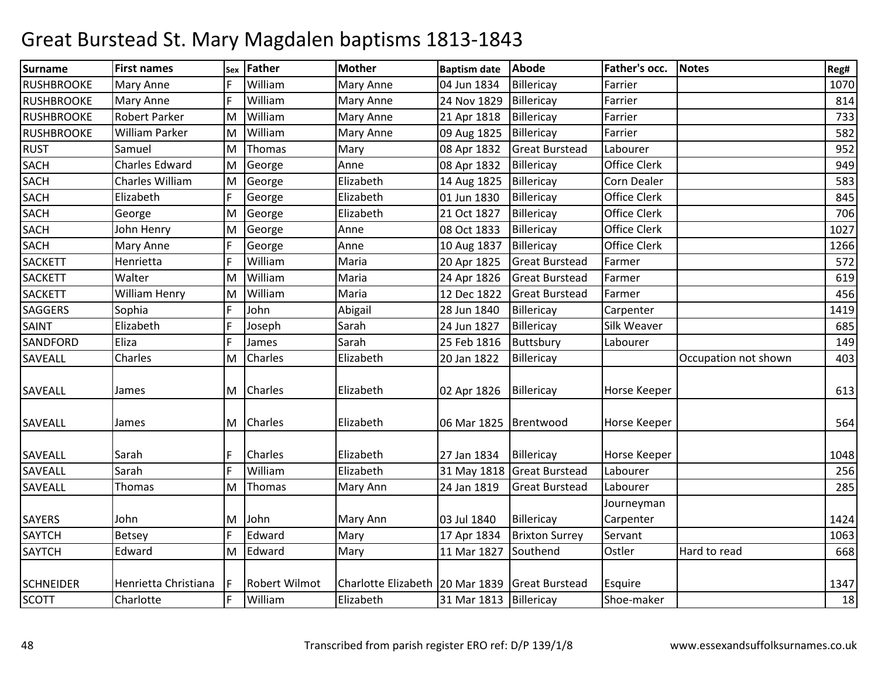| <b>Surname</b>    | <b>First names</b>   |   | sex Father           | <b>Mother</b>                     | <b>Baptism date</b>    | <b>Abode</b>          | Father's occ.       | <b>Notes</b>         | Reg# |
|-------------------|----------------------|---|----------------------|-----------------------------------|------------------------|-----------------------|---------------------|----------------------|------|
| <b>RUSHBROOKE</b> | <b>Mary Anne</b>     |   | William              | Mary Anne                         | 04 Jun 1834            | Billericay            | Farrier             |                      | 1070 |
| <b>RUSHBROOKE</b> | Mary Anne            | F | William              | Mary Anne                         | 24 Nov 1829            | Billericay            | Farrier             |                      | 814  |
| RUSHBROOKE        | <b>Robert Parker</b> | M | William              | Mary Anne                         | 21 Apr 1818            | Billericay            | Farrier             |                      | 733  |
| <b>RUSHBROOKE</b> | William Parker       | M | William              | Mary Anne                         | 09 Aug 1825            | Billericay            | Farrier             |                      | 582  |
| <b>RUST</b>       | Samuel               | M | Thomas               | Mary                              | 08 Apr 1832            | <b>Great Burstead</b> | Labourer            |                      | 952  |
| <b>SACH</b>       | Charles Edward       | M | George               | Anne                              | 08 Apr 1832            | Billericay            | Office Clerk        |                      | 949  |
| <b>SACH</b>       | Charles William      | M | George               | Elizabeth                         | 14 Aug 1825            | Billericay            | <b>Corn Dealer</b>  |                      | 583  |
| <b>SACH</b>       | Elizabeth            | F | George               | Elizabeth                         | 01 Jun 1830            | Billericay            | <b>Office Clerk</b> |                      | 845  |
| <b>SACH</b>       | George               | M | George               | Elizabeth                         | 21 Oct 1827            | Billericay            | <b>Office Clerk</b> |                      | 706  |
| <b>SACH</b>       | John Henry           | M | George               | Anne                              | 08 Oct 1833            | Billericay            | <b>Office Clerk</b> |                      | 1027 |
| <b>SACH</b>       | Mary Anne            |   | George               | Anne                              | 10 Aug 1837            | Billericay            | <b>Office Clerk</b> |                      | 1266 |
| <b>SACKETT</b>    | Henrietta            | F | William              | Maria                             | 20 Apr 1825            | <b>Great Burstead</b> | Farmer              |                      | 572  |
| <b>SACKETT</b>    | Walter               | M | William              | Maria                             | 24 Apr 1826            | <b>Great Burstead</b> | Farmer              |                      | 619  |
| <b>SACKETT</b>    | William Henry        | M | William              | Maria                             | 12 Dec 1822            | <b>Great Burstead</b> | Farmer              |                      | 456  |
| <b>SAGGERS</b>    | Sophia               | F | John                 | Abigail                           | 28 Jun 1840            | Billericay            | Carpenter           |                      | 1419 |
| SAINT             | Elizabeth            | F | Joseph               | Sarah                             | 24 Jun 1827            | Billericay            | Silk Weaver         |                      | 685  |
| SANDFORD          | Eliza                | F | James                | Sarah                             | 25 Feb 1816            | Buttsbury             | Labourer            |                      | 149  |
| <b>SAVEALL</b>    | Charles              | M | <b>Charles</b>       | Elizabeth                         | 20 Jan 1822            | Billericay            |                     | Occupation not shown | 403  |
|                   |                      |   |                      |                                   |                        |                       |                     |                      |      |
| SAVEALL           | James                |   | M Charles            | Elizabeth                         | 02 Apr 1826            | Billericay            | Horse Keeper        |                      | 613  |
|                   |                      |   |                      |                                   |                        |                       |                     |                      |      |
| <b>SAVEALL</b>    | James                | M | <b>Charles</b>       | Elizabeth                         | 06 Mar 1825            | Brentwood             | Horse Keeper        |                      | 564  |
|                   |                      |   |                      |                                   |                        |                       |                     |                      |      |
| <b>SAVEALL</b>    | Sarah                | F | <b>Charles</b>       | Elizabeth                         | 27 Jan 1834            | Billericay            | Horse Keeper        |                      | 1048 |
| SAVEALL           | Sarah                | E | William              | Elizabeth                         | 31 May 1818            | <b>Great Burstead</b> | Labourer            |                      | 256  |
| <b>SAVEALL</b>    | Thomas               | M | Thomas               | Mary Ann                          | 24 Jan 1819            | <b>Great Burstead</b> | Labourer            |                      | 285  |
|                   |                      |   |                      |                                   |                        |                       | Journeyman          |                      |      |
| <b>SAYERS</b>     | John                 | M | John                 | Mary Ann                          | 03 Jul 1840            | Billericay            | Carpenter           |                      | 1424 |
| <b>SAYTCH</b>     | <b>Betsey</b>        | F | Edward               | Mary                              | 17 Apr 1834            | <b>Brixton Surrey</b> | Servant             |                      | 1063 |
| <b>SAYTCH</b>     | Edward               |   | M Edward             | Mary                              | 11 Mar 1827            | Southend              | Ostler              | Hard to read         | 668  |
|                   |                      |   |                      |                                   |                        |                       |                     |                      |      |
| <b>SCHNEIDER</b>  | Henrietta Christiana |   | <b>Robert Wilmot</b> | Charlotte Elizabeth   20 Mar 1839 |                        | <b>Great Burstead</b> | Esquire             |                      | 1347 |
| SCOTT             | Charlotte            | F | William              | Elizabeth                         | 31 Mar 1813 Billericay |                       | Shoe-maker          |                      | 18   |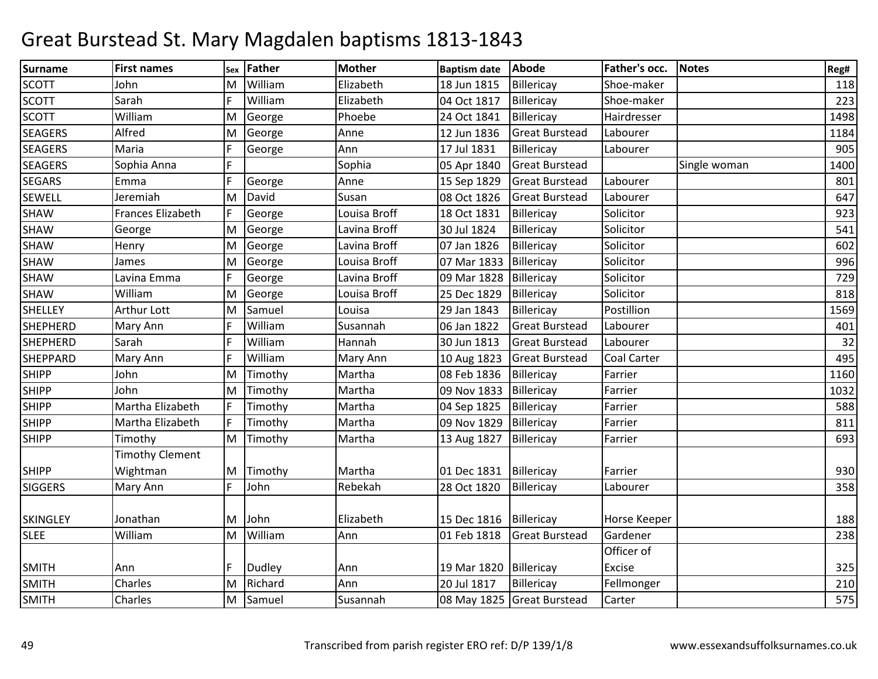| <b>Surname</b>  | <b>First names</b>     | Sex | Father        | <b>Mother</b> | <b>Baptism date</b>      | Abode                      | Father's occ.      | <b>Notes</b> | Reg# |
|-----------------|------------------------|-----|---------------|---------------|--------------------------|----------------------------|--------------------|--------------|------|
| <b>SCOTT</b>    | Iohn                   | M   | William       | Elizabeth     | 18 Jun 1815              | Billericay                 | Shoe-maker         |              | 118  |
| <b>SCOTT</b>    | Sarah                  | F   | William       | Elizabeth     | 04 Oct 1817              | Billericay                 | Shoe-maker         |              | 223  |
| <b>SCOTT</b>    | William                | M   | George        | Phoebe        | 24 Oct 1841              | Billericay                 | Hairdresser        |              | 1498 |
| <b>SEAGERS</b>  | Alfred                 | M   | George        | Anne          | 12 Jun 1836              | <b>Great Burstead</b>      | Labourer           |              | 1184 |
| <b>SEAGERS</b>  | Maria                  | F   | George        | Ann           | 17 Jul 1831              | Billericay                 | Labourer           |              | 905  |
| <b>SEAGERS</b>  | Sophia Anna            | F   |               | Sophia        | 05 Apr 1840              | <b>Great Burstead</b>      |                    | Single woman | 1400 |
| <b>SEGARS</b>   | Emma                   | F   | George        | Anne          | 15 Sep 1829              | <b>Great Burstead</b>      | Labourer           |              | 801  |
| <b>SEWELL</b>   | Jeremiah               | M   | David         | Susan         | 08 Oct 1826              | <b>Great Burstead</b>      | Labourer           |              | 647  |
| <b>SHAW</b>     | Frances Elizabeth      | F   | George        | Louisa Broff  | 18 Oct 1831              | Billericay                 | Solicitor          |              | 923  |
| SHAW            | George                 | M   | George        | Lavina Broff  | 30 Jul 1824              | Billericay                 | Solicitor          |              | 541  |
| SHAW            | Henry                  | M   | George        | Lavina Broff  | 07 Jan 1826              | Billericay                 | Solicitor          |              | 602  |
| SHAW            | James                  | M   | George        | Louisa Broff  | 07 Mar 1833              | Billericay                 | Solicitor          |              | 996  |
| SHAW            | Lavina Emma            | F   | George        | Lavina Broff  | 09 Mar 1828              | Billericay                 | Solicitor          |              | 729  |
| <b>SHAW</b>     | William                | M   | George        | Louisa Broff  | 25 Dec 1829              | Billericay                 | Solicitor          |              | 818  |
| <b>SHELLEY</b>  | Arthur Lott            | M   | Samuel        | Louisa        | 29 Jan 1843              | Billericay                 | Postillion         |              | 1569 |
| <b>SHEPHERD</b> | Mary Ann               | F   | William       | Susannah      | 06 Jan 1822              | <b>Great Burstead</b>      | Labourer           |              | 401  |
| <b>SHEPHERD</b> | Sarah                  | F   | William       | Hannah        | 30 Jun 1813              | <b>Great Burstead</b>      | Labourer           |              | 32   |
| <b>SHEPPARD</b> | Mary Ann               | E   | William       | Mary Ann      | 10 Aug 1823              | <b>Great Burstead</b>      | <b>Coal Carter</b> |              | 495  |
| <b>SHIPP</b>    | John                   | M   | Timothy       | Martha        | 08 Feb 1836              | Billericay                 | Farrier            |              | 1160 |
| <b>SHIPP</b>    | John                   | M   | Timothy       | Martha        | 09 Nov 1833              | Billericay                 | Farrier            |              | 1032 |
| <b>SHIPP</b>    | Martha Elizabeth       | lF  | Timothy       | Martha        | 04 Sep 1825              | Billericay                 | Farrier            |              | 588  |
| <b>SHIPP</b>    | Martha Elizabeth       | F   | Timothy       | Martha        | 09 Nov 1829              | Billericay                 | Farrier            |              | 811  |
| <b>SHIPP</b>    | Timothy                | M   | Timothy       | Martha        | 13 Aug 1827              | Billericay                 | Farrier            |              | 693  |
|                 | <b>Timothy Clement</b> |     |               |               |                          |                            |                    |              |      |
| <b>SHIPP</b>    | Wightman               |     | M Timothy     | Martha        | 01 Dec 1831              | Billericay                 | Farrier            |              | 930  |
| <b>SIGGERS</b>  | <b>Mary Ann</b>        | F   | John          | Rebekah       | 28 Oct 1820              | Billericay                 | Labourer           |              | 358  |
|                 |                        |     |               |               |                          |                            |                    |              |      |
| <b>SKINGLEY</b> | Jonathan               | M   | John          | Elizabeth     | 15 Dec 1816   Billericay |                            | Horse Keeper       |              | 188  |
| <b>SLEE</b>     | William                | M   | William       | Ann           | 01 Feb 1818              | <b>Great Burstead</b>      | Gardener           |              | 238  |
|                 |                        |     |               |               |                          |                            | Officer of         |              |      |
| <b>SMITH</b>    | Ann                    | F   | <b>Dudley</b> | Ann           | 19 Mar 1820              | Billericay                 | Excise             |              | 325  |
| <b>SMITH</b>    | Charles                | M   | Richard       | Ann           | 20 Jul 1817              | Billericay                 | Fellmonger         |              | 210  |
| <b>SMITH</b>    | Charles                |     | M Samuel      | Susannah      |                          | 08 May 1825 Great Burstead | Carter             |              | 575  |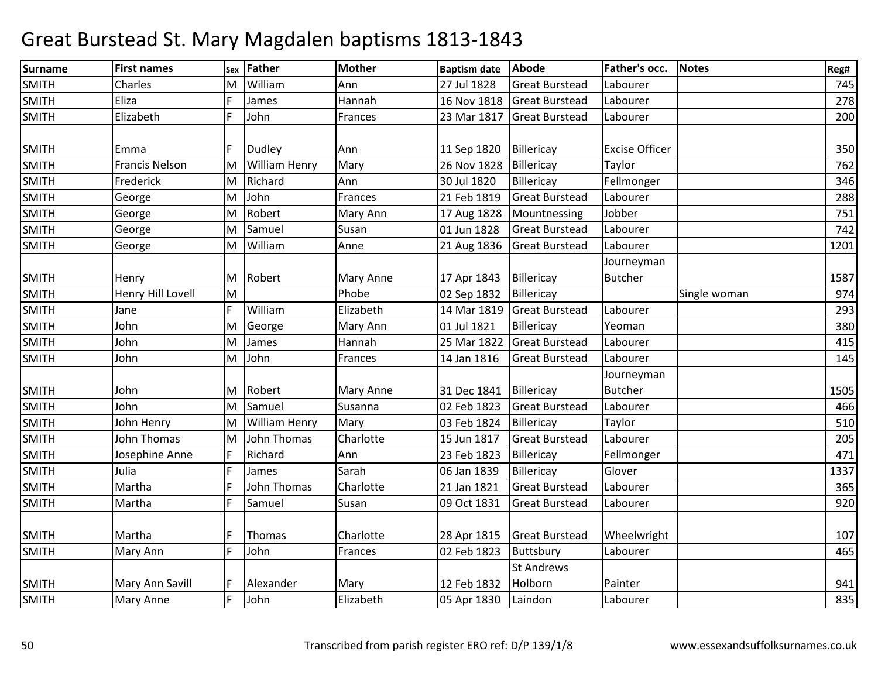| Surname      | <b>First names</b>    | Sex | Father               | <b>Mother</b> | <b>Baptism date</b> | Abode                 | Father's occ.         | <b>Notes</b> | Reg# |
|--------------|-----------------------|-----|----------------------|---------------|---------------------|-----------------------|-----------------------|--------------|------|
| <b>SMITH</b> | Charles               | M   | William              | Ann           | 27 Jul 1828         | <b>Great Burstead</b> | Labourer              |              | 745  |
| <b>SMITH</b> | Eliza                 | F   | James                | Hannah        | 16 Nov 1818         | <b>Great Burstead</b> | Labourer              |              | 278  |
| <b>SMITH</b> | Elizabeth             | F   | John                 | Frances       | 23 Mar 1817         | <b>Great Burstead</b> | Labourer              |              | 200  |
| <b>SMITH</b> | Emma                  | F   | Dudley               | Ann           | 11 Sep 1820         | Billericay            | <b>Excise Officer</b> |              | 350  |
| <b>SMITH</b> | <b>Francis Nelson</b> | M   | <b>William Henry</b> | Mary          | 26 Nov 1828         | Billericay            | Taylor                |              | 762  |
| <b>SMITH</b> | Frederick             | M   | Richard              | Ann           | 30 Jul 1820         | Billericay            | Fellmonger            |              | 346  |
| <b>SMITH</b> | George                | M   | John                 | Frances       | 21 Feb 1819         | <b>Great Burstead</b> | Labourer              |              | 288  |
| <b>SMITH</b> | George                | M   | Robert               | Mary Ann      | 17 Aug 1828         | Mountnessing          | Jobber                |              | 751  |
| <b>SMITH</b> | George                | M   | Samuel               | Susan         | 01 Jun 1828         | <b>Great Burstead</b> | Labourer              |              | 742  |
| <b>SMITH</b> | George                | M   | William              | Anne          | 21 Aug 1836         | <b>Great Burstead</b> | Labourer              |              | 1201 |
|              |                       |     |                      |               |                     |                       | Journeyman            |              |      |
| <b>SMITH</b> | Henry                 |     | M Robert             | Mary Anne     | 17 Apr 1843         | Billericay            | <b>Butcher</b>        |              | 1587 |
| <b>SMITH</b> | Henry Hill Lovell     | M   |                      | Phobe         | 02 Sep 1832         | Billericay            |                       | Single woman | 974  |
| <b>SMITH</b> | Jane                  | F   | William              | Elizabeth     | 14 Mar 1819         | <b>Great Burstead</b> | Labourer              |              | 293  |
| SMITH        | John                  | M   | George               | Mary Ann      | 01 Jul 1821         | Billericay            | Yeoman                |              | 380  |
| <b>SMITH</b> | John                  | M   | James                | Hannah        | 25 Mar 1822         | <b>Great Burstead</b> | Labourer              |              | 415  |
| <b>SMITH</b> | John                  | M   | John                 | Frances       | 14 Jan 1816         | <b>Great Burstead</b> | Labourer              |              | 145  |
|              |                       |     |                      |               |                     |                       | Journeyman            |              |      |
| <b>SMITH</b> | John                  | M   | Robert               | Mary Anne     | 31 Dec 1841         | Billericay            | <b>Butcher</b>        |              | 1505 |
| <b>SMITH</b> | John                  | M   | Samuel               | Susanna       | 02 Feb 1823         | <b>Great Burstead</b> | Labourer              |              | 466  |
| <b>SMITH</b> | John Henry            | M   | <b>William Henry</b> | Mary          | 03 Feb 1824         | Billericay            | Taylor                |              | 510  |
| <b>SMITH</b> | John Thomas           | M   | John Thomas          | Charlotte     | 15 Jun 1817         | <b>Great Burstead</b> | Labourer              |              | 205  |
| <b>SMITH</b> | Josephine Anne        | F   | Richard              | Ann           | 23 Feb 1823         | Billericay            | Fellmonger            |              | 471  |
| <b>SMITH</b> | Julia                 | F   | James                | Sarah         | 06 Jan 1839         | Billericay            | Glover                |              | 1337 |
| <b>SMITH</b> | Martha                | F   | <b>John Thomas</b>   | Charlotte     | 21 Jan 1821         | <b>Great Burstead</b> | Labourer              |              | 365  |
| <b>SMITH</b> | Martha                | F   | Samuel               | Susan         | 09 Oct 1831         | <b>Great Burstead</b> | Labourer              |              | 920  |
| <b>SMITH</b> | Martha                | F   | Thomas               | Charlotte     | 28 Apr 1815         | <b>Great Burstead</b> | Wheelwright           |              | 107  |
| <b>SMITH</b> | Mary Ann              | F   | John                 | Frances       | 02 Feb 1823         | Buttsbury             | Labourer              |              | 465  |
|              |                       |     |                      |               |                     | <b>St Andrews</b>     |                       |              |      |
| <b>SMITH</b> | Mary Ann Savill       |     | Alexander            | Mary          | 12 Feb 1832         | Holborn               | Painter               |              | 941  |
| <b>SMITH</b> | <b>Mary Anne</b>      | F   | John                 | Elizabeth     | 05 Apr 1830         | Laindon               | Labourer              |              | 835  |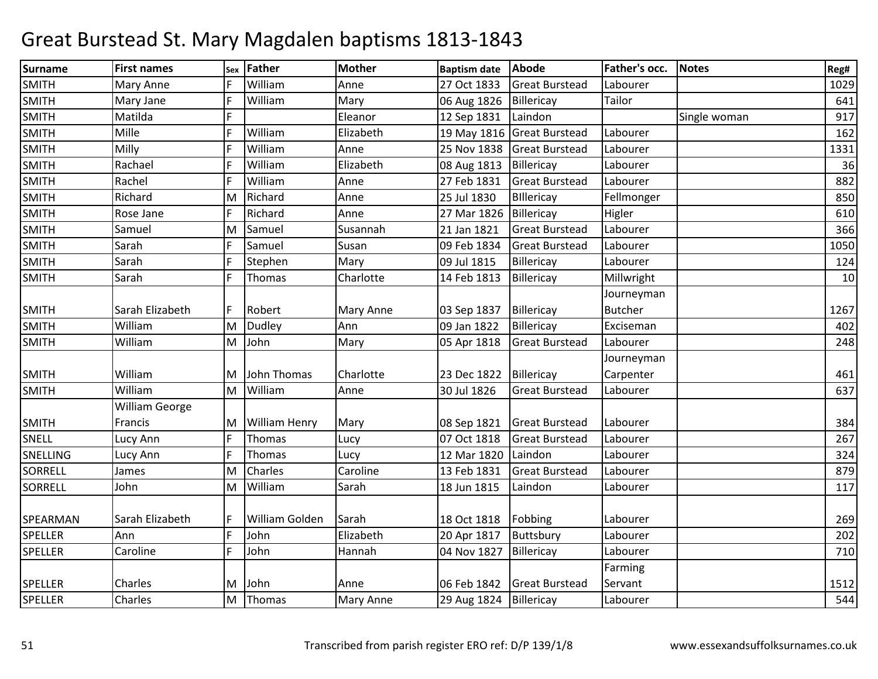| Surname        | <b>First names</b>    |     | sex Father           | <b>Mother</b>    | <b>Baptism date</b>    | Abode                      | Father's occ.  | <b>Notes</b> | Reg# |
|----------------|-----------------------|-----|----------------------|------------------|------------------------|----------------------------|----------------|--------------|------|
| <b>SMITH</b>   | Mary Anne             |     | William              | Anne             | 27 Oct 1833            | <b>Great Burstead</b>      | Labourer       |              | 1029 |
| <b>SMITH</b>   | Mary Jane             | F   | William              | Mary             | 06 Aug 1826            | Billericay                 | Tailor         |              | 641  |
| <b>SMITH</b>   | Matilda               | E   |                      | Eleanor          | 12 Sep 1831            | Laindon                    |                | Single woman | 917  |
| <b>SMITH</b>   | Mille                 | F   | William              | Elizabeth        |                        | 19 May 1816 Great Burstead | Labourer       |              | 162  |
| <b>SMITH</b>   | Milly                 | F   | William              | Anne             | 25 Nov 1838            | <b>Great Burstead</b>      | Labourer       |              | 1331 |
| <b>SMITH</b>   | Rachael               | F   | William              | Elizabeth        | 08 Aug 1813            | Billericay                 | Labourer       |              | 36   |
| <b>SMITH</b>   | Rachel                | l F | William              | Anne             | 27 Feb 1831            | <b>Great Burstead</b>      | Labourer       |              | 882  |
| <b>SMITH</b>   | Richard               | M   | Richard              | Anne             | 25 Jul 1830            | Billericay                 | Fellmonger     |              | 850  |
| <b>SMITH</b>   | Rose Jane             | F   | Richard              | Anne             | 27 Mar 1826            | Billericay                 | Higler         |              | 610  |
| <b>SMITH</b>   | Samuel                | M   | Samuel               | Susannah         | 21 Jan 1821            | <b>Great Burstead</b>      | Labourer       |              | 366  |
| <b>SMITH</b>   | Sarah                 | F   | Samuel               | Susan            | 09 Feb 1834            | <b>Great Burstead</b>      | Labourer       |              | 1050 |
| <b>SMITH</b>   | Sarah                 | F   | Stephen              | Mary             | 09 Jul 1815            | Billericay                 | Labourer       |              | 124  |
| <b>SMITH</b>   | Sarah                 | E   | Thomas               | Charlotte        | 14 Feb 1813            | Billericay                 | Millwright     |              | 10   |
|                |                       |     |                      |                  |                        |                            | Journeyman     |              |      |
| <b>SMITH</b>   | Sarah Elizabeth       |     | Robert               | Mary Anne        | 03 Sep 1837            | Billericay                 | <b>Butcher</b> |              | 1267 |
| <b>SMITH</b>   | William               | M   | <b>Dudley</b>        | Ann              | 09 Jan 1822            | Billericay                 | Exciseman      |              | 402  |
| <b>SMITH</b>   | William               | M   | John                 | Mary             | 05 Apr 1818            | <b>Great Burstead</b>      | Labourer       |              | 248  |
|                |                       |     |                      |                  |                        |                            | Journeyman     |              |      |
| <b>SMITH</b>   | William               | IM. | John Thomas          | Charlotte        | 23 Dec 1822            | Billericay                 | Carpenter      |              | 461  |
| <b>SMITH</b>   | William               | M   | William              | Anne             | 30 Jul 1826            | <b>Great Burstead</b>      | Labourer       |              | 637  |
|                | <b>William George</b> |     |                      |                  |                        |                            |                |              |      |
| <b>SMITH</b>   | Francis               | IM. | <b>William Henry</b> | Mary             | 08 Sep 1821            | <b>Great Burstead</b>      | Labourer       |              | 384  |
| <b>SNELL</b>   | Lucy Ann              | F   | Thomas               | Lucy             | 07 Oct 1818            | <b>Great Burstead</b>      | Labourer       |              | 267  |
| SNELLING       | Lucy Ann              | F   | Thomas               | Lucy             | 12 Mar 1820            | Laindon                    | Labourer       |              | 324  |
| SORRELL        | James                 | M   | Charles              | Caroline         | 13 Feb 1831            | <b>Great Burstead</b>      | Labourer       |              | 879  |
| SORRELL        | John                  | M   | William              | Sarah            | 18 Jun 1815            | Laindon                    | Labourer       |              | 117  |
|                |                       |     |                      |                  |                        |                            |                |              |      |
| SPEARMAN       | Sarah Elizabeth       |     | William Golden       | Sarah            | 18 Oct 1818            | Fobbing                    | Labourer       |              | 269  |
| <b>SPELLER</b> | Ann                   | F   | John                 | Elizabeth        | 20 Apr 1817            | Buttsbury                  | Labourer       |              | 202  |
| <b>SPELLER</b> | Caroline              | E   | John                 | Hannah           | 04 Nov 1827            | Billericay                 | Labourer       |              | 710  |
|                |                       |     |                      |                  |                        |                            | Farming        |              |      |
| <b>SPELLER</b> | Charles               | M   | John                 | Anne             | 06 Feb 1842            | <b>Great Burstead</b>      | Servant        |              | 1512 |
| SPELLER        | Charles               | M   | Thomas               | <b>Mary Anne</b> | 29 Aug 1824 Billericay |                            | Labourer       |              | 544  |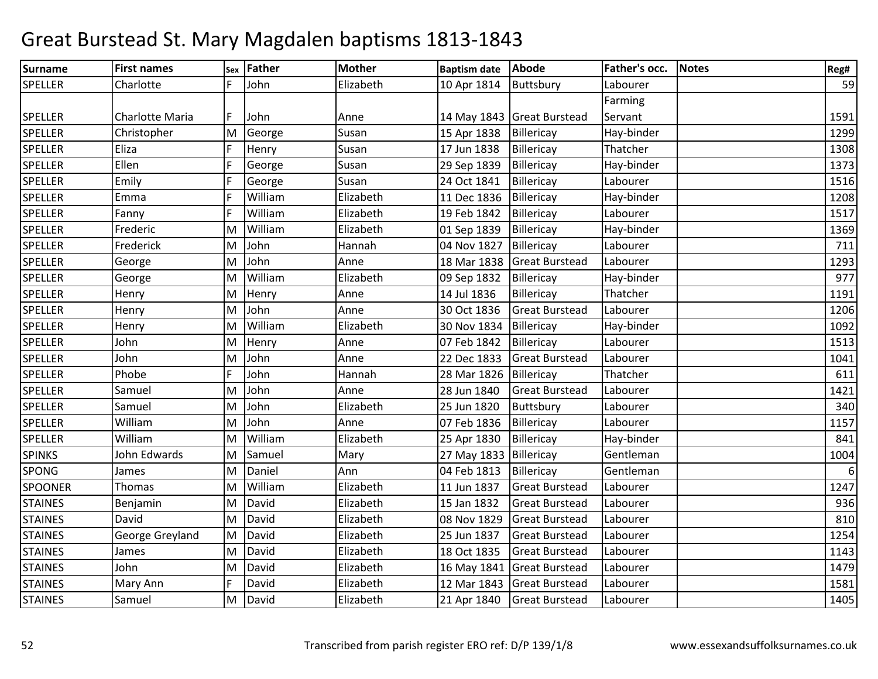| Surname        | <b>First names</b>     |   | Sex   Father | <b>Mother</b> | <b>Baptism date</b> | <b>Abode</b>               | Father's occ. | <b>Notes</b> | Reg#             |
|----------------|------------------------|---|--------------|---------------|---------------------|----------------------------|---------------|--------------|------------------|
| <b>SPELLER</b> | Charlotte              |   | John         | Elizabeth     | 10 Apr 1814         | Buttsbury                  | Labourer      |              | 59               |
|                |                        |   |              |               |                     |                            | Farming       |              |                  |
| <b>SPELLER</b> | <b>Charlotte Maria</b> |   | John         | Anne          |                     | 14 May 1843 Great Burstead | Servant       |              | 1591             |
| <b>SPELLER</b> | Christopher            | M | George       | Susan         | 15 Apr 1838         | Billericay                 | Hay-binder    |              | 1299             |
| <b>SPELLER</b> | Eliza                  | F | Henry        | Susan         | 17 Jun 1838         | Billericay                 | Thatcher      |              | 1308             |
| <b>SPELLER</b> | Ellen                  | F | George       | Susan         | 29 Sep 1839         | Billericay                 | Hay-binder    |              | 1373             |
| <b>SPELLER</b> | Emily                  | F | George       | Susan         | 24 Oct 1841         | Billericay                 | Labourer      |              | 1516             |
| <b>SPELLER</b> | Emma                   | F | William      | Elizabeth     | 11 Dec 1836         | Billericay                 | Hay-binder    |              | 1208             |
| <b>SPELLER</b> | Fanny                  | F | William      | Elizabeth     | 19 Feb 1842         | Billericay                 | Labourer      |              | 1517             |
| <b>SPELLER</b> | Frederic               | M | William      | Elizabeth     | 01 Sep 1839         | Billericay                 | Hay-binder    |              | 1369             |
| <b>SPELLER</b> | Frederick              | M | John         | Hannah        | 04 Nov 1827         | Billericay                 | Labourer      |              | 711              |
| <b>SPELLER</b> | George                 | M | John         | Anne          | 18 Mar 1838         | <b>Great Burstead</b>      | Labourer      |              | 1293             |
| <b>SPELLER</b> | George                 | M | William      | Elizabeth     | 09 Sep 1832         | Billericay                 | Hay-binder    |              | 977              |
| <b>SPELLER</b> | Henry                  | M | Henry        | Anne          | 14 Jul 1836         | Billericay                 | Thatcher      |              | 1191             |
| <b>SPELLER</b> | Henry                  | M | John         | Anne          | 30 Oct 1836         | <b>Great Burstead</b>      | Labourer      |              | 1206             |
| <b>SPELLER</b> | Henry                  | M | William      | Elizabeth     | 30 Nov 1834         | Billericay                 | Hay-binder    |              | 1092             |
| <b>SPELLER</b> | John                   | M | Henry        | Anne          | 07 Feb 1842         | Billericay                 | Labourer      |              | 1513             |
| <b>SPELLER</b> | John                   | M | John         | Anne          | 22 Dec 1833         | <b>Great Burstead</b>      | Labourer      |              | 1041             |
| <b>SPELLER</b> | Phobe                  | F | John         | Hannah        | 28 Mar 1826         | Billericay                 | Thatcher      |              | 611              |
| <b>SPELLER</b> | Samuel                 | M | John         | Anne          | 28 Jun 1840         | <b>Great Burstead</b>      | Labourer      |              | 1421             |
| <b>SPELLER</b> | Samuel                 | M | John         | Elizabeth     | 25 Jun 1820         | Buttsbury                  | Labourer      |              | 340              |
| <b>SPELLER</b> | William                | M | John         | Anne          | 07 Feb 1836         | Billericay                 | Labourer      |              | 1157             |
| <b>SPELLER</b> | William                | M | William      | Elizabeth     | 25 Apr 1830         | Billericay                 | Hay-binder    |              | 841              |
| <b>SPINKS</b>  | John Edwards           | M | Samuel       | Mary          | 27 May 1833         | Billericay                 | Gentleman     |              | 1004             |
| <b>SPONG</b>   | James                  | M | Daniel       | Ann           | 04 Feb 1813         | Billericay                 | Gentleman     |              | $\boldsymbol{6}$ |
| <b>SPOONER</b> | <b>Thomas</b>          | M | William      | Elizabeth     | 11 Jun 1837         | <b>Great Burstead</b>      | Labourer      |              | 1247             |
| <b>STAINES</b> | Benjamin               | M | David        | Elizabeth     | 15 Jan 1832         | <b>Great Burstead</b>      | Labourer      |              | 936              |
| <b>STAINES</b> | David                  | M | David        | Elizabeth     | 08 Nov 1829         | <b>Great Burstead</b>      | Labourer      |              | 810              |
| <b>STAINES</b> | George Greyland        | M | David        | Elizabeth     | 25 Jun 1837         | <b>Great Burstead</b>      | Labourer      |              | 1254             |
| <b>STAINES</b> | James                  | M | David        | Elizabeth     | 18 Oct 1835         | <b>Great Burstead</b>      | Labourer      |              | 1143             |
| <b>STAINES</b> | John                   | M | David        | Elizabeth     | 16 May 1841         | Great Burstead             | Labourer      |              | 1479             |
| <b>STAINES</b> | Mary Ann               | F | David        | Elizabeth     | 12 Mar 1843         | <b>Great Burstead</b>      | Labourer      |              | 1581             |
| <b>STAINES</b> | Samuel                 | M | David        | Elizabeth     | 21 Apr 1840         | <b>Great Burstead</b>      | Labourer      |              | 1405             |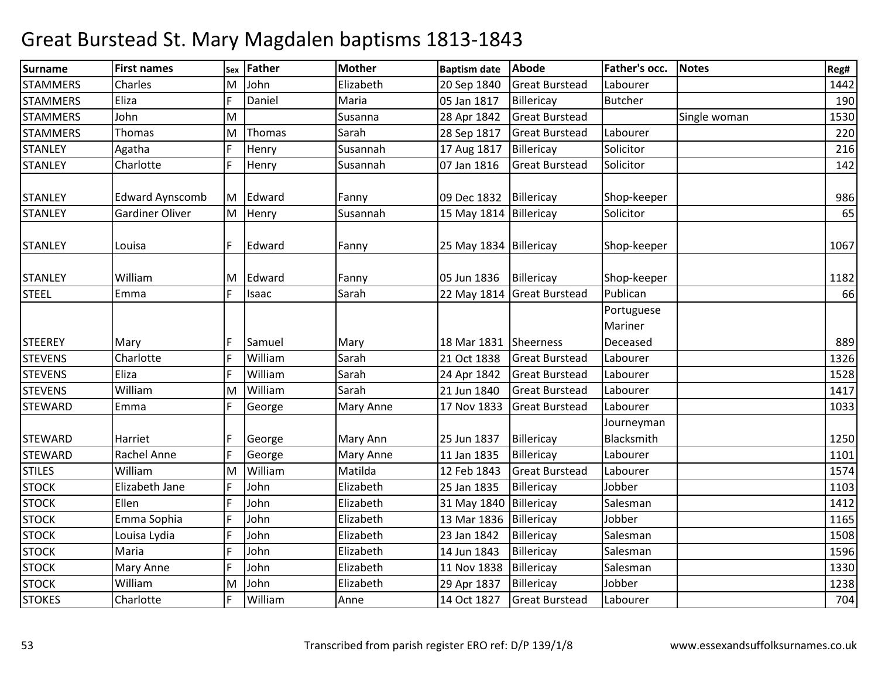| Surname         | <b>First names</b>     | Sex | <b>Father</b> | <b>Mother</b>    | <b>Baptism date</b>    | Abode                      | Father's occ.            | <b>Notes</b> | Reg# |
|-----------------|------------------------|-----|---------------|------------------|------------------------|----------------------------|--------------------------|--------------|------|
| <b>STAMMERS</b> | Charles                | M   | John          | Elizabeth        | 20 Sep 1840            | <b>Great Burstead</b>      | Labourer                 |              | 1442 |
| <b>STAMMERS</b> | Eliza                  | E   | Daniel        | Maria            | 05 Jan 1817            | Billericay                 | <b>Butcher</b>           |              | 190  |
| <b>STAMMERS</b> | John                   | M   |               | Susanna          | 28 Apr 1842            | <b>Great Burstead</b>      |                          | Single woman | 1530 |
| <b>STAMMERS</b> | <b>Thomas</b>          | M   | Thomas        | Sarah            | 28 Sep 1817            | <b>Great Burstead</b>      | Labourer                 |              | 220  |
| <b>STANLEY</b>  | Agatha                 | E   | Henry         | Susannah         | 17 Aug 1817            | Billericay                 | Solicitor                |              | 216  |
| <b>STANLEY</b>  | Charlotte              |     | Henry         | Susannah         | 07 Jan 1816            | <b>Great Burstead</b>      | Solicitor                |              | 142  |
| <b>STANLEY</b>  | <b>Edward Aynscomb</b> | IM. | Edward        | Fanny            | 09 Dec 1832            | Billericay                 | Shop-keeper              |              | 986  |
| <b>STANLEY</b>  | <b>Gardiner Oliver</b> | M   | Henry         | Susannah         | 15 May 1814 Billericay |                            | Solicitor                |              | 65   |
| <b>STANLEY</b>  | Louisa                 | F   | Edward        | Fanny            | 25 May 1834 Billericay |                            | Shop-keeper              |              | 1067 |
| <b>STANLEY</b>  | William                | M   | Edward        | Fanny            | 05 Jun 1836            | Billericay                 | Shop-keeper              |              | 1182 |
| <b>STEEL</b>    | Emma                   | F   | Isaac         | Sarah            |                        | 22 May 1814 Great Burstead | Publican                 |              | 66   |
|                 |                        |     |               |                  |                        |                            | Portuguese<br>Mariner    |              |      |
| <b>STEEREY</b>  | Mary                   |     | Samuel        | Mary             | 18 Mar 1831            | Sheerness                  | Deceased                 |              | 889  |
| <b>STEVENS</b>  | Charlotte              |     | William       | Sarah            | 21 Oct 1838            | <b>Great Burstead</b>      | Labourer                 |              | 1326 |
| <b>STEVENS</b>  | Eliza                  | ١F  | William       | Sarah            | 24 Apr 1842            | <b>Great Burstead</b>      | Labourer                 |              | 1528 |
| <b>STEVENS</b>  | William                | M   | William       | Sarah            | 21 Jun 1840            | <b>Great Burstead</b>      | Labourer                 |              | 1417 |
| <b>STEWARD</b>  | Emma                   | E   | George        | <b>Mary Anne</b> | 17 Nov 1833            | <b>Great Burstead</b>      | Labourer                 |              | 1033 |
| <b>STEWARD</b>  | Harriet                |     | George        | Mary Ann         | 25 Jun 1837            | Billericay                 | Journeyman<br>Blacksmith |              | 1250 |
| <b>STEWARD</b>  | Rachel Anne            | ١F  | George        | <b>Mary Anne</b> | 11 Jan 1835            | Billericay                 | Labourer                 |              | 1101 |
| <b>STILES</b>   | William                | M   | William       | Matilda          | 12 Feb 1843            | <b>Great Burstead</b>      | Labourer                 |              | 1574 |
| <b>STOCK</b>    | Elizabeth Jane         |     | John          | Elizabeth        | 25 Jan 1835            | Billericay                 | Jobber                   |              | 1103 |
| <b>STOCK</b>    | Ellen                  | F   | John          | Elizabeth        | 31 May 1840            | Billericay                 | Salesman                 |              | 1412 |
| <b>STOCK</b>    | Emma Sophia            |     | John          | Elizabeth        | 13 Mar 1836            | Billericay                 | Jobber                   |              | 1165 |
| <b>STOCK</b>    | Louisa Lydia           |     | John          | Elizabeth        | 23 Jan 1842            | Billericay                 | Salesman                 |              | 1508 |
| <b>STOCK</b>    | Maria                  | E   | John          | Elizabeth        | 14 Jun 1843            | Billericay                 | Salesman                 |              | 1596 |
| <b>STOCK</b>    | Mary Anne              | E   | John          | Elizabeth        | 11 Nov 1838            | Billericay                 | Salesman                 |              | 1330 |
| <b>STOCK</b>    | William                | M   | John          | Elizabeth        | 29 Apr 1837            | Billericay                 | Jobber                   |              | 1238 |
| <b>STOKES</b>   | Charlotte              |     | William       | Anne             | 14 Oct 1827            | <b>Great Burstead</b>      | Labourer                 |              | 704  |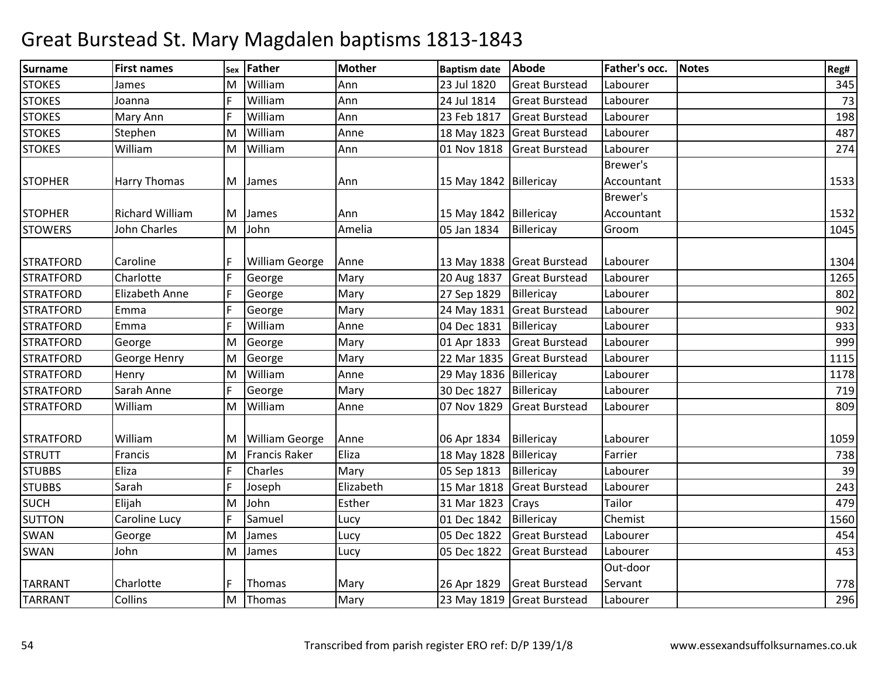| Surname          | <b>First names</b>     | Sex | <b>Father</b>         | <b>Mother</b> | <b>Baptism date</b>      | Abode                      | Father's occ.   | <b>Notes</b> | Reg# |
|------------------|------------------------|-----|-----------------------|---------------|--------------------------|----------------------------|-----------------|--------------|------|
| <b>STOKES</b>    | lames                  | M   | William               | Ann           | 23 Jul 1820              | <b>Great Burstead</b>      | Labourer        |              | 345  |
| <b>STOKES</b>    | Joanna                 | E   | William               | Ann           | 24 Jul 1814              | <b>Great Burstead</b>      | Labourer        |              | 73   |
| <b>STOKES</b>    | Mary Ann               |     | William               | Ann           | 23 Feb 1817              | <b>Great Burstead</b>      | Labourer        |              | 198  |
| <b>STOKES</b>    | Stephen                | M   | William               | Anne          | 18 May 1823              | <b>Great Burstead</b>      | Labourer        |              | 487  |
| <b>STOKES</b>    | William                | M   | William               | Ann           | 01 Nov 1818              | <b>Great Burstead</b>      | Labourer        |              | 274  |
|                  |                        |     |                       |               |                          |                            | Brewer's        |              |      |
| <b>STOPHER</b>   | Harry Thomas           | M   | James                 | Ann           | 15 May 1842   Billericay |                            | Accountant      |              | 1533 |
|                  |                        |     |                       |               |                          |                            | <b>Brewer's</b> |              |      |
| <b>STOPHER</b>   | <b>Richard William</b> | M   | James                 | Ann           | 15 May 1842 Billericay   |                            | Accountant      |              | 1532 |
| <b>STOWERS</b>   | John Charles           | M   | John                  | Amelia        | 05 Jan 1834              | Billericay                 | Groom           |              | 1045 |
|                  |                        |     |                       |               |                          |                            |                 |              |      |
| <b>STRATFORD</b> | Caroline               |     | <b>William George</b> | Anne          |                          | 13 May 1838 Great Burstead | Labourer        |              | 1304 |
| <b>STRATFORD</b> | Charlotte              | l F | George                | Mary          | 20 Aug 1837              | <b>Great Burstead</b>      | Labourer        |              | 1265 |
| <b>STRATFORD</b> | Elizabeth Anne         | F   | George                | Mary          | 27 Sep 1829              | Billericay                 | Labourer        |              | 802  |
| <b>STRATFORD</b> | Emma                   | F   | George                | Mary          | 24 May 1831              | <b>Great Burstead</b>      | Labourer        |              | 902  |
| <b>STRATFORD</b> | Emma                   | E   | William               | Anne          | 04 Dec 1831              | Billericay                 | Labourer        |              | 933  |
| <b>STRATFORD</b> | George                 | M   | George                | Mary          | 01 Apr 1833              | <b>Great Burstead</b>      | Labourer        |              | 999  |
| <b>STRATFORD</b> | George Henry           | M   | George                | Mary          | 22 Mar 1835              | <b>Great Burstead</b>      | Labourer        |              | 1115 |
| <b>STRATFORD</b> | Henry                  | M   | William               | Anne          | 29 May 1836 Billericay   |                            | Labourer        |              | 1178 |
| <b>STRATFORD</b> | Sarah Anne             | E   | George                | Mary          | 30 Dec 1827              | Billericay                 | Labourer        |              | 719  |
| <b>STRATFORD</b> | William                | M   | William               | Anne          | 07 Nov 1829              | <b>Great Burstead</b>      | Labourer        |              | 809  |
|                  |                        |     |                       |               |                          |                            |                 |              |      |
| <b>STRATFORD</b> | William                | ΙM  | <b>William George</b> | Anne          | 06 Apr 1834              | Billericay                 | Labourer        |              | 1059 |
| <b>STRUTT</b>    | Francis                | M   | <b>Francis Raker</b>  | Eliza         | 18 May 1828 Billericay   |                            | Farrier         |              | 738  |
| <b>STUBBS</b>    | Eliza                  | F   | Charles               | Mary          | 05 Sep 1813              | Billericay                 | Labourer        |              | 39   |
| <b>STUBBS</b>    | Sarah                  | E   | Joseph                | Elizabeth     | 15 Mar 1818              | <b>Great Burstead</b>      | Labourer        |              | 243  |
| <b>SUCH</b>      | Elijah                 | M   | John                  | Esther        | 31 Mar 1823              | Crays                      | Tailor          |              | 479  |
| <b>SUTTON</b>    | Caroline Lucy          |     | Samuel                | Lucy          | 01 Dec 1842              | Billericay                 | Chemist         |              | 1560 |
| SWAN             | George                 | M   | James                 | Lucy          | 05 Dec 1822              | <b>Great Burstead</b>      | Labourer        |              | 454  |
| <b>SWAN</b>      | John                   | M   | James                 | Lucy          | 05 Dec 1822              | <b>Great Burstead</b>      | Labourer        |              | 453  |
|                  |                        |     |                       |               |                          |                            | Out-door        |              |      |
| <b>TARRANT</b>   | Charlotte              |     | Thomas                | Mary          | 26 Apr 1829              | <b>Great Burstead</b>      | Servant         |              | 778  |
| <b>TARRANT</b>   | <b>Collins</b>         | lм  | Thomas                | Mary          |                          | 23 May 1819 Great Burstead | Labourer        |              | 296  |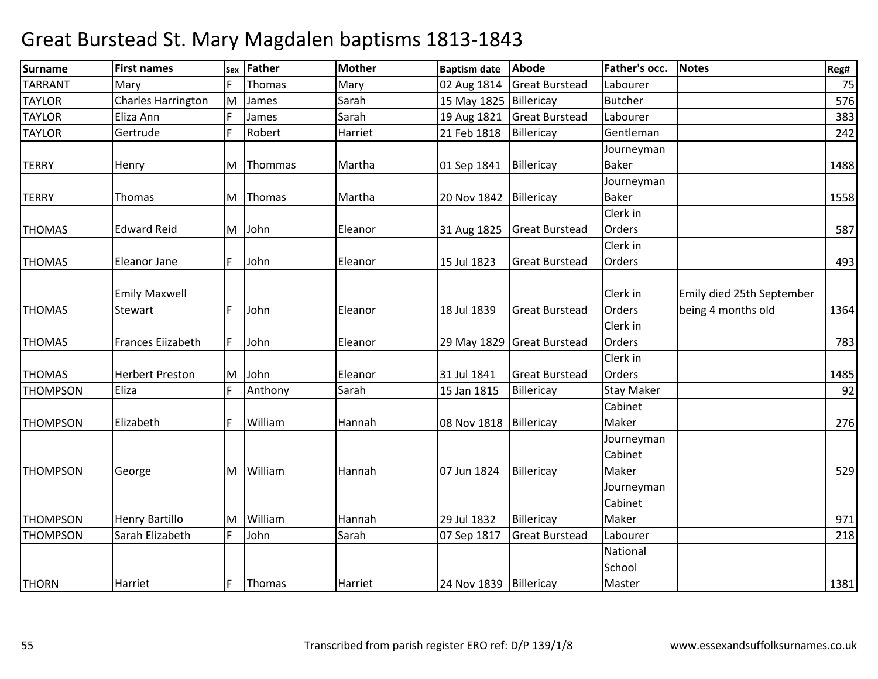| Surname         | <b>First names</b>        |   | sex Father | <b>Mother</b> | <b>Baptism date</b>    | <b>Abode</b>               | Father's occ.  | <b>Notes</b>              | Reg# |
|-----------------|---------------------------|---|------------|---------------|------------------------|----------------------------|----------------|---------------------------|------|
| <b>TARRANT</b>  | Mary                      |   | Thomas     | Mary          | 02 Aug 1814            | <b>Great Burstead</b>      | Labourer       |                           | 75   |
| <b>TAYLOR</b>   | <b>Charles Harrington</b> | M | James      | Sarah         | 15 May 1825            | Billericay                 | <b>Butcher</b> |                           | 576  |
| <b>TAYLOR</b>   | Eliza Ann                 |   | James      | Sarah         | 19 Aug 1821            | <b>Great Burstead</b>      | Labourer       |                           | 383  |
| <b>TAYLOR</b>   | Gertrude                  | F | Robert     | Harriet       | 21 Feb 1818            | Billericay                 | Gentleman      |                           | 242  |
|                 |                           |   |            |               |                        |                            | Journeyman     |                           |      |
| <b>TERRY</b>    | Henry                     | M | Thommas    | Martha        | 01 Sep 1841            | Billericay                 | <b>Baker</b>   |                           | 1488 |
|                 |                           |   |            |               |                        |                            | Journeyman     |                           |      |
| <b>TERRY</b>    | <b>Thomas</b>             | M | Thomas     | Martha        | 20 Nov 1842            | Billericay                 | <b>Baker</b>   |                           | 1558 |
|                 |                           |   |            |               |                        |                            | Clerk in       |                           |      |
| <b>THOMAS</b>   | <b>Edward Reid</b>        |   | M John     | Eleanor       | 31 Aug 1825            | <b>Great Burstead</b>      | <b>Orders</b>  |                           | 587  |
|                 |                           |   |            |               |                        |                            | Clerk in       |                           |      |
| <b>THOMAS</b>   | <b>Eleanor Jane</b>       | F | John       | Eleanor       | 15 Jul 1823            | <b>Great Burstead</b>      | Orders         |                           | 493  |
|                 |                           |   |            |               |                        |                            |                |                           |      |
|                 | <b>Emily Maxwell</b>      |   |            |               |                        |                            | Clerk in       | Emily died 25th September |      |
| <b>THOMAS</b>   | <b>Stewart</b>            | F | John       | Eleanor       | 18 Jul 1839            | <b>Great Burstead</b>      | Orders         | being 4 months old        | 1364 |
|                 |                           |   |            |               |                        |                            | Clerk in       |                           |      |
| <b>THOMAS</b>   | Frances Eiizabeth         | F | John       | Eleanor       |                        | 29 May 1829 Great Burstead | Orders         |                           | 783  |
|                 |                           |   |            |               |                        |                            | Clerk in       |                           |      |
| <b>THOMAS</b>   | <b>Herbert Preston</b>    | M | John       | Eleanor       | 31 Jul 1841            | <b>Great Burstead</b>      | Orders         |                           | 1485 |
| <b>THOMPSON</b> | Eliza                     | F | Anthony    | Sarah         | 15 Jan 1815            | Billericay                 | Stay Maker     |                           | 92   |
|                 |                           |   |            |               |                        |                            | Cabinet        |                           |      |
| <b>THOMPSON</b> | Elizabeth                 | F | William    | Hannah        | 08 Nov 1818            | Billericay                 | Maker          |                           | 276  |
|                 |                           |   |            |               |                        |                            | Journeyman     |                           |      |
|                 |                           |   |            |               |                        |                            | Cabinet        |                           |      |
| <b>THOMPSON</b> | George                    |   | M William  | Hannah        | 07 Jun 1824            | Billericay                 | Maker          |                           | 529  |
|                 |                           |   |            |               |                        |                            | Journeyman     |                           |      |
|                 |                           |   |            |               |                        |                            | Cabinet        |                           |      |
| <b>THOMPSON</b> | <b>Henry Bartillo</b>     | M | William    | Hannah        | 29 Jul 1832            | Billericay                 | Maker          |                           | 971  |
| <b>THOMPSON</b> | Sarah Elizabeth           | F | John       | Sarah         | 07 Sep 1817            | <b>Great Burstead</b>      | Labourer       |                           | 218  |
|                 |                           |   |            |               |                        |                            | National       |                           |      |
|                 |                           |   |            |               |                        |                            | School         |                           |      |
| <b>THORN</b>    | Harriet                   | F | Thomas     | Harriet       | 24 Nov 1839 Billericay |                            | Master         |                           | 1381 |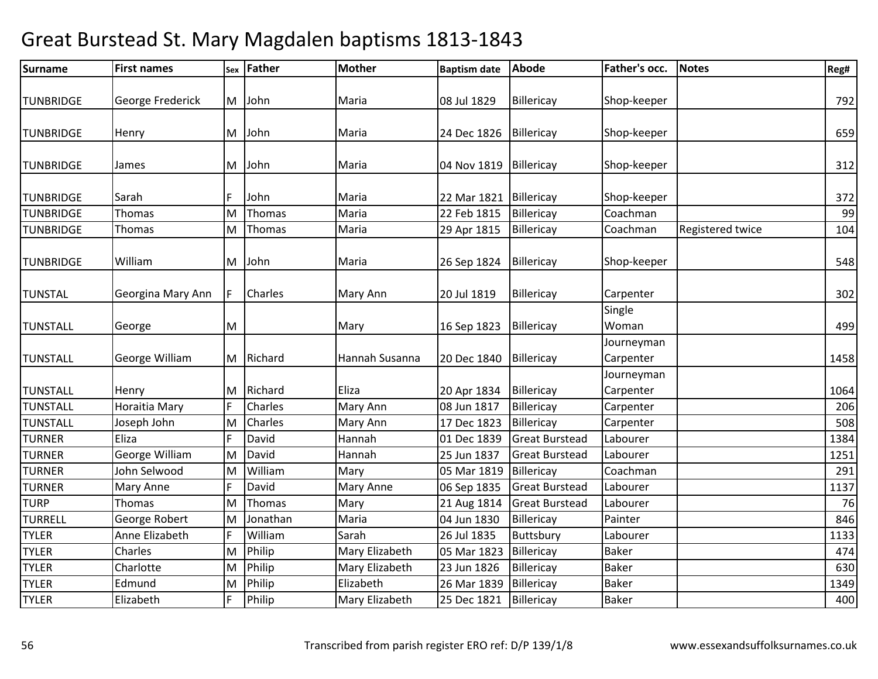| <b>Surname</b>   | <b>First names</b> | Sex | <b>Father</b> | <b>Mother</b>  | <b>Baptism date</b> | <b>Abode</b>          | Father's occ.           | <b>Notes</b>     | Reg# |
|------------------|--------------------|-----|---------------|----------------|---------------------|-----------------------|-------------------------|------------------|------|
| <b>TUNBRIDGE</b> | George Frederick   | M   | John          | Maria          | 08 Jul 1829         | Billericay            | Shop-keeper             |                  | 792  |
|                  |                    |     |               |                |                     |                       |                         |                  |      |
| <b>TUNBRIDGE</b> | Henry              | M   | John          | Maria          | 24 Dec 1826         | Billericay            | Shop-keeper             |                  | 659  |
| <b>TUNBRIDGE</b> | James              | M   | John          | Maria          | 04 Nov 1819         | Billericay            | Shop-keeper             |                  | 312  |
| <b>TUNBRIDGE</b> | Sarah              |     | John          | Maria          | 22 Mar 1821         | Billericay            | Shop-keeper             |                  | 372  |
| <b>TUNBRIDGE</b> | Thomas             | M   | Thomas        | Maria          | 22 Feb 1815         | Billericay            | Coachman                |                  | 99   |
| <b>TUNBRIDGE</b> | Thomas             | M   | Thomas        | Maria          | 29 Apr 1815         | Billericay            | Coachman                | Registered twice | 104  |
| <b>TUNBRIDGE</b> | William            | M   | John          | Maria          | 26 Sep 1824         | Billericay            | Shop-keeper             |                  | 548  |
| <b>TUNSTAL</b>   | Georgina Mary Ann  |     | Charles       | Mary Ann       | 20 Jul 1819         | Billericay            | Carpenter               |                  | 302  |
| <b>TUNSTALL</b>  | George             | M   |               | Mary           | 16 Sep 1823         | Billericay            | Single<br>Woman         |                  | 499  |
| <b>TUNSTALL</b>  | George William     |     | M Richard     | Hannah Susanna | 20 Dec 1840         | Billericay            | Journeyman<br>Carpenter |                  | 1458 |
| <b>TUNSTALL</b>  | Henry              | ΙM  | Richard       | Eliza          | 20 Apr 1834         | Billericay            | Journeyman<br>Carpenter |                  | 1064 |
| <b>TUNSTALL</b>  | Horaitia Mary      |     | Charles       | Mary Ann       | 08 Jun 1817         | Billericay            | Carpenter               |                  | 206  |
| <b>TUNSTALL</b>  | Joseph John        | M   | Charles       | Mary Ann       | 17 Dec 1823         | Billericay            | Carpenter               |                  | 508  |
| <b>TURNER</b>    | Eliza              |     | David         | Hannah         | 01 Dec 1839         | <b>Great Burstead</b> | Labourer                |                  | 1384 |
| <b>TURNER</b>    | George William     | M   | David         | Hannah         | 25 Jun 1837         | <b>Great Burstead</b> | Labourer                |                  | 1251 |
| <b>TURNER</b>    | John Selwood       | M   | William       | Mary           | 05 Mar 1819         | Billericay            | Coachman                |                  | 291  |
| <b>TURNER</b>    | Mary Anne          |     | David         | Mary Anne      | 06 Sep 1835         | <b>Great Burstead</b> | Labourer                |                  | 1137 |
| <b>TURP</b>      | Thomas             | ΙM  | Thomas        | Mary           | 21 Aug 1814         | <b>Great Burstead</b> | Labourer                |                  | 76   |
| <b>TURRELL</b>   | George Robert      | M   | Jonathan      | Maria          | 04 Jun 1830         | Billericay            | Painter                 |                  | 846  |
| <b>TYLER</b>     | Anne Elizabeth     | F   | William       | Sarah          | 26 Jul 1835         | Buttsbury             | Labourer                |                  | 1133 |
| <b>TYLER</b>     | Charles            | M   | Philip        | Mary Elizabeth | 05 Mar 1823         | Billericay            | <b>Baker</b>            |                  | 474  |
| <b>TYLER</b>     | Charlotte          | M   | Philip        | Mary Elizabeth | 23 Jun 1826         | Billericay            | <b>Baker</b>            |                  | 630  |
| <b>TYLER</b>     | Edmund             | M   | Philip        | Elizabeth      | 26 Mar 1839         | Billericay            | <b>Baker</b>            |                  | 1349 |
| <b>TYLER</b>     | Elizabeth          | IF  | Philip        | Mary Elizabeth | 25 Dec 1821         | Billericay            | <b>Baker</b>            |                  | 400  |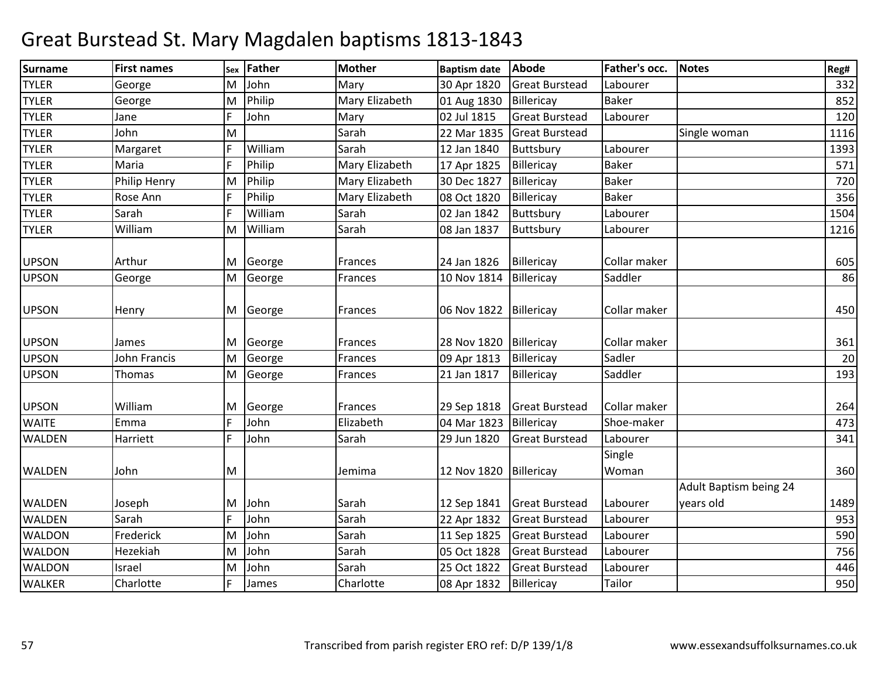| <b>Surname</b> | <b>First names</b>  | Sex | <b>Father</b> | <b>Mother</b>  | <b>Baptism date</b> | Abode                 | <b>Father's occ.</b> | <b>Notes</b>                        | Reg# |
|----------------|---------------------|-----|---------------|----------------|---------------------|-----------------------|----------------------|-------------------------------------|------|
| <b>TYLER</b>   | George              | M   | John          | Mary           | 30 Apr 1820         | <b>Great Burstead</b> | Labourer             |                                     | 332  |
| <b>TYLER</b>   | George              | M   | Philip        | Mary Elizabeth | 01 Aug 1830         | Billericay            | <b>Baker</b>         |                                     | 852  |
| <b>TYLER</b>   | Jane                | F   | John          | Mary           | 02 Jul 1815         | <b>Great Burstead</b> | Labourer             |                                     | 120  |
| <b>TYLER</b>   | John                | M   |               | Sarah          | 22 Mar 1835         | <b>Great Burstead</b> |                      | Single woman                        | 1116 |
| <b>TYLER</b>   | Margaret            | I۵  | William       | Sarah          | 12 Jan 1840         | Buttsbury             | Labourer             |                                     | 1393 |
| <b>TYLER</b>   | Maria               | E   | Philip        | Mary Elizabeth | 17 Apr 1825         | Billericay            | <b>Baker</b>         |                                     | 571  |
| <b>TYLER</b>   | <b>Philip Henry</b> | M   | Philip        | Mary Elizabeth | 30 Dec 1827         | Billericay            | <b>Baker</b>         |                                     | 720  |
| <b>TYLER</b>   | Rose Ann            |     | Philip        | Mary Elizabeth | 08 Oct 1820         | Billericay            | <b>Baker</b>         |                                     | 356  |
| <b>TYLER</b>   | Sarah               | E   | William       | Sarah          | 02 Jan 1842         | Buttsbury             | Labourer             |                                     | 1504 |
| <b>TYLER</b>   | William             | M   | William       | Sarah          | 08 Jan 1837         | Buttsbury             | Labourer             |                                     | 1216 |
| <b>UPSON</b>   | Arthur              | M   | George        | Frances        | 24 Jan 1826         | Billericay            | Collar maker         |                                     | 605  |
| <b>UPSON</b>   | George              | M   | George        | Frances        | 10 Nov 1814         | Billericay            | Saddler              |                                     | 86   |
| <b>UPSON</b>   | Henry               | M   | George        | Frances        | 06 Nov 1822         | Billericay            | Collar maker         |                                     | 450  |
| <b>UPSON</b>   | James               | M   | George        | Frances        | 28 Nov 1820         | Billericay            | Collar maker         |                                     | 361  |
| <b>UPSON</b>   | John Francis        | M   | George        | Frances        | 09 Apr 1813         | Billericay            | Sadler               |                                     | 20   |
| <b>UPSON</b>   | Thomas              | M   | George        | Frances        | 21 Jan 1817         | Billericay            | Saddler              |                                     | 193  |
| <b>UPSON</b>   | William             | M   | George        | Frances        | 29 Sep 1818         | <b>Great Burstead</b> | Collar maker         |                                     | 264  |
| <b>WAITE</b>   | Emma                | E   | John          | Elizabeth      | 04 Mar 1823         | Billericay            | Shoe-maker           |                                     | 473  |
| <b>WALDEN</b>  | Harriett            | F   | John          | Sarah          | 29 Jun 1820         | <b>Great Burstead</b> | Labourer             |                                     | 341  |
| <b>WALDEN</b>  | John                | M   |               | Jemima         | 12 Nov 1820         | Billericay            | Single<br>Woman      |                                     | 360  |
| <b>WALDEN</b>  | Joseph              | M   | John          | Sarah          | 12 Sep 1841         | <b>Great Burstead</b> | Labourer             | Adult Baptism being 24<br>years old | 1489 |
| <b>WALDEN</b>  | Sarah               | ١F  | John          | Sarah          | 22 Apr 1832         | <b>Great Burstead</b> | Labourer             |                                     | 953  |
| <b>WALDON</b>  | Frederick           | M   | John          | Sarah          | 11 Sep 1825         | <b>Great Burstead</b> | Labourer             |                                     | 590  |
| <b>WALDON</b>  | Hezekiah            | ΙM  | John          | Sarah          | 05 Oct 1828         | <b>Great Burstead</b> | Labourer             |                                     | 756  |
| <b>WALDON</b>  | Israel              | M   | John          | Sarah          | 25 Oct 1822         | <b>Great Burstead</b> | Labourer             |                                     | 446  |
| <b>WALKER</b>  | Charlotte           |     | James         | Charlotte      | 08 Apr 1832         | Billericay            | Tailor               |                                     | 950  |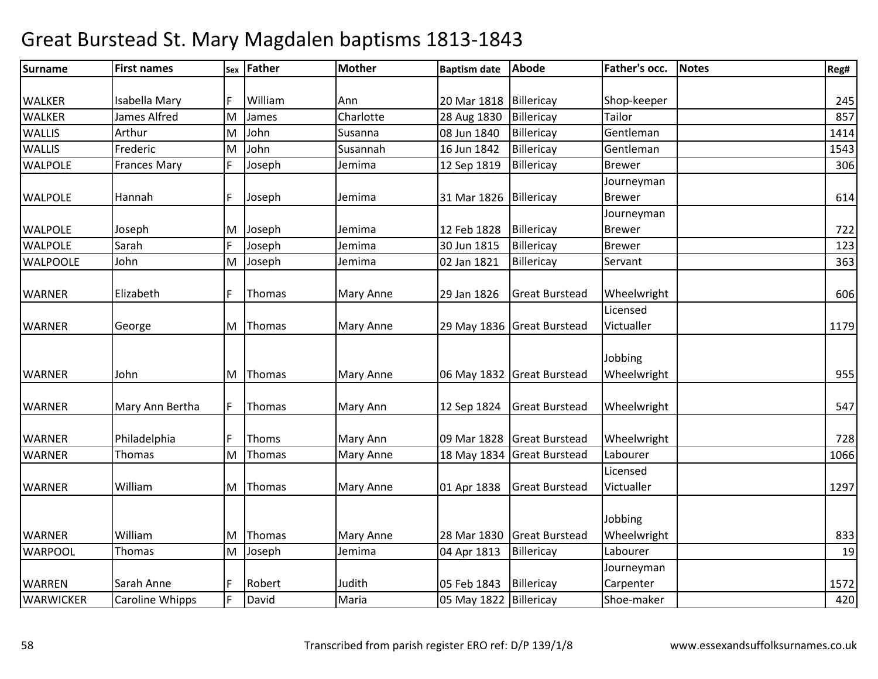| <b>Surname</b>   | <b>First names</b>  | Sex | <b>Father</b> | Mother           | <b>Baptism date</b>      | <b>Abode</b>               | Father's occ. | <b>Notes</b> | Reg# |
|------------------|---------------------|-----|---------------|------------------|--------------------------|----------------------------|---------------|--------------|------|
|                  |                     |     |               |                  |                          |                            |               |              |      |
| <b>WALKER</b>    | Isabella Mary       |     | William       | Ann              | 20 Mar 1818   Billericay |                            | Shop-keeper   |              | 245  |
| <b>WALKER</b>    | James Alfred        | M   | James         | Charlotte        | 28 Aug 1830              | Billericay                 | Tailor        |              | 857  |
| <b>WALLIS</b>    | Arthur              | M   | John          | Susanna          | 08 Jun 1840              | Billericay                 | Gentleman     |              | 1414 |
| <b>WALLIS</b>    | Frederic            | M   | John          | Susannah         | 16 Jun 1842              | Billericay                 | Gentleman     |              | 1543 |
| <b>WALPOLE</b>   | <b>Frances Mary</b> |     | Joseph        | Jemima           | 12 Sep 1819              | Billericay                 | <b>Brewer</b> |              | 306  |
|                  |                     |     |               |                  |                          |                            | Journeyman    |              |      |
| <b>WALPOLE</b>   | Hannah              |     | Joseph        | Jemima           | 31 Mar 1826              | Billericay                 | <b>Brewer</b> |              | 614  |
|                  |                     |     |               |                  |                          |                            | Journeyman    |              |      |
| <b>WALPOLE</b>   | Joseph              | M   | Joseph        | Jemima           | 12 Feb 1828              | Billericay                 | <b>Brewer</b> |              | 722  |
| <b>WALPOLE</b>   | Sarah               |     | Joseph        | Jemima           | 30 Jun 1815              | Billericay                 | <b>Brewer</b> |              | 123  |
| <b>WALPOOLE</b>  | John                | M   | Joseph        | Jemima           | 02 Jan 1821              | Billericay                 | Servant       |              | 363  |
|                  |                     |     |               |                  |                          |                            |               |              |      |
| <b>WARNER</b>    | Elizabeth           |     | Thomas        | <b>Mary Anne</b> | 29 Jan 1826              | <b>Great Burstead</b>      | Wheelwright   |              | 606  |
|                  |                     |     |               |                  |                          |                            | Licensed      |              |      |
| <b>WARNER</b>    | George              | M   | Thomas        | <b>Mary Anne</b> |                          | 29 May 1836 Great Burstead | Victualler    |              | 1179 |
|                  |                     |     |               |                  |                          |                            |               |              |      |
|                  |                     |     |               |                  |                          |                            | Jobbing       |              |      |
| <b>WARNER</b>    | John                |     | M Thomas      | <b>Mary Anne</b> |                          | 06 May 1832 Great Burstead | Wheelwright   |              | 955  |
|                  |                     |     |               |                  |                          |                            |               |              |      |
| <b>WARNER</b>    | Mary Ann Bertha     |     | Thomas        | Mary Ann         | 12 Sep 1824              | <b>Great Burstead</b>      | Wheelwright   |              | 547  |
|                  |                     |     |               |                  |                          |                            |               |              |      |
| <b>WARNER</b>    | Philadelphia        |     | Thoms         | Mary Ann         |                          | 09 Mar 1828 Great Burstead | Wheelwright   |              | 728  |
| <b>WARNER</b>    | Thomas              | M   | Thomas        | <b>Mary Anne</b> | 18 May 1834              | <b>Great Burstead</b>      | Labourer      |              | 1066 |
|                  |                     |     |               |                  |                          |                            | Licensed      |              |      |
| <b>WARNER</b>    | William             | M   | Thomas        | <b>Mary Anne</b> | 01 Apr 1838              | <b>Great Burstead</b>      | Victualler    |              | 1297 |
|                  |                     |     |               |                  |                          |                            |               |              |      |
|                  |                     |     |               |                  |                          |                            | Jobbing       |              |      |
| <b>WARNER</b>    | William             | M   | Thomas        | <b>Mary Anne</b> | 28 Mar 1830              | <b>Great Burstead</b>      | Wheelwright   |              | 833  |
| <b>WARPOOL</b>   | Thomas              | M   | Joseph        | Jemima           | 04 Apr 1813              | Billericay                 | Labourer      |              | 19   |
|                  |                     |     |               |                  |                          |                            | Journeyman    |              |      |
| <b>WARREN</b>    | Sarah Anne          |     | Robert        | Judith           | 05 Feb 1843              | Billericay                 | Carpenter     |              | 1572 |
| <b>WARWICKER</b> | Caroline Whipps     | F   | David         | Maria            | 05 May 1822 Billericay   |                            | Shoe-maker    |              | 420  |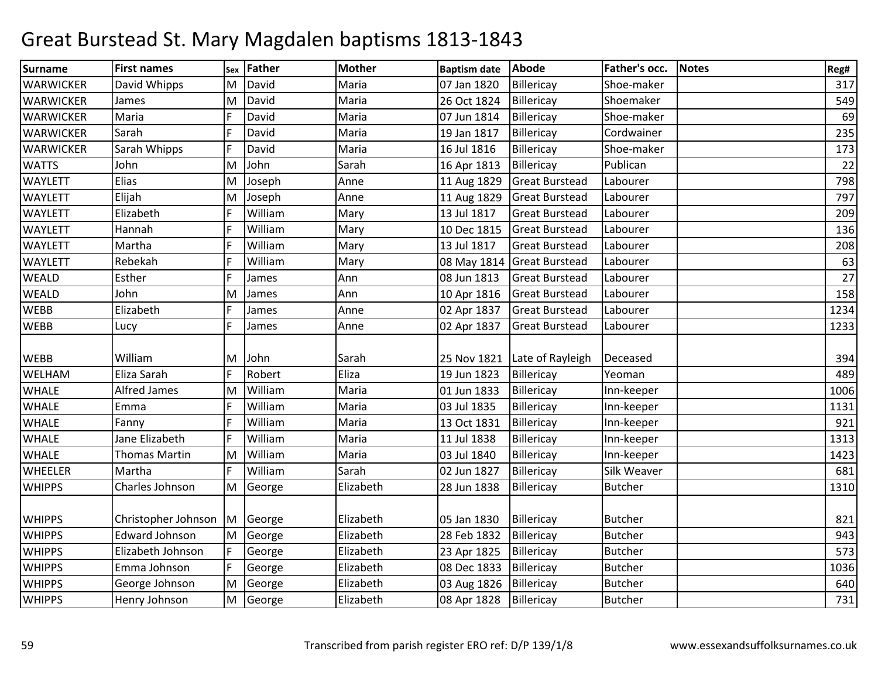| Surname          | <b>First names</b>    | Sex | <b>Father</b> | <b>Mother</b> | <b>Baptism date</b> | Abode                        | Father's occ.  | <b>Notes</b> | Reg# |
|------------------|-----------------------|-----|---------------|---------------|---------------------|------------------------------|----------------|--------------|------|
| <b>WARWICKER</b> | David Whipps          | M   | David         | Maria         | 07 Jan 1820         | Billericay                   | Shoe-maker     |              | 317  |
| <b>WARWICKER</b> | James                 | M   | David         | Maria         | 26 Oct 1824         | Billericay                   | Shoemaker      |              | 549  |
| <b>WARWICKER</b> | Maria                 | F   | David         | Maria         | 07 Jun 1814         | Billericay                   | Shoe-maker     |              | 69   |
| <b>WARWICKER</b> | Sarah                 | E   | David         | Maria         | 19 Jan 1817         | Billericay                   | Cordwainer     |              | 235  |
| <b>WARWICKER</b> | Sarah Whipps          | F   | David         | Maria         | 16 Jul 1816         | Billericay                   | Shoe-maker     |              | 173  |
| <b>WATTS</b>     | John                  | M   | John          | Sarah         | 16 Apr 1813         | Billericay                   | Publican       |              | 22   |
| <b>WAYLETT</b>   | Elias                 | M   | Joseph        | Anne          | 11 Aug 1829         | <b>Great Burstead</b>        | Labourer       |              | 798  |
| <b>WAYLETT</b>   | Elijah                | M   | Joseph        | Anne          | 11 Aug 1829         | <b>Great Burstead</b>        | Labourer       |              | 797  |
| <b>WAYLETT</b>   | Elizabeth             |     | William       | Mary          | 13 Jul 1817         | <b>Great Burstead</b>        | Labourer       |              | 209  |
| <b>WAYLETT</b>   | Hannah                | F   | William       | Mary          | 10 Dec 1815         | <b>Great Burstead</b>        | Labourer       |              | 136  |
| <b>WAYLETT</b>   | Martha                |     | William       | Mary          | 13 Jul 1817         | <b>Great Burstead</b>        | Labourer       |              | 208  |
| <b>WAYLETT</b>   | Rebekah               | F   | William       | Mary          |                     | 08 May 1814 Great Burstead   | Labourer       |              | 63   |
| <b>WEALD</b>     | Esther                | IF  | James         | Ann           | 08 Jun 1813         | <b>Great Burstead</b>        | Labourer       |              | 27   |
| <b>WEALD</b>     | John                  | M   | James         | Ann           | 10 Apr 1816         | <b>Great Burstead</b>        | Labourer       |              | 158  |
| <b>WEBB</b>      | Elizabeth             |     | James         | Anne          | 02 Apr 1837         | <b>Great Burstead</b>        | Labourer       |              | 1234 |
| <b>WEBB</b>      | Lucy                  |     | James         | Anne          | 02 Apr 1837         | <b>Great Burstead</b>        | Labourer       |              | 1233 |
| <b>WEBB</b>      | William               | M   | John          | Sarah         |                     | 25 Nov 1821 Late of Rayleigh | Deceased       |              | 394  |
| <b>WELHAM</b>    | Eliza Sarah           | F   | Robert        | Eliza         | 19 Jun 1823         | Billericay                   | Yeoman         |              | 489  |
| <b>WHALE</b>     | <b>Alfred James</b>   | M   | William       | Maria         | 01 Jun 1833         | Billericay                   | Inn-keeper     |              | 1006 |
| <b>WHALE</b>     | Emma                  | F   | William       | Maria         | 03 Jul 1835         | Billericay                   | Inn-keeper     |              | 1131 |
| <b>WHALE</b>     | Fanny                 | F   | William       | Maria         | 13 Oct 1831         | Billericay                   | Inn-keeper     |              | 921  |
| <b>WHALE</b>     | Jane Elizabeth        |     | William       | Maria         | 11 Jul 1838         | Billericay                   | Inn-keeper     |              | 1313 |
| <b>WHALE</b>     | Thomas Martin         | M   | William       | Maria         | 03 Jul 1840         | Billericay                   | Inn-keeper     |              | 1423 |
| <b>WHEELER</b>   | Martha                |     | William       | Sarah         | 02 Jun 1827         | Billericay                   | Silk Weaver    |              | 681  |
| <b>WHIPPS</b>    | Charles Johnson       | M   | George        | Elizabeth     | 28 Jun 1838         | Billericay                   | <b>Butcher</b> |              | 1310 |
| <b>WHIPPS</b>    | Christopher Johnson   | ΙM  | George        | Elizabeth     | 05 Jan 1830         | Billericay                   | <b>Butcher</b> |              | 821  |
| <b>WHIPPS</b>    | <b>Edward Johnson</b> | M   | George        | Elizabeth     | 28 Feb 1832         | Billericay                   | <b>Butcher</b> |              | 943  |
| <b>WHIPPS</b>    | Elizabeth Johnson     | F   | George        | Elizabeth     | 23 Apr 1825         | Billericay                   | <b>Butcher</b> |              | 573  |
| <b>WHIPPS</b>    | Emma Johnson          | F   | George        | Elizabeth     | 08 Dec 1833         | Billericay                   | <b>Butcher</b> |              | 1036 |
| <b>WHIPPS</b>    | George Johnson        | M   | George        | Elizabeth     | 03 Aug 1826         | Billericay                   | <b>Butcher</b> |              | 640  |
| <b>WHIPPS</b>    | Henry Johnson         | M   | George        | Elizabeth     | 08 Apr 1828         | Billericay                   | <b>Butcher</b> |              | 731  |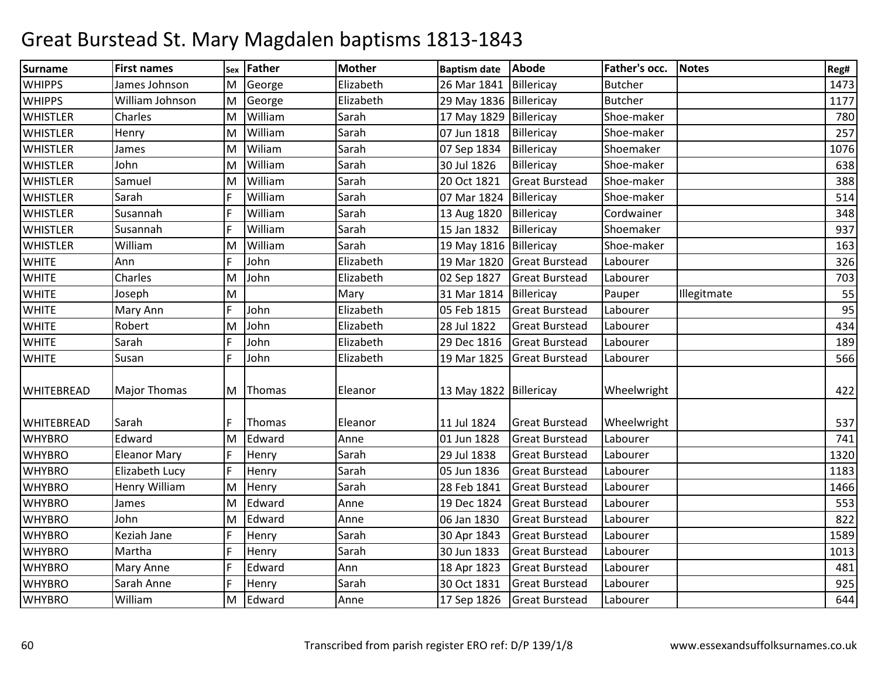| Surname           | <b>First names</b>  |   | sex Father | <b>Mother</b> | <b>Baptism date</b>    | <b>Abode</b>          | Father's occ.  | <b>Notes</b> | Reg# |
|-------------------|---------------------|---|------------|---------------|------------------------|-----------------------|----------------|--------------|------|
| <b>WHIPPS</b>     | James Johnson       | M | George     | Elizabeth     | 26 Mar 1841            | Billericay            | <b>Butcher</b> |              | 1473 |
| <b>WHIPPS</b>     | William Johnson     | M | George     | Elizabeth     | 29 May 1836 Billericay |                       | <b>Butcher</b> |              | 1177 |
| <b>WHISTLER</b>   | Charles             | M | William    | Sarah         | 17 May 1829            | Billericay            | Shoe-maker     |              | 780  |
| <b>WHISTLER</b>   | Henry               | M | William    | Sarah         | 07 Jun 1818            | Billericay            | Shoe-maker     |              | 257  |
| <b>WHISTLER</b>   | James               | M | Wiliam     | Sarah         | 07 Sep 1834            | Billericay            | Shoemaker      |              | 1076 |
| <b>WHISTLER</b>   | John                | M | William    | Sarah         | 30 Jul 1826            | Billericay            | Shoe-maker     |              | 638  |
| <b>WHISTLER</b>   | Samuel              | M | William    | Sarah         | 20 Oct 1821            | <b>Great Burstead</b> | Shoe-maker     |              | 388  |
| <b>WHISTLER</b>   | Sarah               | F | William    | Sarah         | 07 Mar 1824            | Billericay            | Shoe-maker     |              | 514  |
| <b>WHISTLER</b>   | Susannah            | F | William    | Sarah         | 13 Aug 1820            | Billericay            | Cordwainer     |              | 348  |
| <b>WHISTLER</b>   | Susannah            | F | William    | Sarah         | 15 Jan 1832            | Billericay            | Shoemaker      |              | 937  |
| <b>WHISTLER</b>   | William             | M | William    | Sarah         | 19 May 1816 Billericay |                       | Shoe-maker     |              | 163  |
| <b>WHITE</b>      | Ann                 | F | John       | Elizabeth     | 19 Mar 1820            | <b>Great Burstead</b> | Labourer       |              | 326  |
| <b>WHITE</b>      | Charles             | M | John       | Elizabeth     | 02 Sep 1827            | <b>Great Burstead</b> | Labourer       |              | 703  |
| <b>WHITE</b>      | Joseph              | M |            | Mary          | 31 Mar 1814            | Billericay            | Pauper         | Illegitmate  | 55   |
| <b>WHITE</b>      | Mary Ann            | F | John       | Elizabeth     | 05 Feb 1815            | <b>Great Burstead</b> | Labourer       |              | 95   |
| <b>WHITE</b>      | Robert              | M | John       | Elizabeth     | 28 Jul 1822            | <b>Great Burstead</b> | Labourer       |              | 434  |
| <b>WHITE</b>      | Sarah               |   | John       | Elizabeth     | 29 Dec 1816            | <b>Great Burstead</b> | Labourer       |              | 189  |
| <b>WHITE</b>      | Susan               | F | John       | Elizabeth     | 19 Mar 1825            | <b>Great Burstead</b> | Labourer       |              | 566  |
|                   |                     |   |            |               |                        |                       |                |              |      |
| <b>WHITEBREAD</b> | <b>Major Thomas</b> |   | M Thomas   | Eleanor       | 13 May 1822 Billericay |                       | Wheelwright    |              | 422  |
| <b>WHITEBREAD</b> | Sarah               |   | Thomas     | Eleanor       | 11 Jul 1824            | <b>Great Burstead</b> | Wheelwright    |              | 537  |
| <b>WHYBRO</b>     | Edward              | M | Edward     | Anne          | 01 Jun 1828            | <b>Great Burstead</b> | Labourer       |              | 741  |
| <b>WHYBRO</b>     | <b>Eleanor Mary</b> | F | Henry      | Sarah         | 29 Jul 1838            | <b>Great Burstead</b> | Labourer       |              | 1320 |
| <b>WHYBRO</b>     | Elizabeth Lucy      | F | Henry      | Sarah         | 05 Jun 1836            | <b>Great Burstead</b> | Labourer       |              | 1183 |
| <b>WHYBRO</b>     | Henry William       | M | Henry      | Sarah         | 28 Feb 1841            | <b>Great Burstead</b> | Labourer       |              | 1466 |
| <b>WHYBRO</b>     | James               | M | Edward     | Anne          | 19 Dec 1824            | <b>Great Burstead</b> | Labourer       |              | 553  |
| <b>WHYBRO</b>     | John                | M | Edward     | Anne          | 06 Jan 1830            | <b>Great Burstead</b> | Labourer       |              | 822  |
| <b>WHYBRO</b>     | Keziah Jane         | E | Henry      | Sarah         | 30 Apr 1843            | <b>Great Burstead</b> | Labourer       |              | 1589 |
| <b>WHYBRO</b>     | Martha              | F | Henry      | Sarah         | 30 Jun 1833            | <b>Great Burstead</b> | Labourer       |              | 1013 |
| <b>WHYBRO</b>     | <b>Mary Anne</b>    | F | Edward     | Ann           | 18 Apr 1823            | <b>Great Burstead</b> | Labourer       |              | 481  |
| <b>WHYBRO</b>     | Sarah Anne          | F | Henry      | Sarah         | 30 Oct 1831            | <b>Great Burstead</b> | Labourer       |              | 925  |
| <b>WHYBRO</b>     | William             | M | Edward     | Anne          | 17 Sep 1826            | <b>Great Burstead</b> | Labourer       |              | 644  |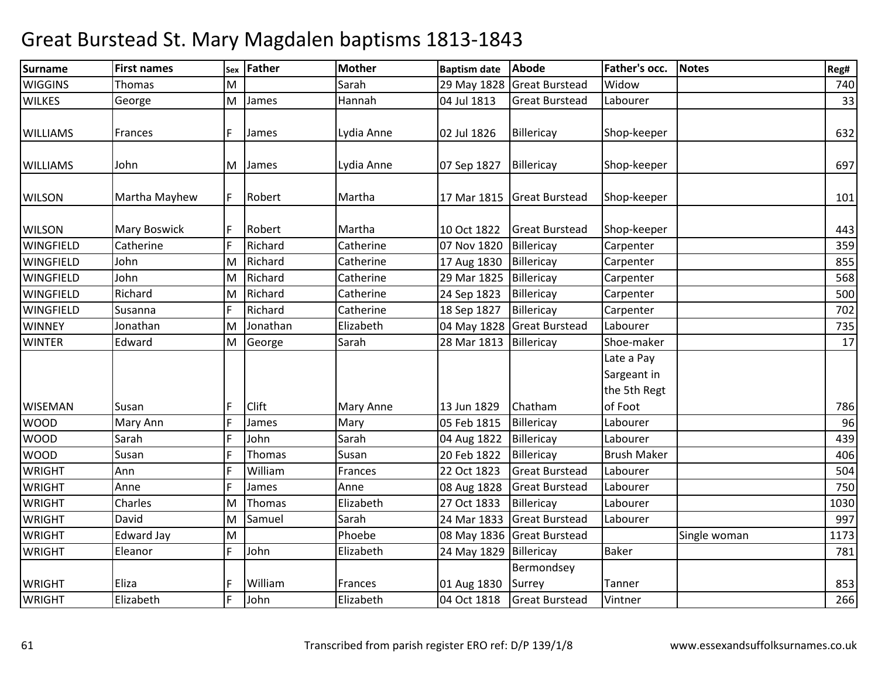| Surname          | <b>First names</b>  | Sex | <b>Father</b> | <b>Mother</b> | <b>Baptism date</b> | Abode                 | Father's occ.                             | <b>Notes</b> | Reg# |
|------------------|---------------------|-----|---------------|---------------|---------------------|-----------------------|-------------------------------------------|--------------|------|
| <b>WIGGINS</b>   | <b>Thomas</b>       | M   |               | Sarah         | 29 May 1828         | <b>Great Burstead</b> | Widow                                     |              | 740  |
| <b>WILKES</b>    | George              | M   | James         | Hannah        | 04 Jul 1813         | <b>Great Burstead</b> | Labourer                                  |              | 33   |
| <b>WILLIAMS</b>  | Frances             | F   | James         | Lydia Anne    | 02 Jul 1826         | Billericay            | Shop-keeper                               |              | 632  |
| <b>WILLIAMS</b>  | John                | M   | James         | Lydia Anne    | 07 Sep 1827         | Billericay            | Shop-keeper                               |              | 697  |
| <b>WILSON</b>    | Martha Mayhew       |     | Robert        | Martha        | 17 Mar 1815         | <b>Great Burstead</b> | Shop-keeper                               |              | 101  |
| <b>WILSON</b>    | <b>Mary Boswick</b> |     | Robert        | Martha        | 10 Oct 1822         | <b>Great Burstead</b> | Shop-keeper                               |              | 443  |
| <b>WINGFIELD</b> | Catherine           | F   | Richard       | Catherine     | 07 Nov 1820         | Billericay            | Carpenter                                 |              | 359  |
| <b>WINGFIELD</b> | John                | lм  | Richard       | Catherine     | 17 Aug 1830         | Billericay            | Carpenter                                 |              | 855  |
| <b>WINGFIELD</b> | John                | M   | Richard       | Catherine     | 29 Mar 1825         | Billericay            | Carpenter                                 |              | 568  |
| <b>WINGFIELD</b> | Richard             | M   | Richard       | Catherine     | 24 Sep 1823         | Billericay            | Carpenter                                 |              | 500  |
| <b>WINGFIELD</b> | Susanna             | E   | Richard       | Catherine     | 18 Sep 1827         | Billericay            | Carpenter                                 |              | 702  |
| <b>WINNEY</b>    | Jonathan            | M   | Jonathan      | Elizabeth     | 04 May 1828         | <b>Great Burstead</b> | Labourer                                  |              | 735  |
| <b>WINTER</b>    | Edward              | M   | George        | Sarah         | 28 Mar 1813         | Billericay            | Shoe-maker                                |              | 17   |
|                  |                     |     |               |               |                     |                       | Late a Pay<br>Sargeant in<br>the 5th Regt |              |      |
| <b>WISEMAN</b>   | Susan               |     | Clift         | Mary Anne     | 13 Jun 1829         | Chatham               | of Foot                                   |              | 786  |
| <b>WOOD</b>      | Mary Ann            | l F | James         | Mary          | 05 Feb 1815         | Billericay            | Labourer                                  |              | 96   |
| <b>WOOD</b>      | Sarah               | E   | John          | Sarah         | 04 Aug 1822         | Billericay            | Labourer                                  |              | 439  |
| <b>WOOD</b>      | Susan               |     | Thomas        | Susan         | 20 Feb 1822         | Billericay            | <b>Brush Maker</b>                        |              | 406  |
| <b>WRIGHT</b>    | Ann                 | E   | William       | Frances       | 22 Oct 1823         | <b>Great Burstead</b> | Labourer                                  |              | 504  |
| <b>WRIGHT</b>    | Anne                | E   | James         | Anne          | 08 Aug 1828         | <b>Great Burstead</b> | Labourer                                  |              | 750  |
| <b>WRIGHT</b>    | Charles             | M   | Thomas        | Elizabeth     | 27 Oct 1833         | Billericay            | Labourer                                  |              | 1030 |
| <b>WRIGHT</b>    | David               | M   | Samuel        | Sarah         | 24 Mar 1833         | <b>Great Burstead</b> | Labourer                                  |              | 997  |
| <b>WRIGHT</b>    | <b>Edward Jay</b>   | M   |               | Phoebe        | 08 May 1836         | <b>Great Burstead</b> |                                           | Single woman | 1173 |
| <b>WRIGHT</b>    | Eleanor             | E   | John          | Elizabeth     | 24 May 1829         | Billericay            | <b>Baker</b>                              |              | 781  |
| <b>WRIGHT</b>    | Eliza               |     | William       | Frances       | 01 Aug 1830         | Bermondsey<br>Surrey  | Tanner                                    |              | 853  |
| <b>WRIGHT</b>    | Elizabeth           | F   | John          | Elizabeth     | 04 Oct 1818         | <b>Great Burstead</b> | Vintner                                   |              | 266  |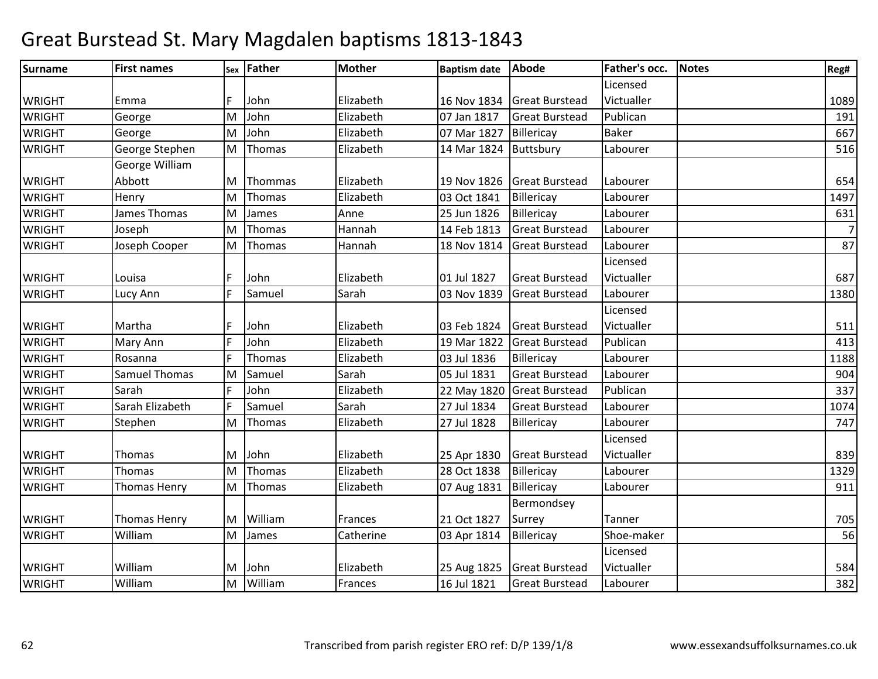| <b>Surname</b> | <b>First names</b>   |    | sex Father | <b>Mother</b> | <b>Baptism date</b> | <b>Abode</b>          | Father's occ. | <b>Notes</b> | Reg#           |
|----------------|----------------------|----|------------|---------------|---------------------|-----------------------|---------------|--------------|----------------|
|                |                      |    |            |               |                     |                       | Licensed      |              |                |
| <b>WRIGHT</b>  | Emma                 |    | John       | Elizabeth     | 16 Nov 1834         | <b>Great Burstead</b> | Victualler    |              | 1089           |
| <b>WRIGHT</b>  | George               | M  | John       | Elizabeth     | 07 Jan 1817         | <b>Great Burstead</b> | Publican      |              | 191            |
| <b>WRIGHT</b>  | George               | M  | John       | Elizabeth     | 07 Mar 1827         | Billericay            | <b>Baker</b>  |              | 667            |
| <b>WRIGHT</b>  | George Stephen       | M  | Thomas     | Elizabeth     | 14 Mar 1824         | Buttsbury             | Labourer      |              | 516            |
|                | George William       |    |            |               |                     |                       |               |              |                |
| <b>WRIGHT</b>  | Abbott               | M  | Thommas    | Elizabeth     | 19 Nov 1826         | <b>Great Burstead</b> | Labourer      |              | 654            |
| <b>WRIGHT</b>  | Henry                | M  | Thomas     | Elizabeth     | 03 Oct 1841         | Billericay            | Labourer      |              | 1497           |
| <b>WRIGHT</b>  | James Thomas         | M  | James      | Anne          | 25 Jun 1826         | Billericay            | Labourer      |              | 631            |
| <b>WRIGHT</b>  | Joseph               | M  | Thomas     | Hannah        | 14 Feb 1813         | <b>Great Burstead</b> | Labourer      |              | $\overline{7}$ |
| <b>WRIGHT</b>  | Joseph Cooper        | M  | Thomas     | Hannah        | 18 Nov 1814         | <b>Great Burstead</b> | Labourer      |              | 87             |
|                |                      |    |            |               |                     |                       | Licensed      |              |                |
| <b>WRIGHT</b>  | Louisa               |    | John       | Elizabeth     | 01 Jul 1827         | <b>Great Burstead</b> | Victualler    |              | 687            |
| <b>WRIGHT</b>  | Lucy Ann             | F  | Samuel     | Sarah         | 03 Nov 1839         | <b>Great Burstead</b> | Labourer      |              | 1380           |
|                |                      |    |            |               |                     |                       | Licensed      |              |                |
| <b>WRIGHT</b>  | Martha               |    | John       | Elizabeth     | 03 Feb 1824         | <b>Great Burstead</b> | Victualler    |              | 511            |
| <b>WRIGHT</b>  | Mary Ann             |    | John       | Elizabeth     | 19 Mar 1822         | <b>Great Burstead</b> | Publican      |              | 413            |
| <b>WRIGHT</b>  | Rosanna              | ١F | Thomas     | Elizabeth     | 03 Jul 1836         | Billericay            | Labourer      |              | 1188           |
| <b>WRIGHT</b>  | <b>Samuel Thomas</b> | M  | Samuel     | Sarah         | 05 Jul 1831         | <b>Great Burstead</b> | Labourer      |              | 904            |
| <b>WRIGHT</b>  | Sarah                | F  | John       | Elizabeth     | 22 May 1820         | <b>Great Burstead</b> | Publican      |              | 337            |
| <b>WRIGHT</b>  | Sarah Elizabeth      |    | Samuel     | Sarah         | 27 Jul 1834         | <b>Great Burstead</b> | Labourer      |              | 1074           |
| <b>WRIGHT</b>  | Stephen              | M  | Thomas     | Elizabeth     | 27 Jul 1828         | Billericay            | Labourer      |              | 747            |
|                |                      |    |            |               |                     |                       | Licensed      |              |                |
| <b>WRIGHT</b>  | Thomas               | M  | John       | Elizabeth     | 25 Apr 1830         | <b>Great Burstead</b> | Victualler    |              | 839            |
| <b>WRIGHT</b>  | Thomas               | M  | Thomas     | Elizabeth     | 28 Oct 1838         | Billericay            | Labourer      |              | 1329           |
| <b>WRIGHT</b>  | <b>Thomas Henry</b>  | M  | Thomas     | Elizabeth     | 07 Aug 1831         | Billericay            | Labourer      |              | 911            |
|                |                      |    |            |               |                     | Bermondsey            |               |              |                |
| <b>WRIGHT</b>  | <b>Thomas Henry</b>  | M  | William    | Frances       | 21 Oct 1827         | Surrey                | Tanner        |              | 705            |
| <b>WRIGHT</b>  | William              | M  | James      | Catherine     | 03 Apr 1814         | Billericay            | Shoe-maker    |              | 56             |
|                |                      |    |            |               |                     |                       | Licensed      |              |                |
| <b>WRIGHT</b>  | William              | M  | John       | Elizabeth     | 25 Aug 1825         | <b>Great Burstead</b> | Victualler    |              | 584            |
| <b>WRIGHT</b>  | William              | lм | William    | Frances       | 16 Jul 1821         | <b>Great Burstead</b> | Labourer      |              | 382            |